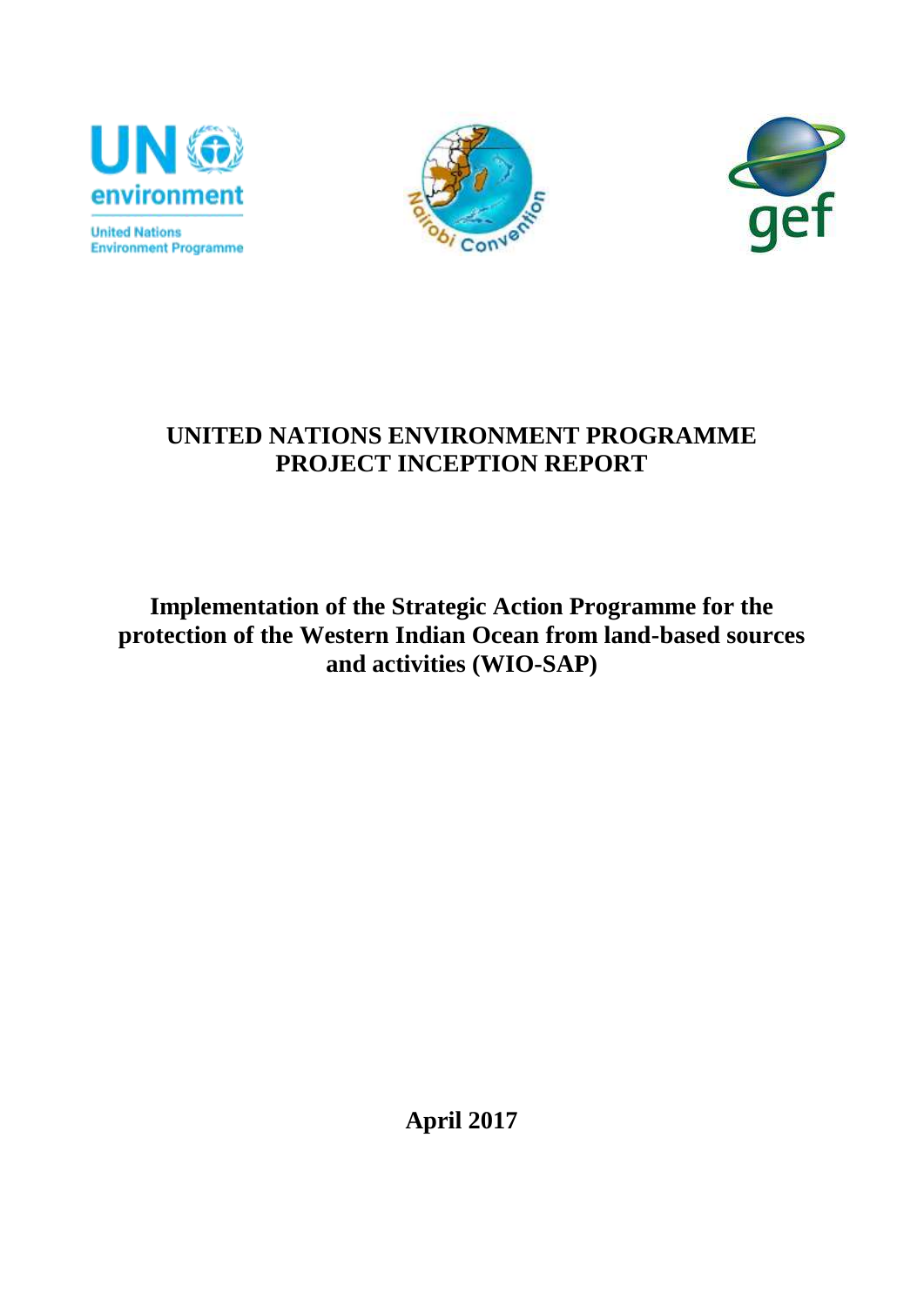

**United Nations Environment Programme** 





# **UNITED NATIONS ENVIRONMENT PROGRAMME PROJECT INCEPTION REPORT**

**Implementation of the Strategic Action Programme for the protection of the Western Indian Ocean from land-based sources and activities (WIO-SAP)**

**April 2017**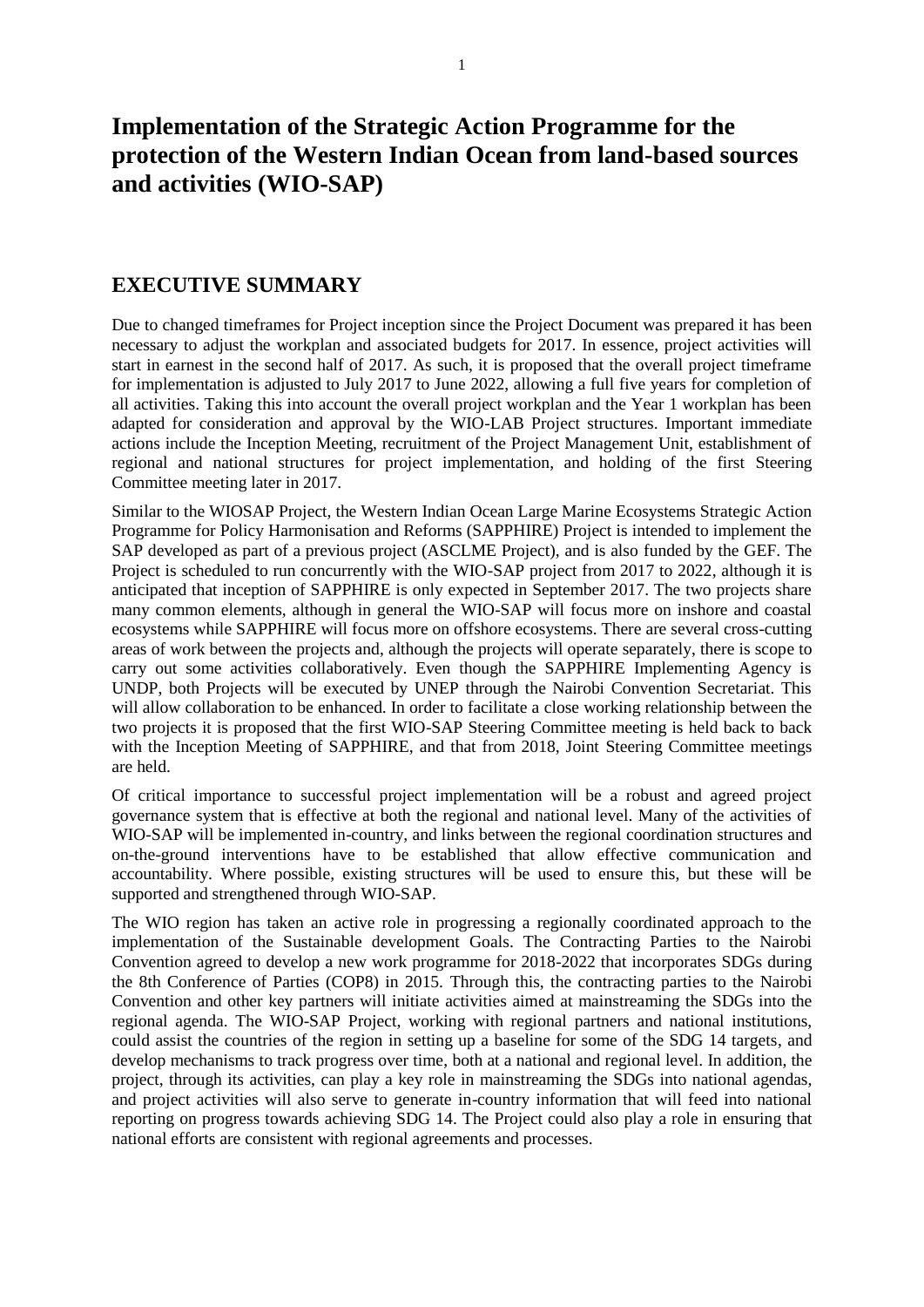## **Implementation of the Strategic Action Programme for the protection of the Western Indian Ocean from land-based sources and activities (WIO-SAP)**

#### <span id="page-1-0"></span>**EXECUTIVE SUMMARY**

Due to changed timeframes for Project inception since the Project Document was prepared it has been necessary to adjust the workplan and associated budgets for 2017. In essence, project activities will start in earnest in the second half of 2017. As such, it is proposed that the overall project timeframe for implementation is adjusted to July 2017 to June 2022, allowing a full five years for completion of all activities. Taking this into account the overall project workplan and the Year 1 workplan has been adapted for consideration and approval by the WIO-LAB Project structures. Important immediate actions include the Inception Meeting, recruitment of the Project Management Unit, establishment of regional and national structures for project implementation, and holding of the first Steering Committee meeting later in 2017.

Similar to the WIOSAP Project, the Western Indian Ocean Large Marine Ecosystems Strategic Action Programme for Policy Harmonisation and Reforms (SAPPHIRE) Project is intended to implement the SAP developed as part of a previous project (ASCLME Project), and is also funded by the GEF. The Project is scheduled to run concurrently with the WIO-SAP project from 2017 to 2022, although it is anticipated that inception of SAPPHIRE is only expected in September 2017. The two projects share many common elements, although in general the WIO-SAP will focus more on inshore and coastal ecosystems while SAPPHIRE will focus more on offshore ecosystems. There are several cross-cutting areas of work between the projects and, although the projects will operate separately, there is scope to carry out some activities collaboratively. Even though the SAPPHIRE Implementing Agency is UNDP, both Projects will be executed by UNEP through the Nairobi Convention Secretariat. This will allow collaboration to be enhanced. In order to facilitate a close working relationship between the two projects it is proposed that the first WIO-SAP Steering Committee meeting is held back to back with the Inception Meeting of SAPPHIRE, and that from 2018, Joint Steering Committee meetings are held.

Of critical importance to successful project implementation will be a robust and agreed project governance system that is effective at both the regional and national level. Many of the activities of WIO-SAP will be implemented in-country, and links between the regional coordination structures and on-the-ground interventions have to be established that allow effective communication and accountability. Where possible, existing structures will be used to ensure this, but these will be supported and strengthened through WIO-SAP.

The WIO region has taken an active role in progressing a regionally coordinated approach to the implementation of the Sustainable development Goals. The Contracting Parties to the Nairobi Convention agreed to develop a new work programme for 2018-2022 that incorporates SDGs during the 8th Conference of Parties (COP8) in 2015. Through this, the contracting parties to the Nairobi Convention and other key partners will initiate activities aimed at mainstreaming the SDGs into the regional agenda. The WIO-SAP Project, working with regional partners and national institutions, could assist the countries of the region in setting up a baseline for some of the SDG 14 targets, and develop mechanisms to track progress over time, both at a national and regional level. In addition, the project, through its activities, can play a key role in mainstreaming the SDGs into national agendas, and project activities will also serve to generate in-country information that will feed into national reporting on progress towards achieving SDG 14. The Project could also play a role in ensuring that national efforts are consistent with regional agreements and processes.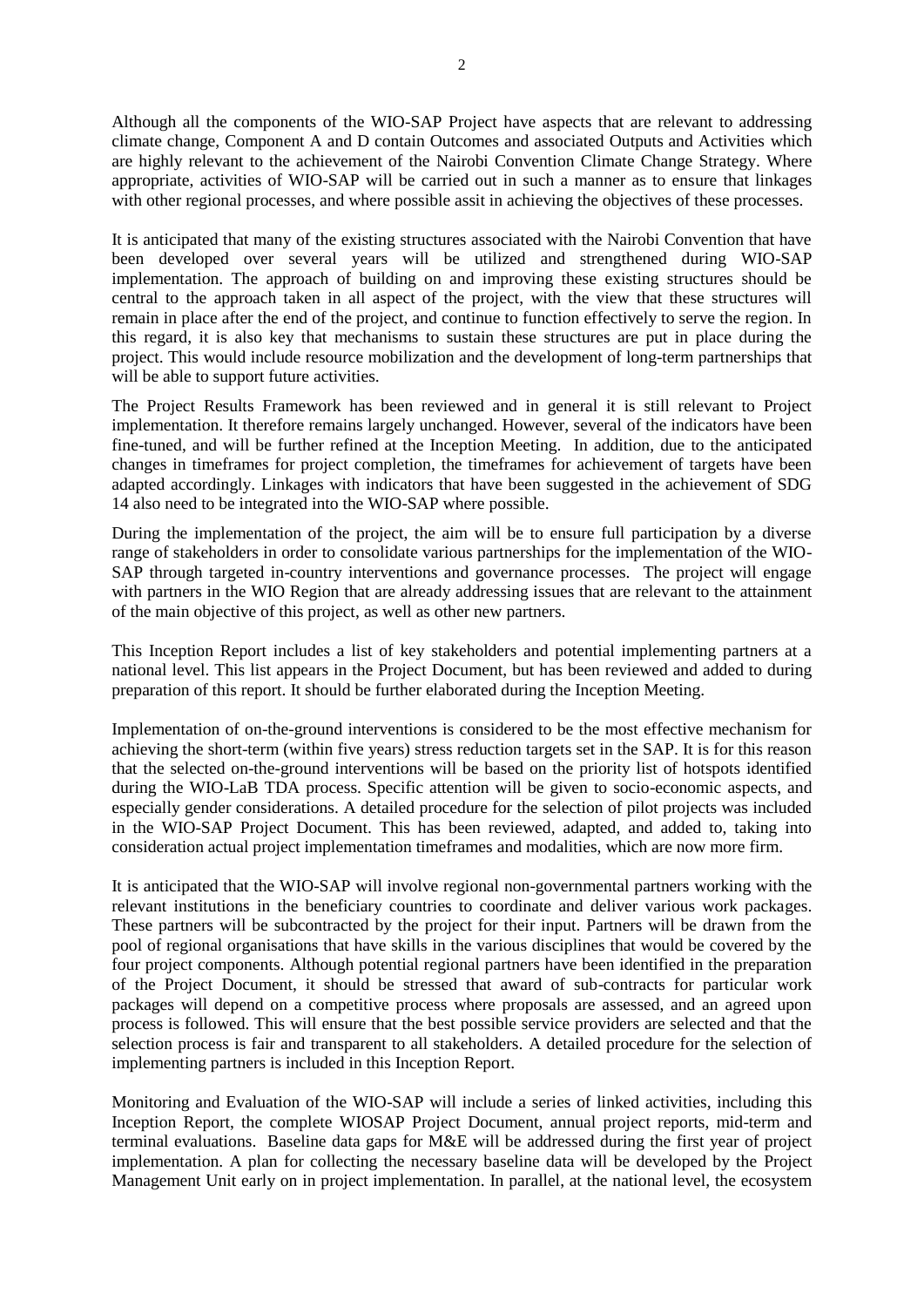Although all the components of the WIO-SAP Project have aspects that are relevant to addressing climate change, Component A and D contain Outcomes and associated Outputs and Activities which are highly relevant to the achievement of the Nairobi Convention Climate Change Strategy. Where appropriate, activities of WIO-SAP will be carried out in such a manner as to ensure that linkages with other regional processes, and where possible assit in achieving the objectives of these processes.

It is anticipated that many of the existing structures associated with the Nairobi Convention that have been developed over several years will be utilized and strengthened during WIO-SAP implementation. The approach of building on and improving these existing structures should be central to the approach taken in all aspect of the project, with the view that these structures will remain in place after the end of the project, and continue to function effectively to serve the region. In this regard, it is also key that mechanisms to sustain these structures are put in place during the project. This would include resource mobilization and the development of long-term partnerships that will be able to support future activities.

The Project Results Framework has been reviewed and in general it is still relevant to Project implementation. It therefore remains largely unchanged. However, several of the indicators have been fine-tuned, and will be further refined at the Inception Meeting. In addition, due to the anticipated changes in timeframes for project completion, the timeframes for achievement of targets have been adapted accordingly. Linkages with indicators that have been suggested in the achievement of SDG 14 also need to be integrated into the WIO-SAP where possible.

During the implementation of the project, the aim will be to ensure full participation by a diverse range of stakeholders in order to consolidate various partnerships for the implementation of the WIO-SAP through targeted in-country interventions and governance processes. The project will engage with partners in the WIO Region that are already addressing issues that are relevant to the attainment of the main objective of this project, as well as other new partners.

This Inception Report includes a list of key stakeholders and potential implementing partners at a national level. This list appears in the Project Document, but has been reviewed and added to during preparation of this report. It should be further elaborated during the Inception Meeting.

Implementation of on-the-ground interventions is considered to be the most effective mechanism for achieving the short-term (within five years) stress reduction targets set in the SAP. It is for this reason that the selected on-the-ground interventions will be based on the priority list of hotspots identified during the WIO-LaB TDA process. Specific attention will be given to socio-economic aspects, and especially gender considerations. A detailed procedure for the selection of pilot projects was included in the WIO-SAP Project Document. This has been reviewed, adapted, and added to, taking into consideration actual project implementation timeframes and modalities, which are now more firm.

It is anticipated that the WIO-SAP will involve regional non-governmental partners working with the relevant institutions in the beneficiary countries to coordinate and deliver various work packages. These partners will be subcontracted by the project for their input. Partners will be drawn from the pool of regional organisations that have skills in the various disciplines that would be covered by the four project components. Although potential regional partners have been identified in the preparation of the Project Document, it should be stressed that award of sub-contracts for particular work packages will depend on a competitive process where proposals are assessed, and an agreed upon process is followed. This will ensure that the best possible service providers are selected and that the selection process is fair and transparent to all stakeholders. A detailed procedure for the selection of implementing partners is included in this Inception Report.

Monitoring and Evaluation of the WIO-SAP will include a series of linked activities, including this Inception Report, the complete WIOSAP Project Document, annual project reports, mid-term and terminal evaluations. Baseline data gaps for M&E will be addressed during the first year of project implementation. A plan for collecting the necessary baseline data will be developed by the Project Management Unit early on in project implementation. In parallel, at the national level, the ecosystem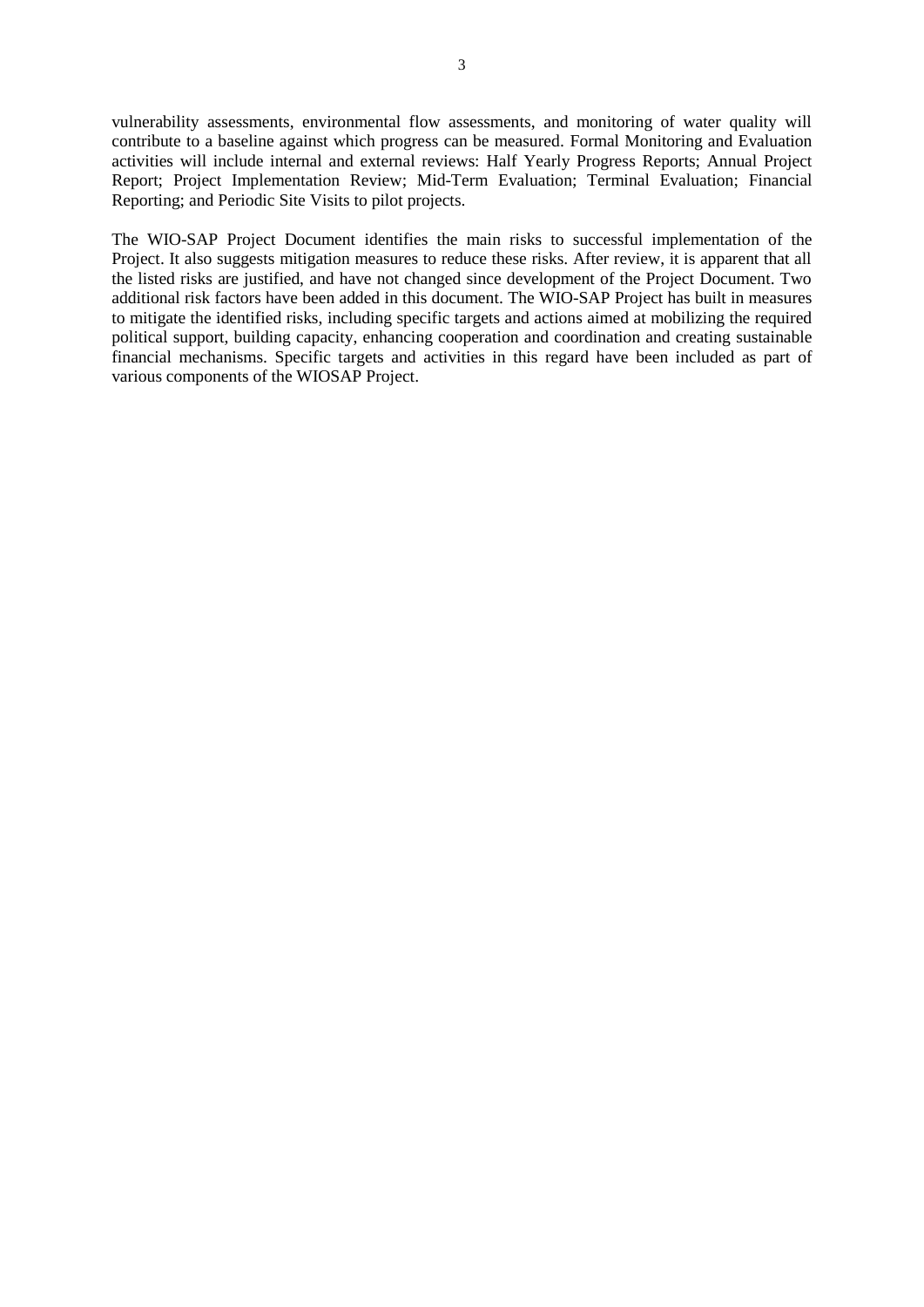vulnerability assessments, environmental flow assessments, and monitoring of water quality will contribute to a baseline against which progress can be measured. Formal Monitoring and Evaluation activities will include internal and external reviews: Half Yearly Progress Reports; Annual Project Report; Project Implementation Review; Mid-Term Evaluation; Terminal Evaluation; Financial Reporting; and Periodic Site Visits to pilot projects.

The WIO-SAP Project Document identifies the main risks to successful implementation of the Project. It also suggests mitigation measures to reduce these risks. After review, it is apparent that all the listed risks are justified, and have not changed since development of the Project Document. Two additional risk factors have been added in this document. The WIO-SAP Project has built in measures to mitigate the identified risks, including specific targets and actions aimed at mobilizing the required political support, building capacity, enhancing cooperation and coordination and creating sustainable financial mechanisms. Specific targets and activities in this regard have been included as part of various components of the WIOSAP Project.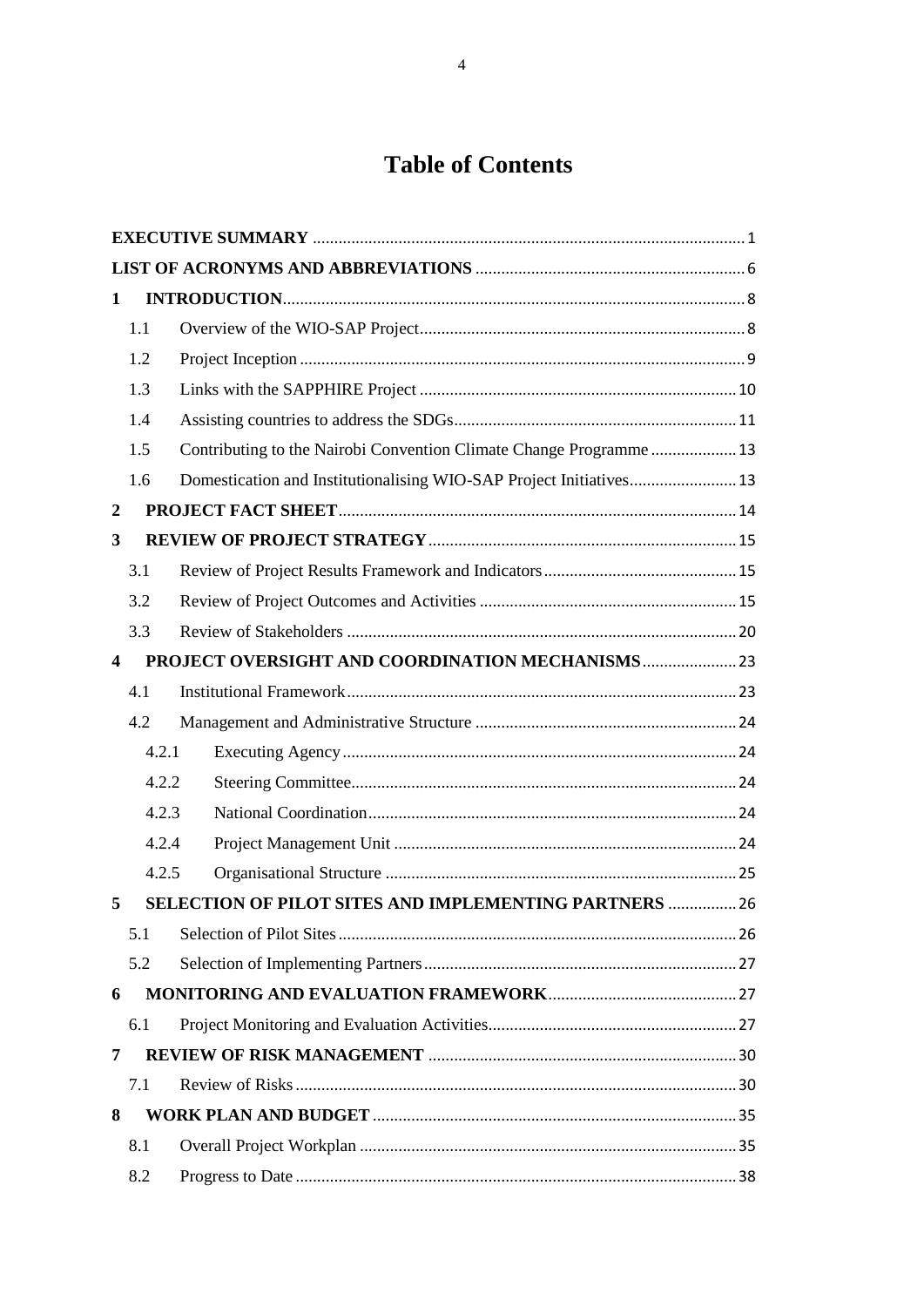# **Table of Contents**

| 1                       |       |                                                                     |  |  |
|-------------------------|-------|---------------------------------------------------------------------|--|--|
|                         | 1.1   |                                                                     |  |  |
|                         | 1.2   |                                                                     |  |  |
|                         | 1.3   |                                                                     |  |  |
|                         | 1.4   |                                                                     |  |  |
|                         | 1.5   | Contributing to the Nairobi Convention Climate Change Programme 13  |  |  |
|                         | 1.6   | Domestication and Institutionalising WIO-SAP Project Initiatives 13 |  |  |
| $\boldsymbol{2}$        |       |                                                                     |  |  |
| 3                       |       |                                                                     |  |  |
|                         | 3.1   |                                                                     |  |  |
|                         | 3.2   |                                                                     |  |  |
|                         | 3.3   |                                                                     |  |  |
| $\overline{\mathbf{4}}$ |       | PROJECT OVERSIGHT AND COORDINATION MECHANISMS 23                    |  |  |
|                         | 4.1   |                                                                     |  |  |
|                         | 4.2   |                                                                     |  |  |
|                         | 4.2.1 |                                                                     |  |  |
|                         | 4.2.2 |                                                                     |  |  |
|                         | 4.2.3 |                                                                     |  |  |
|                         | 4.2.4 |                                                                     |  |  |
|                         | 4.2.5 |                                                                     |  |  |
| 5                       |       | <b>SELECTION OF PILOT SITES AND IMPLEMENTING PARTNERS  26</b>       |  |  |
|                         | 5.1   |                                                                     |  |  |
|                         | 5.2   |                                                                     |  |  |
| 6                       |       |                                                                     |  |  |
|                         | 6.1   |                                                                     |  |  |
| 7                       |       |                                                                     |  |  |
|                         | 7.1   |                                                                     |  |  |
| 8                       |       |                                                                     |  |  |
|                         | 8.1   |                                                                     |  |  |
|                         | 8.2   |                                                                     |  |  |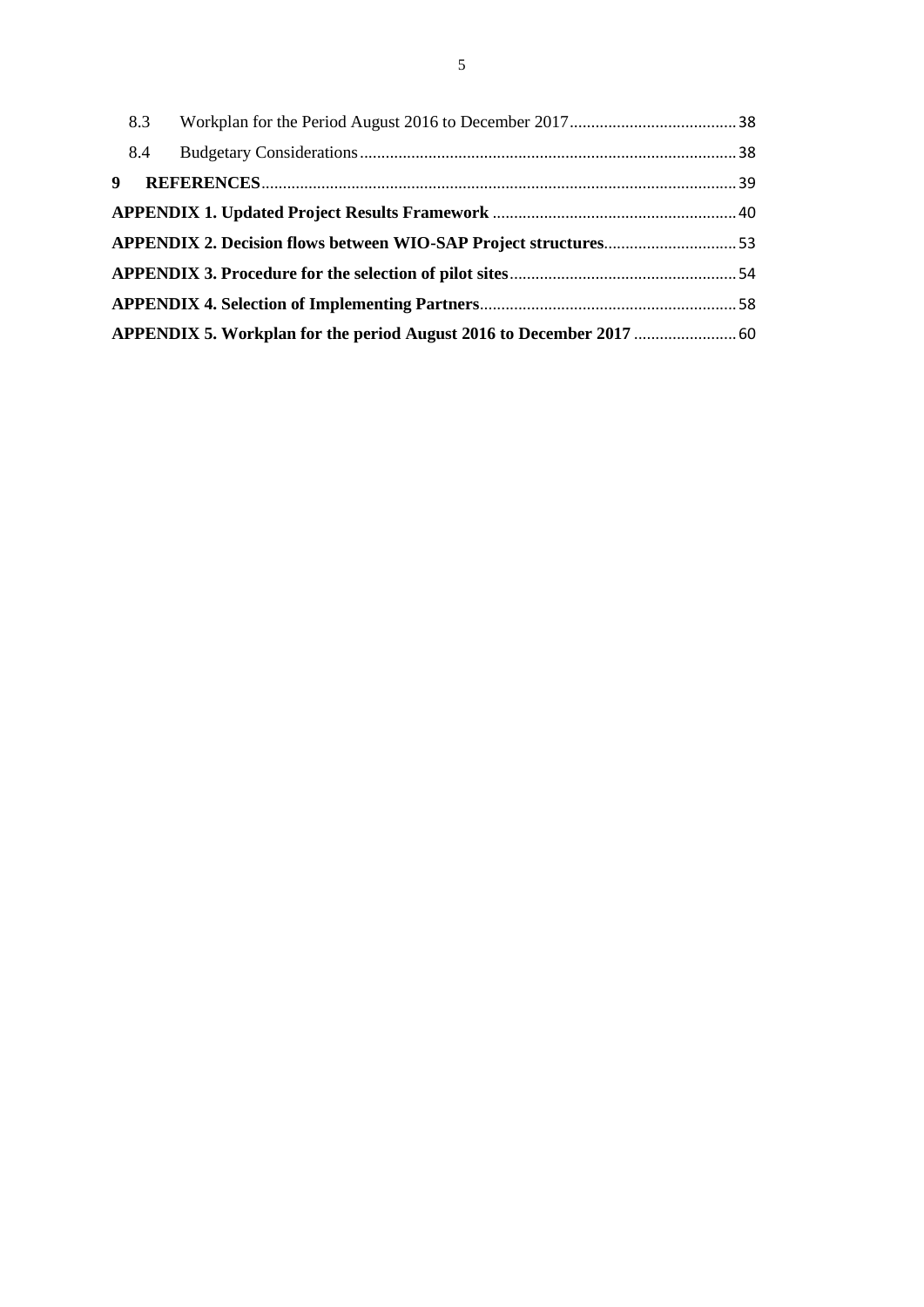<span id="page-5-0"></span>

| 8.4         |  |
|-------------|--|
| $9^{\circ}$ |  |
|             |  |
|             |  |
|             |  |
|             |  |
|             |  |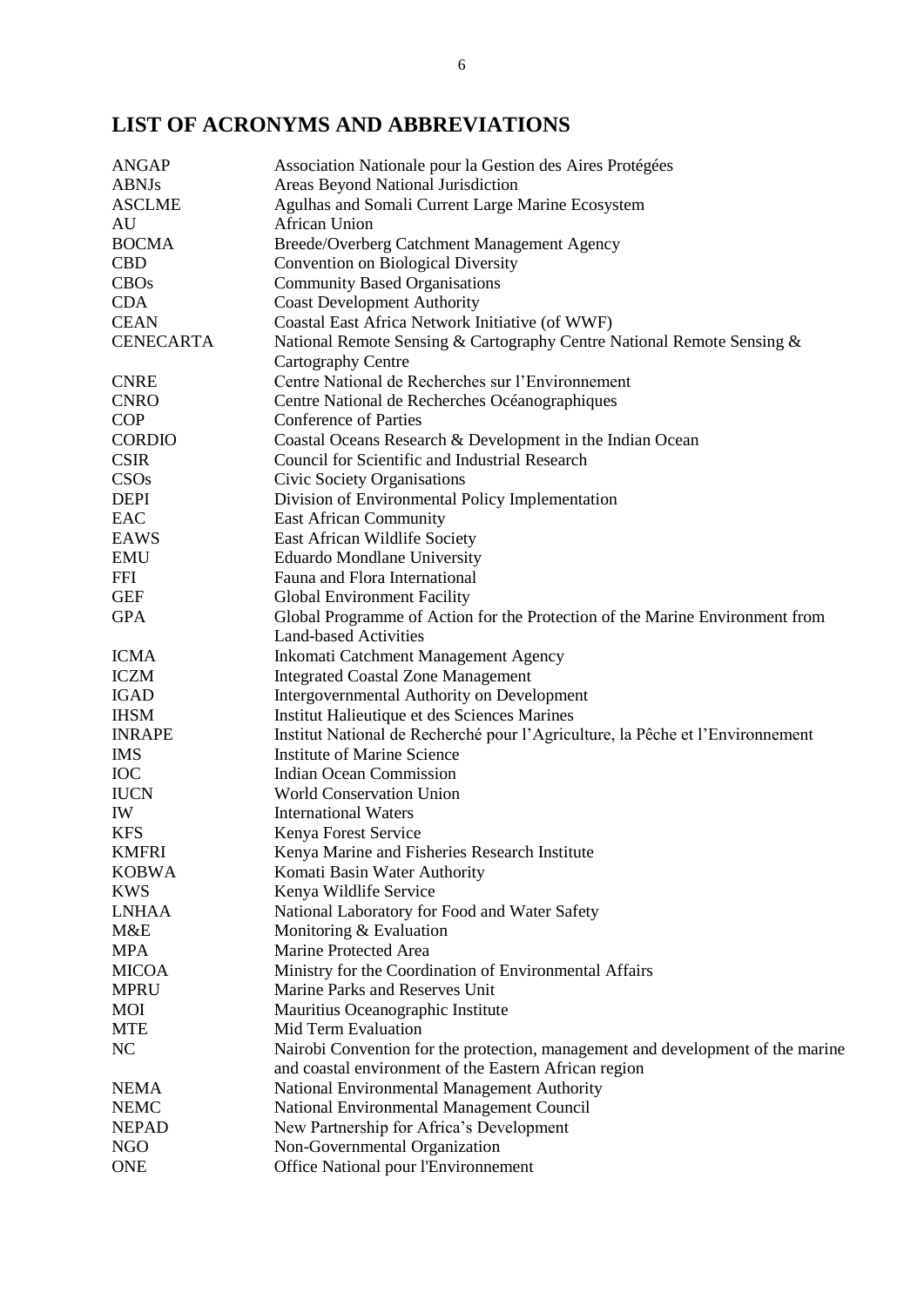## **LIST OF ACRONYMS AND ABBREVIATIONS**

| Areas Beyond National Jurisdiction<br>Agulhas and Somali Current Large Marine Ecosystem<br>African Union<br>Breede/Overberg Catchment Management Agency<br>Convention on Biological Diversity<br><b>Community Based Organisations</b><br><b>CDA</b><br><b>Coast Development Authority</b><br>Coastal East Africa Network Initiative (of WWF)<br>National Remote Sensing & Cartography Centre National Remote Sensing &<br>Cartography Centre<br>Centre National de Recherches sur l'Environnement<br>Centre National de Recherches Océanographiques<br><b>Conference of Parties</b><br>Coastal Oceans Research & Development in the Indian Ocean<br>Council for Scientific and Industrial Research<br>Civic Society Organisations<br>Division of Environmental Policy Implementation<br><b>East African Community</b><br>East African Wildlife Society<br><b>Eduardo Mondlane University</b><br>Fauna and Flora International<br>Global Environment Facility<br>Global Programme of Action for the Protection of the Marine Environment from<br><b>Land-based Activities</b><br>Inkomati Catchment Management Agency<br><b>Integrated Coastal Zone Management</b><br>Intergovernmental Authority on Development<br><b>IGAD</b><br><b>IHSM</b><br>Institut Halieutique et des Sciences Marines<br><b>INRAPE</b><br>Institut National de Recherché pour l'Agriculture, la Pêche et l'Environnement<br><b>Institute of Marine Science</b><br><b>IOC</b><br><b>Indian Ocean Commission</b><br><b>IUCN</b><br><b>World Conservation Union</b><br><b>International Waters</b><br><b>KFS</b><br>Kenya Forest Service<br><b>KMFRI</b><br>Kenya Marine and Fisheries Research Institute<br><b>KOBWA</b><br>Komati Basin Water Authority<br><b>KWS</b><br>Kenya Wildlife Service<br><b>LNHAA</b><br>National Laboratory for Food and Water Safety<br>M&E<br>Monitoring & Evaluation<br><b>MPA</b><br>Marine Protected Area<br><b>MICOA</b><br>Ministry for the Coordination of Environmental Affairs<br>Marine Parks and Reserves Unit<br><b>MPRU</b><br><b>MOI</b><br>Mauritius Oceanographic Institute<br>Mid Term Evaluation<br><b>MTE</b><br>NC<br>Nairobi Convention for the protection, management and development of the marine<br>and coastal environment of the Eastern African region<br>National Environmental Management Authority<br><b>NEMA</b><br><b>NEMC</b><br>National Environmental Management Council<br>New Partnership for Africa's Development<br><b>NEPAD</b><br>Non-Governmental Organization<br><b>NGO</b> | <b>ANGAP</b>     | Association Nationale pour la Gestion des Aires Protégées |
|----------------------------------------------------------------------------------------------------------------------------------------------------------------------------------------------------------------------------------------------------------------------------------------------------------------------------------------------------------------------------------------------------------------------------------------------------------------------------------------------------------------------------------------------------------------------------------------------------------------------------------------------------------------------------------------------------------------------------------------------------------------------------------------------------------------------------------------------------------------------------------------------------------------------------------------------------------------------------------------------------------------------------------------------------------------------------------------------------------------------------------------------------------------------------------------------------------------------------------------------------------------------------------------------------------------------------------------------------------------------------------------------------------------------------------------------------------------------------------------------------------------------------------------------------------------------------------------------------------------------------------------------------------------------------------------------------------------------------------------------------------------------------------------------------------------------------------------------------------------------------------------------------------------------------------------------------------------------------------------------------------------------------------------------------------------------------------------------------------------------------------------------------------------------------------------------------------------------------------------------------------------------------------------------------------------------------------------------------------------------------------------------------------------------------------------------------------------------------------------------------------------------------|------------------|-----------------------------------------------------------|
|                                                                                                                                                                                                                                                                                                                                                                                                                                                                                                                                                                                                                                                                                                                                                                                                                                                                                                                                                                                                                                                                                                                                                                                                                                                                                                                                                                                                                                                                                                                                                                                                                                                                                                                                                                                                                                                                                                                                                                                                                                                                                                                                                                                                                                                                                                                                                                                                                                                                                                                            | <b>ABNJs</b>     |                                                           |
|                                                                                                                                                                                                                                                                                                                                                                                                                                                                                                                                                                                                                                                                                                                                                                                                                                                                                                                                                                                                                                                                                                                                                                                                                                                                                                                                                                                                                                                                                                                                                                                                                                                                                                                                                                                                                                                                                                                                                                                                                                                                                                                                                                                                                                                                                                                                                                                                                                                                                                                            | <b>ASCLME</b>    |                                                           |
|                                                                                                                                                                                                                                                                                                                                                                                                                                                                                                                                                                                                                                                                                                                                                                                                                                                                                                                                                                                                                                                                                                                                                                                                                                                                                                                                                                                                                                                                                                                                                                                                                                                                                                                                                                                                                                                                                                                                                                                                                                                                                                                                                                                                                                                                                                                                                                                                                                                                                                                            | AU               |                                                           |
|                                                                                                                                                                                                                                                                                                                                                                                                                                                                                                                                                                                                                                                                                                                                                                                                                                                                                                                                                                                                                                                                                                                                                                                                                                                                                                                                                                                                                                                                                                                                                                                                                                                                                                                                                                                                                                                                                                                                                                                                                                                                                                                                                                                                                                                                                                                                                                                                                                                                                                                            | <b>BOCMA</b>     |                                                           |
|                                                                                                                                                                                                                                                                                                                                                                                                                                                                                                                                                                                                                                                                                                                                                                                                                                                                                                                                                                                                                                                                                                                                                                                                                                                                                                                                                                                                                                                                                                                                                                                                                                                                                                                                                                                                                                                                                                                                                                                                                                                                                                                                                                                                                                                                                                                                                                                                                                                                                                                            | <b>CBD</b>       |                                                           |
|                                                                                                                                                                                                                                                                                                                                                                                                                                                                                                                                                                                                                                                                                                                                                                                                                                                                                                                                                                                                                                                                                                                                                                                                                                                                                                                                                                                                                                                                                                                                                                                                                                                                                                                                                                                                                                                                                                                                                                                                                                                                                                                                                                                                                                                                                                                                                                                                                                                                                                                            | <b>CBOs</b>      |                                                           |
|                                                                                                                                                                                                                                                                                                                                                                                                                                                                                                                                                                                                                                                                                                                                                                                                                                                                                                                                                                                                                                                                                                                                                                                                                                                                                                                                                                                                                                                                                                                                                                                                                                                                                                                                                                                                                                                                                                                                                                                                                                                                                                                                                                                                                                                                                                                                                                                                                                                                                                                            |                  |                                                           |
|                                                                                                                                                                                                                                                                                                                                                                                                                                                                                                                                                                                                                                                                                                                                                                                                                                                                                                                                                                                                                                                                                                                                                                                                                                                                                                                                                                                                                                                                                                                                                                                                                                                                                                                                                                                                                                                                                                                                                                                                                                                                                                                                                                                                                                                                                                                                                                                                                                                                                                                            | <b>CEAN</b>      |                                                           |
|                                                                                                                                                                                                                                                                                                                                                                                                                                                                                                                                                                                                                                                                                                                                                                                                                                                                                                                                                                                                                                                                                                                                                                                                                                                                                                                                                                                                                                                                                                                                                                                                                                                                                                                                                                                                                                                                                                                                                                                                                                                                                                                                                                                                                                                                                                                                                                                                                                                                                                                            | <b>CENECARTA</b> |                                                           |
|                                                                                                                                                                                                                                                                                                                                                                                                                                                                                                                                                                                                                                                                                                                                                                                                                                                                                                                                                                                                                                                                                                                                                                                                                                                                                                                                                                                                                                                                                                                                                                                                                                                                                                                                                                                                                                                                                                                                                                                                                                                                                                                                                                                                                                                                                                                                                                                                                                                                                                                            |                  |                                                           |
|                                                                                                                                                                                                                                                                                                                                                                                                                                                                                                                                                                                                                                                                                                                                                                                                                                                                                                                                                                                                                                                                                                                                                                                                                                                                                                                                                                                                                                                                                                                                                                                                                                                                                                                                                                                                                                                                                                                                                                                                                                                                                                                                                                                                                                                                                                                                                                                                                                                                                                                            | <b>CNRE</b>      |                                                           |
|                                                                                                                                                                                                                                                                                                                                                                                                                                                                                                                                                                                                                                                                                                                                                                                                                                                                                                                                                                                                                                                                                                                                                                                                                                                                                                                                                                                                                                                                                                                                                                                                                                                                                                                                                                                                                                                                                                                                                                                                                                                                                                                                                                                                                                                                                                                                                                                                                                                                                                                            | <b>CNRO</b>      |                                                           |
|                                                                                                                                                                                                                                                                                                                                                                                                                                                                                                                                                                                                                                                                                                                                                                                                                                                                                                                                                                                                                                                                                                                                                                                                                                                                                                                                                                                                                                                                                                                                                                                                                                                                                                                                                                                                                                                                                                                                                                                                                                                                                                                                                                                                                                                                                                                                                                                                                                                                                                                            | <b>COP</b>       |                                                           |
|                                                                                                                                                                                                                                                                                                                                                                                                                                                                                                                                                                                                                                                                                                                                                                                                                                                                                                                                                                                                                                                                                                                                                                                                                                                                                                                                                                                                                                                                                                                                                                                                                                                                                                                                                                                                                                                                                                                                                                                                                                                                                                                                                                                                                                                                                                                                                                                                                                                                                                                            | <b>CORDIO</b>    |                                                           |
|                                                                                                                                                                                                                                                                                                                                                                                                                                                                                                                                                                                                                                                                                                                                                                                                                                                                                                                                                                                                                                                                                                                                                                                                                                                                                                                                                                                                                                                                                                                                                                                                                                                                                                                                                                                                                                                                                                                                                                                                                                                                                                                                                                                                                                                                                                                                                                                                                                                                                                                            | <b>CSIR</b>      |                                                           |
|                                                                                                                                                                                                                                                                                                                                                                                                                                                                                                                                                                                                                                                                                                                                                                                                                                                                                                                                                                                                                                                                                                                                                                                                                                                                                                                                                                                                                                                                                                                                                                                                                                                                                                                                                                                                                                                                                                                                                                                                                                                                                                                                                                                                                                                                                                                                                                                                                                                                                                                            | CSO <sub>s</sub> |                                                           |
|                                                                                                                                                                                                                                                                                                                                                                                                                                                                                                                                                                                                                                                                                                                                                                                                                                                                                                                                                                                                                                                                                                                                                                                                                                                                                                                                                                                                                                                                                                                                                                                                                                                                                                                                                                                                                                                                                                                                                                                                                                                                                                                                                                                                                                                                                                                                                                                                                                                                                                                            | <b>DEPI</b>      |                                                           |
|                                                                                                                                                                                                                                                                                                                                                                                                                                                                                                                                                                                                                                                                                                                                                                                                                                                                                                                                                                                                                                                                                                                                                                                                                                                                                                                                                                                                                                                                                                                                                                                                                                                                                                                                                                                                                                                                                                                                                                                                                                                                                                                                                                                                                                                                                                                                                                                                                                                                                                                            | EAC              |                                                           |
|                                                                                                                                                                                                                                                                                                                                                                                                                                                                                                                                                                                                                                                                                                                                                                                                                                                                                                                                                                                                                                                                                                                                                                                                                                                                                                                                                                                                                                                                                                                                                                                                                                                                                                                                                                                                                                                                                                                                                                                                                                                                                                                                                                                                                                                                                                                                                                                                                                                                                                                            | <b>EAWS</b>      |                                                           |
|                                                                                                                                                                                                                                                                                                                                                                                                                                                                                                                                                                                                                                                                                                                                                                                                                                                                                                                                                                                                                                                                                                                                                                                                                                                                                                                                                                                                                                                                                                                                                                                                                                                                                                                                                                                                                                                                                                                                                                                                                                                                                                                                                                                                                                                                                                                                                                                                                                                                                                                            | <b>EMU</b>       |                                                           |
|                                                                                                                                                                                                                                                                                                                                                                                                                                                                                                                                                                                                                                                                                                                                                                                                                                                                                                                                                                                                                                                                                                                                                                                                                                                                                                                                                                                                                                                                                                                                                                                                                                                                                                                                                                                                                                                                                                                                                                                                                                                                                                                                                                                                                                                                                                                                                                                                                                                                                                                            | FFI              |                                                           |
|                                                                                                                                                                                                                                                                                                                                                                                                                                                                                                                                                                                                                                                                                                                                                                                                                                                                                                                                                                                                                                                                                                                                                                                                                                                                                                                                                                                                                                                                                                                                                                                                                                                                                                                                                                                                                                                                                                                                                                                                                                                                                                                                                                                                                                                                                                                                                                                                                                                                                                                            | <b>GEF</b>       |                                                           |
|                                                                                                                                                                                                                                                                                                                                                                                                                                                                                                                                                                                                                                                                                                                                                                                                                                                                                                                                                                                                                                                                                                                                                                                                                                                                                                                                                                                                                                                                                                                                                                                                                                                                                                                                                                                                                                                                                                                                                                                                                                                                                                                                                                                                                                                                                                                                                                                                                                                                                                                            | <b>GPA</b>       |                                                           |
|                                                                                                                                                                                                                                                                                                                                                                                                                                                                                                                                                                                                                                                                                                                                                                                                                                                                                                                                                                                                                                                                                                                                                                                                                                                                                                                                                                                                                                                                                                                                                                                                                                                                                                                                                                                                                                                                                                                                                                                                                                                                                                                                                                                                                                                                                                                                                                                                                                                                                                                            |                  |                                                           |
|                                                                                                                                                                                                                                                                                                                                                                                                                                                                                                                                                                                                                                                                                                                                                                                                                                                                                                                                                                                                                                                                                                                                                                                                                                                                                                                                                                                                                                                                                                                                                                                                                                                                                                                                                                                                                                                                                                                                                                                                                                                                                                                                                                                                                                                                                                                                                                                                                                                                                                                            | <b>ICMA</b>      |                                                           |
|                                                                                                                                                                                                                                                                                                                                                                                                                                                                                                                                                                                                                                                                                                                                                                                                                                                                                                                                                                                                                                                                                                                                                                                                                                                                                                                                                                                                                                                                                                                                                                                                                                                                                                                                                                                                                                                                                                                                                                                                                                                                                                                                                                                                                                                                                                                                                                                                                                                                                                                            | <b>ICZM</b>      |                                                           |
|                                                                                                                                                                                                                                                                                                                                                                                                                                                                                                                                                                                                                                                                                                                                                                                                                                                                                                                                                                                                                                                                                                                                                                                                                                                                                                                                                                                                                                                                                                                                                                                                                                                                                                                                                                                                                                                                                                                                                                                                                                                                                                                                                                                                                                                                                                                                                                                                                                                                                                                            |                  |                                                           |
|                                                                                                                                                                                                                                                                                                                                                                                                                                                                                                                                                                                                                                                                                                                                                                                                                                                                                                                                                                                                                                                                                                                                                                                                                                                                                                                                                                                                                                                                                                                                                                                                                                                                                                                                                                                                                                                                                                                                                                                                                                                                                                                                                                                                                                                                                                                                                                                                                                                                                                                            |                  |                                                           |
|                                                                                                                                                                                                                                                                                                                                                                                                                                                                                                                                                                                                                                                                                                                                                                                                                                                                                                                                                                                                                                                                                                                                                                                                                                                                                                                                                                                                                                                                                                                                                                                                                                                                                                                                                                                                                                                                                                                                                                                                                                                                                                                                                                                                                                                                                                                                                                                                                                                                                                                            |                  |                                                           |
|                                                                                                                                                                                                                                                                                                                                                                                                                                                                                                                                                                                                                                                                                                                                                                                                                                                                                                                                                                                                                                                                                                                                                                                                                                                                                                                                                                                                                                                                                                                                                                                                                                                                                                                                                                                                                                                                                                                                                                                                                                                                                                                                                                                                                                                                                                                                                                                                                                                                                                                            | <b>IMS</b>       |                                                           |
|                                                                                                                                                                                                                                                                                                                                                                                                                                                                                                                                                                                                                                                                                                                                                                                                                                                                                                                                                                                                                                                                                                                                                                                                                                                                                                                                                                                                                                                                                                                                                                                                                                                                                                                                                                                                                                                                                                                                                                                                                                                                                                                                                                                                                                                                                                                                                                                                                                                                                                                            |                  |                                                           |
|                                                                                                                                                                                                                                                                                                                                                                                                                                                                                                                                                                                                                                                                                                                                                                                                                                                                                                                                                                                                                                                                                                                                                                                                                                                                                                                                                                                                                                                                                                                                                                                                                                                                                                                                                                                                                                                                                                                                                                                                                                                                                                                                                                                                                                                                                                                                                                                                                                                                                                                            |                  |                                                           |
|                                                                                                                                                                                                                                                                                                                                                                                                                                                                                                                                                                                                                                                                                                                                                                                                                                                                                                                                                                                                                                                                                                                                                                                                                                                                                                                                                                                                                                                                                                                                                                                                                                                                                                                                                                                                                                                                                                                                                                                                                                                                                                                                                                                                                                                                                                                                                                                                                                                                                                                            | IW               |                                                           |
|                                                                                                                                                                                                                                                                                                                                                                                                                                                                                                                                                                                                                                                                                                                                                                                                                                                                                                                                                                                                                                                                                                                                                                                                                                                                                                                                                                                                                                                                                                                                                                                                                                                                                                                                                                                                                                                                                                                                                                                                                                                                                                                                                                                                                                                                                                                                                                                                                                                                                                                            |                  |                                                           |
|                                                                                                                                                                                                                                                                                                                                                                                                                                                                                                                                                                                                                                                                                                                                                                                                                                                                                                                                                                                                                                                                                                                                                                                                                                                                                                                                                                                                                                                                                                                                                                                                                                                                                                                                                                                                                                                                                                                                                                                                                                                                                                                                                                                                                                                                                                                                                                                                                                                                                                                            |                  |                                                           |
|                                                                                                                                                                                                                                                                                                                                                                                                                                                                                                                                                                                                                                                                                                                                                                                                                                                                                                                                                                                                                                                                                                                                                                                                                                                                                                                                                                                                                                                                                                                                                                                                                                                                                                                                                                                                                                                                                                                                                                                                                                                                                                                                                                                                                                                                                                                                                                                                                                                                                                                            |                  |                                                           |
|                                                                                                                                                                                                                                                                                                                                                                                                                                                                                                                                                                                                                                                                                                                                                                                                                                                                                                                                                                                                                                                                                                                                                                                                                                                                                                                                                                                                                                                                                                                                                                                                                                                                                                                                                                                                                                                                                                                                                                                                                                                                                                                                                                                                                                                                                                                                                                                                                                                                                                                            |                  |                                                           |
|                                                                                                                                                                                                                                                                                                                                                                                                                                                                                                                                                                                                                                                                                                                                                                                                                                                                                                                                                                                                                                                                                                                                                                                                                                                                                                                                                                                                                                                                                                                                                                                                                                                                                                                                                                                                                                                                                                                                                                                                                                                                                                                                                                                                                                                                                                                                                                                                                                                                                                                            |                  |                                                           |
|                                                                                                                                                                                                                                                                                                                                                                                                                                                                                                                                                                                                                                                                                                                                                                                                                                                                                                                                                                                                                                                                                                                                                                                                                                                                                                                                                                                                                                                                                                                                                                                                                                                                                                                                                                                                                                                                                                                                                                                                                                                                                                                                                                                                                                                                                                                                                                                                                                                                                                                            |                  |                                                           |
|                                                                                                                                                                                                                                                                                                                                                                                                                                                                                                                                                                                                                                                                                                                                                                                                                                                                                                                                                                                                                                                                                                                                                                                                                                                                                                                                                                                                                                                                                                                                                                                                                                                                                                                                                                                                                                                                                                                                                                                                                                                                                                                                                                                                                                                                                                                                                                                                                                                                                                                            |                  |                                                           |
|                                                                                                                                                                                                                                                                                                                                                                                                                                                                                                                                                                                                                                                                                                                                                                                                                                                                                                                                                                                                                                                                                                                                                                                                                                                                                                                                                                                                                                                                                                                                                                                                                                                                                                                                                                                                                                                                                                                                                                                                                                                                                                                                                                                                                                                                                                                                                                                                                                                                                                                            |                  |                                                           |
|                                                                                                                                                                                                                                                                                                                                                                                                                                                                                                                                                                                                                                                                                                                                                                                                                                                                                                                                                                                                                                                                                                                                                                                                                                                                                                                                                                                                                                                                                                                                                                                                                                                                                                                                                                                                                                                                                                                                                                                                                                                                                                                                                                                                                                                                                                                                                                                                                                                                                                                            |                  |                                                           |
|                                                                                                                                                                                                                                                                                                                                                                                                                                                                                                                                                                                                                                                                                                                                                                                                                                                                                                                                                                                                                                                                                                                                                                                                                                                                                                                                                                                                                                                                                                                                                                                                                                                                                                                                                                                                                                                                                                                                                                                                                                                                                                                                                                                                                                                                                                                                                                                                                                                                                                                            |                  |                                                           |
|                                                                                                                                                                                                                                                                                                                                                                                                                                                                                                                                                                                                                                                                                                                                                                                                                                                                                                                                                                                                                                                                                                                                                                                                                                                                                                                                                                                                                                                                                                                                                                                                                                                                                                                                                                                                                                                                                                                                                                                                                                                                                                                                                                                                                                                                                                                                                                                                                                                                                                                            |                  |                                                           |
|                                                                                                                                                                                                                                                                                                                                                                                                                                                                                                                                                                                                                                                                                                                                                                                                                                                                                                                                                                                                                                                                                                                                                                                                                                                                                                                                                                                                                                                                                                                                                                                                                                                                                                                                                                                                                                                                                                                                                                                                                                                                                                                                                                                                                                                                                                                                                                                                                                                                                                                            |                  |                                                           |
|                                                                                                                                                                                                                                                                                                                                                                                                                                                                                                                                                                                                                                                                                                                                                                                                                                                                                                                                                                                                                                                                                                                                                                                                                                                                                                                                                                                                                                                                                                                                                                                                                                                                                                                                                                                                                                                                                                                                                                                                                                                                                                                                                                                                                                                                                                                                                                                                                                                                                                                            |                  |                                                           |
|                                                                                                                                                                                                                                                                                                                                                                                                                                                                                                                                                                                                                                                                                                                                                                                                                                                                                                                                                                                                                                                                                                                                                                                                                                                                                                                                                                                                                                                                                                                                                                                                                                                                                                                                                                                                                                                                                                                                                                                                                                                                                                                                                                                                                                                                                                                                                                                                                                                                                                                            |                  |                                                           |
|                                                                                                                                                                                                                                                                                                                                                                                                                                                                                                                                                                                                                                                                                                                                                                                                                                                                                                                                                                                                                                                                                                                                                                                                                                                                                                                                                                                                                                                                                                                                                                                                                                                                                                                                                                                                                                                                                                                                                                                                                                                                                                                                                                                                                                                                                                                                                                                                                                                                                                                            |                  |                                                           |
|                                                                                                                                                                                                                                                                                                                                                                                                                                                                                                                                                                                                                                                                                                                                                                                                                                                                                                                                                                                                                                                                                                                                                                                                                                                                                                                                                                                                                                                                                                                                                                                                                                                                                                                                                                                                                                                                                                                                                                                                                                                                                                                                                                                                                                                                                                                                                                                                                                                                                                                            |                  |                                                           |
|                                                                                                                                                                                                                                                                                                                                                                                                                                                                                                                                                                                                                                                                                                                                                                                                                                                                                                                                                                                                                                                                                                                                                                                                                                                                                                                                                                                                                                                                                                                                                                                                                                                                                                                                                                                                                                                                                                                                                                                                                                                                                                                                                                                                                                                                                                                                                                                                                                                                                                                            |                  |                                                           |
|                                                                                                                                                                                                                                                                                                                                                                                                                                                                                                                                                                                                                                                                                                                                                                                                                                                                                                                                                                                                                                                                                                                                                                                                                                                                                                                                                                                                                                                                                                                                                                                                                                                                                                                                                                                                                                                                                                                                                                                                                                                                                                                                                                                                                                                                                                                                                                                                                                                                                                                            | <b>ONE</b>       | Office National pour l'Environnement                      |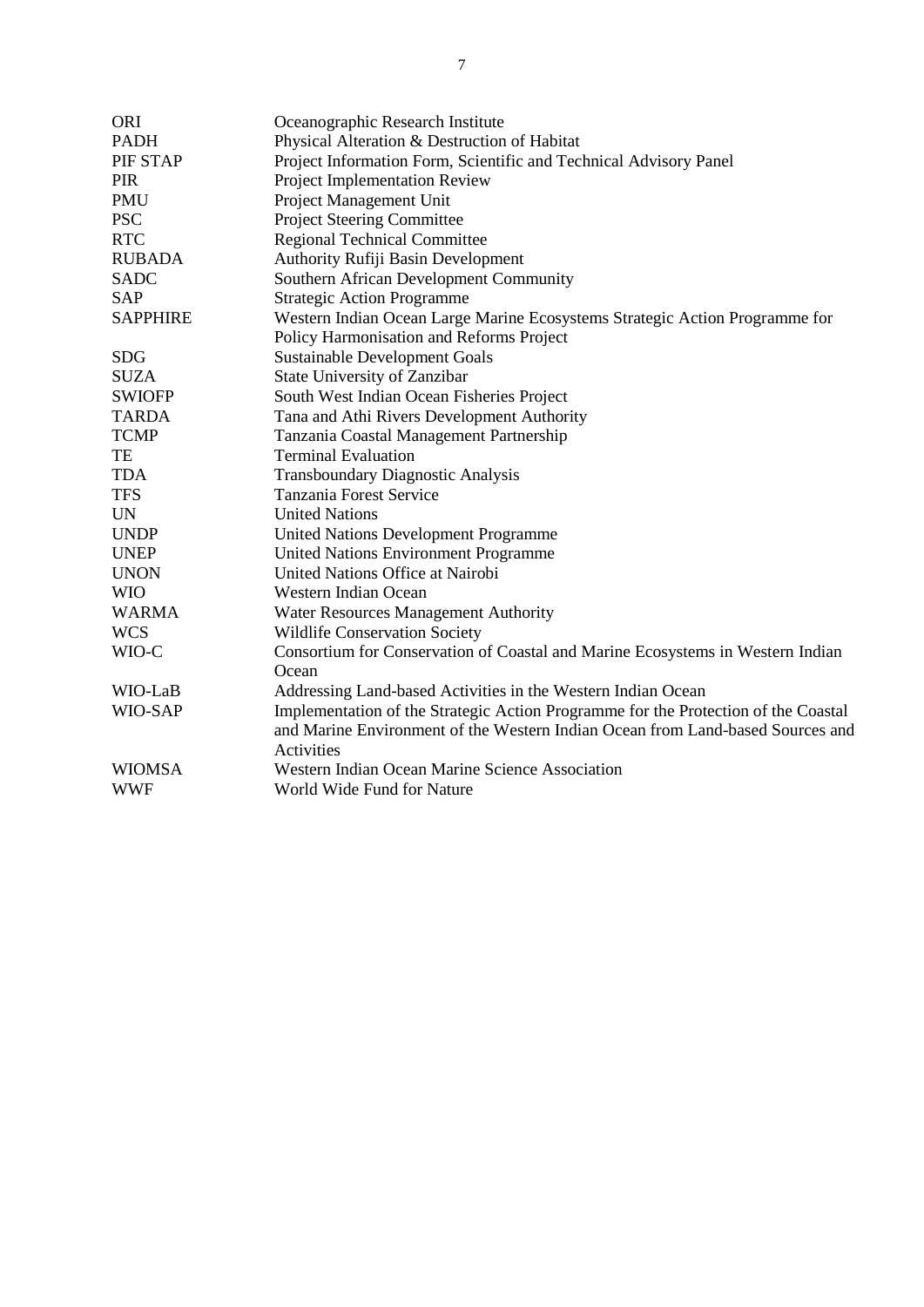<span id="page-7-0"></span>

| <b>ORI</b>      | Oceanographic Research Institute                                                   |
|-----------------|------------------------------------------------------------------------------------|
| <b>PADH</b>     | Physical Alteration & Destruction of Habitat                                       |
| PIF STAP        | Project Information Form, Scientific and Technical Advisory Panel                  |
| <b>PIR</b>      | Project Implementation Review                                                      |
| <b>PMU</b>      | Project Management Unit                                                            |
| <b>PSC</b>      | <b>Project Steering Committee</b>                                                  |
| <b>RTC</b>      | <b>Regional Technical Committee</b>                                                |
| <b>RUBADA</b>   | <b>Authority Rufiji Basin Development</b>                                          |
| <b>SADC</b>     | Southern African Development Community                                             |
| SAP             | <b>Strategic Action Programme</b>                                                  |
| <b>SAPPHIRE</b> | Western Indian Ocean Large Marine Ecosystems Strategic Action Programme for        |
|                 | Policy Harmonisation and Reforms Project                                           |
| <b>SDG</b>      | <b>Sustainable Development Goals</b>                                               |
| <b>SUZA</b>     | State University of Zanzibar                                                       |
| <b>SWIOFP</b>   | South West Indian Ocean Fisheries Project                                          |
| <b>TARDA</b>    | Tana and Athi Rivers Development Authority                                         |
| <b>TCMP</b>     | Tanzania Coastal Management Partnership                                            |
| TE              | <b>Terminal Evaluation</b>                                                         |
| <b>TDA</b>      | Transboundary Diagnostic Analysis                                                  |
| <b>TFS</b>      | Tanzania Forest Service                                                            |
| <b>UN</b>       | <b>United Nations</b>                                                              |
| <b>UNDP</b>     | <b>United Nations Development Programme</b>                                        |
| <b>UNEP</b>     | <b>United Nations Environment Programme</b>                                        |
| <b>UNON</b>     | United Nations Office at Nairobi                                                   |
| <b>WIO</b>      | Western Indian Ocean                                                               |
| <b>WARMA</b>    | <b>Water Resources Management Authority</b>                                        |
| <b>WCS</b>      | Wildlife Conservation Society                                                      |
| WIO-C           | Consortium for Conservation of Coastal and Marine Ecosystems in Western Indian     |
|                 | Ocean                                                                              |
| WIO-LaB         | Addressing Land-based Activities in the Western Indian Ocean                       |
| WIO-SAP         | Implementation of the Strategic Action Programme for the Protection of the Coastal |
|                 | and Marine Environment of the Western Indian Ocean from Land-based Sources and     |
|                 | Activities                                                                         |
| <b>WIOMSA</b>   | Western Indian Ocean Marine Science Association                                    |
| <b>WWF</b>      | World Wide Fund for Nature                                                         |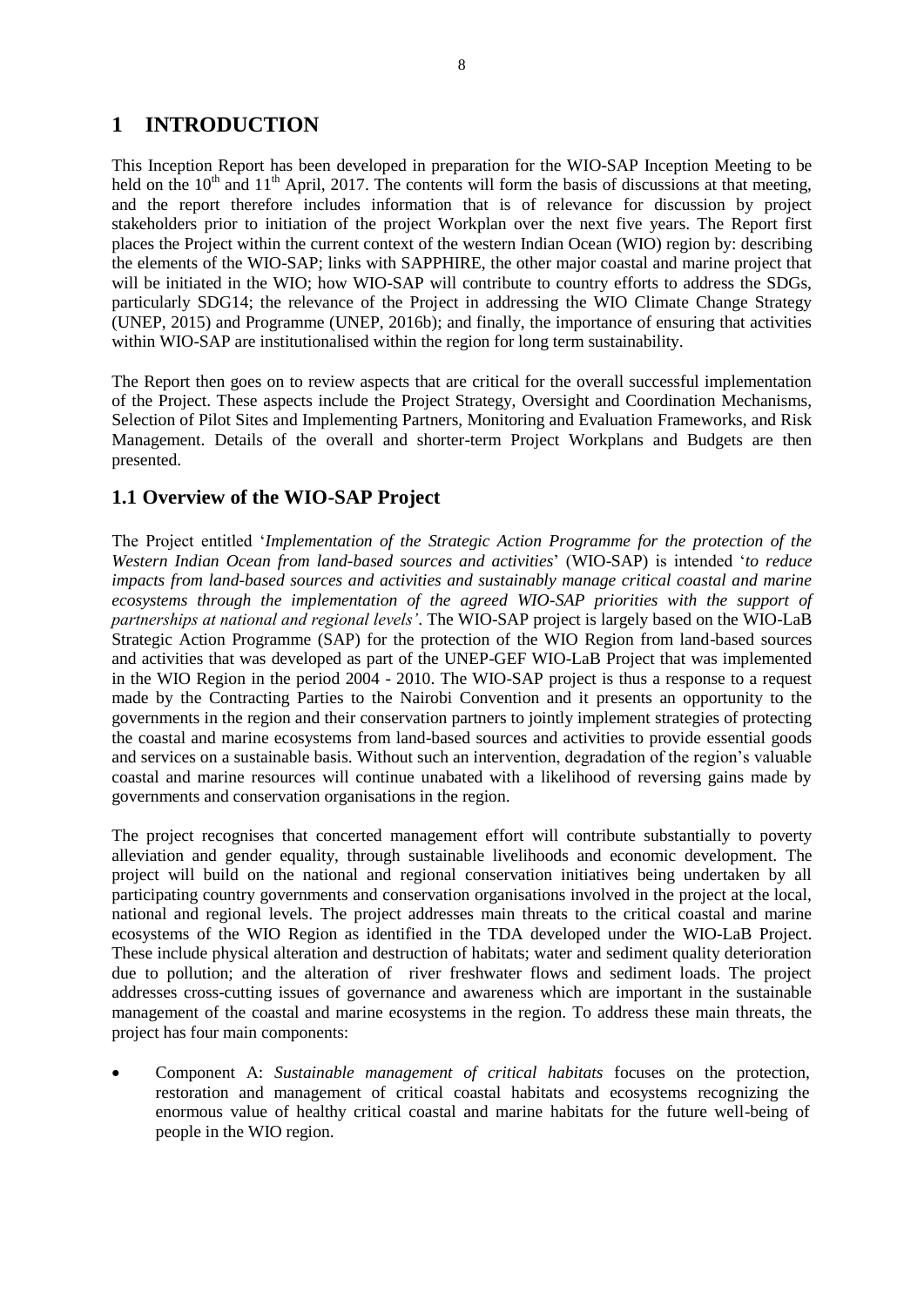## **1 INTRODUCTION**

This Inception Report has been developed in preparation for the WIO-SAP Inception Meeting to be held on the  $10<sup>th</sup>$  and  $11<sup>th</sup>$  April, 2017. The contents will form the basis of discussions at that meeting, and the report therefore includes information that is of relevance for discussion by project stakeholders prior to initiation of the project Workplan over the next five years. The Report first places the Project within the current context of the western Indian Ocean (WIO) region by: describing the elements of the WIO-SAP; links with SAPPHIRE, the other major coastal and marine project that will be initiated in the WIO; how WIO-SAP will contribute to country efforts to address the SDGs, particularly SDG14; the relevance of the Project in addressing the WIO Climate Change Strategy (UNEP, 2015) and Programme (UNEP, 2016b); and finally, the importance of ensuring that activities within WIO-SAP are institutionalised within the region for long term sustainability.

The Report then goes on to review aspects that are critical for the overall successful implementation of the Project. These aspects include the Project Strategy, Oversight and Coordination Mechanisms, Selection of Pilot Sites and Implementing Partners, Monitoring and Evaluation Frameworks, and Risk Management. Details of the overall and shorter-term Project Workplans and Budgets are then presented.

#### <span id="page-8-0"></span>**1.1 Overview of the WIO-SAP Project**

The Project entitled '*Implementation of the Strategic Action Programme for the protection of the Western Indian Ocean from land-based sources and activities*' (WIO-SAP) is intended '*to reduce impacts from land-based sources and activities and sustainably manage critical coastal and marine ecosystems through the implementation of the agreed WIO-SAP priorities with the support of partnerships at national and regional levels'*. The WIO-SAP project is largely based on the WIO-LaB Strategic Action Programme (SAP) for the protection of the WIO Region from land-based sources and activities that was developed as part of the UNEP-GEF WIO-LaB Project that was implemented in the WIO Region in the period 2004 - 2010. The WIO-SAP project is thus a response to a request made by the Contracting Parties to the Nairobi Convention and it presents an opportunity to the governments in the region and their conservation partners to jointly implement strategies of protecting the coastal and marine ecosystems from land-based sources and activities to provide essential goods and services on a sustainable basis. Without such an intervention, degradation of the region's valuable coastal and marine resources will continue unabated with a likelihood of reversing gains made by governments and conservation organisations in the region.

The project recognises that concerted management effort will contribute substantially to poverty alleviation and gender equality, through sustainable livelihoods and economic development. The project will build on the national and regional conservation initiatives being undertaken by all participating country governments and conservation organisations involved in the project at the local, national and regional levels. The project addresses main threats to the critical coastal and marine ecosystems of the WIO Region as identified in the TDA developed under the WIO-LaB Project. These include physical alteration and destruction of habitats; water and sediment quality deterioration due to pollution; and the alteration of river freshwater flows and sediment loads. The project addresses cross-cutting issues of governance and awareness which are important in the sustainable management of the coastal and marine ecosystems in the region. To address these main threats, the project has four main components:

 Component A: *Sustainable management of critical habitats* focuses on the protection, restoration and management of critical coastal habitats and ecosystems recognizing the enormous value of healthy critical coastal and marine habitats for the future well-being of people in the WIO region.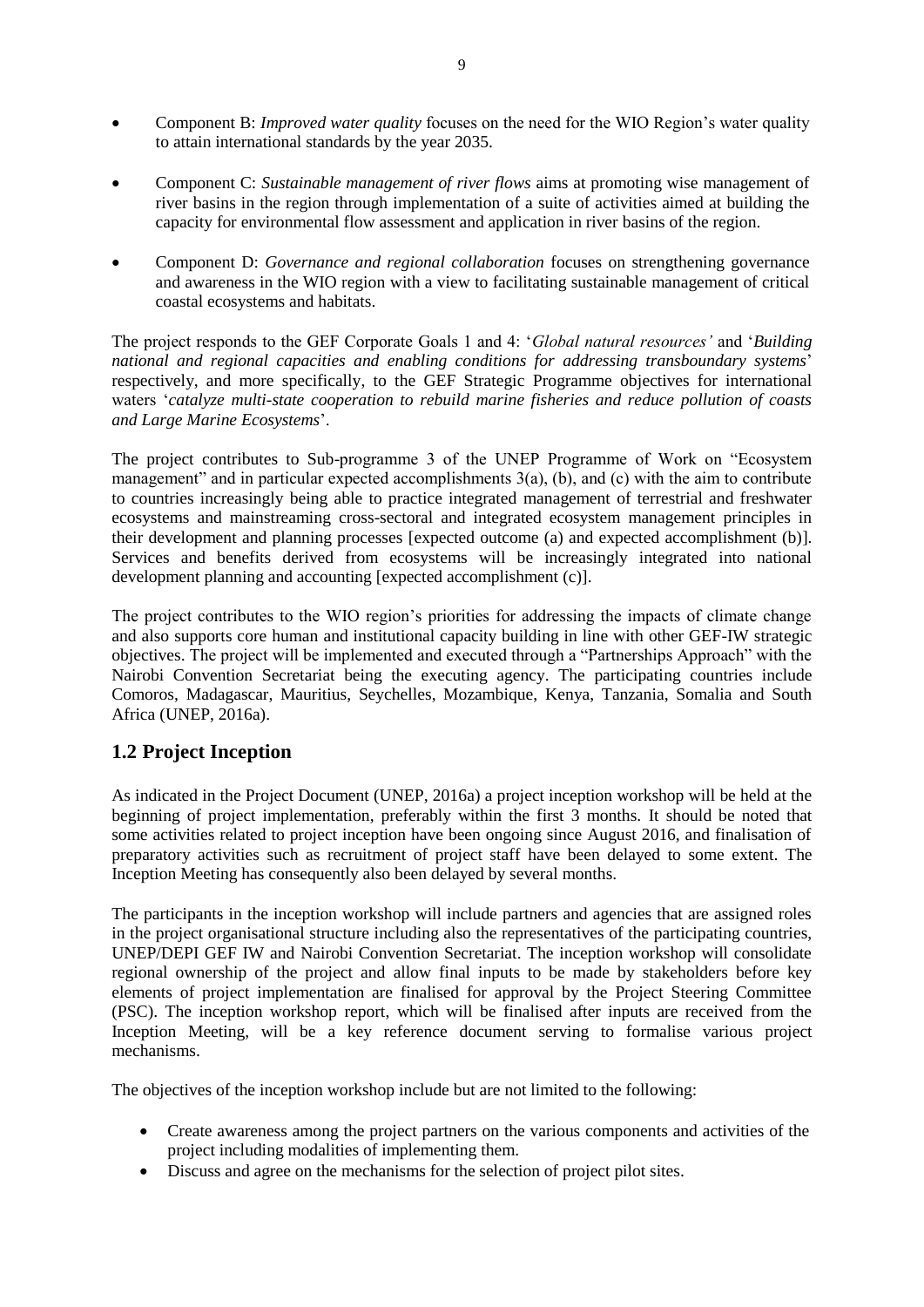- Component B: *Improved water quality* focuses on the need for the WIO Region's water quality to attain international standards by the year 2035.
- Component C: *Sustainable management of river flows* aims at promoting wise management of river basins in the region through implementation of a suite of activities aimed at building the capacity for environmental flow assessment and application in river basins of the region.
- Component D: *Governance and regional collaboration* focuses on strengthening governance and awareness in the WIO region with a view to facilitating sustainable management of critical coastal ecosystems and habitats.

The project responds to the GEF Corporate Goals 1 and 4: '*Global natural resources'* and '*Building national and regional capacities and enabling conditions for addressing transboundary systems*' respectively, and more specifically, to the GEF Strategic Programme objectives for international waters '*catalyze multi-state cooperation to rebuild marine fisheries and reduce pollution of coasts and Large Marine Ecosystems*'.

The project contributes to Sub-programme 3 of the UNEP Programme of Work on "Ecosystem management" and in particular expected accomplishments  $3(a)$ , (b), and (c) with the aim to contribute to countries increasingly being able to practice integrated management of terrestrial and freshwater ecosystems and mainstreaming cross-sectoral and integrated ecosystem management principles in their development and planning processes [expected outcome (a) and expected accomplishment (b)]. Services and benefits derived from ecosystems will be increasingly integrated into national development planning and accounting [expected accomplishment (c)].

The project contributes to the WIO region's priorities for addressing the impacts of climate change and also supports core human and institutional capacity building in line with other GEF-IW strategic objectives. The project will be implemented and executed through a "Partnerships Approach" with the Nairobi Convention Secretariat being the executing agency. The participating countries include Comoros, Madagascar, Mauritius, Seychelles, Mozambique, Kenya, Tanzania, Somalia and South Africa (UNEP, 2016a).

### <span id="page-9-0"></span>**1.2 Project Inception**

As indicated in the Project Document (UNEP, 2016a) a project inception workshop will be held at the beginning of project implementation, preferably within the first 3 months. It should be noted that some activities related to project inception have been ongoing since August 2016, and finalisation of preparatory activities such as recruitment of project staff have been delayed to some extent. The Inception Meeting has consequently also been delayed by several months.

The participants in the inception workshop will include partners and agencies that are assigned roles in the project organisational structure including also the representatives of the participating countries, UNEP/DEPI GEF IW and Nairobi Convention Secretariat. The inception workshop will consolidate regional ownership of the project and allow final inputs to be made by stakeholders before key elements of project implementation are finalised for approval by the Project Steering Committee (PSC). The inception workshop report, which will be finalised after inputs are received from the Inception Meeting, will be a key reference document serving to formalise various project mechanisms.

The objectives of the inception workshop include but are not limited to the following:

- Create awareness among the project partners on the various components and activities of the project including modalities of implementing them.
- Discuss and agree on the mechanisms for the selection of project pilot sites.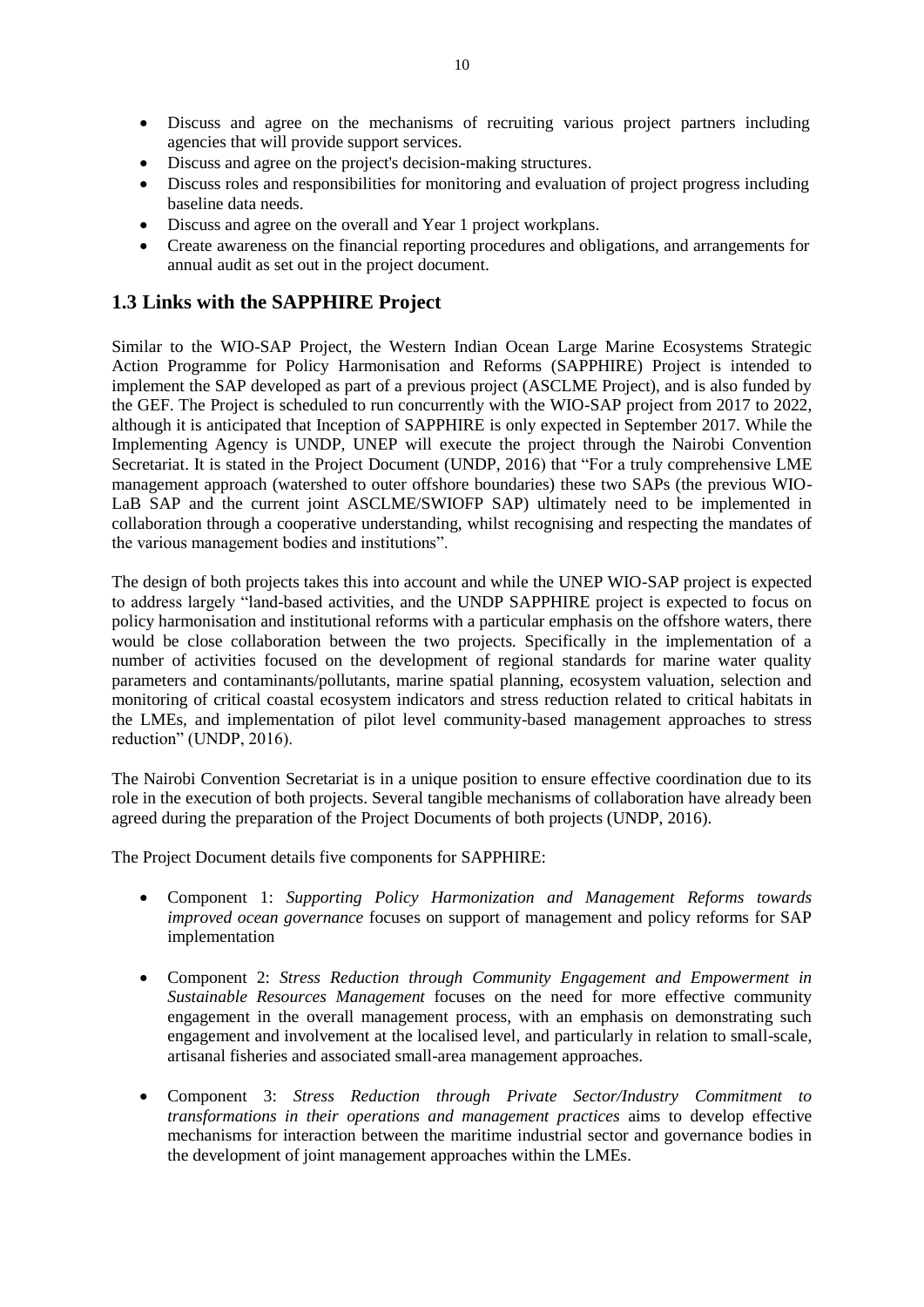- Discuss and agree on the mechanisms of recruiting various project partners including agencies that will provide support services.
- Discuss and agree on the project's decision-making structures.
- Discuss roles and responsibilities for monitoring and evaluation of project progress including baseline data needs.
- Discuss and agree on the overall and Year 1 project workplans.
- Create awareness on the financial reporting procedures and obligations, and arrangements for annual audit as set out in the project document.

#### <span id="page-10-0"></span>**1.3 Links with the SAPPHIRE Project**

Similar to the WIO-SAP Project, the Western Indian Ocean Large Marine Ecosystems Strategic Action Programme for Policy Harmonisation and Reforms (SAPPHIRE) Project is intended to implement the SAP developed as part of a previous project (ASCLME Project), and is also funded by the GEF. The Project is scheduled to run concurrently with the WIO-SAP project from 2017 to 2022, although it is anticipated that Inception of SAPPHIRE is only expected in September 2017. While the Implementing Agency is UNDP, UNEP will execute the project through the Nairobi Convention Secretariat. It is stated in the Project Document (UNDP, 2016) that "For a truly comprehensive LME management approach (watershed to outer offshore boundaries) these two SAPs (the previous WIO-LaB SAP and the current joint ASCLME/SWIOFP SAP) ultimately need to be implemented in collaboration through a cooperative understanding, whilst recognising and respecting the mandates of the various management bodies and institutions".

The design of both projects takes this into account and while the UNEP WIO-SAP project is expected to address largely "land-based activities, and the UNDP SAPPHIRE project is expected to focus on policy harmonisation and institutional reforms with a particular emphasis on the offshore waters, there would be close collaboration between the two projects. Specifically in the implementation of a number of activities focused on the development of regional standards for marine water quality parameters and contaminants/pollutants, marine spatial planning, ecosystem valuation, selection and monitoring of critical coastal ecosystem indicators and stress reduction related to critical habitats in the LMEs, and implementation of pilot level community-based management approaches to stress reduction" (UNDP, 2016).

The Nairobi Convention Secretariat is in a unique position to ensure effective coordination due to its role in the execution of both projects. Several tangible mechanisms of collaboration have already been agreed during the preparation of the Project Documents of both projects (UNDP, 2016).

The Project Document details five components for SAPPHIRE:

- Component 1: *Supporting Policy Harmonization and Management Reforms towards improved ocean governance* focuses on support of management and policy reforms for SAP implementation
- Component 2: *Stress Reduction through Community Engagement and Empowerment in Sustainable Resources Management* focuses on the need for more effective community engagement in the overall management process, with an emphasis on demonstrating such engagement and involvement at the localised level, and particularly in relation to small-scale, artisanal fisheries and associated small-area management approaches.
- Component 3: *Stress Reduction through Private Sector/Industry Commitment to transformations in their operations and management practices* aims to develop effective mechanisms for interaction between the maritime industrial sector and governance bodies in the development of joint management approaches within the LMEs.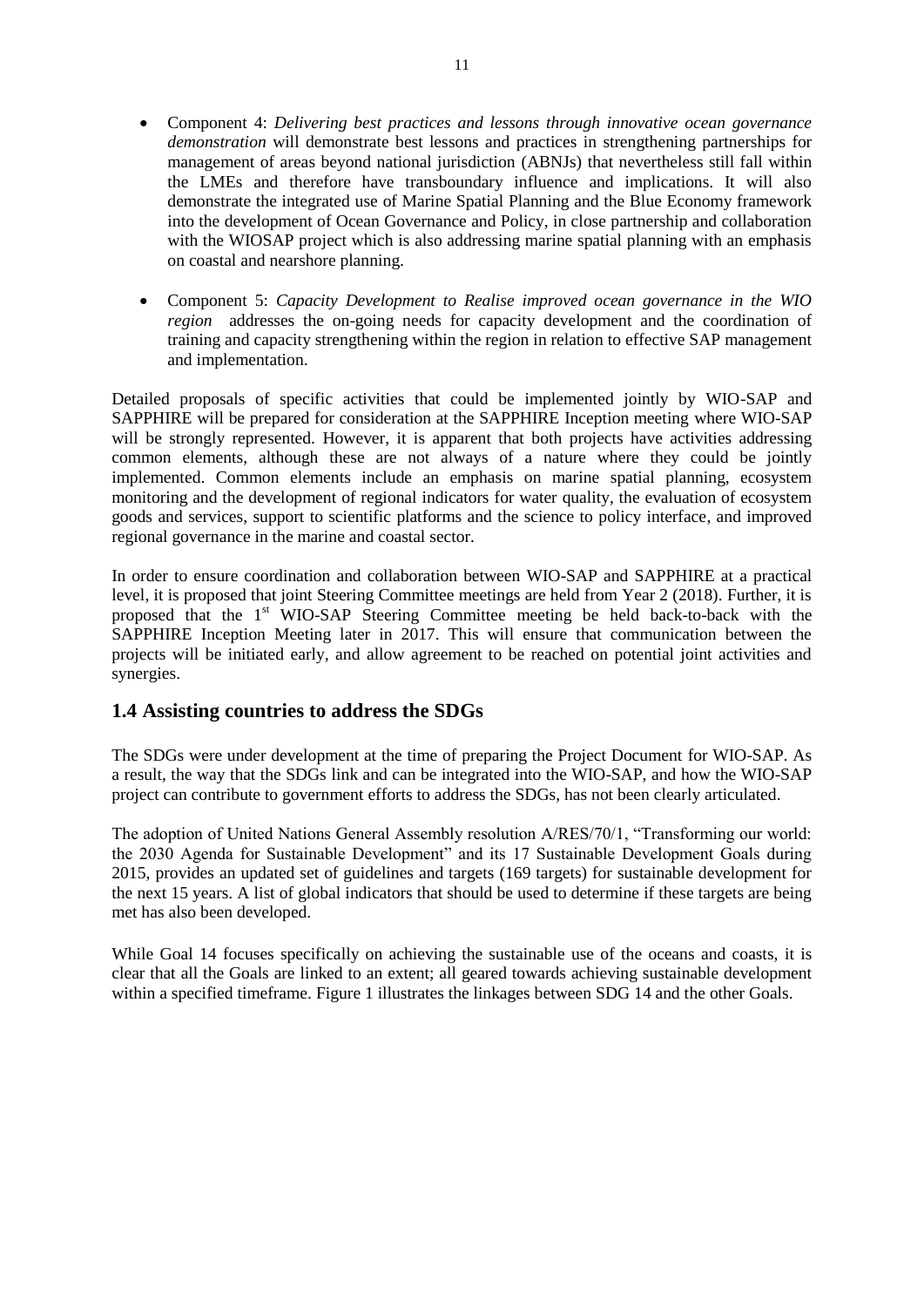- Component 4: *Delivering best practices and lessons through innovative ocean governance demonstration* will demonstrate best lessons and practices in strengthening partnerships for management of areas beyond national jurisdiction (ABNJs) that nevertheless still fall within the LMEs and therefore have transboundary influence and implications. It will also demonstrate the integrated use of Marine Spatial Planning and the Blue Economy framework into the development of Ocean Governance and Policy, in close partnership and collaboration with the WIOSAP project which is also addressing marine spatial planning with an emphasis on coastal and nearshore planning.
- Component 5: *Capacity Development to Realise improved ocean governance in the WIO region* addresses the on-going needs for capacity development and the coordination of training and capacity strengthening within the region in relation to effective SAP management and implementation.

Detailed proposals of specific activities that could be implemented jointly by WIO-SAP and SAPPHIRE will be prepared for consideration at the SAPPHIRE Inception meeting where WIO-SAP will be strongly represented. However, it is apparent that both projects have activities addressing common elements, although these are not always of a nature where they could be jointly implemented. Common elements include an emphasis on marine spatial planning, ecosystem monitoring and the development of regional indicators for water quality, the evaluation of ecosystem goods and services, support to scientific platforms and the science to policy interface, and improved regional governance in the marine and coastal sector.

In order to ensure coordination and collaboration between WIO-SAP and SAPPHIRE at a practical level, it is proposed that joint Steering Committee meetings are held from Year 2 (2018). Further, it is proposed that the  $1<sup>st</sup>$  WIO-SAP Steering Committee meeting be held back-to-back with the SAPPHIRE Inception Meeting later in 2017. This will ensure that communication between the projects will be initiated early, and allow agreement to be reached on potential joint activities and synergies.

#### <span id="page-11-0"></span>**1.4 Assisting countries to address the SDGs**

The SDGs were under development at the time of preparing the Project Document for WIO-SAP. As a result, the way that the SDGs link and can be integrated into the WIO-SAP, and how the WIO-SAP project can contribute to government efforts to address the SDGs, has not been clearly articulated.

The adoption of United Nations General Assembly resolution A/RES/70/1, "Transforming our world: the 2030 Agenda for Sustainable Development" and its 17 Sustainable Development Goals during 2015, provides an updated set of guidelines and targets (169 targets) for sustainable development for the next 15 years. A list of global indicators that should be used to determine if these targets are being met has also been developed.

While Goal 14 focuses specifically on achieving the sustainable use of the oceans and coasts, it is clear that all the Goals are linked to an extent; all geared towards achieving sustainable development within a specified timeframe. Figure 1 illustrates the linkages between SDG 14 and the other Goals.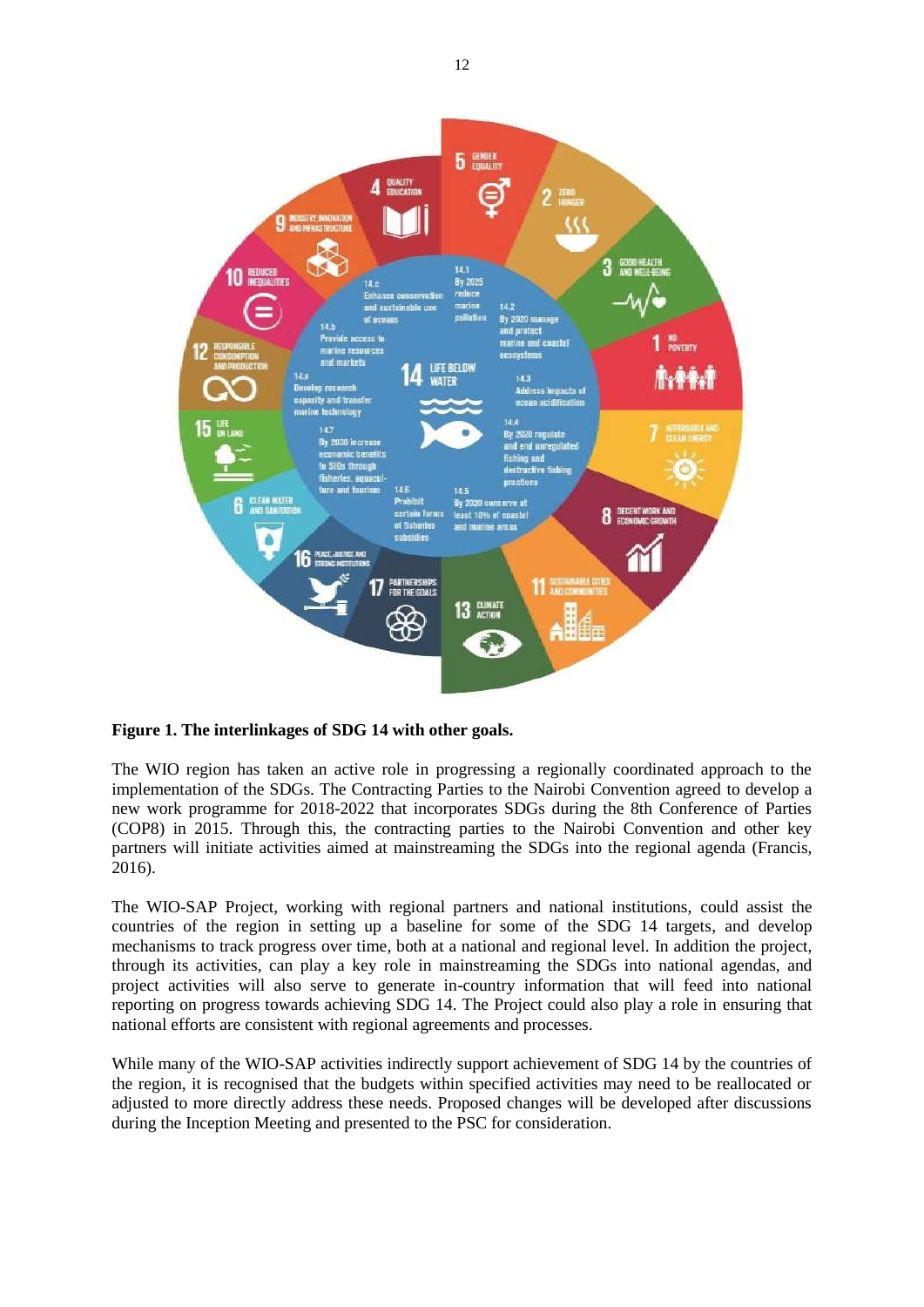

**Figure 1. The interlinkages of SDG 14 with other goals.**

The WIO region has taken an active role in progressing a regionally coordinated approach to the implementation of the SDGs. The Contracting Parties to the Nairobi Convention agreed to develop a new work programme for 2018-2022 that incorporates SDGs during the 8th Conference of Parties (COP8) in 2015. Through this, the contracting parties to the Nairobi Convention and other key partners will initiate activities aimed at mainstreaming the SDGs into the regional agenda (Francis, 2016).

The WIO-SAP Project, working with regional partners and national institutions, could assist the countries of the region in setting up a baseline for some of the SDG 14 targets, and develop mechanisms to track progress over time, both at a national and regional level. In addition the project, through its activities, can play a key role in mainstreaming the SDGs into national agendas, and project activities will also serve to generate in-country information that will feed into national reporting on progress towards achieving SDG 14. The Project could also play a role in ensuring that national efforts are consistent with regional agreements and processes.

While many of the WIO-SAP activities indirectly support achievement of SDG 14 by the countries of the region, it is recognised that the budgets within specified activities may need to be reallocated or adjusted to more directly address these needs. Proposed changes will be developed after discussions during the Inception Meeting and presented to the PSC for consideration.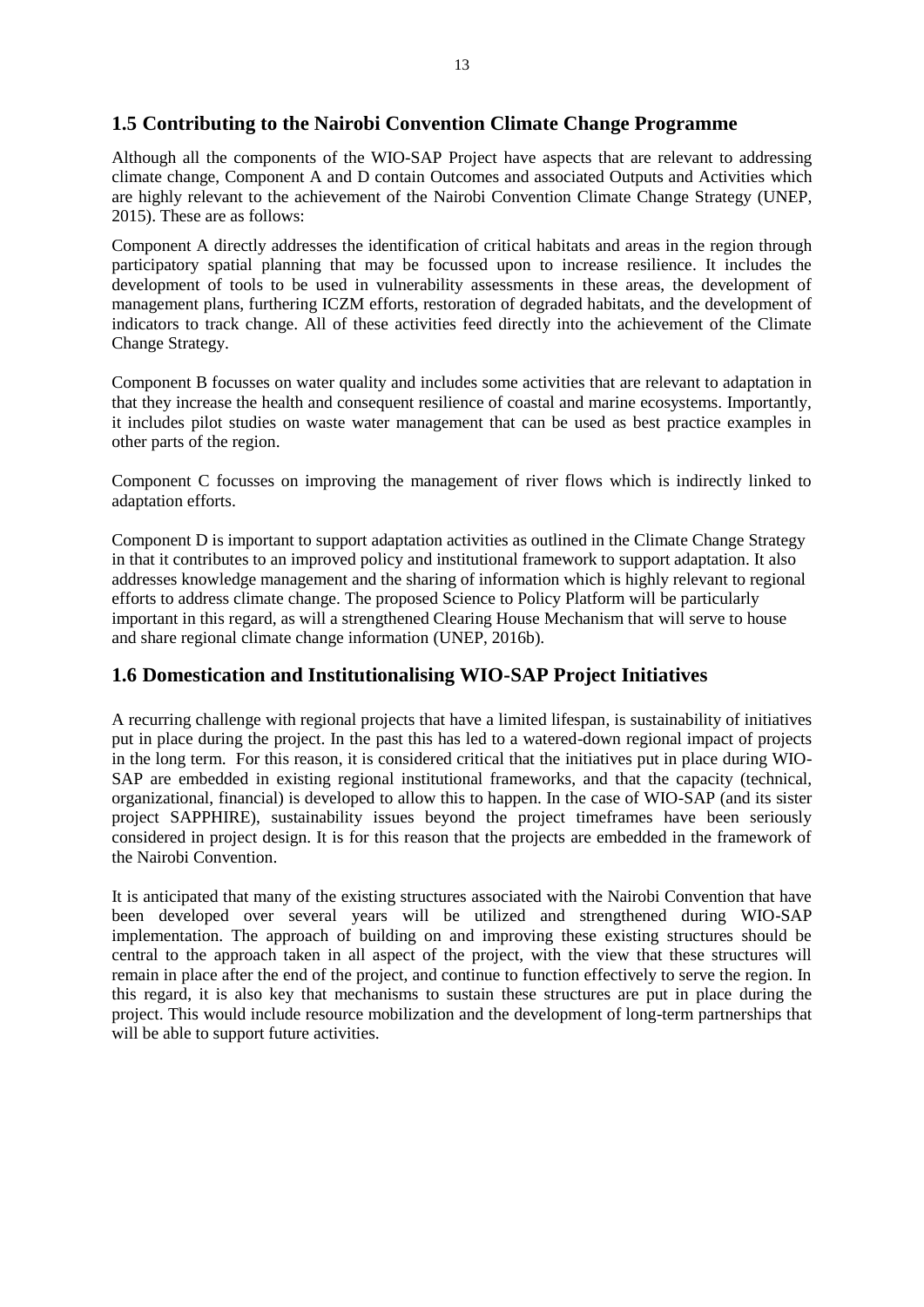#### <span id="page-13-0"></span>**1.5 Contributing to the Nairobi Convention Climate Change Programme**

Although all the components of the WIO-SAP Project have aspects that are relevant to addressing climate change, Component A and D contain Outcomes and associated Outputs and Activities which are highly relevant to the achievement of the Nairobi Convention Climate Change Strategy (UNEP, 2015). These are as follows:

Component A directly addresses the identification of critical habitats and areas in the region through participatory spatial planning that may be focussed upon to increase resilience. It includes the development of tools to be used in vulnerability assessments in these areas, the development of management plans, furthering ICZM efforts, restoration of degraded habitats, and the development of indicators to track change. All of these activities feed directly into the achievement of the Climate Change Strategy.

Component B focusses on water quality and includes some activities that are relevant to adaptation in that they increase the health and consequent resilience of coastal and marine ecosystems. Importantly, it includes pilot studies on waste water management that can be used as best practice examples in other parts of the region.

Component C focusses on improving the management of river flows which is indirectly linked to adaptation efforts.

Component D is important to support adaptation activities as outlined in the Climate Change Strategy in that it contributes to an improved policy and institutional framework to support adaptation. It also addresses knowledge management and the sharing of information which is highly relevant to regional efforts to address climate change. The proposed Science to Policy Platform will be particularly important in this regard, as will a strengthened Clearing House Mechanism that will serve to house and share regional climate change information (UNEP, 2016b).

#### <span id="page-13-1"></span>**1.6 Domestication and Institutionalising WIO-SAP Project Initiatives**

A recurring challenge with regional projects that have a limited lifespan, is sustainability of initiatives put in place during the project. In the past this has led to a watered-down regional impact of projects in the long term. For this reason, it is considered critical that the initiatives put in place during WIO-SAP are embedded in existing regional institutional frameworks, and that the capacity (technical, organizational, financial) is developed to allow this to happen. In the case of WIO-SAP (and its sister project SAPPHIRE), sustainability issues beyond the project timeframes have been seriously considered in project design. It is for this reason that the projects are embedded in the framework of the Nairobi Convention.

<span id="page-13-2"></span>It is anticipated that many of the existing structures associated with the Nairobi Convention that have been developed over several years will be utilized and strengthened during WIO-SAP implementation. The approach of building on and improving these existing structures should be central to the approach taken in all aspect of the project, with the view that these structures will remain in place after the end of the project, and continue to function effectively to serve the region. In this regard, it is also key that mechanisms to sustain these structures are put in place during the project. This would include resource mobilization and the development of long-term partnerships that will be able to support future activities.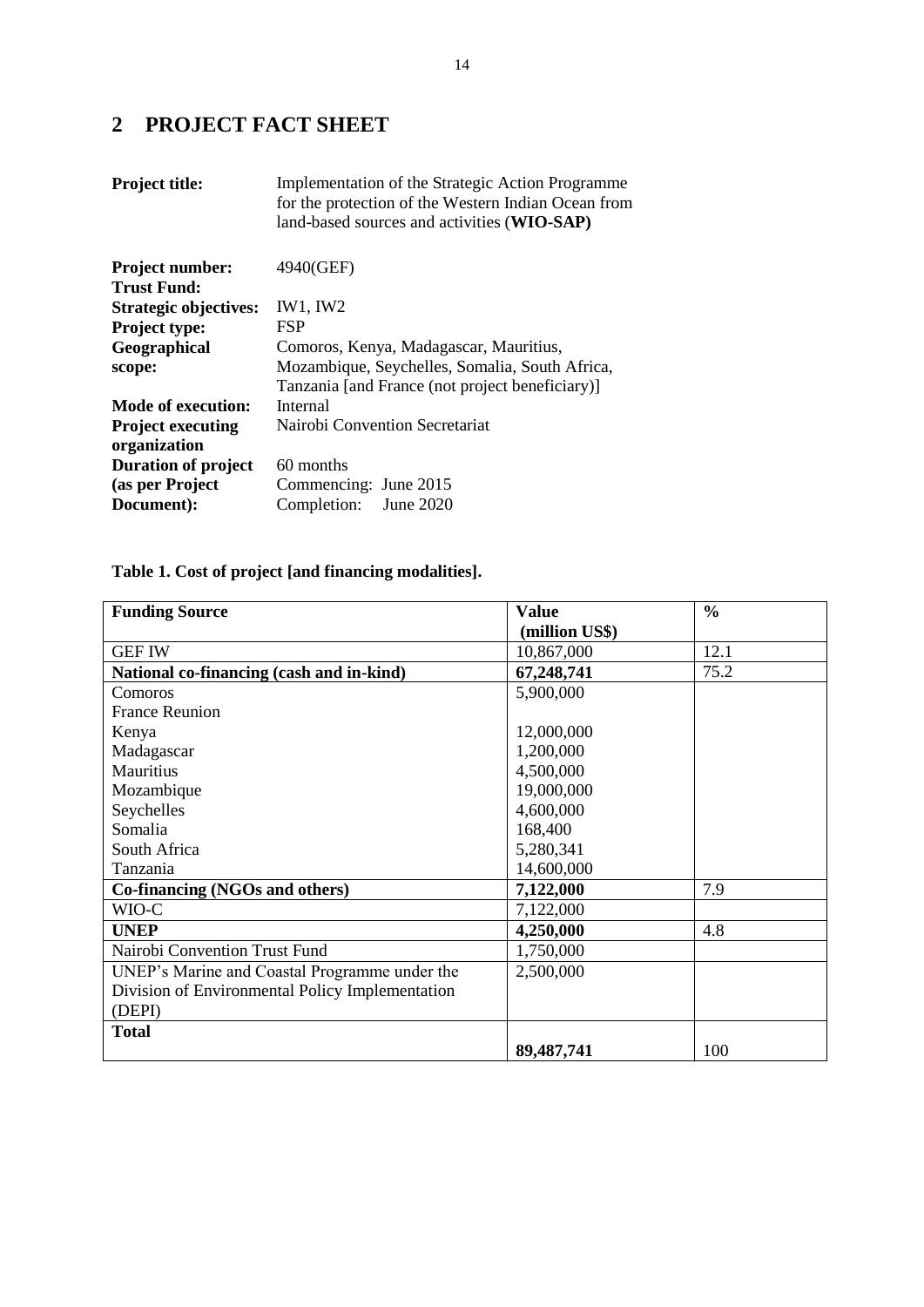## **2 PROJECT FACT SHEET**

| <b>Project title:</b>                        | Implementation of the Strategic Action Programme<br>for the protection of the Western Indian Ocean from<br>land-based sources and activities (WIO-SAP) |
|----------------------------------------------|--------------------------------------------------------------------------------------------------------------------------------------------------------|
| <b>Project number:</b><br><b>Trust Fund:</b> | 4940(GEF)                                                                                                                                              |
| <b>Strategic objectives:</b>                 | IW1, IW2                                                                                                                                               |
| <b>Project type:</b>                         | <b>FSP</b>                                                                                                                                             |
| Geographical                                 | Comoros, Kenya, Madagascar, Mauritius,                                                                                                                 |
| scope:                                       | Mozambique, Seychelles, Somalia, South Africa,                                                                                                         |
|                                              | Tanzania [and France (not project beneficiary)]                                                                                                        |
| Mode of execution:                           | Internal                                                                                                                                               |
| <b>Project executing</b>                     | Nairobi Convention Secretariat                                                                                                                         |
| organization                                 |                                                                                                                                                        |
| <b>Duration of project</b>                   | 60 months                                                                                                                                              |
| (as per Project                              | Commencing: June 2015                                                                                                                                  |
| Document):                                   | Completion:<br><b>June 2020</b>                                                                                                                        |

## **Table 1. Cost of project [and financing modalities].**

| <b>Funding Source</b>                           | <b>Value</b>   | $\frac{0}{0}$ |
|-------------------------------------------------|----------------|---------------|
|                                                 | (million US\$) |               |
| <b>GEF IW</b>                                   | 10,867,000     | 12.1          |
| National co-financing (cash and in-kind)        | 67,248,741     | 75.2          |
| Comoros                                         | 5,900,000      |               |
| <b>France Reunion</b>                           |                |               |
| Kenya                                           | 12,000,000     |               |
| Madagascar                                      | 1,200,000      |               |
| Mauritius                                       | 4,500,000      |               |
| Mozambique                                      | 19,000,000     |               |
| Seychelles                                      | 4,600,000      |               |
| Somalia                                         | 168,400        |               |
| South Africa                                    | 5,280,341      |               |
| Tanzania                                        | 14,600,000     |               |
| Co-financing (NGOs and others)                  | 7,122,000      | 7.9           |
| WIO-C                                           | 7,122,000      |               |
| <b>UNEP</b>                                     | 4,250,000      | 4.8           |
| Nairobi Convention Trust Fund                   | 1,750,000      |               |
| UNEP's Marine and Coastal Programme under the   | 2,500,000      |               |
| Division of Environmental Policy Implementation |                |               |
| (DEPI)                                          |                |               |
| <b>Total</b>                                    |                |               |
|                                                 | 89,487,741     | 100           |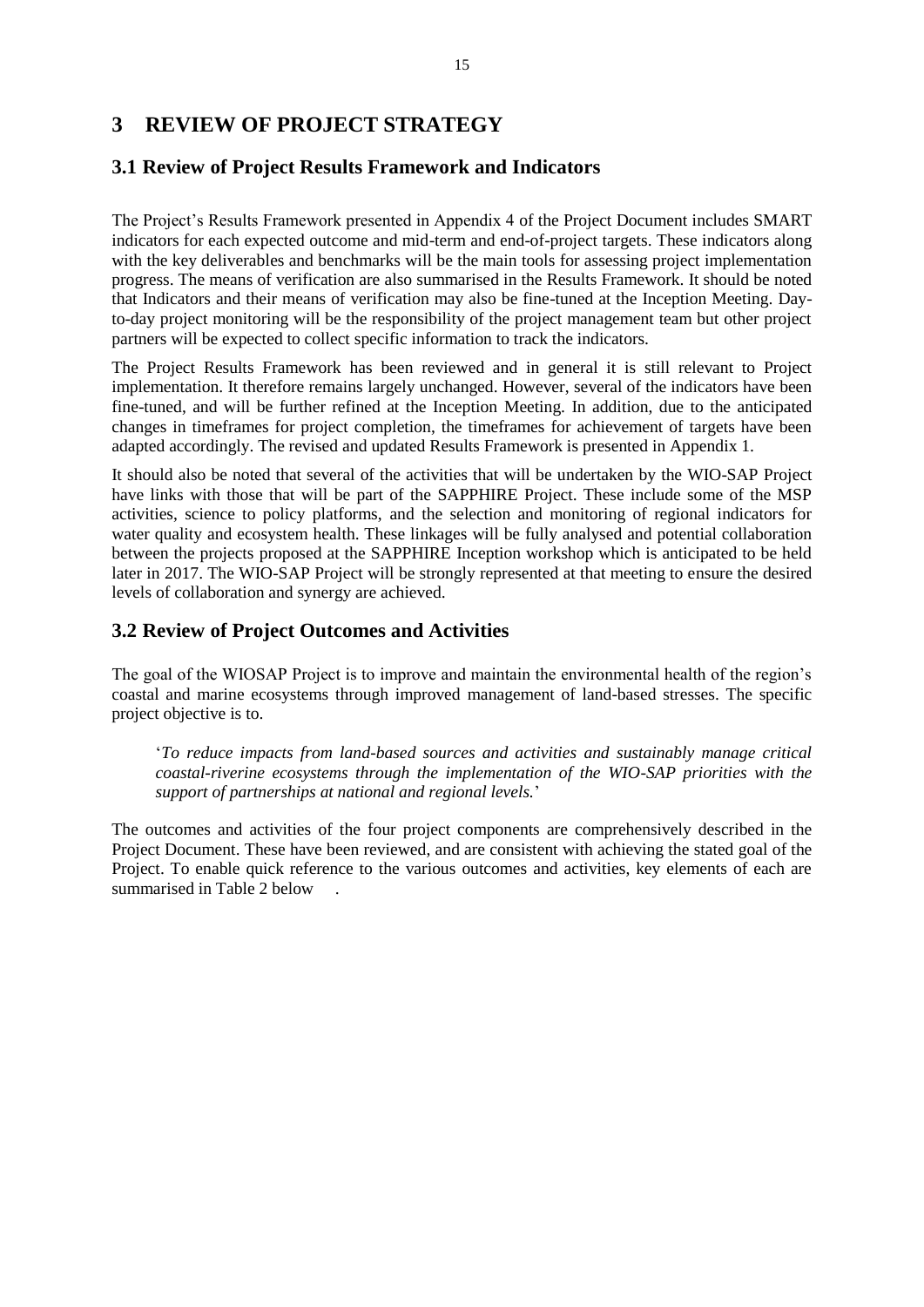## <span id="page-15-0"></span>**3 REVIEW OF PROJECT STRATEGY**

#### <span id="page-15-1"></span>**3.1 Review of Project Results Framework and Indicators**

The Project's Results Framework presented in Appendix 4 of the Project Document includes SMART indicators for each expected outcome and mid-term and end-of-project targets. These indicators along with the key deliverables and benchmarks will be the main tools for assessing project implementation progress. The means of verification are also summarised in the Results Framework. It should be noted that Indicators and their means of verification may also be fine-tuned at the Inception Meeting. Dayto-day project monitoring will be the responsibility of the project management team but other project partners will be expected to collect specific information to track the indicators.

The Project Results Framework has been reviewed and in general it is still relevant to Project implementation. It therefore remains largely unchanged. However, several of the indicators have been fine-tuned, and will be further refined at the Inception Meeting. In addition, due to the anticipated changes in timeframes for project completion, the timeframes for achievement of targets have been adapted accordingly. The revised and updated Results Framework is presented in Appendix 1.

It should also be noted that several of the activities that will be undertaken by the WIO-SAP Project have links with those that will be part of the SAPPHIRE Project. These include some of the MSP activities, science to policy platforms, and the selection and monitoring of regional indicators for water quality and ecosystem health. These linkages will be fully analysed and potential collaboration between the projects proposed at the SAPPHIRE Inception workshop which is anticipated to be held later in 2017. The WIO-SAP Project will be strongly represented at that meeting to ensure the desired levels of collaboration and synergy are achieved.

#### <span id="page-15-2"></span>**3.2 Review of Project Outcomes and Activities**

The goal of the WIOSAP Project is to improve and maintain the environmental health of the region's coastal and marine ecosystems through improved management of land-based stresses. The specific project objective is to.

'*To reduce impacts from land-based sources and activities and sustainably manage critical coastal-riverine ecosystems through the implementation of the WIO-SAP priorities with the support of partnerships at national and regional levels.*'

The outcomes and activities of the four project components are comprehensively described in the Project Document. These have been reviewed, and are consistent with achieving the stated goal of the Project. To enable quick reference to the various outcomes and activities, key elements of each are summarised in Table 2 below .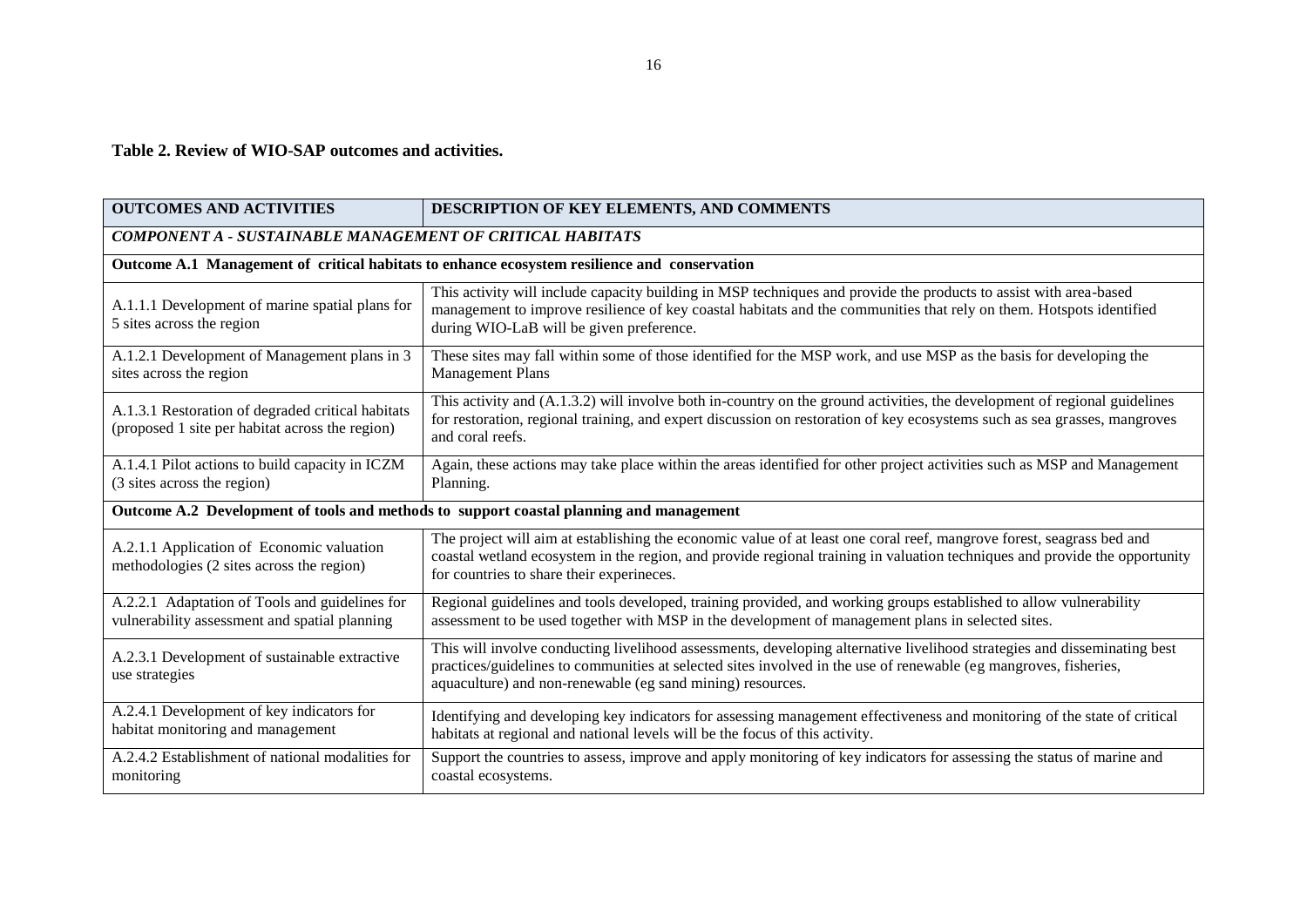#### **Table 2. Review of WIO-SAP outcomes and activities.**

| <b>OUTCOMES AND ACTIVITIES</b>                                                                       | DESCRIPTION OF KEY ELEMENTS, AND COMMENTS                                                                                                                                                                                                                                                                  |
|------------------------------------------------------------------------------------------------------|------------------------------------------------------------------------------------------------------------------------------------------------------------------------------------------------------------------------------------------------------------------------------------------------------------|
| <b>COMPONENT A - SUSTAINABLE MANAGEMENT OF CRITICAL HABITATS</b>                                     |                                                                                                                                                                                                                                                                                                            |
|                                                                                                      | Outcome A.1 Management of critical habitats to enhance ecosystem resilience and conservation                                                                                                                                                                                                               |
| A.1.1.1 Development of marine spatial plans for<br>5 sites across the region                         | This activity will include capacity building in MSP techniques and provide the products to assist with area-based<br>management to improve resilience of key coastal habitats and the communities that rely on them. Hotspots identified<br>during WIO-LaB will be given preference.                       |
| A.1.2.1 Development of Management plans in 3<br>sites across the region                              | These sites may fall within some of those identified for the MSP work, and use MSP as the basis for developing the<br><b>Management Plans</b>                                                                                                                                                              |
| A.1.3.1 Restoration of degraded critical habitats<br>(proposed 1 site per habitat across the region) | This activity and (A.1.3.2) will involve both in-country on the ground activities, the development of regional guidelines<br>for restoration, regional training, and expert discussion on restoration of key ecosystems such as sea grasses, mangroves<br>and coral reefs.                                 |
| A.1.4.1 Pilot actions to build capacity in ICZM<br>(3 sites across the region)                       | Again, these actions may take place within the areas identified for other project activities such as MSP and Management<br>Planning.                                                                                                                                                                       |
|                                                                                                      | Outcome A.2 Development of tools and methods to support coastal planning and management                                                                                                                                                                                                                    |
| A.2.1.1 Application of Economic valuation<br>methodologies (2 sites across the region)               | The project will aim at establishing the economic value of at least one coral reef, mangrove forest, seagrass bed and<br>coastal wetland ecosystem in the region, and provide regional training in valuation techniques and provide the opportunity<br>for countries to share their experineces.           |
| A.2.2.1 Adaptation of Tools and guidelines for<br>vulnerability assessment and spatial planning      | Regional guidelines and tools developed, training provided, and working groups established to allow vulnerability<br>assessment to be used together with MSP in the development of management plans in selected sites.                                                                                     |
| A.2.3.1 Development of sustainable extractive<br>use strategies                                      | This will involve conducting livelihood assessments, developing alternative livelihood strategies and disseminating best<br>practices/guidelines to communities at selected sites involved in the use of renewable (eg mangroves, fisheries,<br>aquaculture) and non-renewable (eg sand mining) resources. |
| A.2.4.1 Development of key indicators for<br>habitat monitoring and management                       | Identifying and developing key indicators for assessing management effectiveness and monitoring of the state of critical<br>habitats at regional and national levels will be the focus of this activity.                                                                                                   |
| A.2.4.2 Establishment of national modalities for<br>monitoring                                       | Support the countries to assess, improve and apply monitoring of key indicators for assessing the status of marine and<br>coastal ecosystems.                                                                                                                                                              |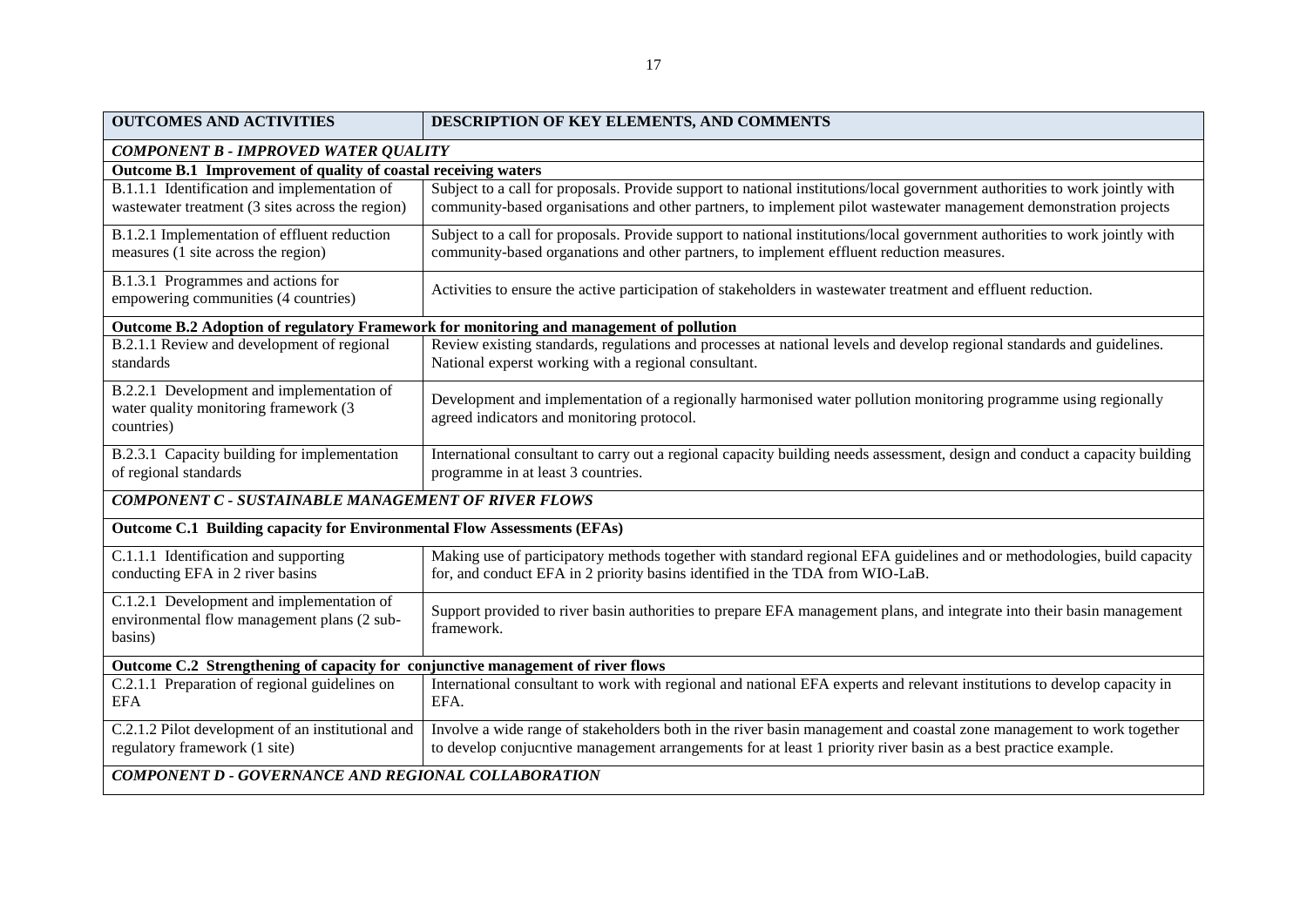| <b>OUTCOMES AND ACTIVITIES</b>                                                                      | DESCRIPTION OF KEY ELEMENTS, AND COMMENTS                                                                                                                                                                                              |  |  |
|-----------------------------------------------------------------------------------------------------|----------------------------------------------------------------------------------------------------------------------------------------------------------------------------------------------------------------------------------------|--|--|
| <b>COMPONENT B - IMPROVED WATER QUALITY</b>                                                         |                                                                                                                                                                                                                                        |  |  |
| Outcome B.1 Improvement of quality of coastal receiving waters                                      |                                                                                                                                                                                                                                        |  |  |
| B.1.1.1 Identification and implementation of                                                        | Subject to a call for proposals. Provide support to national institutions/local government authorities to work jointly with                                                                                                            |  |  |
| wastewater treatment (3 sites across the region)                                                    | community-based organisations and other partners, to implement pilot wastewater management demonstration projects                                                                                                                      |  |  |
| B.1.2.1 Implementation of effluent reduction                                                        | Subject to a call for proposals. Provide support to national institutions/local government authorities to work jointly with                                                                                                            |  |  |
| measures (1 site across the region)                                                                 | community-based organations and other partners, to implement effluent reduction measures.                                                                                                                                              |  |  |
| B.1.3.1 Programmes and actions for<br>empowering communities (4 countries)                          | Activities to ensure the active participation of stakeholders in wastewater treatment and effluent reduction.                                                                                                                          |  |  |
|                                                                                                     | Outcome B.2 Adoption of regulatory Framework for monitoring and management of pollution                                                                                                                                                |  |  |
| B.2.1.1 Review and development of regional<br>standards                                             | Review existing standards, regulations and processes at national levels and develop regional standards and guidelines.<br>National experst working with a regional consultant.                                                         |  |  |
| B.2.2.1 Development and implementation of<br>water quality monitoring framework (3<br>countries)    | Development and implementation of a regionally harmonised water pollution monitoring programme using regionally<br>agreed indicators and monitoring protocol.                                                                          |  |  |
| B.2.3.1 Capacity building for implementation<br>of regional standards                               | International consultant to carry out a regional capacity building needs assessment, design and conduct a capacity building<br>programme in at least 3 countries.                                                                      |  |  |
| <b>COMPONENT C - SUSTAINABLE MANAGEMENT OF RIVER FLOWS</b>                                          |                                                                                                                                                                                                                                        |  |  |
| Outcome C.1 Building capacity for Environmental Flow Assessments (EFAs)                             |                                                                                                                                                                                                                                        |  |  |
| C.1.1.1 Identification and supporting<br>conducting EFA in 2 river basins                           | Making use of participatory methods together with standard regional EFA guidelines and or methodologies, build capacity<br>for, and conduct EFA in 2 priority basins identified in the TDA from WIO-LaB.                               |  |  |
| C.1.2.1 Development and implementation of<br>environmental flow management plans (2 sub-<br>basins) | Support provided to river basin authorities to prepare EFA management plans, and integrate into their basin management<br>framework.                                                                                                   |  |  |
| Outcome C.2 Strengthening of capacity for conjunctive management of river flows                     |                                                                                                                                                                                                                                        |  |  |
| C.2.1.1 Preparation of regional guidelines on<br><b>EFA</b>                                         | International consultant to work with regional and national EFA experts and relevant institutions to develop capacity in<br>EFA.                                                                                                       |  |  |
| C.2.1.2 Pilot development of an institutional and<br>regulatory framework (1 site)                  | Involve a wide range of stakeholders both in the river basin management and coastal zone management to work together<br>to develop conjucntive management arrangements for at least 1 priority river basin as a best practice example. |  |  |
| COMPONENT D - GOVERNANCE AND REGIONAL COLLABORATION                                                 |                                                                                                                                                                                                                                        |  |  |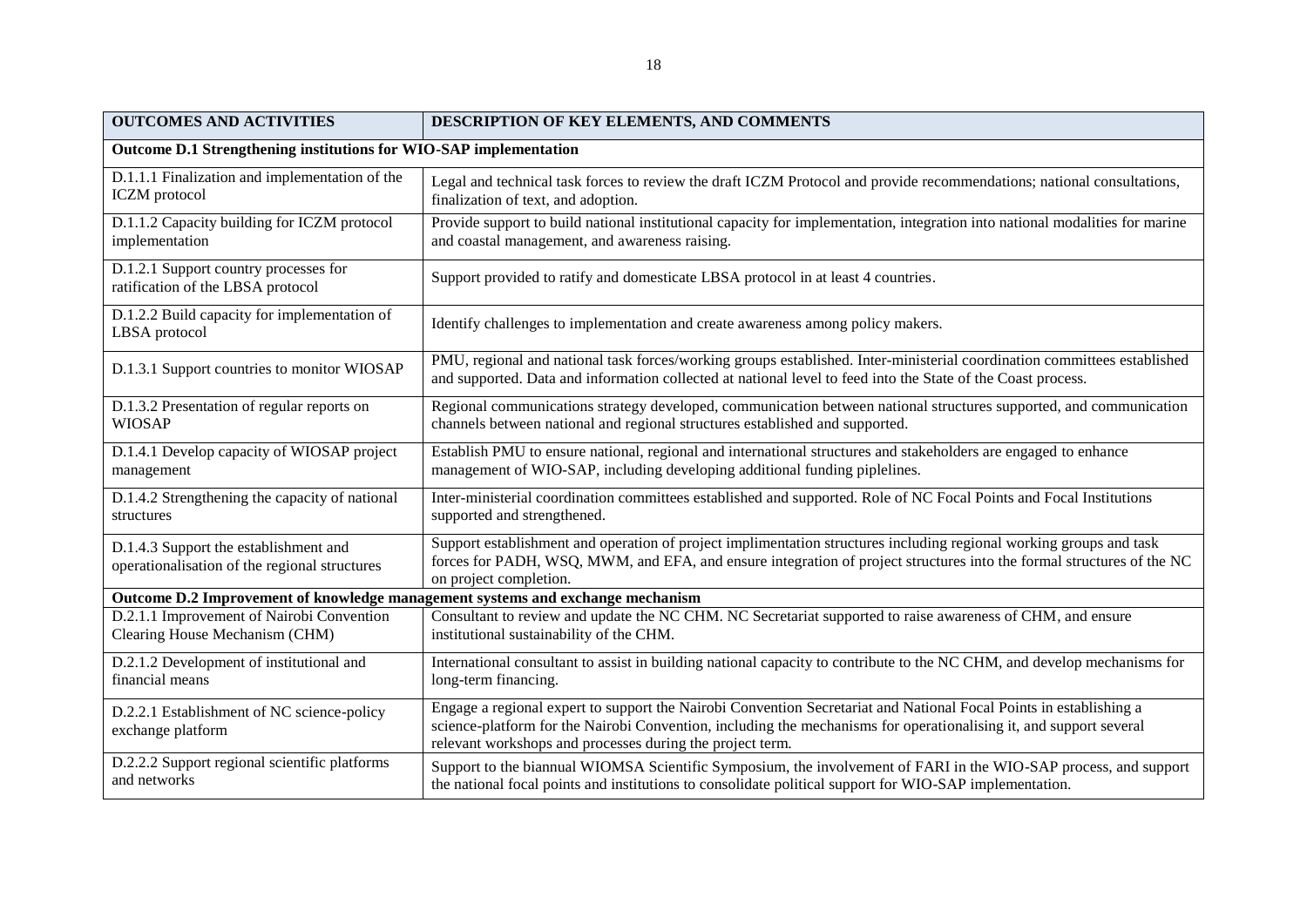| <b>OUTCOMES AND ACTIVITIES</b>                                                         | DESCRIPTION OF KEY ELEMENTS, AND COMMENTS                                                                                                                                                                                                                                                             |  |  |  |
|----------------------------------------------------------------------------------------|-------------------------------------------------------------------------------------------------------------------------------------------------------------------------------------------------------------------------------------------------------------------------------------------------------|--|--|--|
|                                                                                        | Outcome D.1 Strengthening institutions for WIO-SAP implementation                                                                                                                                                                                                                                     |  |  |  |
| D.1.1.1 Finalization and implementation of the                                         | Legal and technical task forces to review the draft ICZM Protocol and provide recommendations; national consultations,                                                                                                                                                                                |  |  |  |
| ICZM protocol                                                                          | finalization of text, and adoption.                                                                                                                                                                                                                                                                   |  |  |  |
| D.1.1.2 Capacity building for ICZM protocol                                            | Provide support to build national institutional capacity for implementation, integration into national modalities for marine                                                                                                                                                                          |  |  |  |
| implementation                                                                         | and coastal management, and awareness raising.                                                                                                                                                                                                                                                        |  |  |  |
| D.1.2.1 Support country processes for<br>ratification of the LBSA protocol             | Support provided to ratify and domesticate LBSA protocol in at least 4 countries.                                                                                                                                                                                                                     |  |  |  |
| D.1.2.2 Build capacity for implementation of<br>LBSA protocol                          | Identify challenges to implementation and create awareness among policy makers.                                                                                                                                                                                                                       |  |  |  |
| D.1.3.1 Support countries to monitor WIOSAP                                            | PMU, regional and national task forces/working groups established. Inter-ministerial coordination committees established<br>and supported. Data and information collected at national level to feed into the State of the Coast process.                                                              |  |  |  |
| D.1.3.2 Presentation of regular reports on                                             | Regional communications strategy developed, communication between national structures supported, and communication                                                                                                                                                                                    |  |  |  |
| <b>WIOSAP</b>                                                                          | channels between national and regional structures established and supported.                                                                                                                                                                                                                          |  |  |  |
| D.1.4.1 Develop capacity of WIOSAP project                                             | Establish PMU to ensure national, regional and international structures and stakeholders are engaged to enhance                                                                                                                                                                                       |  |  |  |
| management                                                                             | management of WIO-SAP, including developing additional funding piplelines.                                                                                                                                                                                                                            |  |  |  |
| D.1.4.2 Strengthening the capacity of national                                         | Inter-ministerial coordination committees established and supported. Role of NC Focal Points and Focal Institutions                                                                                                                                                                                   |  |  |  |
| structures                                                                             | supported and strengthened.                                                                                                                                                                                                                                                                           |  |  |  |
| D.1.4.3 Support the establishment and<br>operationalisation of the regional structures | Support establishment and operation of project implimentation structures including regional working groups and task<br>forces for PADH, WSQ, MWM, and EFA, and ensure integration of project structures into the formal structures of the NC<br>on project completion.                                |  |  |  |
| Outcome D.2 Improvement of knowledge management systems and exchange mechanism         |                                                                                                                                                                                                                                                                                                       |  |  |  |
| D.2.1.1 Improvement of Nairobi Convention                                              | Consultant to review and update the NC CHM. NC Secretariat supported to raise awareness of CHM, and ensure                                                                                                                                                                                            |  |  |  |
| Clearing House Mechanism (CHM)                                                         | institutional sustainability of the CHM.                                                                                                                                                                                                                                                              |  |  |  |
| D.2.1.2 Development of institutional and                                               | International consultant to assist in building national capacity to contribute to the NC CHM, and develop mechanisms for                                                                                                                                                                              |  |  |  |
| financial means                                                                        | long-term financing.                                                                                                                                                                                                                                                                                  |  |  |  |
| D.2.2.1 Establishment of NC science-policy<br>exchange platform                        | Engage a regional expert to support the Nairobi Convention Secretariat and National Focal Points in establishing a<br>science-platform for the Nairobi Convention, including the mechanisms for operationalising it, and support several<br>relevant workshops and processes during the project term. |  |  |  |
| D.2.2.2 Support regional scientific platforms                                          | Support to the biannual WIOMSA Scientific Symposium, the involvement of FARI in the WIO-SAP process, and support                                                                                                                                                                                      |  |  |  |
| and networks                                                                           | the national focal points and institutions to consolidate political support for WIO-SAP implementation.                                                                                                                                                                                               |  |  |  |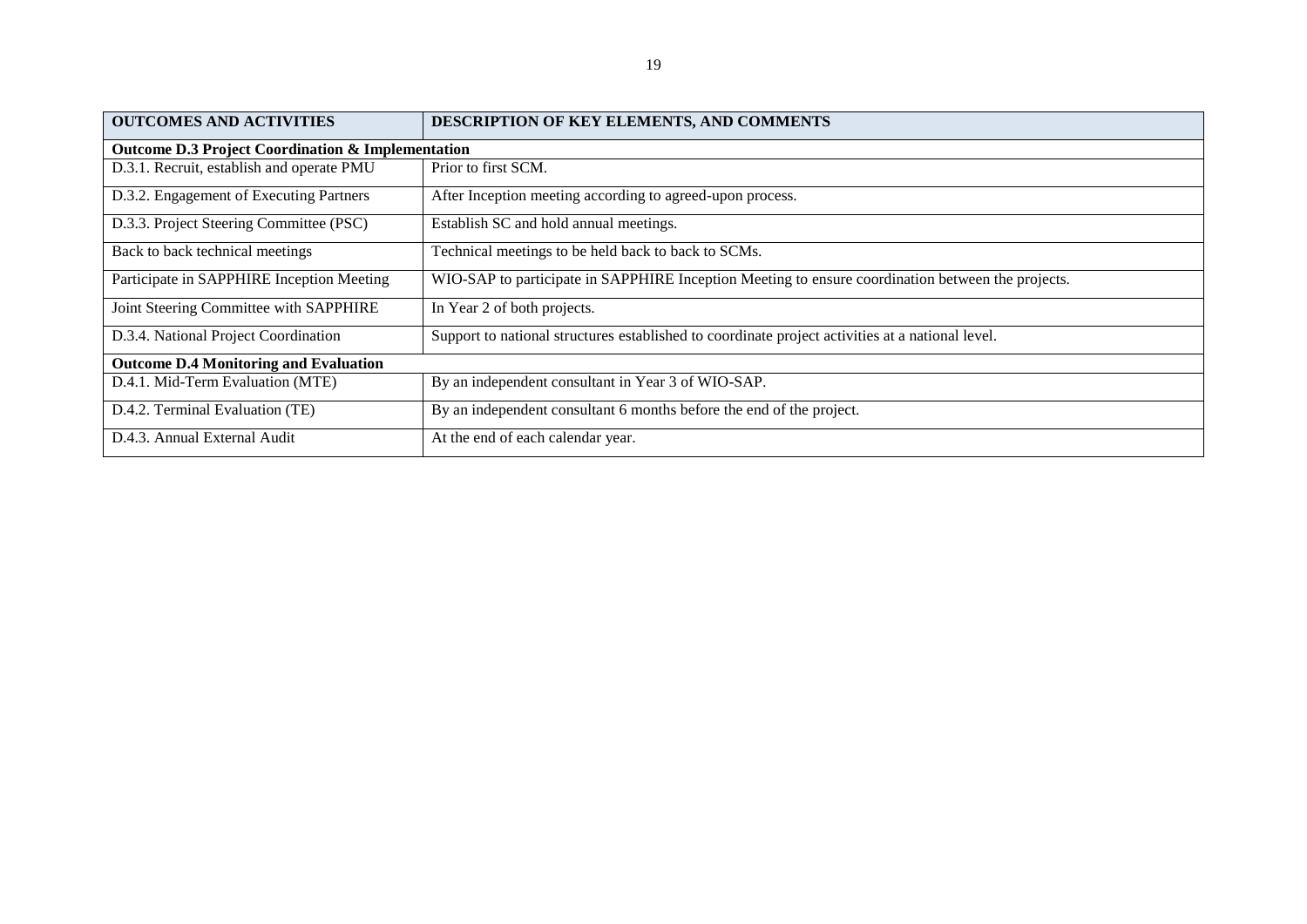| <b>OUTCOMES AND ACTIVITIES</b>                               | DESCRIPTION OF KEY ELEMENTS, AND COMMENTS                                                         |  |  |
|--------------------------------------------------------------|---------------------------------------------------------------------------------------------------|--|--|
| <b>Outcome D.3 Project Coordination &amp; Implementation</b> |                                                                                                   |  |  |
| D.3.1. Recruit, establish and operate PMU                    | Prior to first SCM.                                                                               |  |  |
| D.3.2. Engagement of Executing Partners                      | After Inception meeting according to agreed-upon process.                                         |  |  |
| D.3.3. Project Steering Committee (PSC)                      | Establish SC and hold annual meetings.                                                            |  |  |
| Back to back technical meetings                              | Technical meetings to be held back to back to SCMs.                                               |  |  |
| Participate in SAPPHIRE Inception Meeting                    | WIO-SAP to participate in SAPPHIRE Inception Meeting to ensure coordination between the projects. |  |  |
| Joint Steering Committee with SAPPHIRE                       | In Year 2 of both projects.                                                                       |  |  |
| D.3.4. National Project Coordination                         | Support to national structures established to coordinate project activities at a national level.  |  |  |
| <b>Outcome D.4 Monitoring and Evaluation</b>                 |                                                                                                   |  |  |
| D.4.1. Mid-Term Evaluation (MTE)                             | By an independent consultant in Year 3 of WIO-SAP.                                                |  |  |
| D.4.2. Terminal Evaluation (TE)                              | By an independent consultant 6 months before the end of the project.                              |  |  |
| D.4.3. Annual External Audit                                 | At the end of each calendar year.                                                                 |  |  |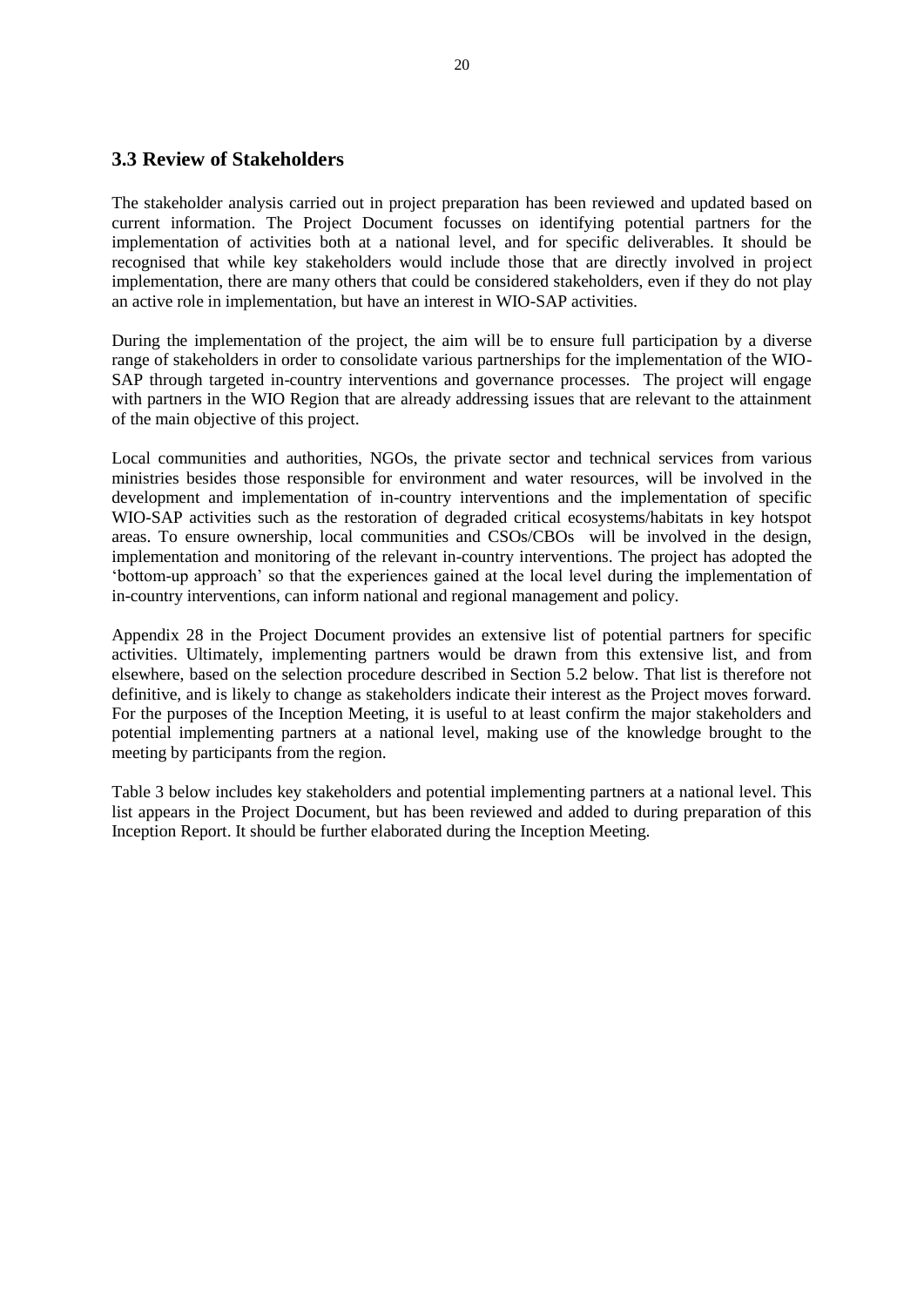#### <span id="page-20-0"></span>**3.3 Review of Stakeholders**

The stakeholder analysis carried out in project preparation has been reviewed and updated based on current information. The Project Document focusses on identifying potential partners for the implementation of activities both at a national level, and for specific deliverables. It should be recognised that while key stakeholders would include those that are directly involved in project implementation, there are many others that could be considered stakeholders, even if they do not play an active role in implementation, but have an interest in WIO-SAP activities.

During the implementation of the project, the aim will be to ensure full participation by a diverse range of stakeholders in order to consolidate various partnerships for the implementation of the WIO-SAP through targeted in-country interventions and governance processes. The project will engage with partners in the WIO Region that are already addressing issues that are relevant to the attainment of the main objective of this project.

Local communities and authorities, NGOs, the private sector and technical services from various ministries besides those responsible for environment and water resources, will be involved in the development and implementation of in-country interventions and the implementation of specific WIO-SAP activities such as the restoration of degraded critical ecosystems/habitats in key hotspot areas. To ensure ownership, local communities and CSOs/CBOs will be involved in the design, implementation and monitoring of the relevant in-country interventions. The project has adopted the 'bottom-up approach' so that the experiences gained at the local level during the implementation of in-country interventions, can inform national and regional management and policy.

Appendix 28 in the Project Document provides an extensive list of potential partners for specific activities. Ultimately, implementing partners would be drawn from this extensive list, and from elsewhere, based on the selection procedure described in Section 5.2 below. That list is therefore not definitive, and is likely to change as stakeholders indicate their interest as the Project moves forward. For the purposes of the Inception Meeting, it is useful to at least confirm the major stakeholders and potential implementing partners at a national level, making use of the knowledge brought to the meeting by participants from the region.

Table 3 below includes key stakeholders and potential implementing partners at a national level. This list appears in the Project Document, but has been reviewed and added to during preparation of this Inception Report. It should be further elaborated during the Inception Meeting.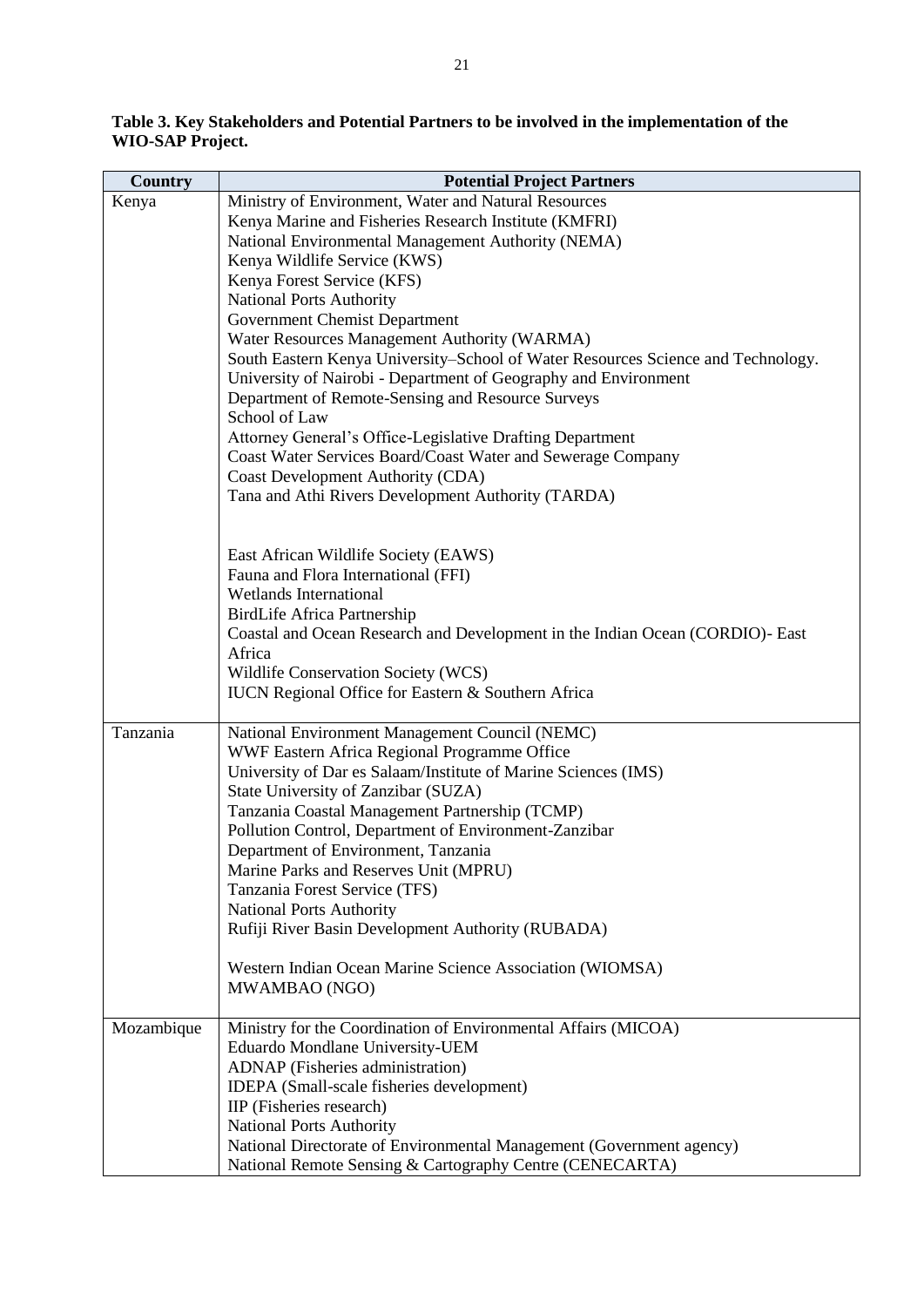**Table 3. Key Stakeholders and Potential Partners to be involved in the implementation of the WIO-SAP Project.**

| <b>Country</b> | <b>Potential Project Partners</b>                                                                                        |
|----------------|--------------------------------------------------------------------------------------------------------------------------|
| Kenya          | Ministry of Environment, Water and Natural Resources                                                                     |
|                | Kenya Marine and Fisheries Research Institute (KMFRI)                                                                    |
|                | National Environmental Management Authority (NEMA)                                                                       |
|                | Kenya Wildlife Service (KWS)                                                                                             |
|                | Kenya Forest Service (KFS)                                                                                               |
|                | <b>National Ports Authority</b>                                                                                          |
|                | Government Chemist Department                                                                                            |
|                | Water Resources Management Authority (WARMA)                                                                             |
|                | South Eastern Kenya University–School of Water Resources Science and Technology.                                         |
|                | University of Nairobi - Department of Geography and Environment                                                          |
|                | Department of Remote-Sensing and Resource Surveys                                                                        |
|                | School of Law                                                                                                            |
|                | Attorney General's Office-Legislative Drafting Department<br>Coast Water Services Board/Coast Water and Sewerage Company |
|                | Coast Development Authority (CDA)                                                                                        |
|                | Tana and Athi Rivers Development Authority (TARDA)                                                                       |
|                |                                                                                                                          |
|                |                                                                                                                          |
|                | East African Wildlife Society (EAWS)                                                                                     |
|                | Fauna and Flora International (FFI)                                                                                      |
|                | <b>Wetlands International</b>                                                                                            |
|                | <b>BirdLife Africa Partnership</b>                                                                                       |
|                | Coastal and Ocean Research and Development in the Indian Ocean (CORDIO)- East                                            |
|                | Africa                                                                                                                   |
|                | Wildlife Conservation Society (WCS)<br><b>IUCN</b> Regional Office for Eastern & Southern Africa                         |
|                |                                                                                                                          |
| Tanzania       | National Environment Management Council (NEMC)                                                                           |
|                | WWF Eastern Africa Regional Programme Office                                                                             |
|                | University of Dar es Salaam/Institute of Marine Sciences (IMS)                                                           |
|                | State University of Zanzibar (SUZA)                                                                                      |
|                | Tanzania Coastal Management Partnership (TCMP)                                                                           |
|                | Pollution Control, Department of Environment-Zanzibar                                                                    |
|                | Department of Environment, Tanzania                                                                                      |
|                | Marine Parks and Reserves Unit (MPRU)                                                                                    |
|                | Tanzania Forest Service (TFS)                                                                                            |
|                | <b>National Ports Authority</b>                                                                                          |
|                | Rufiji River Basin Development Authority (RUBADA)                                                                        |
|                | Western Indian Ocean Marine Science Association (WIOMSA)                                                                 |
|                | MWAMBAO (NGO)                                                                                                            |
|                |                                                                                                                          |
| Mozambique     | Ministry for the Coordination of Environmental Affairs (MICOA)                                                           |
|                | Eduardo Mondlane University-UEM                                                                                          |
|                | <b>ADNAP</b> (Fisheries administration)                                                                                  |
|                | IDEPA (Small-scale fisheries development)<br>IIP (Fisheries research)                                                    |
|                | <b>National Ports Authority</b>                                                                                          |
|                | National Directorate of Environmental Management (Government agency)                                                     |
|                | National Remote Sensing & Cartography Centre (CENECARTA)                                                                 |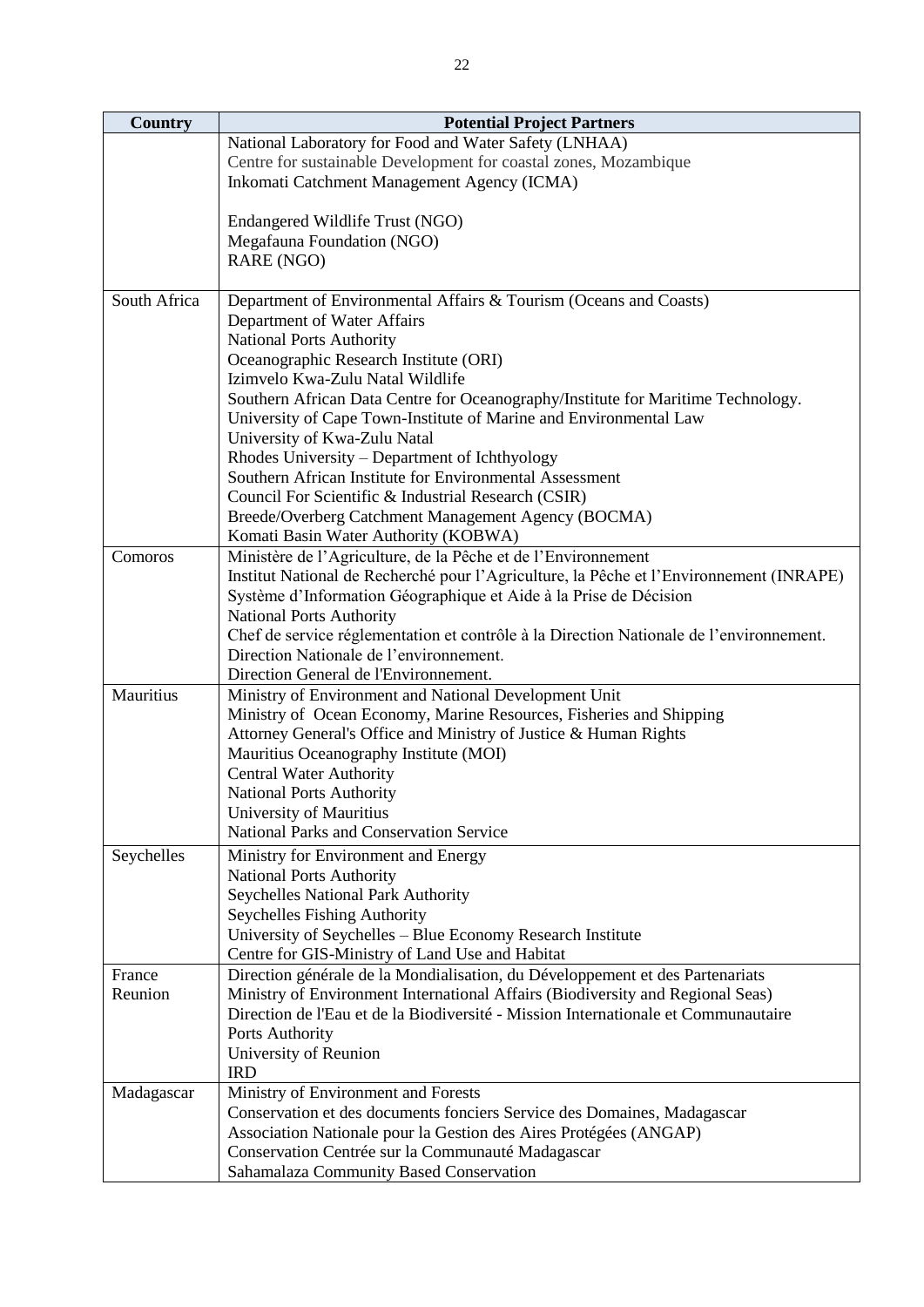| <b>Country</b> | <b>Potential Project Partners</b>                                                                             |
|----------------|---------------------------------------------------------------------------------------------------------------|
|                | National Laboratory for Food and Water Safety (LNHAA)                                                         |
|                | Centre for sustainable Development for coastal zones, Mozambique                                              |
|                | Inkomati Catchment Management Agency (ICMA)                                                                   |
|                |                                                                                                               |
|                | Endangered Wildlife Trust (NGO)                                                                               |
|                | Megafauna Foundation (NGO)                                                                                    |
|                | RARE (NGO)                                                                                                    |
|                |                                                                                                               |
| South Africa   | Department of Environmental Affairs & Tourism (Oceans and Coasts)                                             |
|                | Department of Water Affairs                                                                                   |
|                | <b>National Ports Authority</b>                                                                               |
|                | Oceanographic Research Institute (ORI)                                                                        |
|                | Izimvelo Kwa-Zulu Natal Wildlife                                                                              |
|                | Southern African Data Centre for Oceanography/Institute for Maritime Technology.                              |
|                | University of Cape Town-Institute of Marine and Environmental Law                                             |
|                | University of Kwa-Zulu Natal<br>Rhodes University – Department of Ichthyology                                 |
|                | Southern African Institute for Environmental Assessment                                                       |
|                | Council For Scientific & Industrial Research (CSIR)                                                           |
|                | Breede/Overberg Catchment Management Agency (BOCMA)                                                           |
|                | Komati Basin Water Authority (KOBWA)                                                                          |
| Comoros        | Ministère de l'Agriculture, de la Pêche et de l'Environnement                                                 |
|                | Institut National de Recherché pour l'Agriculture, la Pêche et l'Environnement (INRAPE)                       |
|                | Système d'Information Géographique et Aide à la Prise de Décision                                             |
|                | <b>National Ports Authority</b>                                                                               |
|                | Chef de service réglementation et contrôle à la Direction Nationale de l'environnement.                       |
|                | Direction Nationale de l'environnement.                                                                       |
|                | Direction General de l'Environnement.                                                                         |
| Mauritius      | Ministry of Environment and National Development Unit                                                         |
|                | Ministry of Ocean Economy, Marine Resources, Fisheries and Shipping                                           |
|                | Attorney General's Office and Ministry of Justice & Human Rights                                              |
|                | Mauritius Oceanography Institute (MOI)                                                                        |
|                | <b>Central Water Authority</b>                                                                                |
|                | <b>National Ports Authority</b>                                                                               |
|                | University of Mauritius                                                                                       |
|                | National Parks and Conservation Service                                                                       |
| Seychelles     | Ministry for Environment and Energy                                                                           |
|                | National Ports Authority                                                                                      |
|                | Seychelles National Park Authority                                                                            |
|                | Seychelles Fishing Authority                                                                                  |
|                | University of Seychelles - Blue Economy Research Institute<br>Centre for GIS-Ministry of Land Use and Habitat |
| France         | Direction générale de la Mondialisation, du Développement et des Partenariats                                 |
| Reunion        | Ministry of Environment International Affairs (Biodiversity and Regional Seas)                                |
|                | Direction de l'Eau et de la Biodiversité - Mission Internationale et Communautaire                            |
|                | Ports Authority                                                                                               |
|                | University of Reunion                                                                                         |
|                | <b>IRD</b>                                                                                                    |
| Madagascar     | Ministry of Environment and Forests                                                                           |
|                | Conservation et des documents fonciers Service des Domaines, Madagascar                                       |
|                | Association Nationale pour la Gestion des Aires Protégées (ANGAP)                                             |
|                | Conservation Centrée sur la Communauté Madagascar                                                             |
|                | Sahamalaza Community Based Conservation                                                                       |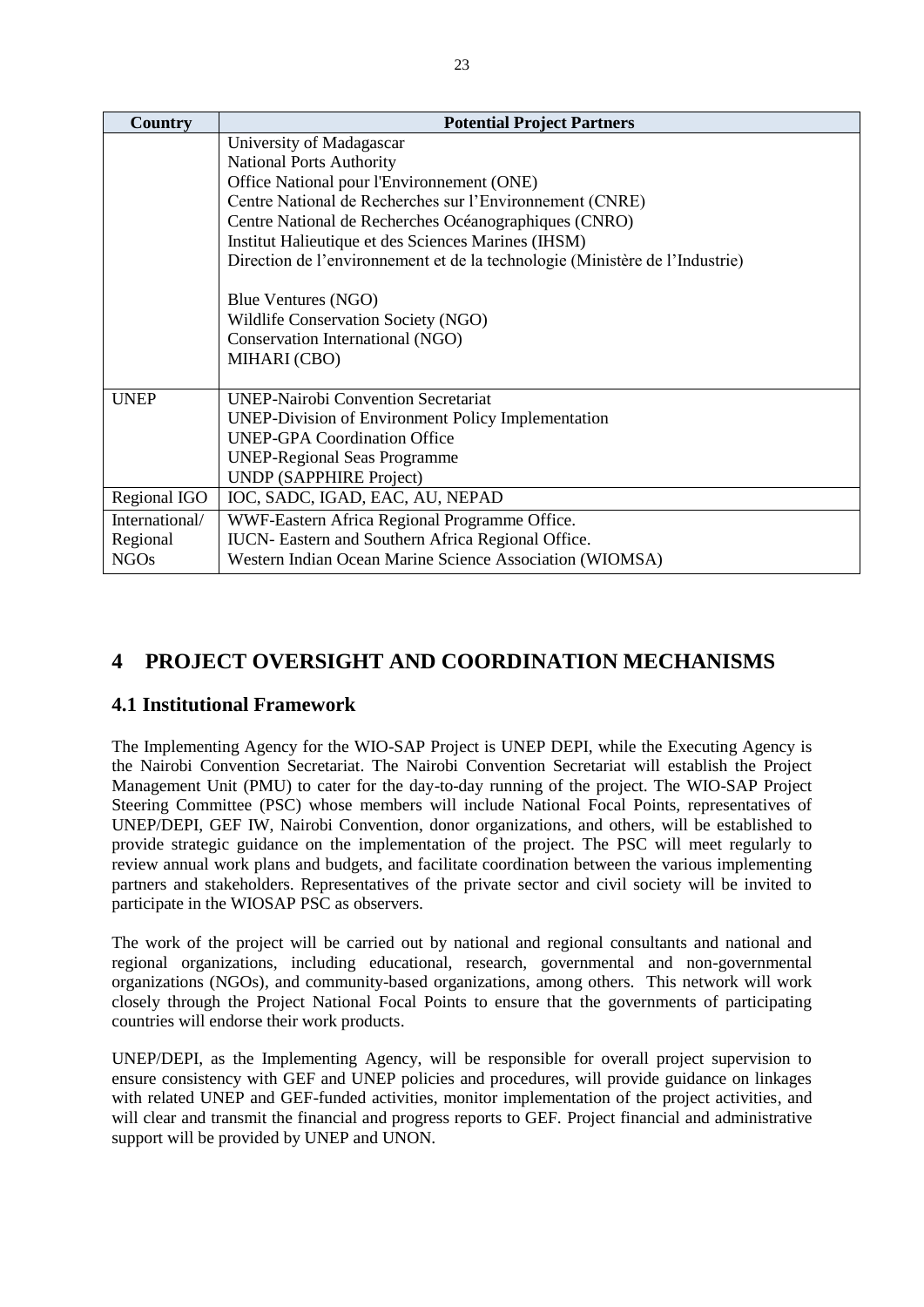| Country        | <b>Potential Project Partners</b>                                            |
|----------------|------------------------------------------------------------------------------|
|                | University of Madagascar                                                     |
|                | <b>National Ports Authority</b>                                              |
|                | Office National pour l'Environnement (ONE)                                   |
|                | Centre National de Recherches sur l'Environnement (CNRE)                     |
|                | Centre National de Recherches Océanographiques (CNRO)                        |
|                | Institut Halieutique et des Sciences Marines (IHSM)                          |
|                | Direction de l'environnement et de la technologie (Ministère de l'Industrie) |
|                |                                                                              |
|                | Blue Ventures (NGO)                                                          |
|                | Wildlife Conservation Society (NGO)                                          |
|                | Conservation International (NGO)                                             |
|                | MIHARI (CBO)                                                                 |
| <b>UNEP</b>    | <b>UNEP-Nairobi Convention Secretariat</b>                                   |
|                | <b>UNEP-Division of Environment Policy Implementation</b>                    |
|                | <b>UNEP-GPA Coordination Office</b>                                          |
|                | <b>UNEP-Regional Seas Programme</b>                                          |
|                | <b>UNDP</b> (SAPPHIRE Project)                                               |
| Regional IGO   | IOC, SADC, IGAD, EAC, AU, NEPAD                                              |
| International/ | WWF-Eastern Africa Regional Programme Office.                                |
| Regional       | IUCN- Eastern and Southern Africa Regional Office.                           |
| <b>NGOs</b>    | Western Indian Ocean Marine Science Association (WIOMSA)                     |

## <span id="page-23-0"></span>**4 PROJECT OVERSIGHT AND COORDINATION MECHANISMS**

#### <span id="page-23-1"></span>**4.1 Institutional Framework**

The Implementing Agency for the WIO-SAP Project is UNEP DEPI, while the Executing Agency is the Nairobi Convention Secretariat. The Nairobi Convention Secretariat will establish the Project Management Unit (PMU) to cater for the day-to-day running of the project. The WIO-SAP Project Steering Committee (PSC) whose members will include National Focal Points, representatives of UNEP/DEPI, GEF IW, Nairobi Convention, donor organizations, and others, will be established to provide strategic guidance on the implementation of the project. The PSC will meet regularly to review annual work plans and budgets, and facilitate coordination between the various implementing partners and stakeholders. Representatives of the private sector and civil society will be invited to participate in the WIOSAP PSC as observers.

The work of the project will be carried out by national and regional consultants and national and regional organizations, including educational, research, governmental and non-governmental organizations (NGOs), and community-based organizations, among others. This network will work closely through the Project National Focal Points to ensure that the governments of participating countries will endorse their work products.

UNEP/DEPI, as the Implementing Agency, will be responsible for overall project supervision to ensure consistency with GEF and UNEP policies and procedures, will provide guidance on linkages with related UNEP and GEF-funded activities, monitor implementation of the project activities, and will clear and transmit the financial and progress reports to GEF. Project financial and administrative support will be provided by UNEP and UNON.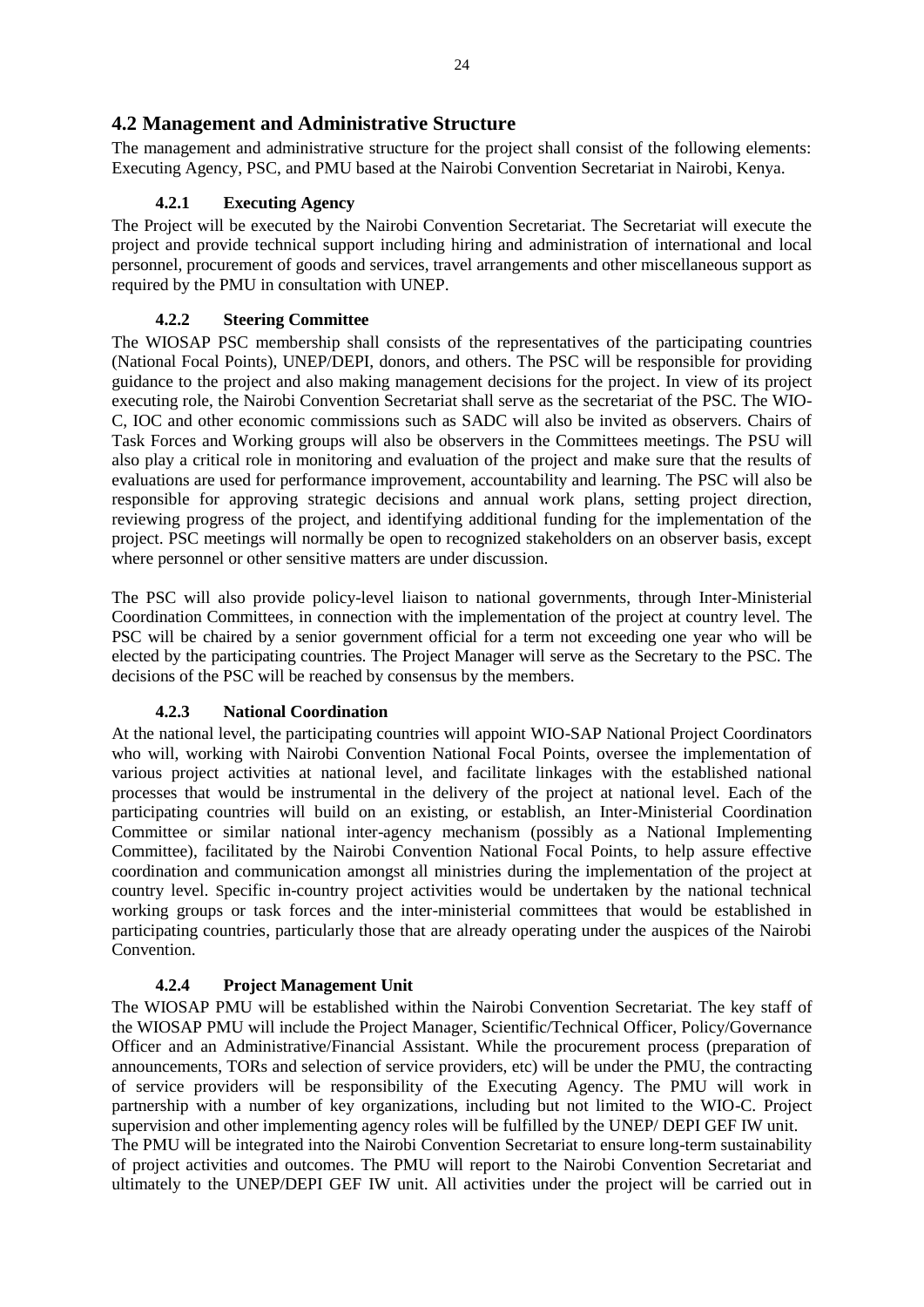#### <span id="page-24-0"></span>**4.2 Management and Administrative Structure**

The management and administrative structure for the project shall consist of the following elements: Executing Agency, PSC, and PMU based at the Nairobi Convention Secretariat in Nairobi, Kenya.

#### **4.2.1 Executing Agency**

<span id="page-24-1"></span>The Project will be executed by the Nairobi Convention Secretariat. The Secretariat will execute the project and provide technical support including hiring and administration of international and local personnel, procurement of goods and services, travel arrangements and other miscellaneous support as required by the PMU in consultation with UNEP.

#### **4.2.2 Steering Committee**

<span id="page-24-2"></span>The WIOSAP PSC membership shall consists of the representatives of the participating countries (National Focal Points), UNEP/DEPI, donors, and others. The PSC will be responsible for providing guidance to the project and also making management decisions for the project. In view of its project executing role, the Nairobi Convention Secretariat shall serve as the secretariat of the PSC. The WIO-C, IOC and other economic commissions such as SADC will also be invited as observers. Chairs of Task Forces and Working groups will also be observers in the Committees meetings. The PSU will also play a critical role in monitoring and evaluation of the project and make sure that the results of evaluations are used for performance improvement, accountability and learning. The PSC will also be responsible for approving strategic decisions and annual work plans, setting project direction, reviewing progress of the project, and identifying additional funding for the implementation of the project. PSC meetings will normally be open to recognized stakeholders on an observer basis, except where personnel or other sensitive matters are under discussion.

The PSC will also provide policy-level liaison to national governments, through Inter-Ministerial Coordination Committees, in connection with the implementation of the project at country level. The PSC will be chaired by a senior government official for a term not exceeding one year who will be elected by the participating countries. The Project Manager will serve as the Secretary to the PSC. The decisions of the PSC will be reached by consensus by the members.

#### **4.2.3 National Coordination**

<span id="page-24-3"></span>At the national level, the participating countries will appoint WIO-SAP National Project Coordinators who will, working with Nairobi Convention National Focal Points, oversee the implementation of various project activities at national level, and facilitate linkages with the established national processes that would be instrumental in the delivery of the project at national level. Each of the participating countries will build on an existing, or establish, an Inter-Ministerial Coordination Committee or similar national inter-agency mechanism (possibly as a National Implementing Committee), facilitated by the Nairobi Convention National Focal Points, to help assure effective coordination and communication amongst all ministries during the implementation of the project at country level. Specific in-country project activities would be undertaken by the national technical working groups or task forces and the inter-ministerial committees that would be established in participating countries, particularly those that are already operating under the auspices of the Nairobi Convention.

#### **4.2.4 Project Management Unit**

<span id="page-24-4"></span>The WIOSAP PMU will be established within the Nairobi Convention Secretariat. The key staff of the WIOSAP PMU will include the Project Manager, Scientific/Technical Officer, Policy/Governance Officer and an Administrative/Financial Assistant. While the procurement process (preparation of announcements, TORs and selection of service providers, etc) will be under the PMU, the contracting of service providers will be responsibility of the Executing Agency. The PMU will work in partnership with a number of key organizations, including but not limited to the WIO-C. Project supervision and other implementing agency roles will be fulfilled by the UNEP/ DEPI GEF IW unit. The PMU will be integrated into the Nairobi Convention Secretariat to ensure long-term sustainability of project activities and outcomes. The PMU will report to the Nairobi Convention Secretariat and ultimately to the UNEP/DEPI GEF IW unit. All activities under the project will be carried out in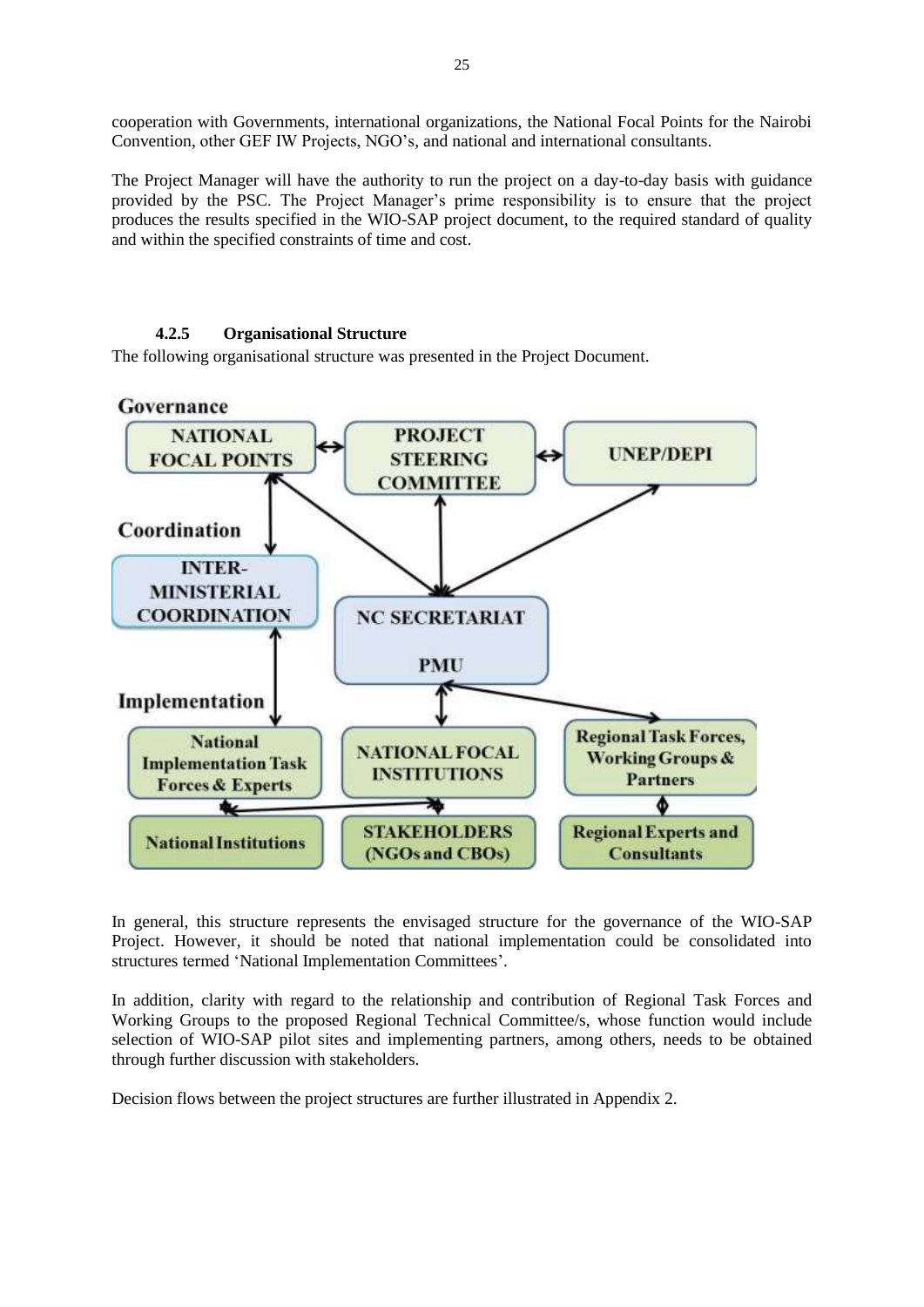cooperation with Governments, international organizations, the National Focal Points for the Nairobi Convention, other GEF IW Projects, NGO's, and national and international consultants.

The Project Manager will have the authority to run the project on a day-to-day basis with guidance provided by the PSC. The Project Manager's prime responsibility is to ensure that the project produces the results specified in the WIO-SAP project document, to the required standard of quality and within the specified constraints of time and cost.

#### **4.2.5 Organisational Structure**

<span id="page-25-0"></span>The following organisational structure was presented in the Project Document.



In general, this structure represents the envisaged structure for the governance of the WIO-SAP Project. However, it should be noted that national implementation could be consolidated into structures termed 'National Implementation Committees'.

In addition, clarity with regard to the relationship and contribution of Regional Task Forces and Working Groups to the proposed Regional Technical Committee/s, whose function would include selection of WIO-SAP pilot sites and implementing partners, among others, needs to be obtained through further discussion with stakeholders.

Decision flows between the project structures are further illustrated in Appendix 2.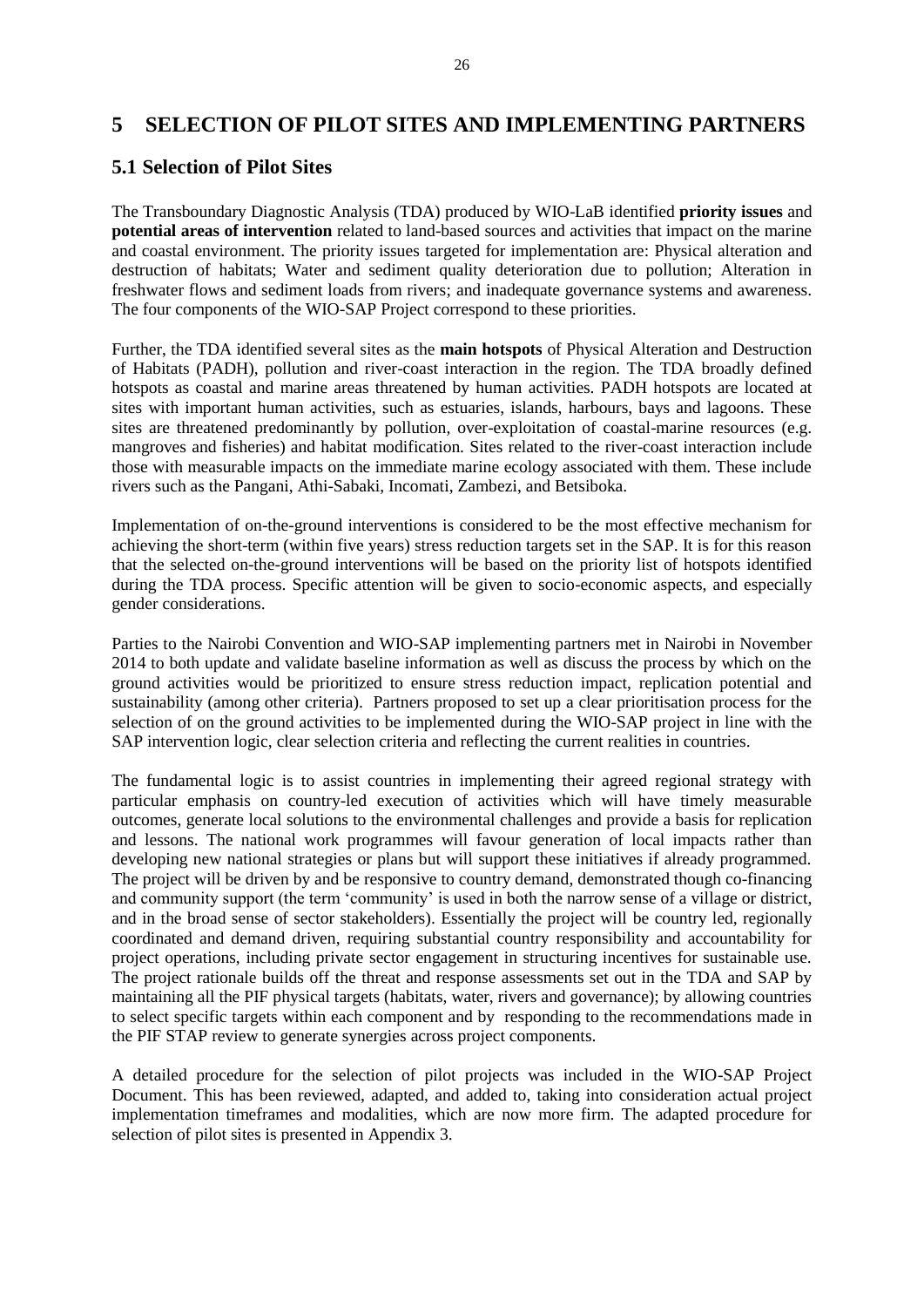#### <span id="page-26-0"></span>**5 SELECTION OF PILOT SITES AND IMPLEMENTING PARTNERS**

#### <span id="page-26-1"></span>**5.1 Selection of Pilot Sites**

The Transboundary Diagnostic Analysis (TDA) produced by WIO-LaB identified **priority issues** and **potential areas of intervention** related to land-based sources and activities that impact on the marine and coastal environment. The priority issues targeted for implementation are: Physical alteration and destruction of habitats; Water and sediment quality deterioration due to pollution; Alteration in freshwater flows and sediment loads from rivers; and inadequate governance systems and awareness. The four components of the WIO-SAP Project correspond to these priorities.

Further, the TDA identified several sites as the **main hotspots** of Physical Alteration and Destruction of Habitats (PADH), pollution and river-coast interaction in the region. The TDA broadly defined hotspots as coastal and marine areas threatened by human activities. PADH hotspots are located at sites with important human activities, such as estuaries, islands, harbours, bays and lagoons. These sites are threatened predominantly by pollution, over-exploitation of coastal-marine resources (e.g. mangroves and fisheries) and habitat modification. Sites related to the river-coast interaction include those with measurable impacts on the immediate marine ecology associated with them. These include rivers such as the Pangani, Athi-Sabaki, Incomati, Zambezi, and Betsiboka.

Implementation of on-the-ground interventions is considered to be the most effective mechanism for achieving the short-term (within five years) stress reduction targets set in the SAP. It is for this reason that the selected on-the-ground interventions will be based on the priority list of hotspots identified during the TDA process. Specific attention will be given to socio-economic aspects, and especially gender considerations.

Parties to the Nairobi Convention and WIO-SAP implementing partners met in Nairobi in November 2014 to both update and validate baseline information as well as discuss the process by which on the ground activities would be prioritized to ensure stress reduction impact, replication potential and sustainability (among other criteria). Partners proposed to set up a clear prioritisation process for the selection of on the ground activities to be implemented during the WIO-SAP project in line with the SAP intervention logic, clear selection criteria and reflecting the current realities in countries.

The fundamental logic is to assist countries in implementing their agreed regional strategy with particular emphasis on country-led execution of activities which will have timely measurable outcomes, generate local solutions to the environmental challenges and provide a basis for replication and lessons. The national work programmes will favour generation of local impacts rather than developing new national strategies or plans but will support these initiatives if already programmed. The project will be driven by and be responsive to country demand, demonstrated though co-financing and community support (the term 'community' is used in both the narrow sense of a village or district, and in the broad sense of sector stakeholders). Essentially the project will be country led, regionally coordinated and demand driven, requiring substantial country responsibility and accountability for project operations, including private sector engagement in structuring incentives for sustainable use. The project rationale builds off the threat and response assessments set out in the TDA and SAP by maintaining all the PIF physical targets (habitats, water, rivers and governance); by allowing countries to select specific targets within each component and by responding to the recommendations made in the PIF STAP review to generate synergies across project components.

A detailed procedure for the selection of pilot projects was included in the WIO-SAP Project Document. This has been reviewed, adapted, and added to, taking into consideration actual project implementation timeframes and modalities, which are now more firm. The adapted procedure for selection of pilot sites is presented in Appendix 3.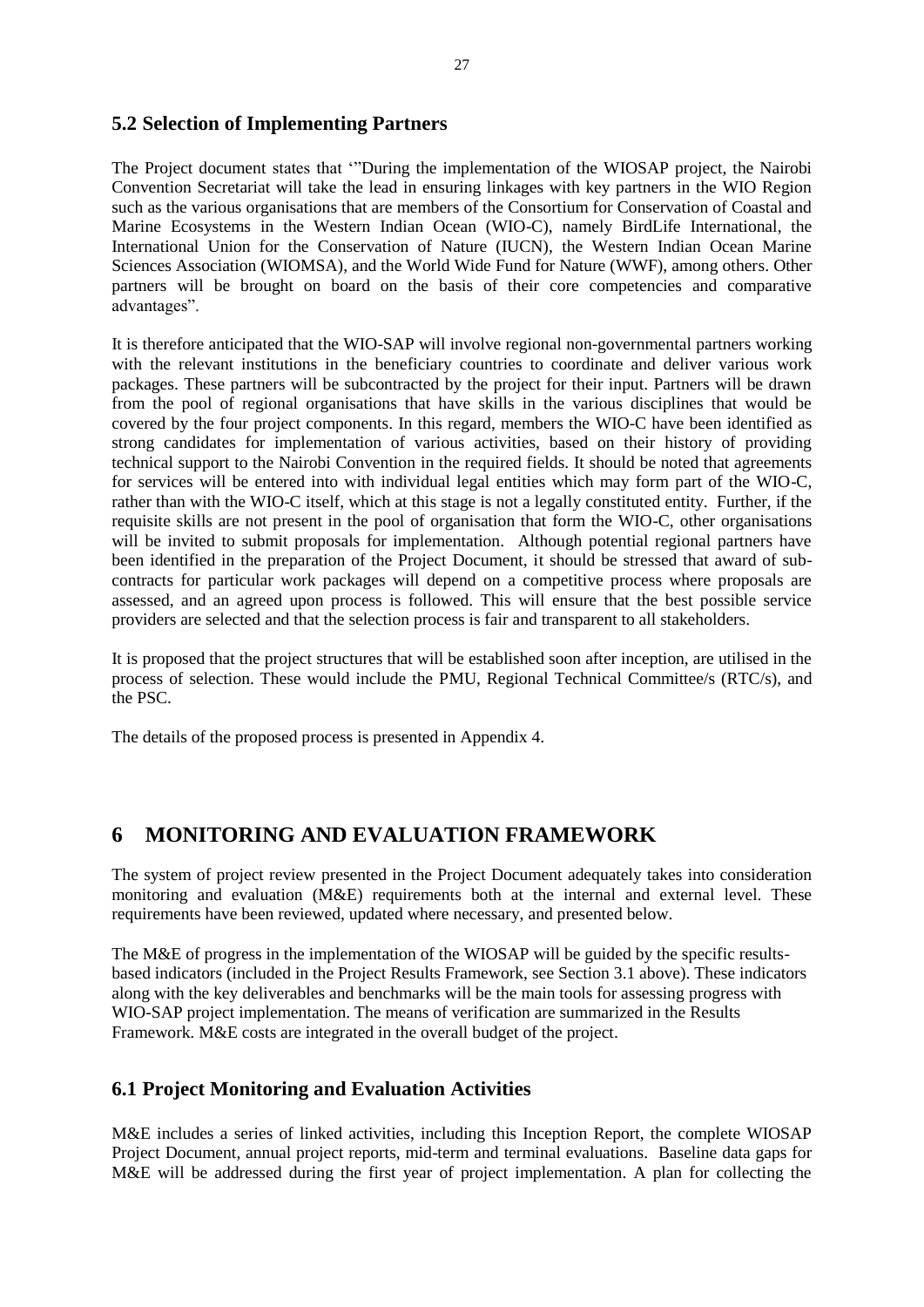#### <span id="page-27-0"></span>**5.2 Selection of Implementing Partners**

The Project document states that '"During the implementation of the WIOSAP project, the Nairobi Convention Secretariat will take the lead in ensuring linkages with key partners in the WIO Region such as the various organisations that are members of the Consortium for Conservation of Coastal and Marine Ecosystems in the Western Indian Ocean (WIO-C), namely BirdLife International, the International Union for the Conservation of Nature (IUCN), the Western Indian Ocean Marine Sciences Association (WIOMSA), and the World Wide Fund for Nature (WWF), among others. Other partners will be brought on board on the basis of their core competencies and comparative advantages".

It is therefore anticipated that the WIO-SAP will involve regional non-governmental partners working with the relevant institutions in the beneficiary countries to coordinate and deliver various work packages. These partners will be subcontracted by the project for their input. Partners will be drawn from the pool of regional organisations that have skills in the various disciplines that would be covered by the four project components. In this regard, members the WIO-C have been identified as strong candidates for implementation of various activities, based on their history of providing technical support to the Nairobi Convention in the required fields. It should be noted that agreements for services will be entered into with individual legal entities which may form part of the WIO-C, rather than with the WIO-C itself, which at this stage is not a legally constituted entity. Further, if the requisite skills are not present in the pool of organisation that form the WIO-C, other organisations will be invited to submit proposals for implementation. Although potential regional partners have been identified in the preparation of the Project Document, it should be stressed that award of subcontracts for particular work packages will depend on a competitive process where proposals are assessed, and an agreed upon process is followed. This will ensure that the best possible service providers are selected and that the selection process is fair and transparent to all stakeholders.

It is proposed that the project structures that will be established soon after inception, are utilised in the process of selection. These would include the PMU, Regional Technical Committee/s (RTC/s), and the PSC.

<span id="page-27-1"></span>The details of the proposed process is presented in Appendix 4.

## **6 MONITORING AND EVALUATION FRAMEWORK**

The system of project review presented in the Project Document adequately takes into consideration monitoring and evaluation (M&E) requirements both at the internal and external level. These requirements have been reviewed, updated where necessary, and presented below.

The M&E of progress in the implementation of the WIOSAP will be guided by the specific resultsbased indicators (included in the Project Results Framework, see Section 3.1 above). These indicators along with the key deliverables and benchmarks will be the main tools for assessing progress with WIO-SAP project implementation. The means of verification are summarized in the Results Framework. M&E costs are integrated in the overall budget of the project.

#### <span id="page-27-2"></span>**6.1 Project Monitoring and Evaluation Activities**

M&E includes a series of linked activities, including this Inception Report, the complete WIOSAP Project Document, annual project reports, mid-term and terminal evaluations. Baseline data gaps for M&E will be addressed during the first year of project implementation. A plan for collecting the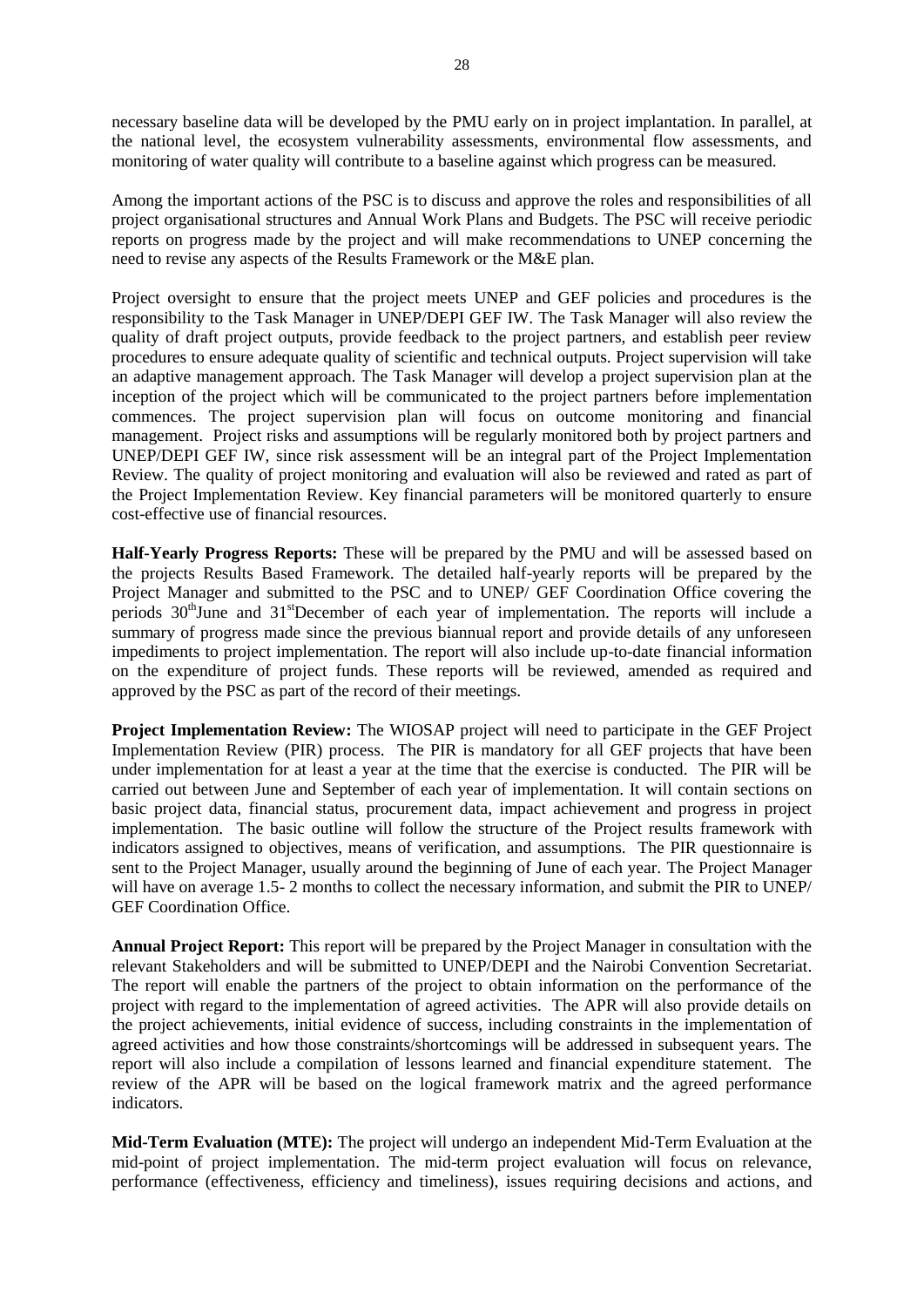necessary baseline data will be developed by the PMU early on in project implantation. In parallel, at the national level, the ecosystem vulnerability assessments, environmental flow assessments, and monitoring of water quality will contribute to a baseline against which progress can be measured.

Among the important actions of the PSC is to discuss and approve the roles and responsibilities of all project organisational structures and Annual Work Plans and Budgets. The PSC will receive periodic reports on progress made by the project and will make recommendations to UNEP concerning the need to revise any aspects of the Results Framework or the M&E plan.

Project oversight to ensure that the project meets UNEP and GEF policies and procedures is the responsibility to the Task Manager in UNEP/DEPI GEF IW. The Task Manager will also review the quality of draft project outputs, provide feedback to the project partners, and establish peer review procedures to ensure adequate quality of scientific and technical outputs. Project supervision will take an adaptive management approach. The Task Manager will develop a project supervision plan at the inception of the project which will be communicated to the project partners before implementation commences. The project supervision plan will focus on outcome monitoring and financial management. Project risks and assumptions will be regularly monitored both by project partners and UNEP/DEPI GEF IW, since risk assessment will be an integral part of the Project Implementation Review. The quality of project monitoring and evaluation will also be reviewed and rated as part of the Project Implementation Review. Key financial parameters will be monitored quarterly to ensure cost-effective use of financial resources.

**Half-Yearly Progress Reports:** These will be prepared by the PMU and will be assessed based on the projects Results Based Framework. The detailed half-yearly reports will be prepared by the Project Manager and submitted to the PSC and to UNEP/ GEF Coordination Office covering the periods 30<sup>th</sup>June and 31<sup>st</sup>December of each year of implementation. The reports will include a summary of progress made since the previous biannual report and provide details of any unforeseen impediments to project implementation. The report will also include up-to-date financial information on the expenditure of project funds. These reports will be reviewed, amended as required and approved by the PSC as part of the record of their meetings.

**Project Implementation Review:** The WIOSAP project will need to participate in the GEF Project Implementation Review (PIR) process. The PIR is mandatory for all GEF projects that have been under implementation for at least a year at the time that the exercise is conducted. The PIR will be carried out between June and September of each year of implementation. It will contain sections on basic project data, financial status, procurement data, impact achievement and progress in project implementation. The basic outline will follow the structure of the Project results framework with indicators assigned to objectives, means of verification, and assumptions. The PIR questionnaire is sent to the Project Manager, usually around the beginning of June of each year. The Project Manager will have on average 1.5- 2 months to collect the necessary information, and submit the PIR to UNEP/ GEF Coordination Office.

**Annual Project Report:** This report will be prepared by the Project Manager in consultation with the relevant Stakeholders and will be submitted to UNEP/DEPI and the Nairobi Convention Secretariat. The report will enable the partners of the project to obtain information on the performance of the project with regard to the implementation of agreed activities. The APR will also provide details on the project achievements, initial evidence of success, including constraints in the implementation of agreed activities and how those constraints/shortcomings will be addressed in subsequent years. The report will also include a compilation of lessons learned and financial expenditure statement. The review of the APR will be based on the logical framework matrix and the agreed performance indicators.

**Mid-Term Evaluation (MTE):** The project will undergo an independent Mid-Term Evaluation at the mid-point of project implementation. The mid-term project evaluation will focus on relevance, performance (effectiveness, efficiency and timeliness), issues requiring decisions and actions, and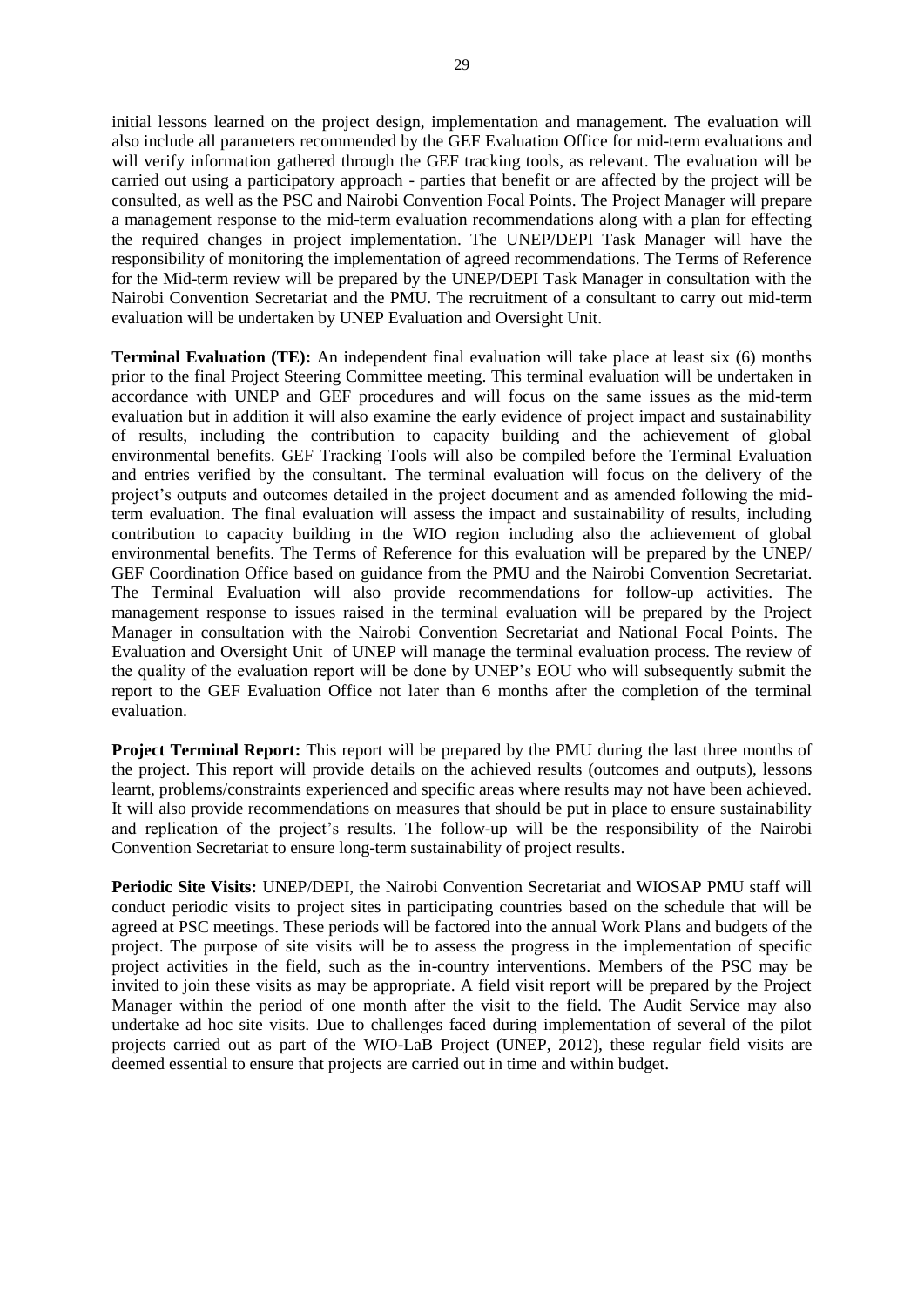initial lessons learned on the project design, implementation and management. The evaluation will also include all parameters recommended by the GEF Evaluation Office for mid-term evaluations and will verify information gathered through the GEF tracking tools, as relevant. The evaluation will be carried out using a participatory approach - parties that benefit or are affected by the project will be consulted, as well as the PSC and Nairobi Convention Focal Points. The Project Manager will prepare a management response to the mid-term evaluation recommendations along with a plan for effecting the required changes in project implementation. The UNEP/DEPI Task Manager will have the responsibility of monitoring the implementation of agreed recommendations. The Terms of Reference for the Mid-term review will be prepared by the UNEP/DEPI Task Manager in consultation with the Nairobi Convention Secretariat and the PMU. The recruitment of a consultant to carry out mid-term evaluation will be undertaken by UNEP Evaluation and Oversight Unit.

**Terminal Evaluation (TE):** An independent final evaluation will take place at least six (6) months prior to the final Project Steering Committee meeting. This terminal evaluation will be undertaken in accordance with UNEP and GEF procedures and will focus on the same issues as the mid-term evaluation but in addition it will also examine the early evidence of project impact and sustainability of results, including the contribution to capacity building and the achievement of global environmental benefits. GEF Tracking Tools will also be compiled before the Terminal Evaluation and entries verified by the consultant. The terminal evaluation will focus on the delivery of the project's outputs and outcomes detailed in the project document and as amended following the midterm evaluation. The final evaluation will assess the impact and sustainability of results, including contribution to capacity building in the WIO region including also the achievement of global environmental benefits. The Terms of Reference for this evaluation will be prepared by the UNEP/ GEF Coordination Office based on guidance from the PMU and the Nairobi Convention Secretariat. The Terminal Evaluation will also provide recommendations for follow-up activities. The management response to issues raised in the terminal evaluation will be prepared by the Project Manager in consultation with the Nairobi Convention Secretariat and National Focal Points. The Evaluation and Oversight Unit of UNEP will manage the terminal evaluation process. The review of the quality of the evaluation report will be done by UNEP's EOU who will subsequently submit the report to the GEF Evaluation Office not later than 6 months after the completion of the terminal evaluation.

**Project Terminal Report:** This report will be prepared by the PMU during the last three months of the project. This report will provide details on the achieved results (outcomes and outputs), lessons learnt, problems/constraints experienced and specific areas where results may not have been achieved. It will also provide recommendations on measures that should be put in place to ensure sustainability and replication of the project's results. The follow-up will be the responsibility of the Nairobi Convention Secretariat to ensure long-term sustainability of project results.

**Periodic Site Visits:** UNEP/DEPI, the Nairobi Convention Secretariat and WIOSAP PMU staff will conduct periodic visits to project sites in participating countries based on the schedule that will be agreed at PSC meetings. These periods will be factored into the annual Work Plans and budgets of the project. The purpose of site visits will be to assess the progress in the implementation of specific project activities in the field, such as the in-country interventions. Members of the PSC may be invited to join these visits as may be appropriate. A field visit report will be prepared by the Project Manager within the period of one month after the visit to the field. The Audit Service may also undertake ad hoc site visits. Due to challenges faced during implementation of several of the pilot projects carried out as part of the WIO-LaB Project (UNEP, 2012), these regular field visits are deemed essential to ensure that projects are carried out in time and within budget.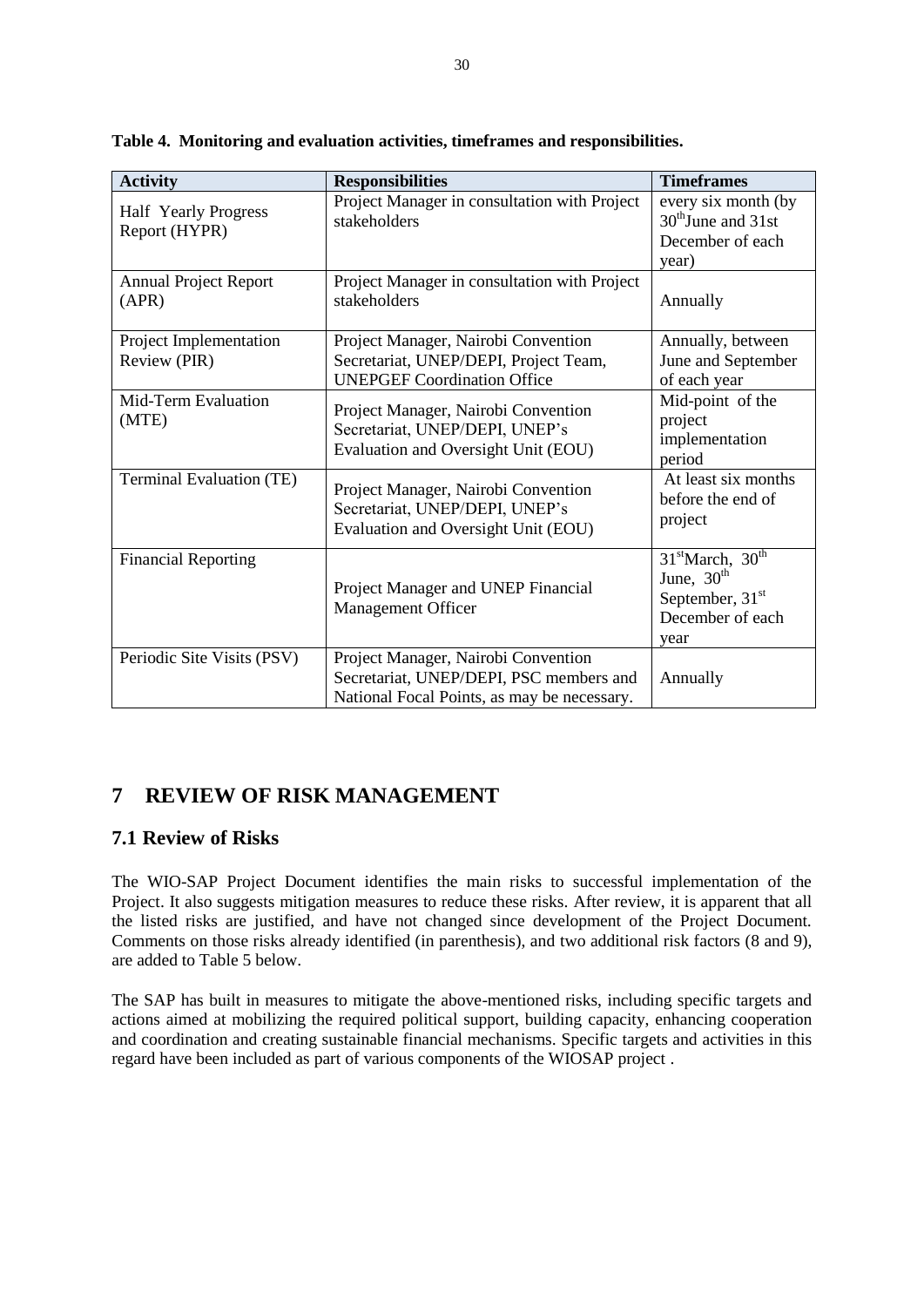| <b>Activity</b>                              | <b>Responsibilities</b>                                                                                                       | <b>Timeframes</b>                                                                                         |
|----------------------------------------------|-------------------------------------------------------------------------------------------------------------------------------|-----------------------------------------------------------------------------------------------------------|
| <b>Half</b> Yearly Progress<br>Report (HYPR) | Project Manager in consultation with Project<br>stakeholders                                                                  | every six month (by<br>$30th$ June and $31st$<br>December of each<br>year)                                |
| <b>Annual Project Report</b><br>(APR)        | Project Manager in consultation with Project<br>stakeholders                                                                  | Annually                                                                                                  |
| Project Implementation<br>Review (PIR)       | Project Manager, Nairobi Convention<br>Secretariat, UNEP/DEPI, Project Team,<br><b>UNEPGEF Coordination Office</b>            | Annually, between<br>June and September<br>of each year                                                   |
| Mid-Term Evaluation<br>(MTE)                 | Project Manager, Nairobi Convention<br>Secretariat, UNEP/DEPI, UNEP's<br>Evaluation and Oversight Unit (EOU)                  | Mid-point of the<br>project<br>implementation<br>period                                                   |
| <b>Terminal Evaluation (TE)</b>              | Project Manager, Nairobi Convention<br>Secretariat, UNEP/DEPI, UNEP's<br>Evaluation and Oversight Unit (EOU)                  | At least six months<br>before the end of<br>project                                                       |
| <b>Financial Reporting</b>                   | Project Manager and UNEP Financial<br>Management Officer                                                                      | $31^{\text{st}}$ March, $30^{\text{th}}$<br>June, $30th$<br>September, $31st$<br>December of each<br>year |
| Periodic Site Visits (PSV)                   | Project Manager, Nairobi Convention<br>Secretariat, UNEP/DEPI, PSC members and<br>National Focal Points, as may be necessary. | Annually                                                                                                  |

**Table 4. Monitoring and evaluation activities, timeframes and responsibilities.**

## <span id="page-30-0"></span>**7 REVIEW OF RISK MANAGEMENT**

#### <span id="page-30-1"></span>**7.1 Review of Risks**

The WIO-SAP Project Document identifies the main risks to successful implementation of the Project. It also suggests mitigation measures to reduce these risks. After review, it is apparent that all the listed risks are justified, and have not changed since development of the Project Document. Comments on those risks already identified (in parenthesis), and two additional risk factors (8 and 9), are added to Table 5 below.

The SAP has built in measures to mitigate the above-mentioned risks, including specific targets and actions aimed at mobilizing the required political support, building capacity, enhancing cooperation and coordination and creating sustainable financial mechanisms. Specific targets and activities in this regard have been included as part of various components of the WIOSAP project .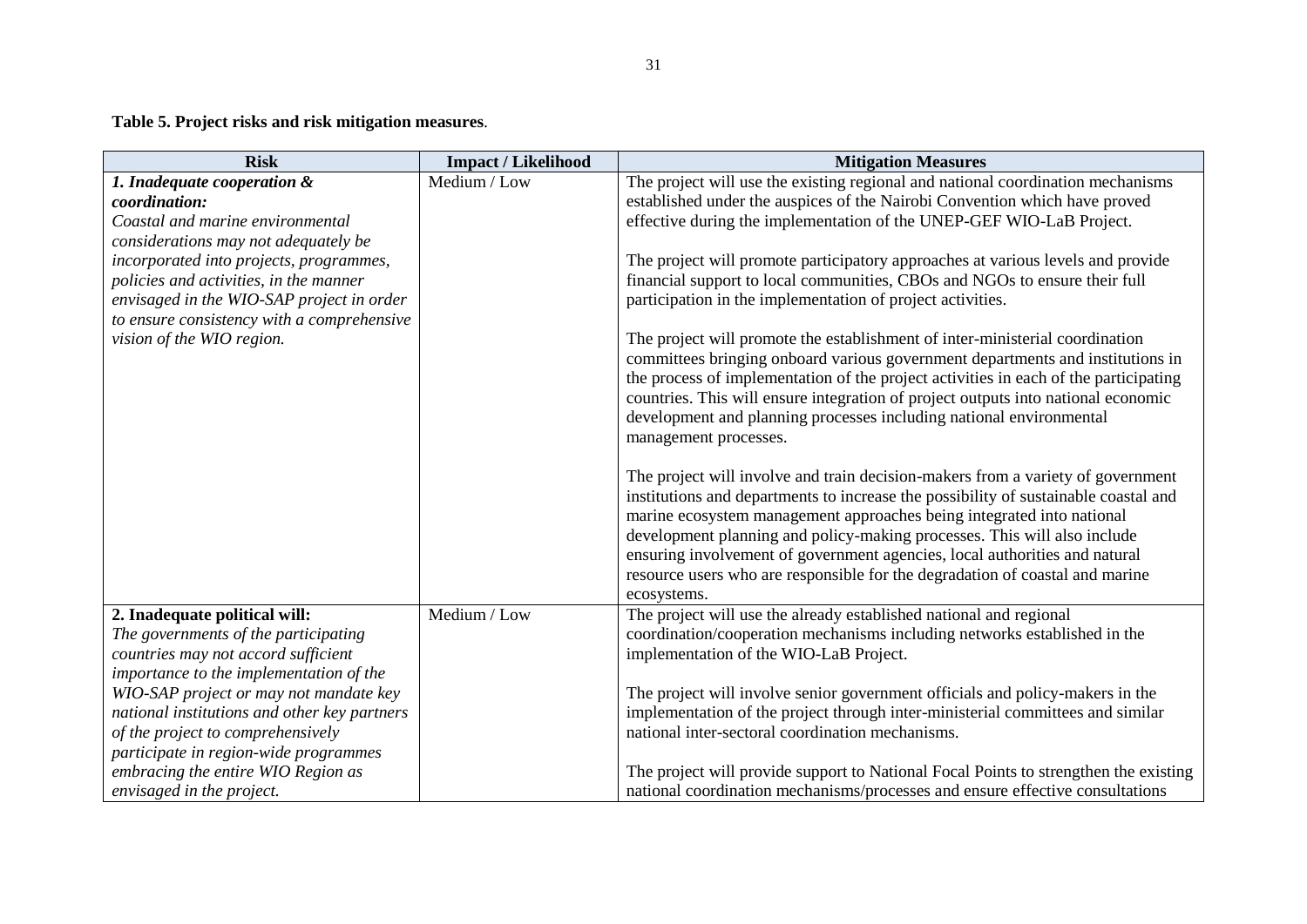**Table 5. Project risks and risk mitigation measures**.

| <b>Risk</b>                                  | <b>Impact / Likelihood</b> | <b>Mitigation Measures</b>                                                           |
|----------------------------------------------|----------------------------|--------------------------------------------------------------------------------------|
| 1. Inadequate cooperation &                  | Medium / Low               | The project will use the existing regional and national coordination mechanisms      |
| coordination:                                |                            | established under the auspices of the Nairobi Convention which have proved           |
| Coastal and marine environmental             |                            | effective during the implementation of the UNEP-GEF WIO-LaB Project.                 |
| considerations may not adequately be         |                            |                                                                                      |
| incorporated into projects, programmes,      |                            | The project will promote participatory approaches at various levels and provide      |
| policies and activities, in the manner       |                            | financial support to local communities, CBOs and NGOs to ensure their full           |
| envisaged in the WIO-SAP project in order    |                            | participation in the implementation of project activities.                           |
| to ensure consistency with a comprehensive   |                            |                                                                                      |
| vision of the WIO region.                    |                            | The project will promote the establishment of inter-ministerial coordination         |
|                                              |                            | committees bringing onboard various government departments and institutions in       |
|                                              |                            | the process of implementation of the project activities in each of the participating |
|                                              |                            | countries. This will ensure integration of project outputs into national economic    |
|                                              |                            | development and planning processes including national environmental                  |
|                                              |                            | management processes.                                                                |
|                                              |                            | The project will involve and train decision-makers from a variety of government      |
|                                              |                            | institutions and departments to increase the possibility of sustainable coastal and  |
|                                              |                            | marine ecosystem management approaches being integrated into national                |
|                                              |                            | development planning and policy-making processes. This will also include             |
|                                              |                            | ensuring involvement of government agencies, local authorities and natural           |
|                                              |                            | resource users who are responsible for the degradation of coastal and marine         |
|                                              |                            | ecosystems.                                                                          |
| 2. Inadequate political will:                | Medium / Low               | The project will use the already established national and regional                   |
| The governments of the participating         |                            | coordination/cooperation mechanisms including networks established in the            |
| countries may not accord sufficient          |                            | implementation of the WIO-LaB Project.                                               |
| importance to the implementation of the      |                            |                                                                                      |
| WIO-SAP project or may not mandate key       |                            | The project will involve senior government officials and policy-makers in the        |
| national institutions and other key partners |                            | implementation of the project through inter-ministerial committees and similar       |
| of the project to comprehensively            |                            | national inter-sectoral coordination mechanisms.                                     |
| participate in region-wide programmes        |                            |                                                                                      |
| embracing the entire WIO Region as           |                            | The project will provide support to National Focal Points to strengthen the existing |
| envisaged in the project.                    |                            | national coordination mechanisms/processes and ensure effective consultations        |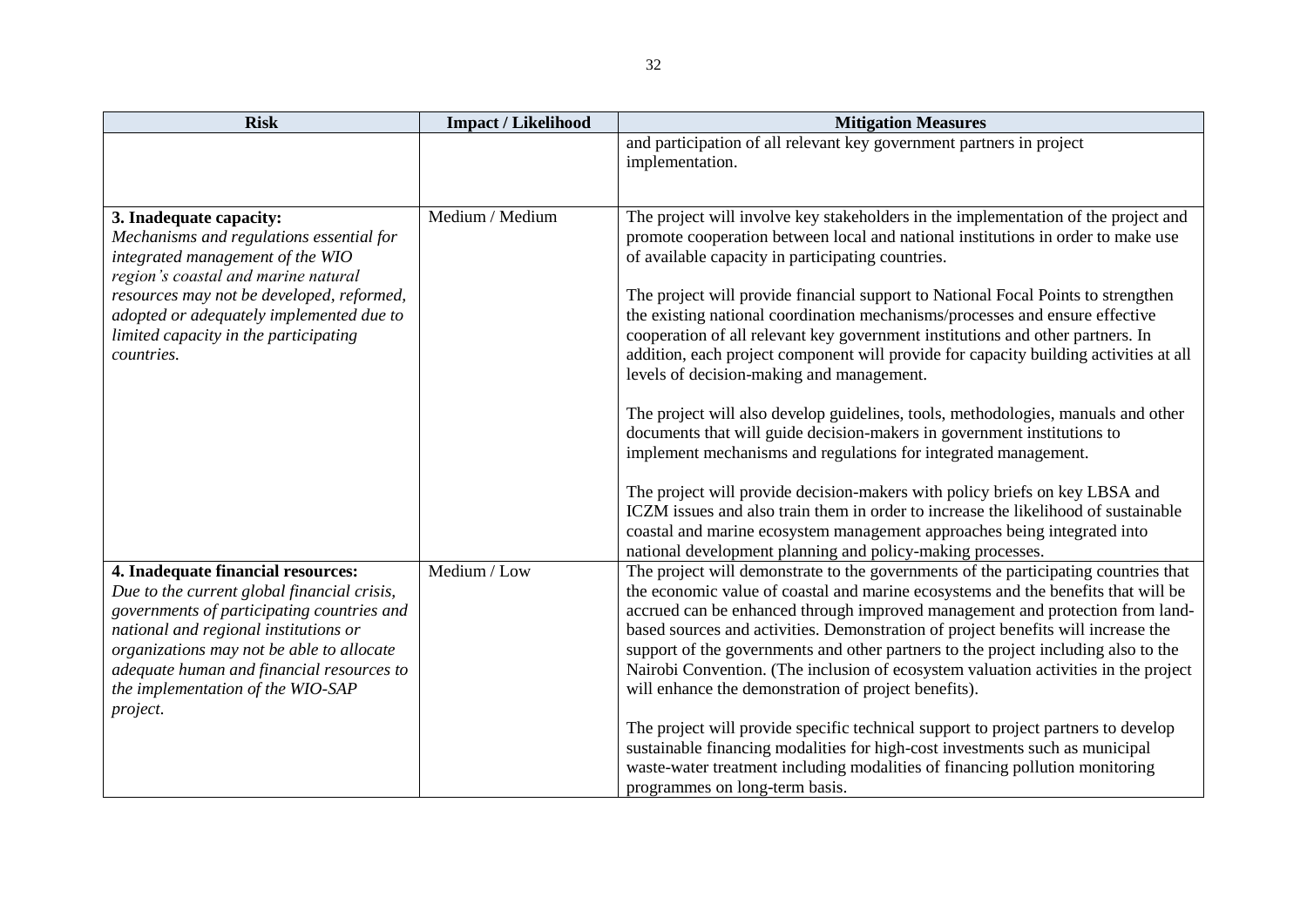| <b>Risk</b>                                                                                                                                                                                                                                                                                                         | <b>Impact / Likelihood</b> | <b>Mitigation Measures</b>                                                                                                                                                                                                                                                                                                                                                                                                                                                                                                                                                                                                                                                                                                                                                                                                                                                                                                                                                                                                                                                                                                                                                 |
|---------------------------------------------------------------------------------------------------------------------------------------------------------------------------------------------------------------------------------------------------------------------------------------------------------------------|----------------------------|----------------------------------------------------------------------------------------------------------------------------------------------------------------------------------------------------------------------------------------------------------------------------------------------------------------------------------------------------------------------------------------------------------------------------------------------------------------------------------------------------------------------------------------------------------------------------------------------------------------------------------------------------------------------------------------------------------------------------------------------------------------------------------------------------------------------------------------------------------------------------------------------------------------------------------------------------------------------------------------------------------------------------------------------------------------------------------------------------------------------------------------------------------------------------|
|                                                                                                                                                                                                                                                                                                                     |                            | and participation of all relevant key government partners in project<br>implementation.                                                                                                                                                                                                                                                                                                                                                                                                                                                                                                                                                                                                                                                                                                                                                                                                                                                                                                                                                                                                                                                                                    |
| 3. Inadequate capacity:<br>Mechanisms and regulations essential for<br>integrated management of the WIO<br>region's coastal and marine natural<br>resources may not be developed, reformed,<br>adopted or adequately implemented due to<br>limited capacity in the participating<br>countries.                      | Medium / Medium            | The project will involve key stakeholders in the implementation of the project and<br>promote cooperation between local and national institutions in order to make use<br>of available capacity in participating countries.<br>The project will provide financial support to National Focal Points to strengthen<br>the existing national coordination mechanisms/processes and ensure effective<br>cooperation of all relevant key government institutions and other partners. In<br>addition, each project component will provide for capacity building activities at all<br>levels of decision-making and management.<br>The project will also develop guidelines, tools, methodologies, manuals and other<br>documents that will guide decision-makers in government institutions to<br>implement mechanisms and regulations for integrated management.<br>The project will provide decision-makers with policy briefs on key LBSA and<br>ICZM issues and also train them in order to increase the likelihood of sustainable<br>coastal and marine ecosystem management approaches being integrated into<br>national development planning and policy-making processes. |
| 4. Inadequate financial resources:<br>Due to the current global financial crisis,<br>governments of participating countries and<br>national and regional institutions or<br>organizations may not be able to allocate<br>adequate human and financial resources to<br>the implementation of the WIO-SAP<br>project. | Medium / Low               | The project will demonstrate to the governments of the participating countries that<br>the economic value of coastal and marine ecosystems and the benefits that will be<br>accrued can be enhanced through improved management and protection from land-<br>based sources and activities. Demonstration of project benefits will increase the<br>support of the governments and other partners to the project including also to the<br>Nairobi Convention. (The inclusion of ecosystem valuation activities in the project<br>will enhance the demonstration of project benefits).<br>The project will provide specific technical support to project partners to develop<br>sustainable financing modalities for high-cost investments such as municipal<br>waste-water treatment including modalities of financing pollution monitoring<br>programmes on long-term basis.                                                                                                                                                                                                                                                                                                |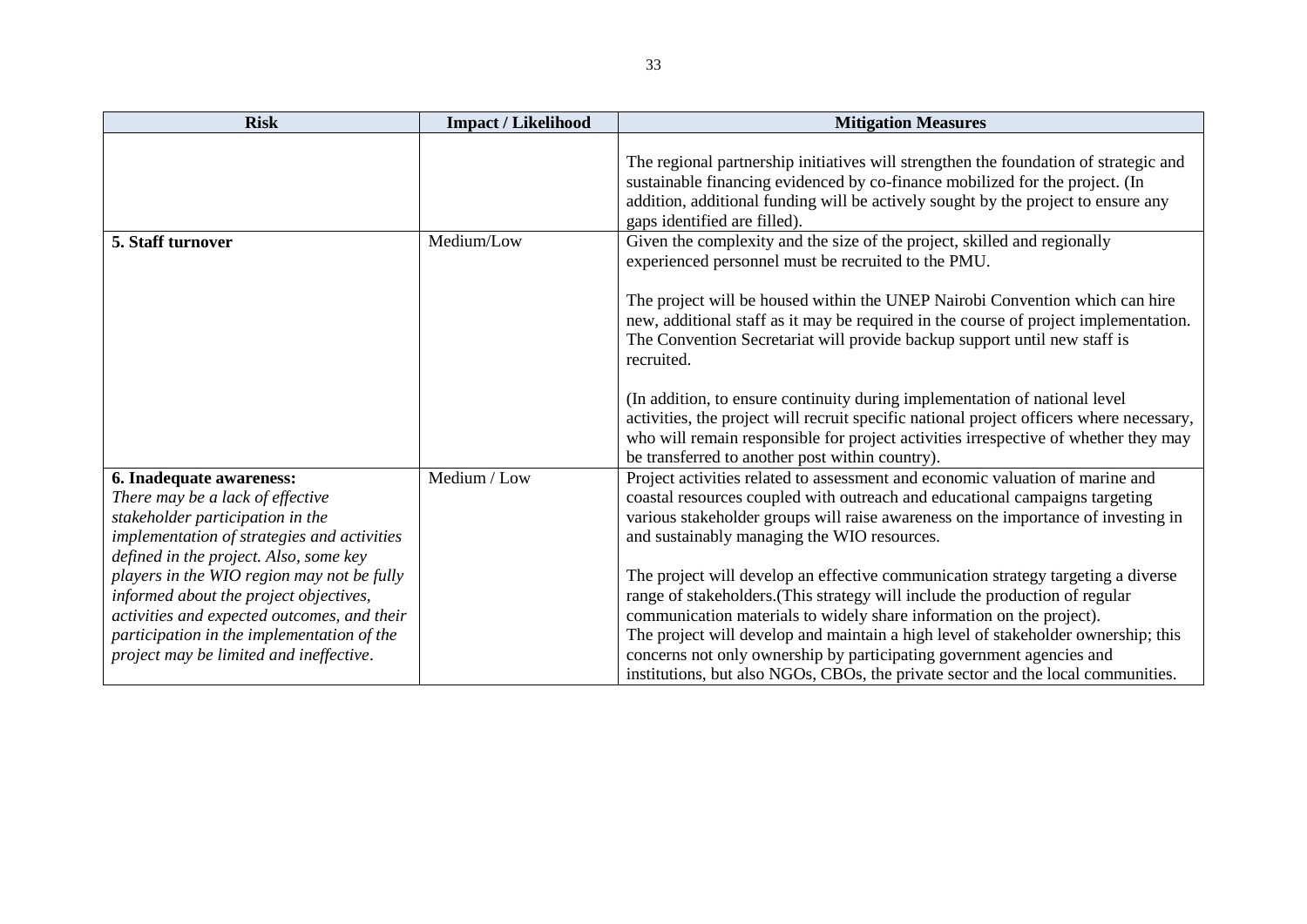| <b>Risk</b>                                                                                                                                                                                                                                                                       | <b>Impact / Likelihood</b> | <b>Mitigation Measures</b>                                                                                                                                                                                                                                                                                                                                                                                                                                           |
|-----------------------------------------------------------------------------------------------------------------------------------------------------------------------------------------------------------------------------------------------------------------------------------|----------------------------|----------------------------------------------------------------------------------------------------------------------------------------------------------------------------------------------------------------------------------------------------------------------------------------------------------------------------------------------------------------------------------------------------------------------------------------------------------------------|
|                                                                                                                                                                                                                                                                                   |                            | The regional partnership initiatives will strengthen the foundation of strategic and<br>sustainable financing evidenced by co-finance mobilized for the project. (In<br>addition, additional funding will be actively sought by the project to ensure any<br>gaps identified are filled).                                                                                                                                                                            |
| 5. Staff turnover                                                                                                                                                                                                                                                                 | Medium/Low                 | Given the complexity and the size of the project, skilled and regionally<br>experienced personnel must be recruited to the PMU.<br>The project will be housed within the UNEP Nairobi Convention which can hire<br>new, additional staff as it may be required in the course of project implementation.<br>The Convention Secretariat will provide backup support until new staff is<br>recruited.                                                                   |
|                                                                                                                                                                                                                                                                                   |                            | (In addition, to ensure continuity during implementation of national level<br>activities, the project will recruit specific national project officers where necessary,<br>who will remain responsible for project activities irrespective of whether they may<br>be transferred to another post within country).                                                                                                                                                     |
| 6. Inadequate awareness:<br>There may be a lack of effective<br>stakeholder participation in the<br>implementation of strategies and activities<br>defined in the project. Also, some key<br>players in the WIO region may not be fully<br>informed about the project objectives, | Medium / Low               | Project activities related to assessment and economic valuation of marine and<br>coastal resources coupled with outreach and educational campaigns targeting<br>various stakeholder groups will raise awareness on the importance of investing in<br>and sustainably managing the WIO resources.<br>The project will develop an effective communication strategy targeting a diverse<br>range of stakeholders. (This strategy will include the production of regular |
| activities and expected outcomes, and their<br>participation in the implementation of the<br>project may be limited and ineffective.                                                                                                                                              |                            | communication materials to widely share information on the project).<br>The project will develop and maintain a high level of stakeholder ownership; this<br>concerns not only ownership by participating government agencies and<br>institutions, but also NGOs, CBOs, the private sector and the local communities.                                                                                                                                                |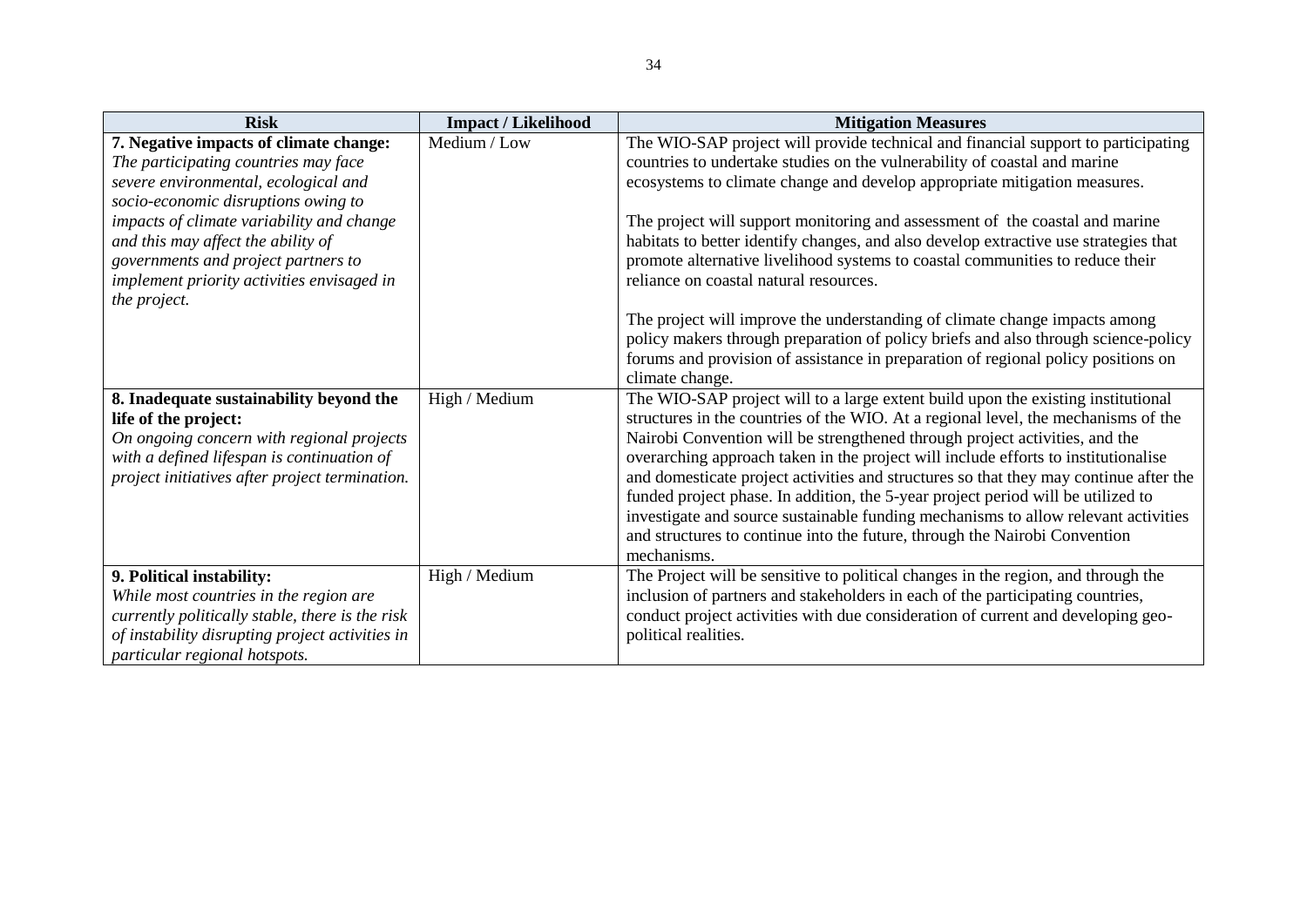| <b>Risk</b>                                                                                  | <b>Impact / Likelihood</b> | <b>Mitigation Measures</b>                                                                                                                                              |
|----------------------------------------------------------------------------------------------|----------------------------|-------------------------------------------------------------------------------------------------------------------------------------------------------------------------|
| 7. Negative impacts of climate change:<br>The participating countries may face               | Medium / Low               | The WIO-SAP project will provide technical and financial support to participating<br>countries to undertake studies on the vulnerability of coastal and marine          |
| severe environmental, ecological and<br>socio-economic disruptions owing to                  |                            | ecosystems to climate change and develop appropriate mitigation measures.                                                                                               |
| impacts of climate variability and change<br>and this may affect the ability of              |                            | The project will support monitoring and assessment of the coastal and marine<br>habitats to better identify changes, and also develop extractive use strategies that    |
| governments and project partners to<br>implement priority activities envisaged in            |                            | promote alternative livelihood systems to coastal communities to reduce their<br>reliance on coastal natural resources.                                                 |
| the project.                                                                                 |                            | The project will improve the understanding of climate change impacts among                                                                                              |
|                                                                                              |                            | policy makers through preparation of policy briefs and also through science-policy<br>forums and provision of assistance in preparation of regional policy positions on |
|                                                                                              | High / Medium              | climate change.<br>The WIO-SAP project will to a large extent build upon the existing institutional                                                                     |
| 8. Inadequate sustainability beyond the<br>life of the project:                              |                            | structures in the countries of the WIO. At a regional level, the mechanisms of the                                                                                      |
| On ongoing concern with regional projects                                                    |                            | Nairobi Convention will be strengthened through project activities, and the<br>overarching approach taken in the project will include efforts to institutionalise       |
| with a defined lifespan is continuation of<br>project initiatives after project termination. |                            | and domesticate project activities and structures so that they may continue after the                                                                                   |
|                                                                                              |                            | funded project phase. In addition, the 5-year project period will be utilized to<br>investigate and source sustainable funding mechanisms to allow relevant activities  |
|                                                                                              |                            | and structures to continue into the future, through the Nairobi Convention<br>mechanisms.                                                                               |
| 9. Political instability:                                                                    | High / Medium              | The Project will be sensitive to political changes in the region, and through the                                                                                       |
| While most countries in the region are<br>currently politically stable, there is the risk    |                            | inclusion of partners and stakeholders in each of the participating countries,<br>conduct project activities with due consideration of current and developing geo-      |
| of instability disrupting project activities in                                              |                            | political realities.                                                                                                                                                    |
| particular regional hotspots.                                                                |                            |                                                                                                                                                                         |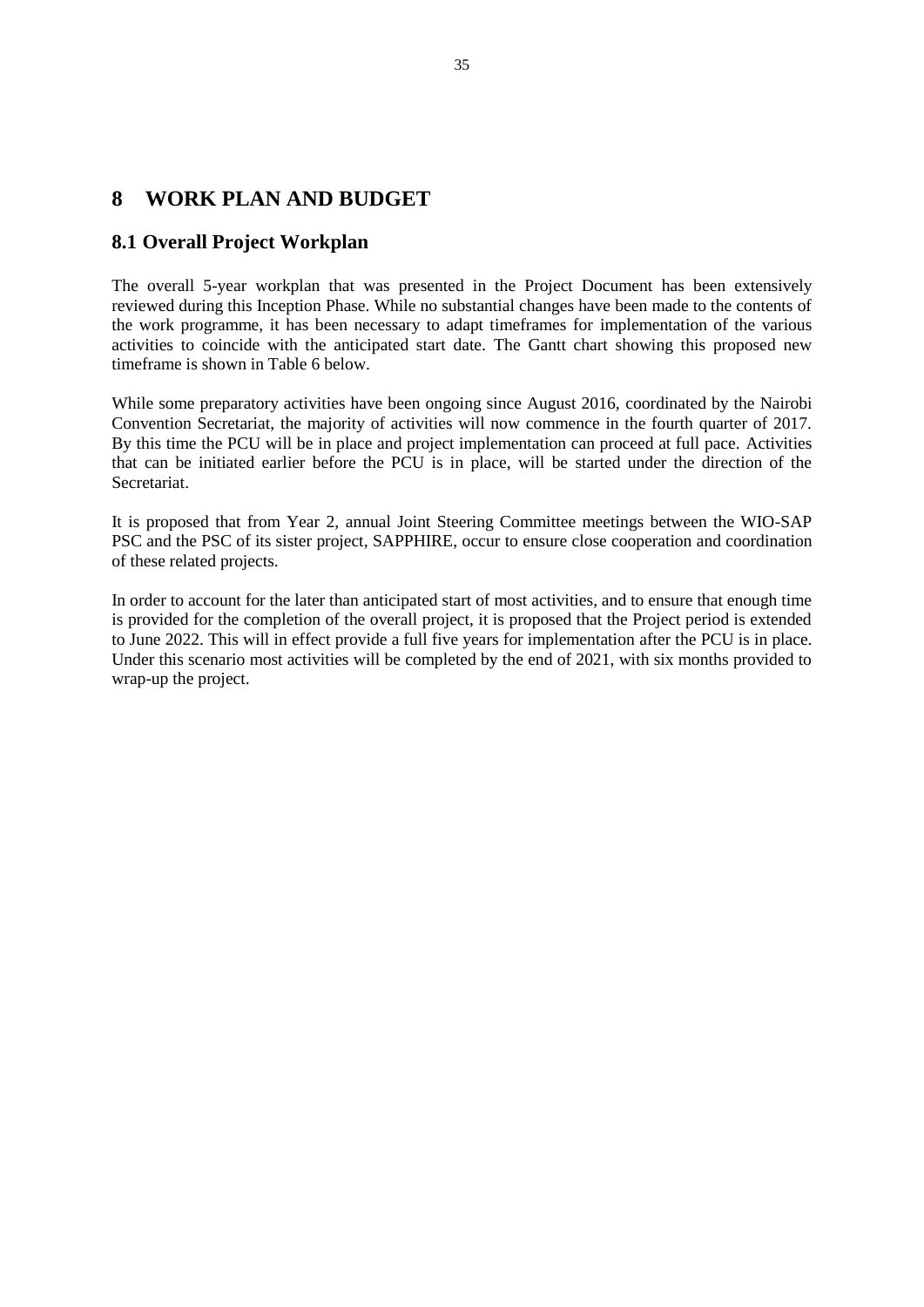#### <span id="page-35-0"></span>**8 WORK PLAN AND BUDGET**

#### <span id="page-35-1"></span>**8.1 Overall Project Workplan**

The overall 5-year workplan that was presented in the Project Document has been extensively reviewed during this Inception Phase. While no substantial changes have been made to the contents of the work programme, it has been necessary to adapt timeframes for implementation of the various activities to coincide with the anticipated start date. The Gantt chart showing this proposed new timeframe is shown in Table 6 below.

While some preparatory activities have been ongoing since August 2016, coordinated by the Nairobi Convention Secretariat, the majority of activities will now commence in the fourth quarter of 2017. By this time the PCU will be in place and project implementation can proceed at full pace. Activities that can be initiated earlier before the PCU is in place, will be started under the direction of the Secretariat.

It is proposed that from Year 2, annual Joint Steering Committee meetings between the WIO-SAP PSC and the PSC of its sister project, SAPPHIRE, occur to ensure close cooperation and coordination of these related projects.

In order to account for the later than anticipated start of most activities, and to ensure that enough time is provided for the completion of the overall project, it is proposed that the Project period is extended to June 2022. This will in effect provide a full five years for implementation after the PCU is in place. Under this scenario most activities will be completed by the end of 2021, with six months provided to wrap-up the project.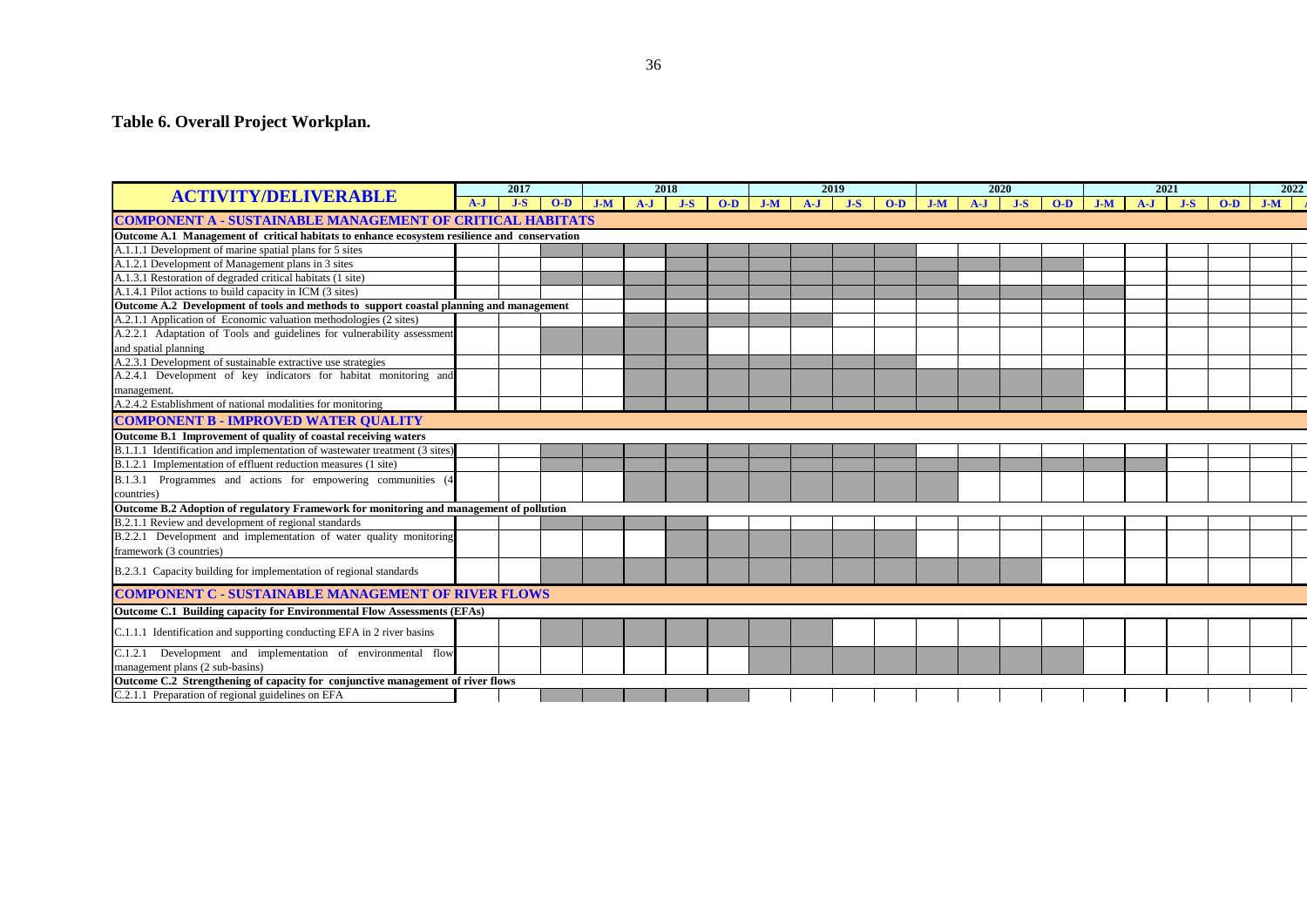#### **Table 6. Overall Project Workplan.**

|                                                                                              | 2017    |       | 2018  |       | 2019  |       |       | 2020  |       |       | 2021  |       |  | 2022      |       |       |       |       |  |           |  |
|----------------------------------------------------------------------------------------------|---------|-------|-------|-------|-------|-------|-------|-------|-------|-------|-------|-------|--|-----------|-------|-------|-------|-------|--|-----------|--|
| <b>ACTIVITY/DELIVERABLE</b>                                                                  | $A - I$ | $J-S$ | $O-D$ | $J-M$ | $A-J$ | $J-S$ | $O-D$ | $J-M$ | $A-J$ | $J-S$ | $O-D$ | $J-M$ |  | $A-J$ J-S | $O-D$ | $J-M$ | $A-J$ | $J-S$ |  | $O-D$ J-M |  |
| <b>COMPONENT A - SUSTAINABLE MANAGEMENT OF CRITICAL HABITATS</b>                             |         |       |       |       |       |       |       |       |       |       |       |       |  |           |       |       |       |       |  |           |  |
| Outcome A.1 Management of critical habitats to enhance ecosystem resilience and conservation |         |       |       |       |       |       |       |       |       |       |       |       |  |           |       |       |       |       |  |           |  |
| A.1.1.1 Development of marine spatial plans for 5 sites                                      |         |       |       |       |       |       |       |       |       |       |       |       |  |           |       |       |       |       |  |           |  |
| A.1.2.1 Development of Management plans in 3 sites                                           |         |       |       |       |       |       |       |       |       |       |       |       |  |           |       |       |       |       |  |           |  |
| A.1.3.1 Restoration of degraded critical habitats (1 site)                                   |         |       |       |       |       |       |       |       |       |       |       |       |  |           |       |       |       |       |  |           |  |
| A.1.4.1 Pilot actions to build capacity in ICM (3 sites)                                     |         |       |       |       |       |       |       |       |       |       |       |       |  |           |       |       |       |       |  |           |  |
| Outcome A.2 Development of tools and methods to support coastal planning and management      |         |       |       |       |       |       |       |       |       |       |       |       |  |           |       |       |       |       |  |           |  |
| A.2.1.1 Application of Economic valuation methodologies (2 sites)                            |         |       |       |       |       |       |       |       |       |       |       |       |  |           |       |       |       |       |  |           |  |
| A.2.2.1 Adaptation of Tools and guidelines for vulnerability assessment                      |         |       |       |       |       |       |       |       |       |       |       |       |  |           |       |       |       |       |  |           |  |
| and spatial planning                                                                         |         |       |       |       |       |       |       |       |       |       |       |       |  |           |       |       |       |       |  |           |  |
| A.2.3.1 Development of sustainable extractive use strategies                                 |         |       |       |       |       |       |       |       |       |       |       |       |  |           |       |       |       |       |  |           |  |
| A.2.4.1 Development of key indicators for habitat monitoring and                             |         |       |       |       |       |       |       |       |       |       |       |       |  |           |       |       |       |       |  |           |  |
| management.                                                                                  |         |       |       |       |       |       |       |       |       |       |       |       |  |           |       |       |       |       |  |           |  |
| A.2.4.2 Establishment of national modalities for monitoring                                  |         |       |       |       |       |       |       |       |       |       |       |       |  |           |       |       |       |       |  |           |  |
| <b>COMPONENT B - IMPROVED WATER OUALITY</b>                                                  |         |       |       |       |       |       |       |       |       |       |       |       |  |           |       |       |       |       |  |           |  |
| Outcome B.1 Improvement of quality of coastal receiving waters                               |         |       |       |       |       |       |       |       |       |       |       |       |  |           |       |       |       |       |  |           |  |
| B.1.1.1 Identification and implementation of wastewater treatment (3 sites)                  |         |       |       |       |       |       |       |       |       |       |       |       |  |           |       |       |       |       |  |           |  |
| B.1.2.1 Implementation of effluent reduction measures (1 site)                               |         |       |       |       |       |       |       |       |       |       |       |       |  |           |       |       |       |       |  |           |  |
| B.1.3.1 Programmes and actions for empowering communities (4                                 |         |       |       |       |       |       |       |       |       |       |       |       |  |           |       |       |       |       |  |           |  |
| countries)                                                                                   |         |       |       |       |       |       |       |       |       |       |       |       |  |           |       |       |       |       |  |           |  |
| Outcome B.2 Adoption of regulatory Framework for monitoring and management of pollution      |         |       |       |       |       |       |       |       |       |       |       |       |  |           |       |       |       |       |  |           |  |
| B.2.1.1 Review and development of regional standards                                         |         |       |       |       |       |       |       |       |       |       |       |       |  |           |       |       |       |       |  |           |  |
| B.2.2.1 Development and implementation of water quality monitoring                           |         |       |       |       |       |       |       |       |       |       |       |       |  |           |       |       |       |       |  |           |  |
| framework (3 countries)                                                                      |         |       |       |       |       |       |       |       |       |       |       |       |  |           |       |       |       |       |  |           |  |
| B.2.3.1 Capacity building for implementation of regional standards                           |         |       |       |       |       |       |       |       |       |       |       |       |  |           |       |       |       |       |  |           |  |
| <b>COMPONENT C - SUSTAINABLE MANAGEMENT OF RIVER FLOWS</b>                                   |         |       |       |       |       |       |       |       |       |       |       |       |  |           |       |       |       |       |  |           |  |
| Outcome C.1 Building capacity for Environmental Flow Assessments (EFAs)                      |         |       |       |       |       |       |       |       |       |       |       |       |  |           |       |       |       |       |  |           |  |
| C.1.1.1 Identification and supporting conducting EFA in 2 river basins                       |         |       |       |       |       |       |       |       |       |       |       |       |  |           |       |       |       |       |  |           |  |
| C.1.2.1 Development and implementation of environmental flow                                 |         |       |       |       |       |       |       |       |       |       |       |       |  |           |       |       |       |       |  |           |  |
| management plans (2 sub-basins)                                                              |         |       |       |       |       |       |       |       |       |       |       |       |  |           |       |       |       |       |  |           |  |
| Outcome C.2 Strengthening of capacity for conjunctive management of river flows              |         |       |       |       |       |       |       |       |       |       |       |       |  |           |       |       |       |       |  |           |  |
| C.2.1.1 Preparation of regional guidelines on EFA                                            |         |       |       |       |       |       |       |       |       |       |       |       |  |           |       |       |       |       |  |           |  |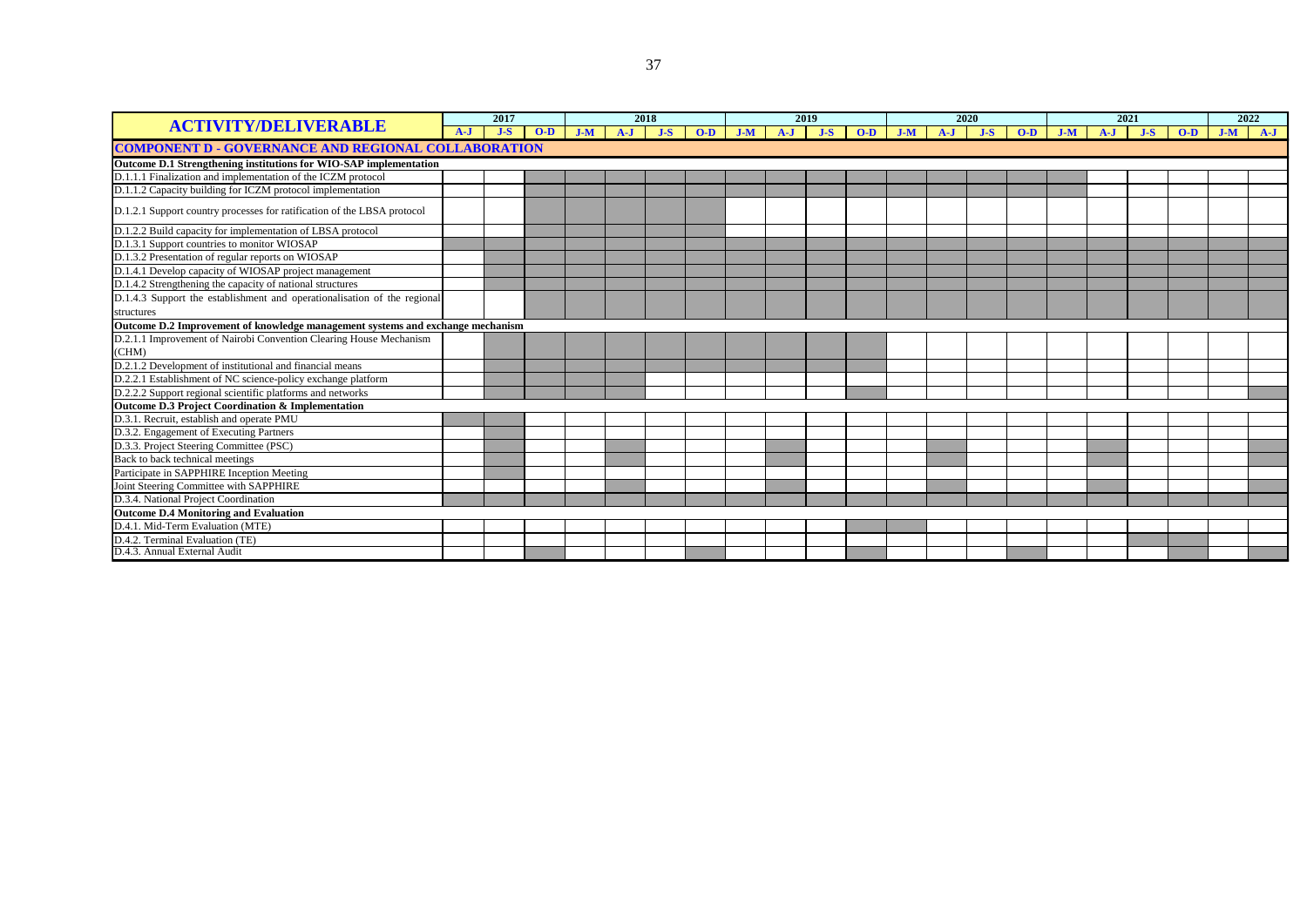| <b>ACTIVITY/DELIVERABLE</b>                                                    | 2017  |       | 2018  |       | 2019  |       |       | 2020  |       |       | 2021  |       |       | 2022  |       |       |       |       |       |       |       |
|--------------------------------------------------------------------------------|-------|-------|-------|-------|-------|-------|-------|-------|-------|-------|-------|-------|-------|-------|-------|-------|-------|-------|-------|-------|-------|
|                                                                                | $A-J$ | $J-S$ | $O-D$ | $J-M$ | $A-J$ | $J-S$ | $O-D$ | $J-M$ | $A-J$ | $J-S$ | $O-D$ | $J-M$ | $A-J$ | $J-S$ | $O-D$ | $J-M$ | $A-J$ | $J-S$ | $O-D$ | $J-M$ | $A-J$ |
| <b>COMPONENT D - GOVERNANCE AND REGIONAL COLLABORATION</b>                     |       |       |       |       |       |       |       |       |       |       |       |       |       |       |       |       |       |       |       |       |       |
| Outcome D.1 Strengthening institutions for WIO-SAP implementation              |       |       |       |       |       |       |       |       |       |       |       |       |       |       |       |       |       |       |       |       |       |
| D.1.1.1 Finalization and implementation of the ICZM protocol                   |       |       |       |       |       |       |       |       |       |       |       |       |       |       |       |       |       |       |       |       |       |
| D.1.1.2 Capacity building for ICZM protocol implementation                     |       |       |       |       |       |       |       |       |       |       |       |       |       |       |       |       |       |       |       |       |       |
| D.1.2.1 Support country processes for ratification of the LBSA protocol        |       |       |       |       |       |       |       |       |       |       |       |       |       |       |       |       |       |       |       |       |       |
| D.1.2.2 Build capacity for implementation of LBSA protocol                     |       |       |       |       |       |       |       |       |       |       |       |       |       |       |       |       |       |       |       |       |       |
| D.1.3.1 Support countries to monitor WIOSAP                                    |       |       |       |       |       |       |       |       |       |       |       |       |       |       |       |       |       |       |       |       |       |
| D.1.3.2 Presentation of regular reports on WIOSAP                              |       |       |       |       |       |       |       |       |       |       |       |       |       |       |       |       |       |       |       |       |       |
| D.1.4.1 Develop capacity of WIOSAP project management                          |       |       |       |       |       |       |       |       |       |       |       |       |       |       |       |       |       |       |       |       |       |
| D.1.4.2 Strengthening the capacity of national structures                      |       |       |       |       |       |       |       |       |       |       |       |       |       |       |       |       |       |       |       |       |       |
| D.1.4.3 Support the establishment and operationalisation of the regional       |       |       |       |       |       |       |       |       |       |       |       |       |       |       |       |       |       |       |       |       |       |
| structures                                                                     |       |       |       |       |       |       |       |       |       |       |       |       |       |       |       |       |       |       |       |       |       |
| Outcome D.2 Improvement of knowledge management systems and exchange mechanism |       |       |       |       |       |       |       |       |       |       |       |       |       |       |       |       |       |       |       |       |       |
| D.2.1.1 Improvement of Nairobi Convention Clearing House Mechanism             |       |       |       |       |       |       |       |       |       |       |       |       |       |       |       |       |       |       |       |       |       |
| (CHM)                                                                          |       |       |       |       |       |       |       |       |       |       |       |       |       |       |       |       |       |       |       |       |       |
| D.2.1.2 Development of institutional and financial means                       |       |       |       |       |       |       |       |       |       |       |       |       |       |       |       |       |       |       |       |       |       |
| D.2.2.1 Establishment of NC science-policy exchange platform                   |       |       |       |       |       |       |       |       |       |       |       |       |       |       |       |       |       |       |       |       |       |
| D.2.2.2 Support regional scientific platforms and networks                     |       |       |       |       |       |       |       |       |       |       |       |       |       |       |       |       |       |       |       |       |       |
| Outcome D.3 Project Coordination & Implementation                              |       |       |       |       |       |       |       |       |       |       |       |       |       |       |       |       |       |       |       |       |       |
| D.3.1. Recruit, establish and operate PMU                                      |       |       |       |       |       |       |       |       |       |       |       |       |       |       |       |       |       |       |       |       |       |
| D.3.2. Engagement of Executing Partners                                        |       |       |       |       |       |       |       |       |       |       |       |       |       |       |       |       |       |       |       |       |       |
| D.3.3. Project Steering Committee (PSC)                                        |       |       |       |       |       |       |       |       |       |       |       |       |       |       |       |       |       |       |       |       |       |
| Back to back technical meetings                                                |       |       |       |       |       |       |       |       |       |       |       |       |       |       |       |       |       |       |       |       |       |
| Participate in SAPPHIRE Inception Meeting                                      |       |       |       |       |       |       |       |       |       |       |       |       |       |       |       |       |       |       |       |       |       |
| Joint Steering Committee with SAPPHIRE                                         |       |       |       |       |       |       |       |       |       |       |       |       |       |       |       |       |       |       |       |       |       |
| D.3.4. National Project Coordination                                           |       |       |       |       |       |       |       |       |       |       |       |       |       |       |       |       |       |       |       |       |       |
| <b>Outcome D.4 Monitoring and Evaluation</b>                                   |       |       |       |       |       |       |       |       |       |       |       |       |       |       |       |       |       |       |       |       |       |
| D.4.1. Mid-Term Evaluation (MTE)                                               |       |       |       |       |       |       |       |       |       |       |       |       |       |       |       |       |       |       |       |       |       |
| D.4.2. Terminal Evaluation (TE)                                                |       |       |       |       |       |       |       |       |       |       |       |       |       |       |       |       |       |       |       |       |       |
| D.4.3. Annual External Audit                                                   |       |       |       |       |       |       |       |       |       |       |       |       |       |       |       |       |       |       |       |       |       |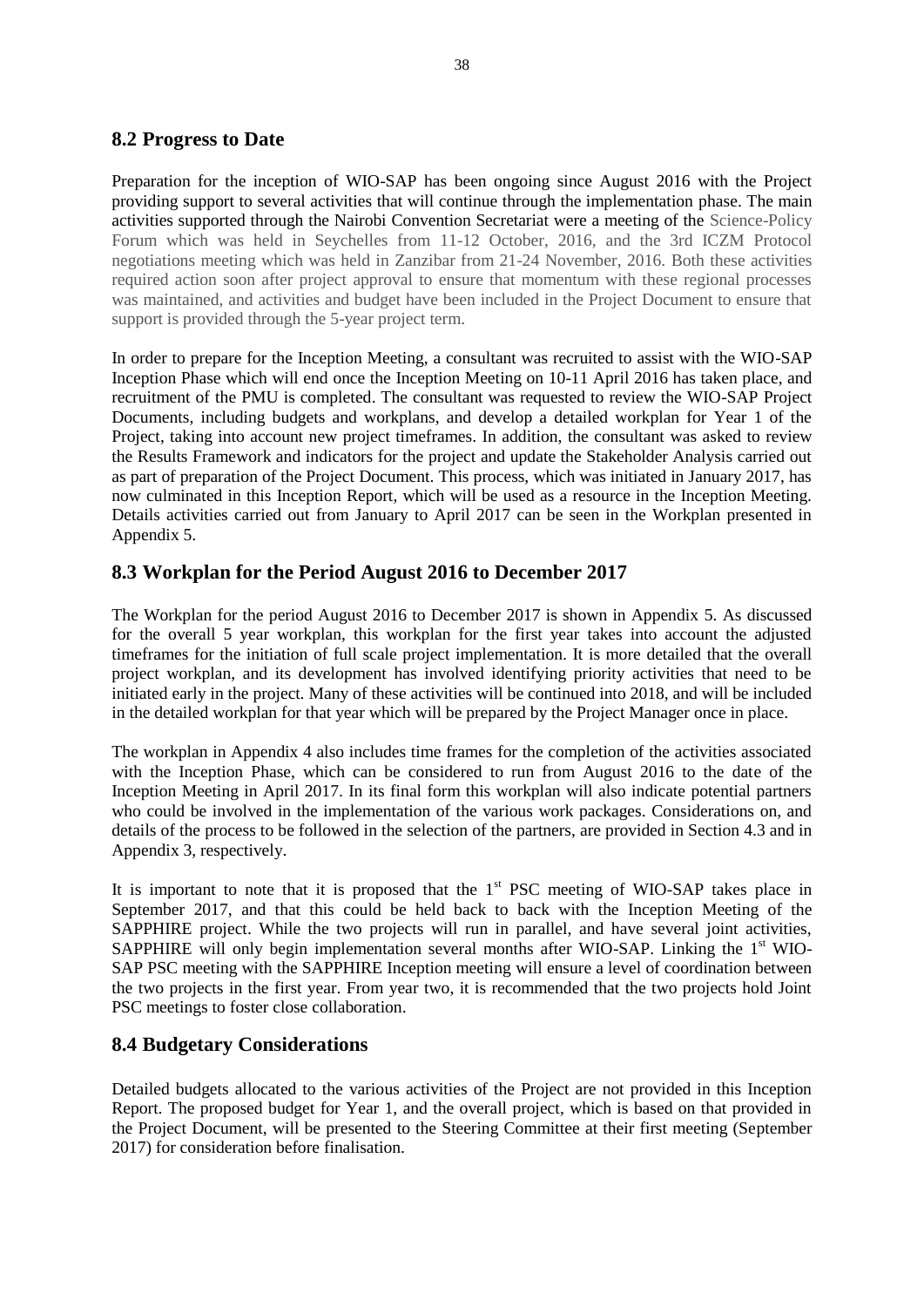#### <span id="page-38-0"></span>**8.2 Progress to Date**

Preparation for the inception of WIO-SAP has been ongoing since August 2016 with the Project providing support to several activities that will continue through the implementation phase. The main activities supported through the Nairobi Convention Secretariat were a meeting of the Science-Policy Forum which was held in Seychelles from 11-12 October, 2016, and the 3rd ICZM Protocol negotiations meeting which was held in Zanzibar from 21-24 November, 2016. Both these activities required action soon after project approval to ensure that momentum with these regional processes was maintained, and activities and budget have been included in the Project Document to ensure that support is provided through the 5-year project term.

In order to prepare for the Inception Meeting, a consultant was recruited to assist with the WIO-SAP Inception Phase which will end once the Inception Meeting on 10-11 April 2016 has taken place, and recruitment of the PMU is completed. The consultant was requested to review the WIO-SAP Project Documents, including budgets and workplans, and develop a detailed workplan for Year 1 of the Project, taking into account new project timeframes. In addition, the consultant was asked to review the Results Framework and indicators for the project and update the Stakeholder Analysis carried out as part of preparation of the Project Document. This process, which was initiated in January 2017, has now culminated in this Inception Report, which will be used as a resource in the Inception Meeting. Details activities carried out from January to April 2017 can be seen in the Workplan presented in Appendix 5.

#### <span id="page-38-1"></span>**8.3 Workplan for the Period August 2016 to December 2017**

The Workplan for the period August 2016 to December 2017 is shown in Appendix 5. As discussed for the overall 5 year workplan, this workplan for the first year takes into account the adjusted timeframes for the initiation of full scale project implementation. It is more detailed that the overall project workplan, and its development has involved identifying priority activities that need to be initiated early in the project. Many of these activities will be continued into 2018, and will be included in the detailed workplan for that year which will be prepared by the Project Manager once in place.

The workplan in Appendix 4 also includes time frames for the completion of the activities associated with the Inception Phase, which can be considered to run from August 2016 to the date of the Inception Meeting in April 2017. In its final form this workplan will also indicate potential partners who could be involved in the implementation of the various work packages. Considerations on, and details of the process to be followed in the selection of the partners, are provided in Section 4.3 and in Appendix 3, respectively.

It is important to note that it is proposed that the  $1<sup>st</sup> PSC$  meeting of WIO-SAP takes place in September 2017, and that this could be held back to back with the Inception Meeting of the SAPPHIRE project. While the two projects will run in parallel, and have several joint activities, SAPPHIRE will only begin implementation several months after WIO-SAP. Linking the  $1<sup>st</sup>$  WIO-SAP PSC meeting with the SAPPHIRE Inception meeting will ensure a level of coordination between the two projects in the first year. From year two, it is recommended that the two projects hold Joint PSC meetings to foster close collaboration.

#### <span id="page-38-2"></span>**8.4 Budgetary Considerations**

Detailed budgets allocated to the various activities of the Project are not provided in this Inception Report. The proposed budget for Year 1, and the overall project, which is based on that provided in the Project Document, will be presented to the Steering Committee at their first meeting (September 2017) for consideration before finalisation.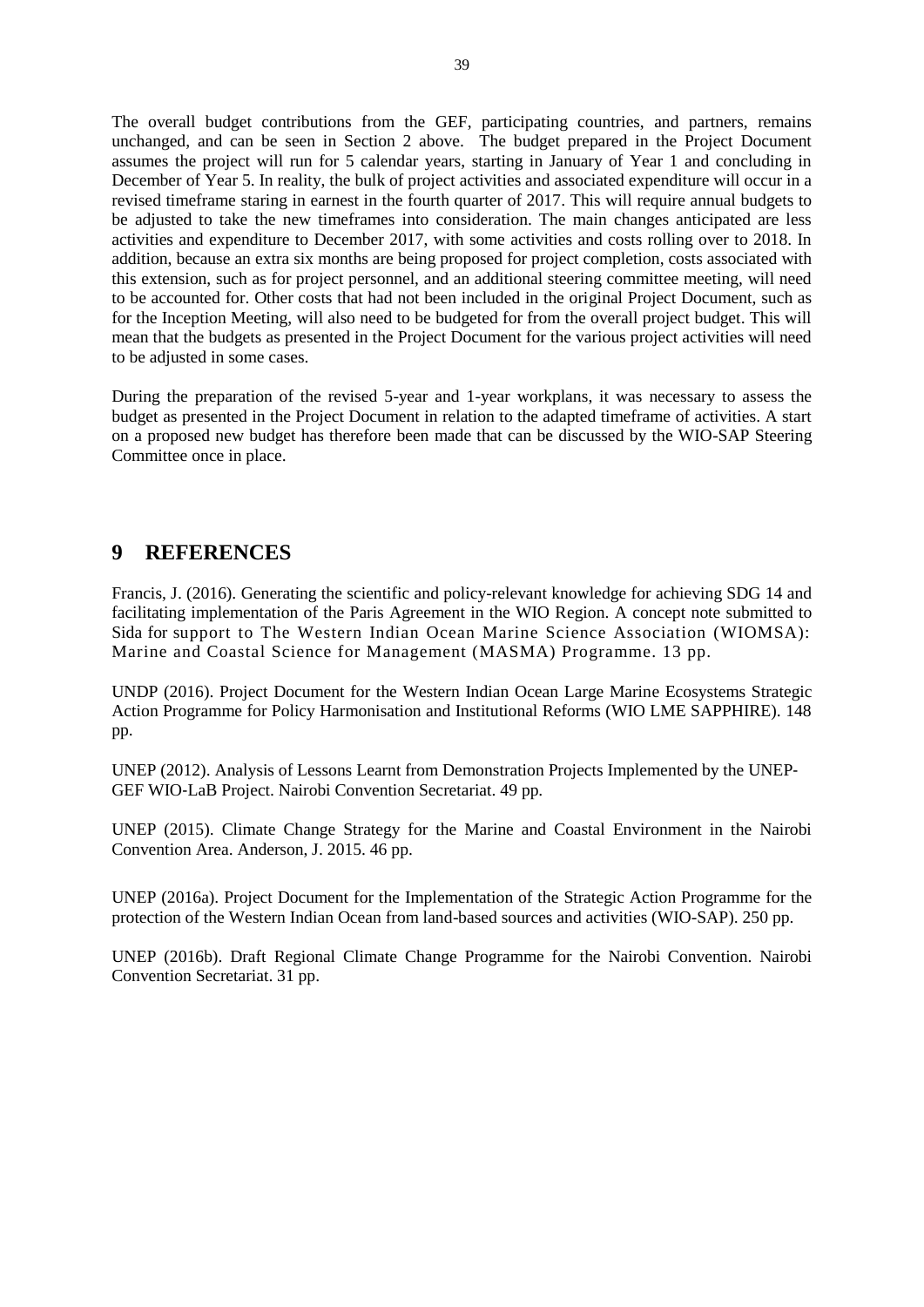The overall budget contributions from the GEF, participating countries, and partners, remains unchanged, and can be seen in Section 2 above. The budget prepared in the Project Document assumes the project will run for 5 calendar years, starting in January of Year 1 and concluding in December of Year 5. In reality, the bulk of project activities and associated expenditure will occur in a revised timeframe staring in earnest in the fourth quarter of 2017. This will require annual budgets to be adjusted to take the new timeframes into consideration. The main changes anticipated are less activities and expenditure to December 2017, with some activities and costs rolling over to 2018. In addition, because an extra six months are being proposed for project completion, costs associated with this extension, such as for project personnel, and an additional steering committee meeting, will need to be accounted for. Other costs that had not been included in the original Project Document, such as for the Inception Meeting, will also need to be budgeted for from the overall project budget. This will mean that the budgets as presented in the Project Document for the various project activities will need to be adjusted in some cases.

During the preparation of the revised 5-year and 1-year workplans, it was necessary to assess the budget as presented in the Project Document in relation to the adapted timeframe of activities. A start on a proposed new budget has therefore been made that can be discussed by the WIO-SAP Steering Committee once in place.

### <span id="page-39-0"></span>**9 REFERENCES**

Francis, J. (2016). Generating the scientific and policy-relevant knowledge for achieving SDG 14 and facilitating implementation of the Paris Agreement in the WIO Region. A concept note submitted to Sida for support to The Western Indian Ocean Marine Science Association (WIOMSA): Marine and Coastal Science for Management (MASMA) Programme. 13 pp.

UNDP (2016). Project Document for the Western Indian Ocean Large Marine Ecosystems Strategic Action Programme for Policy Harmonisation and Institutional Reforms (WIO LME SAPPHIRE). 148 pp.

UNEP (2012). Analysis of Lessons Learnt from Demonstration Projects Implemented by the UNEP‐ GEF WIO‐LaB Project. Nairobi Convention Secretariat. 49 pp.

UNEP (2015). Climate Change Strategy for the Marine and Coastal Environment in the Nairobi Convention Area. Anderson, J. 2015. 46 pp.

UNEP (2016a). Project Document for the Implementation of the Strategic Action Programme for the protection of the Western Indian Ocean from land-based sources and activities (WIO-SAP). 250 pp.

UNEP (2016b). Draft Regional Climate Change Programme for the Nairobi Convention. Nairobi Convention Secretariat. 31 pp.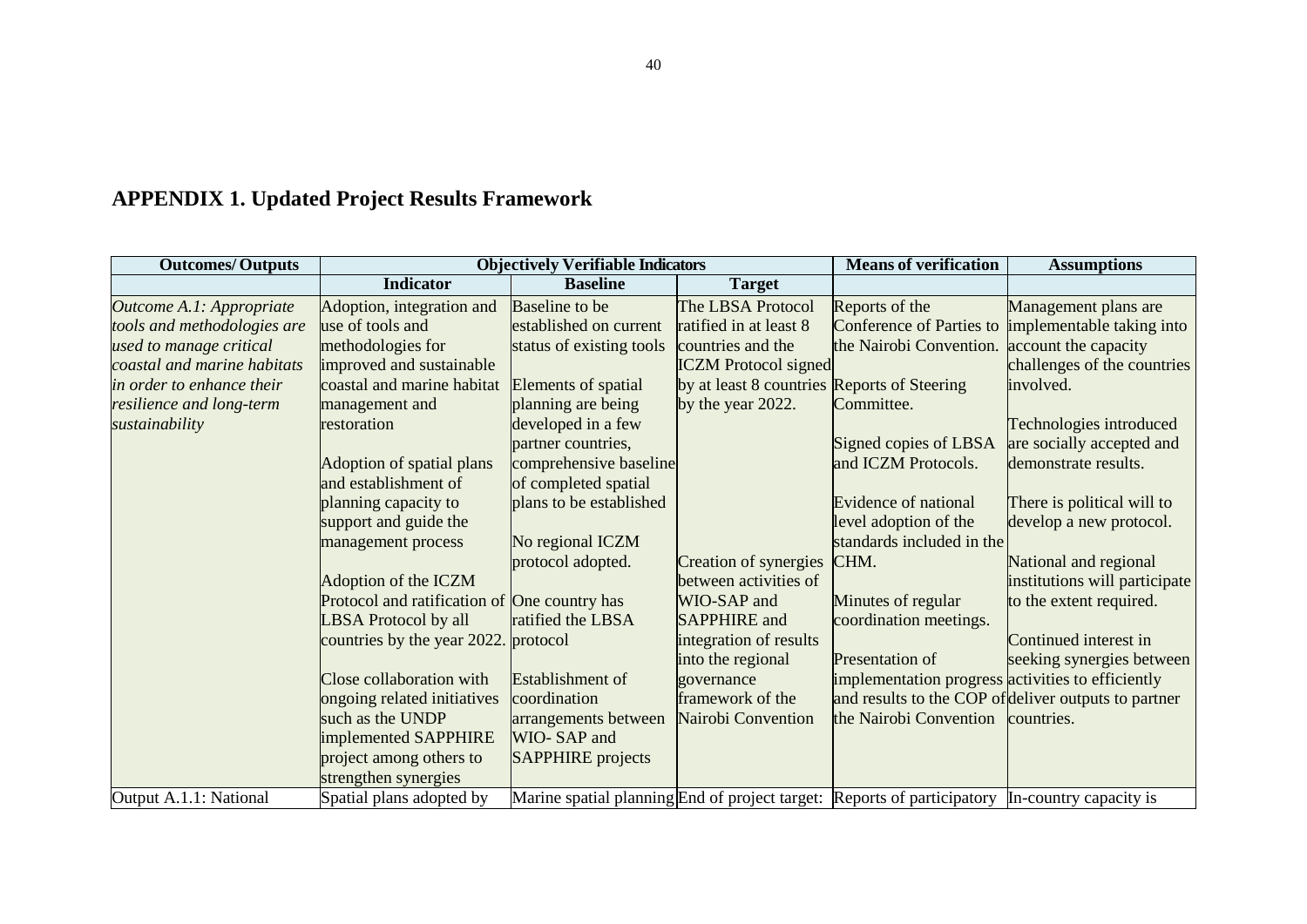# **APPENDIX 1. Updated Project Results Framework**

<span id="page-40-0"></span>

| <b>Outcomes/Outputs</b>     |                                              | <b>Objectively Verifiable Indicators</b> |                                             | <b>Means of verification</b>                                                                   | <b>Assumptions</b>                                   |
|-----------------------------|----------------------------------------------|------------------------------------------|---------------------------------------------|------------------------------------------------------------------------------------------------|------------------------------------------------------|
|                             | <b>Indicator</b>                             | <b>Baseline</b>                          | <b>Target</b>                               |                                                                                                |                                                      |
| Outcome A.1: Appropriate    | Adoption, integration and                    | Baseline to be                           | The LBSA Protocol                           | Reports of the                                                                                 | Management plans are                                 |
| tools and methodologies are | use of tools and                             | established on current                   | ratified in at least 8                      |                                                                                                | Conference of Parties to implementable taking into   |
| used to manage critical     | methodologies for                            | status of existing tools                 | countries and the                           | the Nairobi Convention.                                                                        | account the capacity                                 |
| coastal and marine habitats | improved and sustainable                     |                                          | <b>ICZM</b> Protocol signed                 |                                                                                                | challenges of the countries                          |
| in order to enhance their   | coastal and marine habitat                   | Elements of spatial                      | by at least 8 countries Reports of Steering |                                                                                                | involved.                                            |
| resilience and long-term    | management and                               | planning are being                       | by the year 2022.                           | Committee.                                                                                     |                                                      |
| sustainability              | restoration                                  | developed in a few                       |                                             |                                                                                                | Technologies introduced                              |
|                             |                                              | partner countries,                       |                                             | Signed copies of LBSA                                                                          | are socially accepted and                            |
|                             | Adoption of spatial plans                    | comprehensive baseline                   |                                             | and ICZM Protocols.                                                                            | demonstrate results.                                 |
|                             | and establishment of                         | of completed spatial                     |                                             |                                                                                                |                                                      |
|                             | planning capacity to                         | plans to be established                  |                                             | Evidence of national                                                                           | There is political will to                           |
|                             | support and guide the                        |                                          |                                             | level adoption of the                                                                          | develop a new protocol.                              |
|                             | management process                           | No regional ICZM                         |                                             | standards included in the                                                                      |                                                      |
|                             |                                              | protocol adopted.                        | Creation of synergies                       | CHM.                                                                                           | National and regional                                |
|                             | Adoption of the ICZM                         |                                          | between activities of                       |                                                                                                | institutions will participate                        |
|                             | Protocol and ratification of One country has |                                          | WIO-SAP and                                 | Minutes of regular                                                                             | to the extent required.                              |
|                             | <b>LBSA</b> Protocol by all                  | ratified the LBSA                        | <b>SAPPHIRE</b> and                         | coordination meetings.                                                                         |                                                      |
|                             | countries by the year 2022.                  | protocol                                 | integration of results                      |                                                                                                | Continued interest in                                |
|                             |                                              |                                          | into the regional                           | <b>Presentation of</b>                                                                         | seeking synergies between                            |
|                             | Close collaboration with                     | Establishment of                         | governance                                  | implementation progress activities to efficiently                                              |                                                      |
|                             | ongoing related initiatives                  | coordination                             | framework of the                            |                                                                                                | and results to the COP of deliver outputs to partner |
|                             | such as the UNDP                             | arrangements between                     | Nairobi Convention                          | the Nairobi Convention countries.                                                              |                                                      |
|                             | implemented SAPPHIRE                         | WIO-SAP and                              |                                             |                                                                                                |                                                      |
|                             | project among others to                      | <b>SAPPHIRE</b> projects                 |                                             |                                                                                                |                                                      |
|                             | strengthen synergies                         |                                          |                                             |                                                                                                |                                                      |
| Output A.1.1: National      | Spatial plans adopted by                     |                                          |                                             | Marine spatial planning End of project target: Reports of participatory In-country capacity is |                                                      |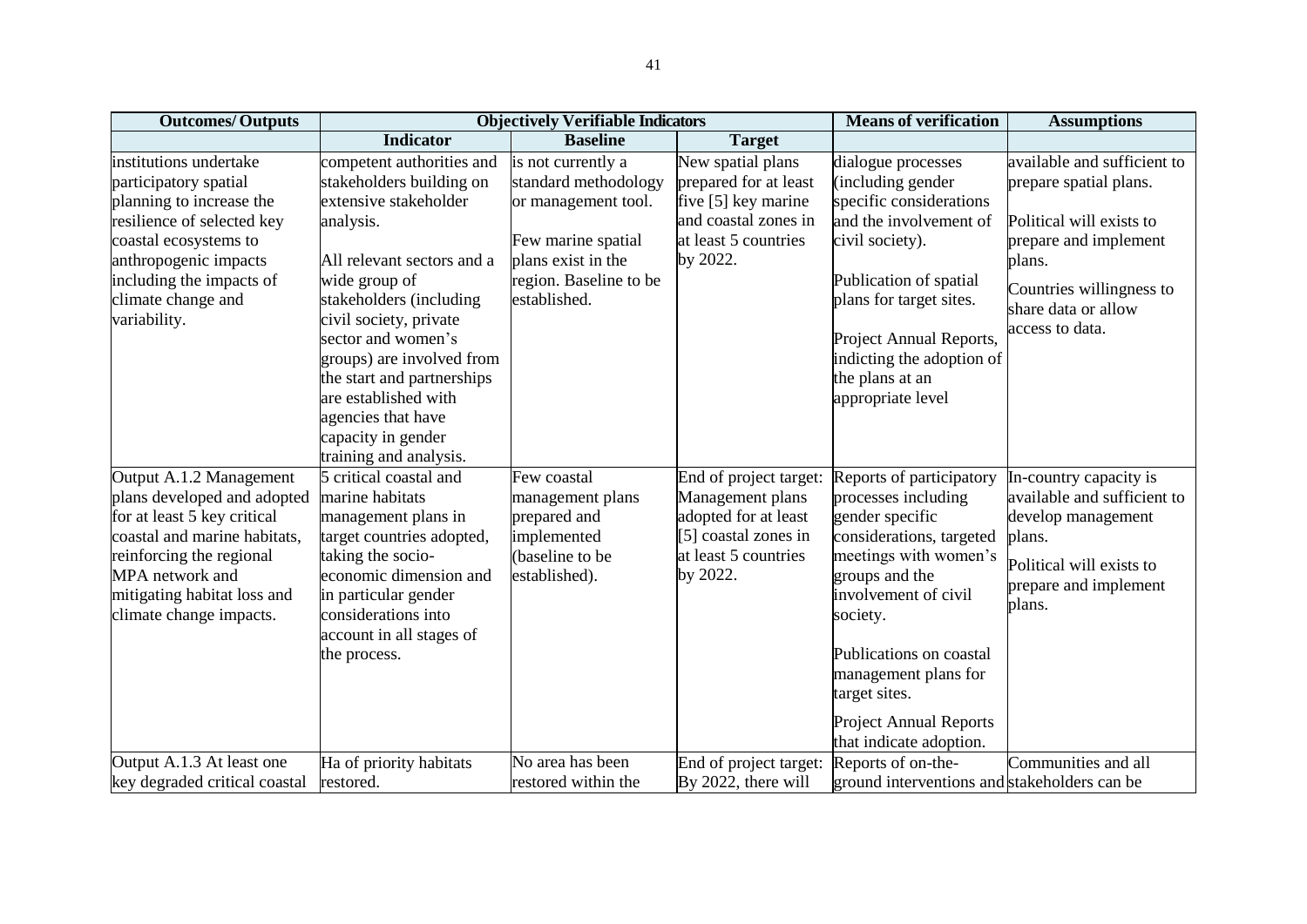| <b>Outcomes/Outputs</b>                                                                                                                                                                                                        |                                                                                                                                                                                                                                                                                                                                                                                | <b>Objectively Verifiable Indicators</b>                                                                                                                |                                                                                                                                | <b>Means of verification</b>                                                                                                                                                                                                                                                                                  | <b>Assumptions</b>                                                                                                                                                                         |
|--------------------------------------------------------------------------------------------------------------------------------------------------------------------------------------------------------------------------------|--------------------------------------------------------------------------------------------------------------------------------------------------------------------------------------------------------------------------------------------------------------------------------------------------------------------------------------------------------------------------------|---------------------------------------------------------------------------------------------------------------------------------------------------------|--------------------------------------------------------------------------------------------------------------------------------|---------------------------------------------------------------------------------------------------------------------------------------------------------------------------------------------------------------------------------------------------------------------------------------------------------------|--------------------------------------------------------------------------------------------------------------------------------------------------------------------------------------------|
|                                                                                                                                                                                                                                | <b>Indicator</b>                                                                                                                                                                                                                                                                                                                                                               | <b>Baseline</b>                                                                                                                                         | <b>Target</b>                                                                                                                  |                                                                                                                                                                                                                                                                                                               |                                                                                                                                                                                            |
| institutions undertake<br>participatory spatial<br>planning to increase the<br>resilience of selected key<br>coastal ecosystems to<br>anthropogenic impacts<br>including the impacts of<br>climate change and<br>variability.  | competent authorities and<br>stakeholders building on<br>extensive stakeholder<br>analysis.<br>All relevant sectors and a<br>wide group of<br>stakeholders (including<br>civil society, private<br>sector and women's<br>groups) are involved from<br>the start and partnerships<br>are established with<br>agencies that have<br>capacity in gender<br>training and analysis. | is not currently a<br>standard methodology<br>or management tool.<br>Few marine spatial<br>plans exist in the<br>region. Baseline to be<br>established. | New spatial plans<br>prepared for at least<br>five [5] key marine<br>and coastal zones in<br>at least 5 countries<br>by 2022.  | dialogue processes<br>(including gender<br>specific considerations<br>and the involvement of<br>civil society).<br>Publication of spatial<br>plans for target sites.<br>Project Annual Reports,<br>indicting the adoption of<br>the plans at an<br>appropriate level                                          | available and sufficient to<br>prepare spatial plans.<br>Political will exists to<br>prepare and implement<br>plans.<br>Countries willingness to<br>share data or allow<br>access to data. |
| Output A.1.2 Management<br>plans developed and adopted<br>for at least 5 key critical<br>coastal and marine habitats,<br>reinforcing the regional<br>MPA network and<br>mitigating habitat loss and<br>climate change impacts. | 5 critical coastal and<br>marine habitats<br>management plans in<br>target countries adopted,<br>taking the socio-<br>economic dimension and<br>in particular gender<br>considerations into<br>account in all stages of<br>the process.                                                                                                                                        | Few coastal<br>management plans<br>prepared and<br>implemented<br>(baseline to be<br>established).                                                      | End of project target:<br>Management plans<br>adopted for at least<br>[5] coastal zones in<br>at least 5 countries<br>by 2022. | Reports of participatory<br>processes including<br>gender specific<br>considerations, targeted<br>meetings with women's<br>groups and the<br>involvement of civil<br>society.<br>Publications on coastal<br>management plans for<br>target sites.<br><b>Project Annual Reports</b><br>that indicate adoption. | In-country capacity is<br>available and sufficient to<br>develop management<br>plans.<br>Political will exists to<br>prepare and implement<br>plans.                                       |
| Output A.1.3 At least one<br>key degraded critical coastal                                                                                                                                                                     | Ha of priority habitats<br>restored.                                                                                                                                                                                                                                                                                                                                           | No area has been<br>restored within the                                                                                                                 | End of project target:<br>By 2022, there will                                                                                  | Reports of on-the-<br>ground interventions and stakeholders can be                                                                                                                                                                                                                                            | Communities and all                                                                                                                                                                        |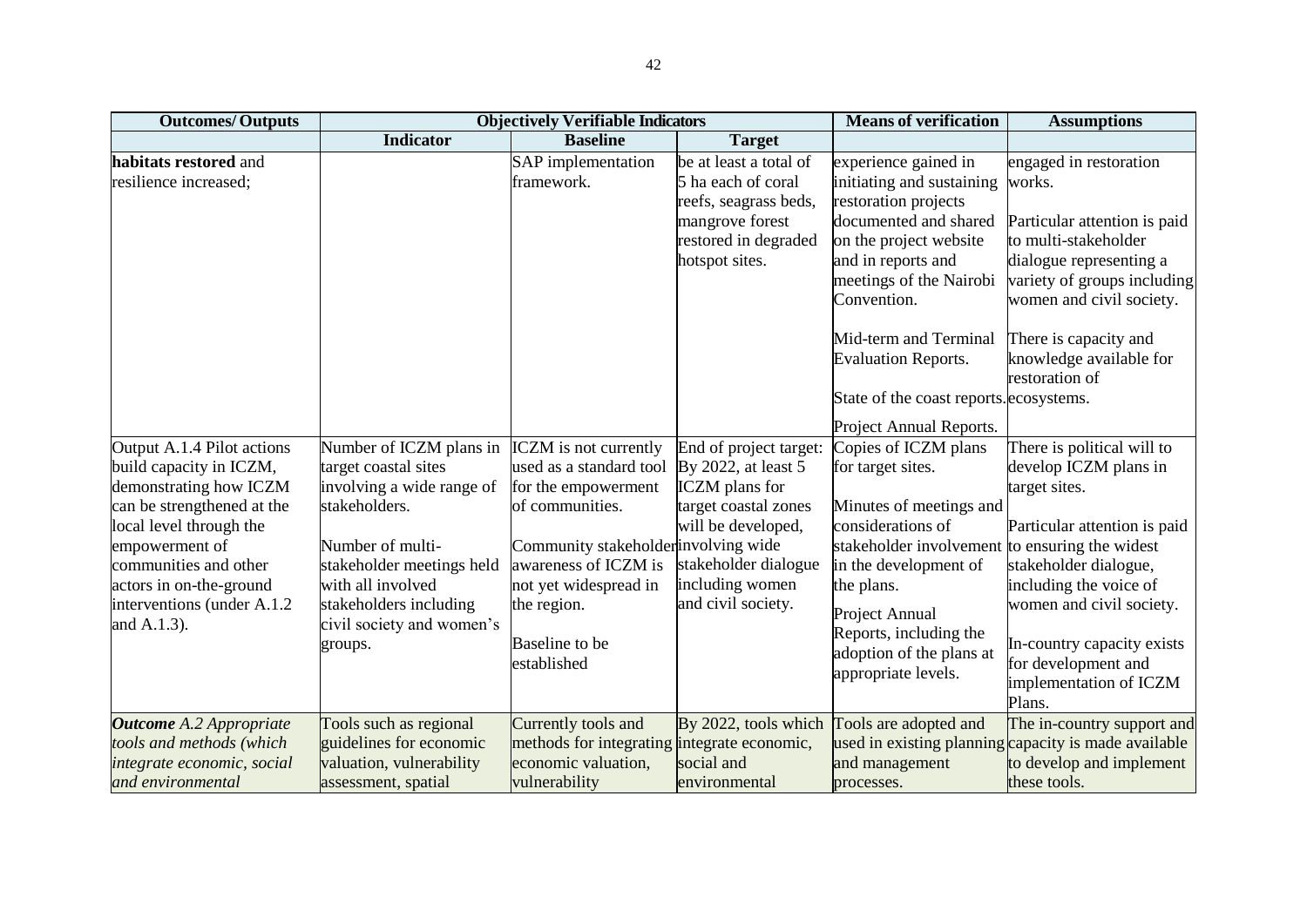| <b>Outcomes/Outputs</b>                                                                                                                                                                                                                                      |                                                                                                                                                                                                                                       | <b>Objectively Verifiable Indicators</b>                                                                                                                                                                                                   |                                                                                                                                                                                       | <b>Means of verification</b>                                                                                                                                                                                                                                                                                              | <b>Assumptions</b>                                                                                                                                                                                                                                                           |  |  |
|--------------------------------------------------------------------------------------------------------------------------------------------------------------------------------------------------------------------------------------------------------------|---------------------------------------------------------------------------------------------------------------------------------------------------------------------------------------------------------------------------------------|--------------------------------------------------------------------------------------------------------------------------------------------------------------------------------------------------------------------------------------------|---------------------------------------------------------------------------------------------------------------------------------------------------------------------------------------|---------------------------------------------------------------------------------------------------------------------------------------------------------------------------------------------------------------------------------------------------------------------------------------------------------------------------|------------------------------------------------------------------------------------------------------------------------------------------------------------------------------------------------------------------------------------------------------------------------------|--|--|
|                                                                                                                                                                                                                                                              | <b>Indicator</b>                                                                                                                                                                                                                      | <b>Baseline</b>                                                                                                                                                                                                                            | <b>Target</b>                                                                                                                                                                         |                                                                                                                                                                                                                                                                                                                           |                                                                                                                                                                                                                                                                              |  |  |
| habitats restored and<br>resilience increased;                                                                                                                                                                                                               |                                                                                                                                                                                                                                       | SAP implementation<br>framework.                                                                                                                                                                                                           | be at least a total of<br>5 ha each of coral<br>reefs, seagrass beds,<br>mangrove forest<br>restored in degraded<br>hotspot sites.                                                    | experience gained in<br>initiating and sustaining<br>restoration projects<br>documented and shared<br>on the project website<br>and in reports and<br>meetings of the Nairobi<br>Convention.<br>Mid-term and Terminal<br><b>Evaluation Reports.</b><br>State of the coast reports. ecosystems.<br>Project Annual Reports. | engaged in restoration<br>works.<br>Particular attention is paid<br>to multi-stakeholder<br>dialogue representing a<br>variety of groups including<br>women and civil society.<br>There is capacity and<br>knowledge available for<br>restoration of                         |  |  |
| Output A.1.4 Pilot actions<br>build capacity in ICZM,<br>demonstrating how ICZM<br>can be strengthened at the<br>local level through the<br>empowerment of<br>communities and other<br>actors in on-the-ground<br>interventions (under A.1.2)<br>and A.1.3). | Number of ICZM plans in<br>target coastal sites<br>involving a wide range of<br>stakeholders.<br>Number of multi-<br>stakeholder meetings held<br>with all involved<br>stakeholders including<br>civil society and women's<br>groups. | <b>ICZM</b> is not currently<br>used as a standard tool<br>for the empowerment<br>of communities.<br>Community stakeholder involving wide<br>awareness of ICZM is<br>not yet widespread in<br>the region.<br>Baseline to be<br>established | End of project target:<br>By 2022, at least 5<br><b>ICZM</b> plans for<br>target coastal zones<br>will be developed,<br>stakeholder dialogue<br>including women<br>and civil society. | Copies of ICZM plans<br>for target sites.<br>Minutes of meetings and<br>considerations of<br>stakeholder involvement to ensuring the widest<br>in the development of<br>the plans.<br>Project Annual<br>Reports, including the<br>adoption of the plans at<br>appropriate levels.                                         | There is political will to<br>develop ICZM plans in<br>target sites.<br>Particular attention is paid<br>stakeholder dialogue,<br>including the voice of<br>women and civil society.<br>In-country capacity exists<br>for development and<br>implementation of ICZM<br>Plans. |  |  |
| <b>Outcome</b> A.2 Appropriate<br>tools and methods (which<br>integrate economic, social<br>and environmental                                                                                                                                                | Tools such as regional<br>guidelines for economic<br>valuation, vulnerability<br>assessment, spatial                                                                                                                                  | Currently tools and<br>methods for integrating integrate economic,<br>economic valuation,<br>vulnerability                                                                                                                                 | By 2022, tools which<br>social and<br>environmental                                                                                                                                   | Tools are adopted and<br>and management<br>processes.                                                                                                                                                                                                                                                                     | The in-country support and<br>used in existing planning capacity is made available<br>to develop and implement<br>these tools.                                                                                                                                               |  |  |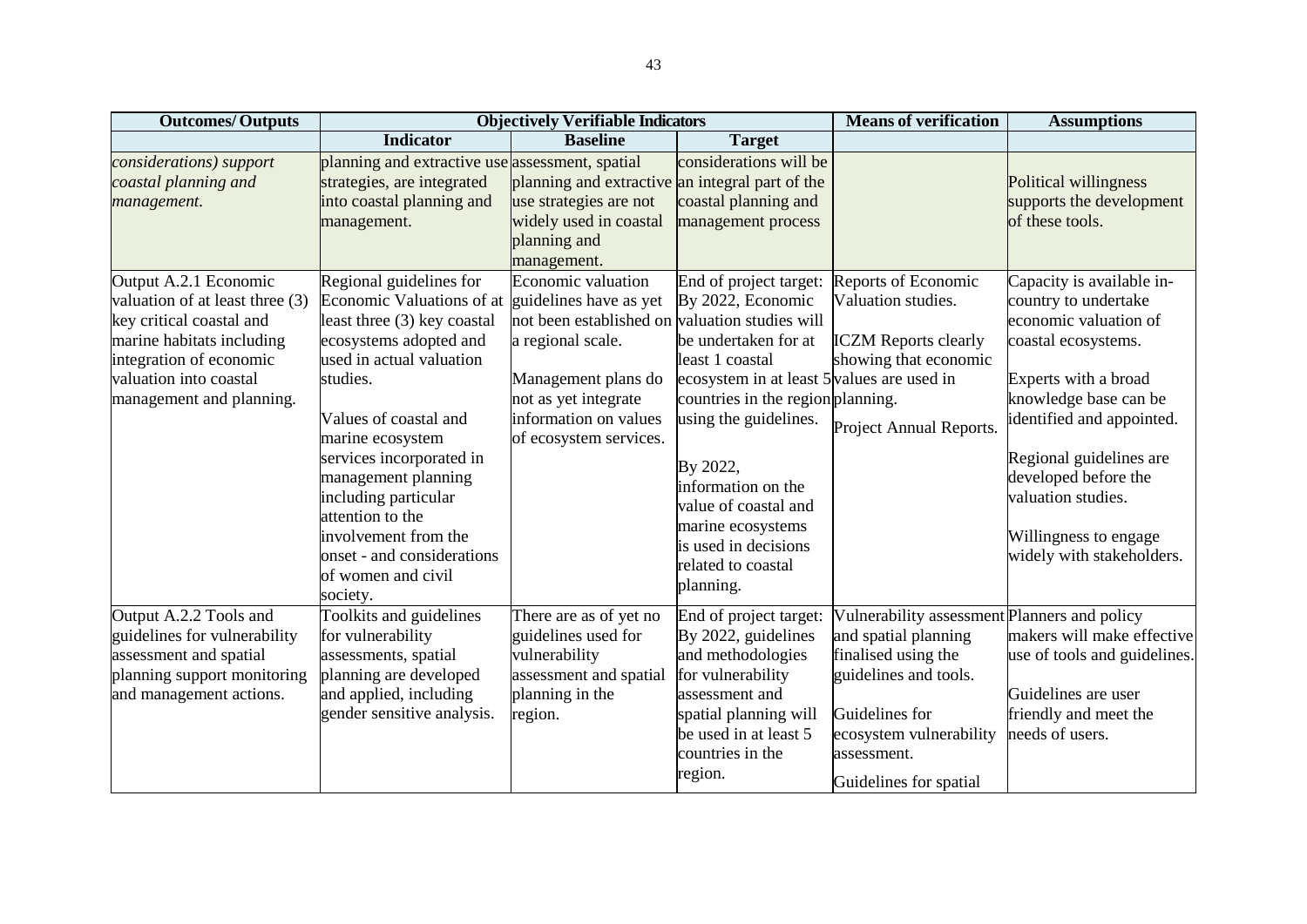| <b>Outcomes/Outputs</b>                                                                                                                                                                            |                                                                                                                                                                                                                                                                                                                                                                                           | <b>Objectively Verifiable Indicators</b>                                                                                                                                                                              |                                                                                                                                                                                                                                                                                                                                              | <b>Means of verification</b>                                                                                                                                                                               | <b>Assumptions</b>                                                                                                                                                                                                                                                                                             |
|----------------------------------------------------------------------------------------------------------------------------------------------------------------------------------------------------|-------------------------------------------------------------------------------------------------------------------------------------------------------------------------------------------------------------------------------------------------------------------------------------------------------------------------------------------------------------------------------------------|-----------------------------------------------------------------------------------------------------------------------------------------------------------------------------------------------------------------------|----------------------------------------------------------------------------------------------------------------------------------------------------------------------------------------------------------------------------------------------------------------------------------------------------------------------------------------------|------------------------------------------------------------------------------------------------------------------------------------------------------------------------------------------------------------|----------------------------------------------------------------------------------------------------------------------------------------------------------------------------------------------------------------------------------------------------------------------------------------------------------------|
|                                                                                                                                                                                                    | <b>Indicator</b>                                                                                                                                                                                                                                                                                                                                                                          | <b>Baseline</b>                                                                                                                                                                                                       | <b>Target</b>                                                                                                                                                                                                                                                                                                                                |                                                                                                                                                                                                            |                                                                                                                                                                                                                                                                                                                |
| considerations) support<br>coastal planning and<br>management.                                                                                                                                     | planning and extractive use assessment, spatial<br>strategies, are integrated<br>into coastal planning and<br>management.                                                                                                                                                                                                                                                                 | planning and extractive an integral part of the<br>use strategies are not<br>widely used in coastal<br>planning and<br>management.                                                                                    | considerations will be<br>coastal planning and<br>management process                                                                                                                                                                                                                                                                         |                                                                                                                                                                                                            | Political willingness<br>supports the development<br>of these tools.                                                                                                                                                                                                                                           |
| Output A.2.1 Economic<br>valuation of at least three (3)<br>key critical coastal and<br>marine habitats including<br>integration of economic<br>valuation into coastal<br>management and planning. | Regional guidelines for<br>Economic Valuations of at<br>least three (3) key coastal<br>ecosystems adopted and<br>used in actual valuation<br>studies.<br>Values of coastal and<br>marine ecosystem<br>services incorporated in<br>management planning<br>including particular<br>attention to the<br>involvement from the<br>onset - and considerations<br>of women and civil<br>society. | Economic valuation<br>guidelines have as yet<br>not been established on valuation studies will<br>a regional scale.<br>Management plans do<br>not as yet integrate<br>information on values<br>of ecosystem services. | End of project target:<br>By 2022, Economic<br>be undertaken for at<br>least 1 coastal<br>ecosystem in at least 5 values are used in<br>countries in the region planning.<br>using the guidelines.<br>By 2022,<br>information on the<br>value of coastal and<br>marine ecosystems<br>is used in decisions<br>related to coastal<br>planning. | Reports of Economic<br>Valuation studies.<br><b>ICZM</b> Reports clearly<br>showing that economic<br>Project Annual Reports.                                                                               | Capacity is available in-<br>country to undertake<br>economic valuation of<br>coastal ecosystems.<br>Experts with a broad<br>knowledge base can be<br>identified and appointed.<br>Regional guidelines are<br>developed before the<br>valuation studies.<br>Willingness to engage<br>widely with stakeholders. |
| Output A.2.2 Tools and<br>guidelines for vulnerability<br>assessment and spatial<br>planning support monitoring<br>and management actions.                                                         | Toolkits and guidelines<br>for vulnerability<br>assessments, spatial<br>planning are developed<br>and applied, including<br>gender sensitive analysis.                                                                                                                                                                                                                                    | There are as of yet no<br>guidelines used for<br>vulnerability<br>assessment and spatial<br>planning in the<br>region.                                                                                                | End of project target:<br>By 2022, guidelines<br>and methodologies<br>for vulnerability<br>assessment and<br>spatial planning will<br>be used in at least 5<br>countries in the<br>region.                                                                                                                                                   | Vulnerability assessment Planners and policy<br>and spatial planning<br>finalised using the<br>guidelines and tools.<br>Guidelines for<br>ecosystem vulnerability<br>assessment.<br>Guidelines for spatial | makers will make effective<br>use of tools and guidelines.<br>Guidelines are user<br>friendly and meet the<br>needs of users.                                                                                                                                                                                  |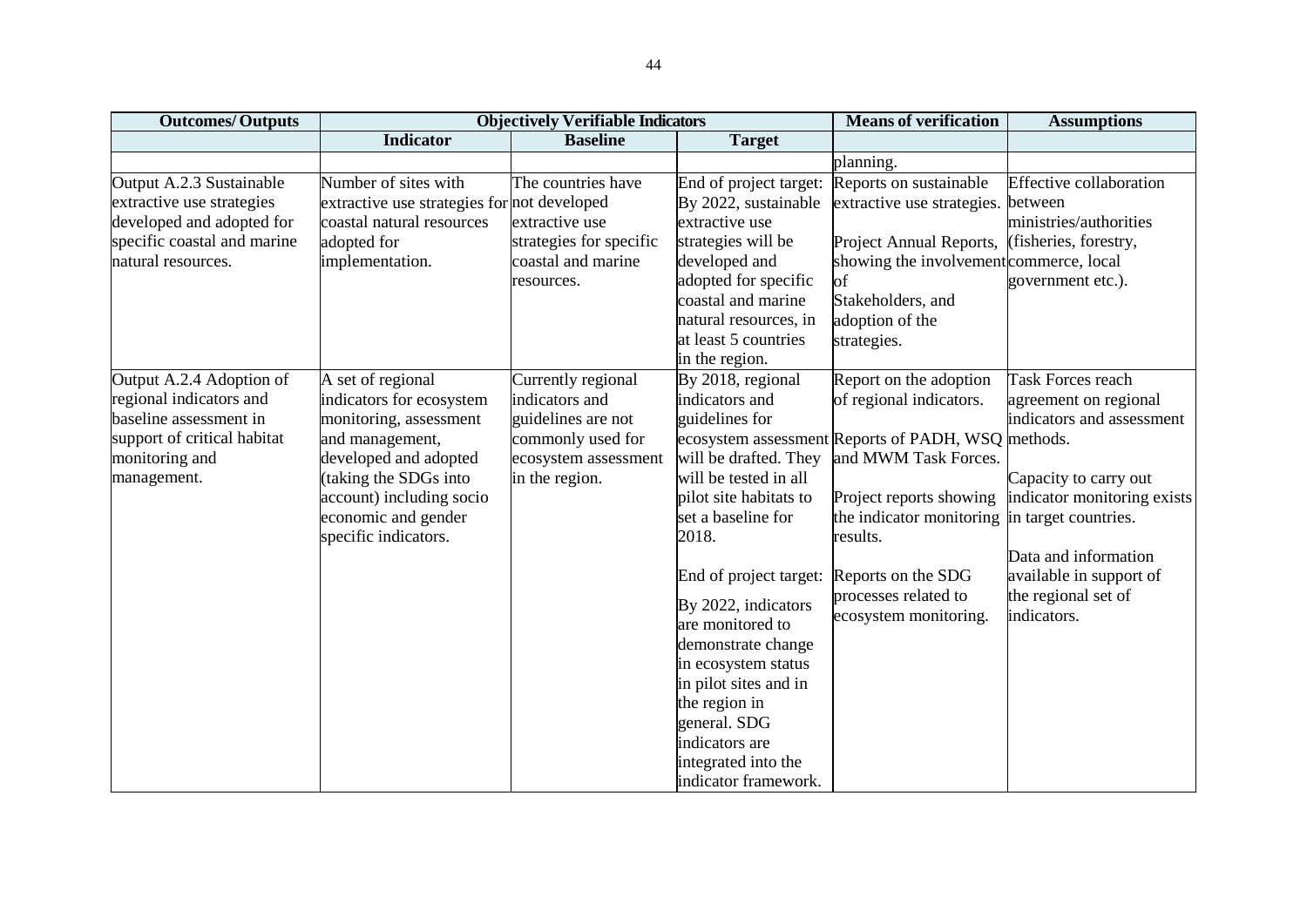| <b>Outcomes/Outputs</b>                                                                                                                       |                                                                                                                                                                                                                         | <b>Objectively Verifiable Indicators</b>                                                                                  |                                                                                                                                                                                                                                                                                                                                                                                       | <b>Means of verification</b>                                                                                                                                                                                                                                              | <b>Assumptions</b>                                                                                                                                                                                                                                      |
|-----------------------------------------------------------------------------------------------------------------------------------------------|-------------------------------------------------------------------------------------------------------------------------------------------------------------------------------------------------------------------------|---------------------------------------------------------------------------------------------------------------------------|---------------------------------------------------------------------------------------------------------------------------------------------------------------------------------------------------------------------------------------------------------------------------------------------------------------------------------------------------------------------------------------|---------------------------------------------------------------------------------------------------------------------------------------------------------------------------------------------------------------------------------------------------------------------------|---------------------------------------------------------------------------------------------------------------------------------------------------------------------------------------------------------------------------------------------------------|
|                                                                                                                                               | <b>Indicator</b>                                                                                                                                                                                                        | <b>Baseline</b>                                                                                                           | <b>Target</b>                                                                                                                                                                                                                                                                                                                                                                         |                                                                                                                                                                                                                                                                           |                                                                                                                                                                                                                                                         |
|                                                                                                                                               |                                                                                                                                                                                                                         |                                                                                                                           |                                                                                                                                                                                                                                                                                                                                                                                       | planning.                                                                                                                                                                                                                                                                 |                                                                                                                                                                                                                                                         |
| Output A.2.3 Sustainable<br>extractive use strategies<br>developed and adopted for<br>specific coastal and marine<br>natural resources.       | Number of sites with<br>extractive use strategies for not developed<br>coastal natural resources<br>adopted for<br>implementation.                                                                                      | The countries have<br>extractive use<br>strategies for specific<br>coastal and marine<br>resources.                       | End of project target:<br>By 2022, sustainable<br>extractive use<br>strategies will be<br>developed and<br>adopted for specific<br>coastal and marine                                                                                                                                                                                                                                 | Reports on sustainable<br>extractive use strategies.<br>Project Annual Reports,<br>showing the involvement commerce, local<br>of<br>Stakeholders, and                                                                                                                     | <b>Effective collaboration</b><br>between<br>ministries/authorities<br>(fisheries, forestry,<br>government etc.).                                                                                                                                       |
|                                                                                                                                               |                                                                                                                                                                                                                         |                                                                                                                           | natural resources, in<br>at least 5 countries<br>in the region.                                                                                                                                                                                                                                                                                                                       | adoption of the<br>strategies.                                                                                                                                                                                                                                            |                                                                                                                                                                                                                                                         |
| Output A.2.4 Adoption of<br>regional indicators and<br>baseline assessment in<br>support of critical habitat<br>monitoring and<br>management. | A set of regional<br>indicators for ecosystem<br>monitoring, assessment<br>and management,<br>developed and adopted<br>(taking the SDGs into<br>account) including socio<br>economic and gender<br>specific indicators. | Currently regional<br>indicators and<br>guidelines are not<br>commonly used for<br>ecosystem assessment<br>in the region. | By 2018, regional<br>indicators and<br>guidelines for<br>will be drafted. They<br>will be tested in all<br>pilot site habitats to<br>set a baseline for<br>2018.<br>End of project target:<br>By 2022, indicators<br>are monitored to<br>demonstrate change<br>in ecosystem status<br>in pilot sites and in<br>the region in<br>general. SDG<br>indicators are<br>integrated into the | Report on the adoption<br>of regional indicators.<br>ecosystem assessment Reports of PADH, WSQ methods.<br>and MWM Task Forces.<br>Project reports showing<br>the indicator monitoring<br>results.<br>Reports on the SDG<br>processes related to<br>ecosystem monitoring. | <b>Task Forces reach</b><br>agreement on regional<br>indicators and assessment<br>Capacity to carry out<br>indicator monitoring exists<br>in target countries.<br>Data and information<br>available in support of<br>the regional set of<br>indicators. |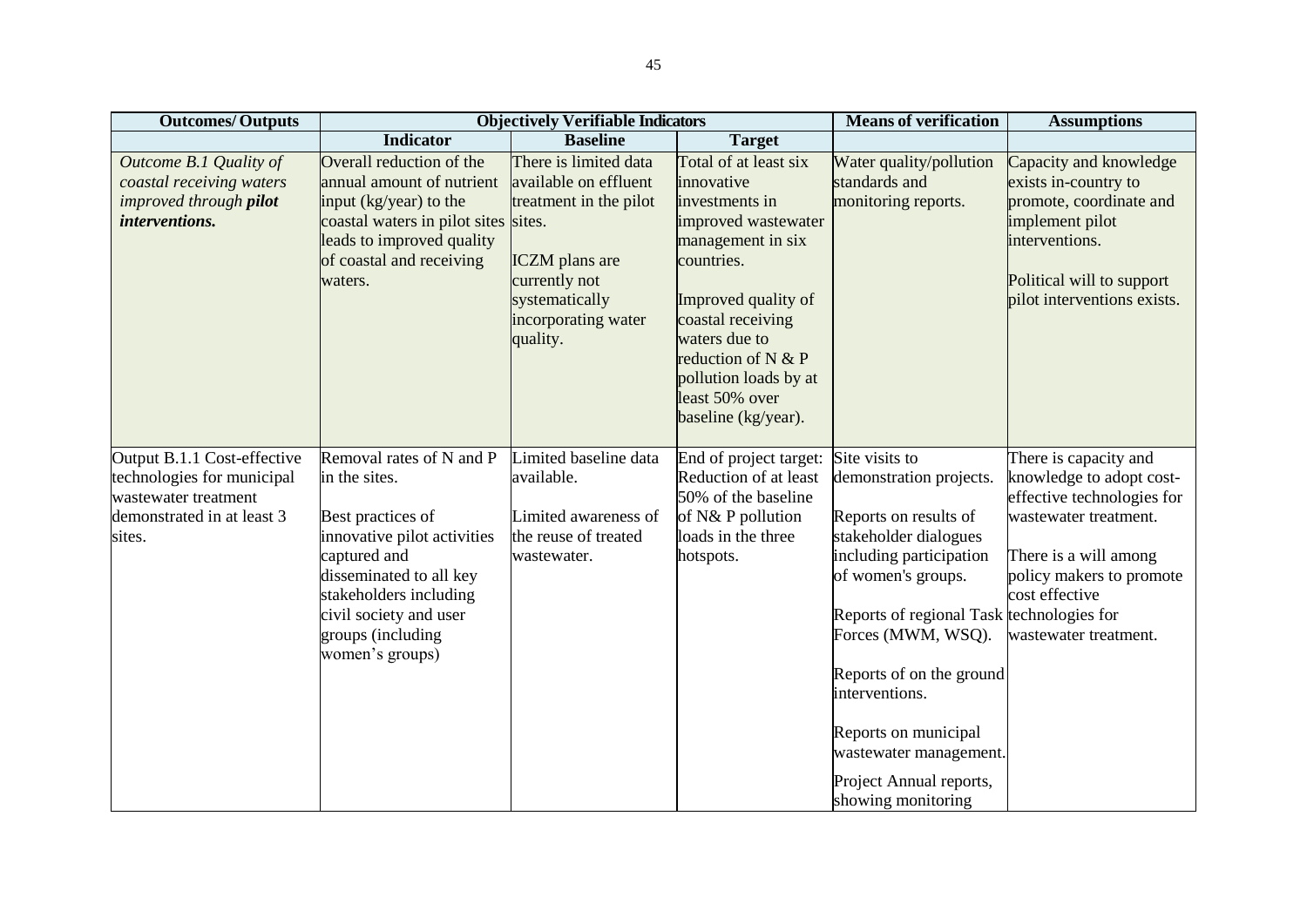| <b>Outcomes/Outputs</b>                                                                                                   |                                                                                                                                                                                                                                      | <b>Objectively Verifiable Indicators</b>                                                                                                                                          |                                                                                                                                                                                                                                                                      | <b>Means of verification</b>                                                                                                                                                                                                                                                                                                                                     | <b>Assumptions</b>                                                                                                                                                                                       |
|---------------------------------------------------------------------------------------------------------------------------|--------------------------------------------------------------------------------------------------------------------------------------------------------------------------------------------------------------------------------------|-----------------------------------------------------------------------------------------------------------------------------------------------------------------------------------|----------------------------------------------------------------------------------------------------------------------------------------------------------------------------------------------------------------------------------------------------------------------|------------------------------------------------------------------------------------------------------------------------------------------------------------------------------------------------------------------------------------------------------------------------------------------------------------------------------------------------------------------|----------------------------------------------------------------------------------------------------------------------------------------------------------------------------------------------------------|
|                                                                                                                           | <b>Indicator</b>                                                                                                                                                                                                                     | <b>Baseline</b>                                                                                                                                                                   | <b>Target</b>                                                                                                                                                                                                                                                        |                                                                                                                                                                                                                                                                                                                                                                  |                                                                                                                                                                                                          |
| Outcome B.1 Quality of<br>coastal receiving waters<br>improved through pilot<br><i>interventions.</i>                     | Overall reduction of the<br>annual amount of nutrient<br>input (kg/year) to the<br>coastal waters in pilot sites<br>leads to improved quality<br>of coastal and receiving<br>waters.                                                 | There is limited data<br>available on effluent<br>treatment in the pilot<br>sites.<br><b>ICZM</b> plans are<br>currently not<br>systematically<br>incorporating water<br>quality. | Total of at least six<br>innovative<br>investments in<br>improved wastewater<br>management in six<br>countries.<br>Improved quality of<br>coastal receiving<br>waters due to<br>reduction of N & P<br>pollution loads by at<br>least 50% over<br>baseline (kg/year). | Water quality/pollution<br>standards and<br>monitoring reports.                                                                                                                                                                                                                                                                                                  | Capacity and knowledge<br>exists in-country to<br>promote, coordinate and<br>implement pilot<br>interventions.<br>Political will to support<br>pilot interventions exists.                               |
| Output B.1.1 Cost-effective<br>technologies for municipal<br>wastewater treatment<br>demonstrated in at least 3<br>sites. | Removal rates of N and P<br>in the sites.<br>Best practices of<br>innovative pilot activities<br>captured and<br>disseminated to all key<br>stakeholders including<br>civil society and user<br>groups (including<br>women's groups) | Limited baseline data<br>available.<br>Limited awareness of<br>the reuse of treated<br>wastewater.                                                                                | End of project target:<br>Reduction of at least<br>50% of the baseline<br>of N& P pollution<br>loads in the three<br>hotspots.                                                                                                                                       | Site visits to<br>demonstration projects.<br>Reports on results of<br>stakeholder dialogues<br>including participation<br>of women's groups.<br>Reports of regional Task technologies for<br>Forces (MWM, WSQ).<br>Reports of on the ground<br>interventions.<br>Reports on municipal<br>wastewater management.<br>Project Annual reports,<br>showing monitoring | There is capacity and<br>knowledge to adopt cost-<br>effective technologies for<br>wastewater treatment.<br>There is a will among<br>policy makers to promote<br>cost effective<br>wastewater treatment. |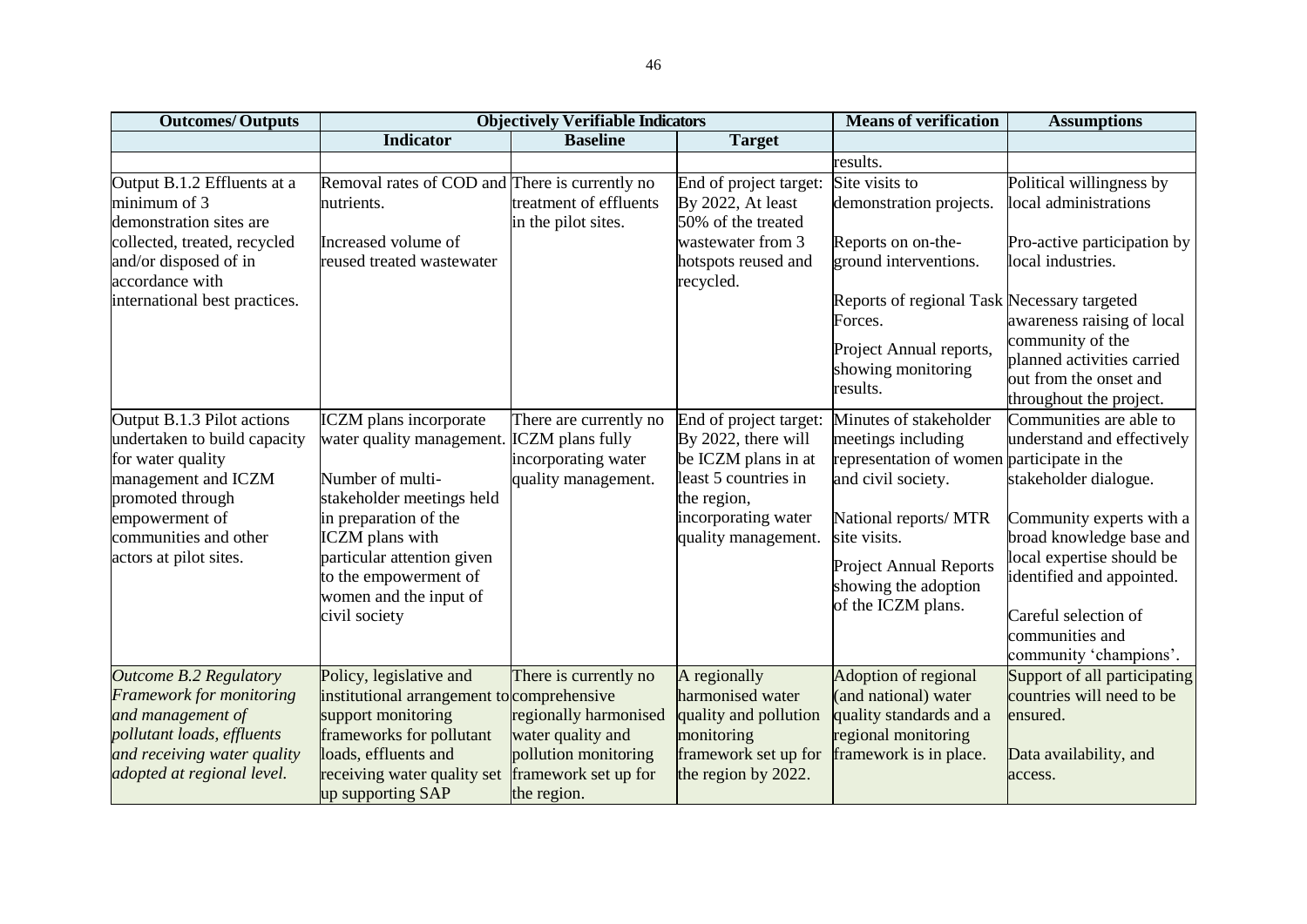| <b>Outcomes/Outputs</b>                         |                                                | <b>Objectively Verifiable Indicators</b>  |                                     | <b>Means of verification</b>                   | <b>Assumptions</b>                             |
|-------------------------------------------------|------------------------------------------------|-------------------------------------------|-------------------------------------|------------------------------------------------|------------------------------------------------|
|                                                 | <b>Indicator</b>                               | <b>Baseline</b>                           | <b>Target</b>                       |                                                |                                                |
|                                                 |                                                |                                           |                                     | results.                                       |                                                |
| Output B.1.2 Effluents at a                     | Removal rates of COD and There is currently no |                                           | End of project target:              | Site visits to                                 | Political willingness by                       |
| minimum of 3                                    | nutrients.                                     | treatment of effluents                    | By 2022, At least                   | demonstration projects.                        | local administrations                          |
| demonstration sites are                         |                                                | in the pilot sites.                       | 50% of the treated                  |                                                |                                                |
| collected, treated, recycled                    | Increased volume of                            |                                           | wastewater from 3                   | Reports on on-the-                             | Pro-active participation by                    |
| and/or disposed of in                           | reused treated wastewater                      |                                           | hotspots reused and                 | ground interventions.                          | local industries.                              |
| accordance with                                 |                                                |                                           | recycled.                           |                                                |                                                |
| international best practices.                   |                                                |                                           |                                     | Reports of regional Task Necessary targeted    |                                                |
|                                                 |                                                |                                           |                                     | Forces.                                        | awareness raising of local                     |
|                                                 |                                                |                                           |                                     | Project Annual reports,                        | community of the<br>planned activities carried |
|                                                 |                                                |                                           |                                     | showing monitoring                             | out from the onset and                         |
|                                                 |                                                |                                           |                                     | results.                                       | throughout the project.                        |
| Output B.1.3 Pilot actions                      | <b>ICZM</b> plans incorporate                  | There are currently no                    | End of project target:              | Minutes of stakeholder                         | Communities are able to                        |
| undertaken to build capacity                    | water quality management.                      | <b>ICZM</b> plans fully                   | By 2022, there will                 | meetings including                             | understand and effectively                     |
| for water quality                               |                                                | incorporating water                       | be ICZM plans in at                 | representation of women participate in the     |                                                |
| management and ICZM                             | Number of multi-                               | quality management.                       | least 5 countries in                | and civil society.                             | stakeholder dialogue.                          |
| promoted through                                | stakeholder meetings held                      |                                           | the region,                         |                                                |                                                |
| empowerment of                                  | in preparation of the                          |                                           | incorporating water                 | National reports/ MTR                          | Community experts with a                       |
| communities and other                           | <b>ICZM</b> plans with                         |                                           | quality management.                 | site visits.                                   | broad knowledge base and                       |
| actors at pilot sites.                          | particular attention given                     |                                           |                                     | <b>Project Annual Reports</b>                  | local expertise should be                      |
|                                                 | to the empowerment of                          |                                           |                                     | showing the adoption                           | identified and appointed.                      |
|                                                 | women and the input of                         |                                           |                                     | of the ICZM plans.                             |                                                |
|                                                 | civil society                                  |                                           |                                     |                                                | Careful selection of                           |
|                                                 |                                                |                                           |                                     |                                                | communities and                                |
|                                                 |                                                |                                           |                                     |                                                | community 'champions'.                         |
| <b>Outcome B.2 Regulatory</b>                   | Policy, legislative and                        | There is currently no                     | A regionally                        | Adoption of regional                           | Support of all participating                   |
| Framework for monitoring                        | institutional arrangement to comprehensive     |                                           | harmonised water                    | (and national) water                           | countries will need to be                      |
| and management of<br>pollutant loads, effluents | support monitoring<br>frameworks for pollutant | regionally harmonised                     | quality and pollution<br>monitoring | quality standards and a<br>regional monitoring | ensured.                                       |
| and receiving water quality                     | loads, effluents and                           | water quality and<br>pollution monitoring | framework set up for                | framework is in place.                         | Data availability, and                         |
| adopted at regional level.                      | receiving water quality set                    | framework set up for                      | the region by 2022.                 |                                                | access.                                        |
|                                                 | up supporting SAP                              | the region.                               |                                     |                                                |                                                |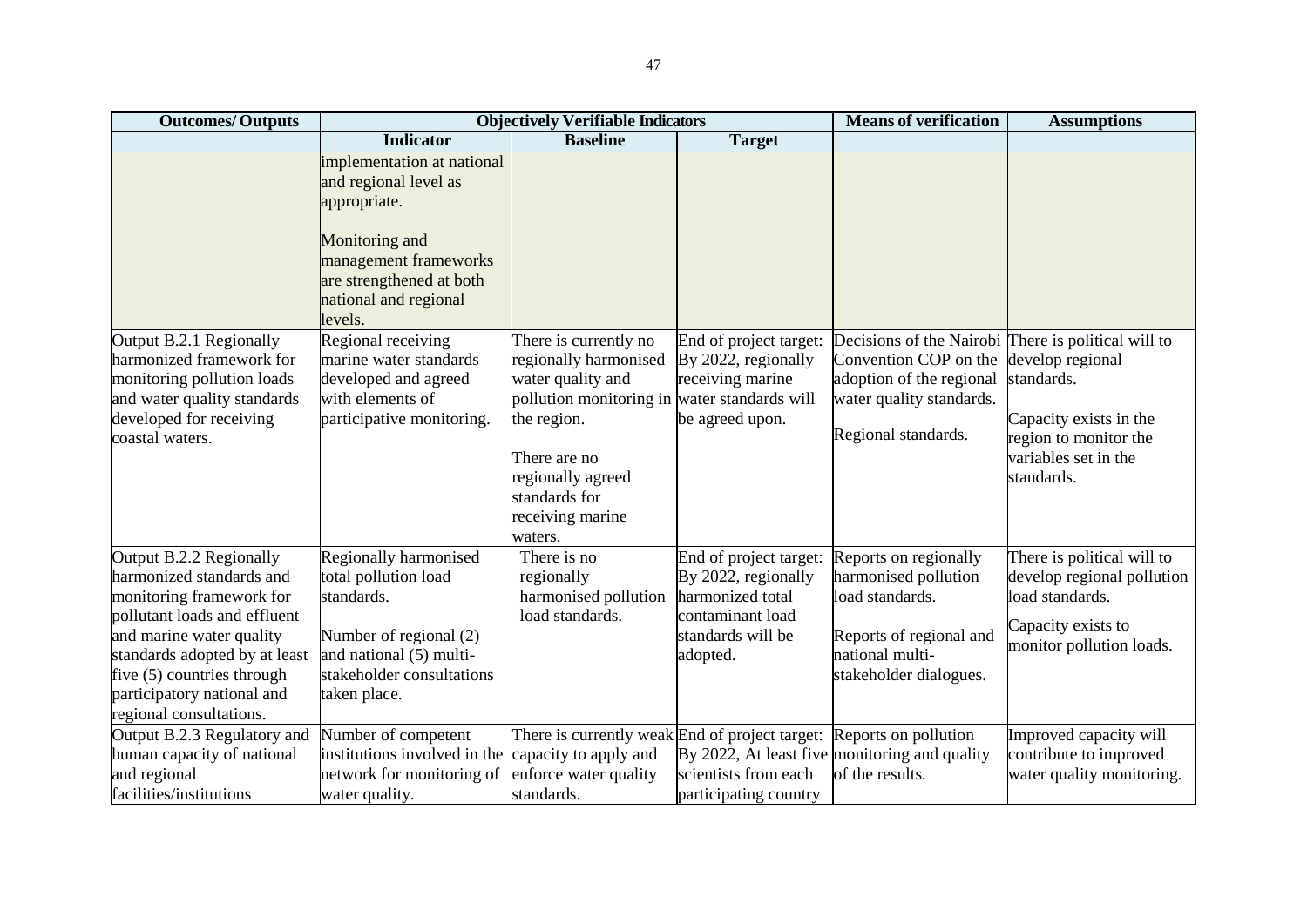| <b>Outcomes/Outputs</b>                                                                                                                                                                                                                                             |                                                                                                                                                                                | <b>Objectively Verifiable Indicators</b>                                                                                                                                                           |                                                                                                                        | <b>Means of verification</b>                                                                                                                                                 | <b>Assumptions</b>                                                                                                            |
|---------------------------------------------------------------------------------------------------------------------------------------------------------------------------------------------------------------------------------------------------------------------|--------------------------------------------------------------------------------------------------------------------------------------------------------------------------------|----------------------------------------------------------------------------------------------------------------------------------------------------------------------------------------------------|------------------------------------------------------------------------------------------------------------------------|------------------------------------------------------------------------------------------------------------------------------------------------------------------------------|-------------------------------------------------------------------------------------------------------------------------------|
|                                                                                                                                                                                                                                                                     | <b>Indicator</b>                                                                                                                                                               | <b>Baseline</b>                                                                                                                                                                                    | <b>Target</b>                                                                                                          |                                                                                                                                                                              |                                                                                                                               |
|                                                                                                                                                                                                                                                                     | implementation at national<br>and regional level as<br>appropriate.<br>Monitoring and<br>management frameworks<br>are strengthened at both<br>national and regional<br>levels. |                                                                                                                                                                                                    |                                                                                                                        |                                                                                                                                                                              |                                                                                                                               |
| Output B.2.1 Regionally<br>harmonized framework for<br>monitoring pollution loads<br>and water quality standards<br>developed for receiving<br>coastal waters.                                                                                                      | Regional receiving<br>marine water standards<br>developed and agreed<br>with elements of<br>participative monitoring.                                                          | There is currently no<br>regionally harmonised<br>water quality and<br>pollution monitoring in<br>the region.<br>There are no<br>regionally agreed<br>standards for<br>receiving marine<br>waters. | End of project target:<br>By 2022, regionally<br>receiving marine<br>water standards will<br>be agreed upon.           | Decisions of the Nairobi There is political will to<br>Convention COP on the develop regional<br>adoption of the regional<br>water quality standards.<br>Regional standards. | standards.<br>Capacity exists in the<br>region to monitor the<br>variables set in the<br>standards.                           |
| Output B.2.2 Regionally<br>harmonized standards and<br>monitoring framework for<br>pollutant loads and effluent<br>and marine water quality<br>standards adopted by at least<br>five (5) countries through<br>participatory national and<br>regional consultations. | Regionally harmonised<br>total pollution load<br>standards.<br>Number of regional (2)<br>and national (5) multi-<br>stakeholder consultations<br>taken place.                  | There is no<br>regionally<br>harmonised pollution<br>load standards.                                                                                                                               | End of project target:<br>By 2022, regionally<br>harmonized total<br>contaminant load<br>standards will be<br>adopted. | Reports on regionally<br>harmonised pollution<br>load standards.<br>Reports of regional and<br>national multi-<br>stakeholder dialogues.                                     | There is political will to<br>develop regional pollution<br>load standards.<br>Capacity exists to<br>monitor pollution loads. |
| Output B.2.3 Regulatory and<br>human capacity of national<br>and regional<br>facilities/institutions                                                                                                                                                                | Number of competent<br>institutions involved in the<br>network for monitoring of<br>water quality.                                                                             | There is currently weak End of project target: Reports on pollution<br>capacity to apply and<br>enforce water quality<br>standards.                                                                | scientists from each<br>participating country                                                                          | By 2022, At least five monitoring and quality<br>of the results.                                                                                                             | Improved capacity will<br>contribute to improved<br>water quality monitoring.                                                 |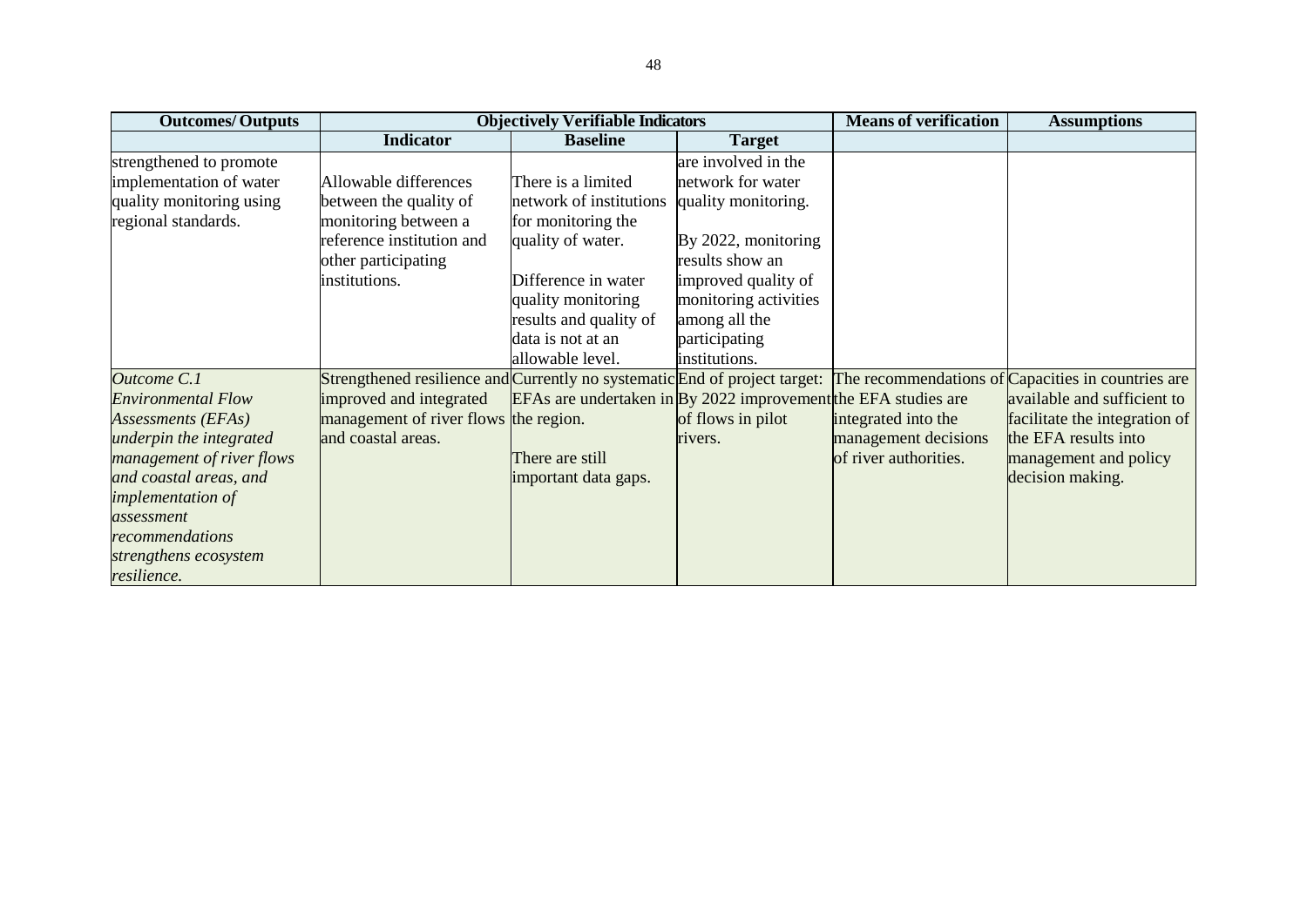| <b>Outcomes/Outputs</b>   |                                                                            | <b>Objectively Verifiable Indicators</b>                                  |                        | <b>Means of verification</b> | <b>Assumptions</b>                                 |
|---------------------------|----------------------------------------------------------------------------|---------------------------------------------------------------------------|------------------------|------------------------------|----------------------------------------------------|
|                           | <b>Indicator</b>                                                           | <b>Baseline</b>                                                           | <b>Target</b>          |                              |                                                    |
| strengthened to promote   |                                                                            |                                                                           | are involved in the    |                              |                                                    |
| implementation of water   | Allowable differences                                                      | There is a limited                                                        | network for water      |                              |                                                    |
| quality monitoring using  | between the quality of                                                     | network of institutions                                                   | quality monitoring.    |                              |                                                    |
| regional standards.       | monitoring between a                                                       | for monitoring the                                                        |                        |                              |                                                    |
|                           | reference institution and                                                  | quality of water.                                                         | By $2022$ , monitoring |                              |                                                    |
|                           | other participating                                                        |                                                                           | results show an        |                              |                                                    |
|                           | institutions.                                                              | Difference in water                                                       | improved quality of    |                              |                                                    |
|                           |                                                                            | quality monitoring                                                        | monitoring activities  |                              |                                                    |
|                           |                                                                            | results and quality of                                                    | among all the          |                              |                                                    |
|                           |                                                                            | data is not at an                                                         | participating          |                              |                                                    |
|                           |                                                                            | allowable level.                                                          | institutions.          |                              |                                                    |
| Outcome C.1               | Strengthened resilience and Currently no systematic End of project target: |                                                                           |                        |                              | The recommendations of Capacities in countries are |
| <b>Environmental Flow</b> | improved and integrated                                                    | EFAs are undertaken in $\mathbf{By}$ 2022 improvement the EFA studies are |                        |                              | available and sufficient to                        |
| Assessments (EFAs)        | management of river flows the region.                                      |                                                                           | of flows in pilot      | integrated into the          | facilitate the integration of                      |
| underpin the integrated   | and coastal areas.                                                         |                                                                           | rivers.                | management decisions         | the EFA results into                               |
| management of river flows |                                                                            | There are still                                                           |                        | of river authorities.        | management and policy                              |
| and coastal areas, and    |                                                                            | important data gaps.                                                      |                        |                              | decision making.                                   |
| <i>implementation of</i>  |                                                                            |                                                                           |                        |                              |                                                    |
| assessment                |                                                                            |                                                                           |                        |                              |                                                    |
| recommendations           |                                                                            |                                                                           |                        |                              |                                                    |
| strengthens ecosystem     |                                                                            |                                                                           |                        |                              |                                                    |
| resilience.               |                                                                            |                                                                           |                        |                              |                                                    |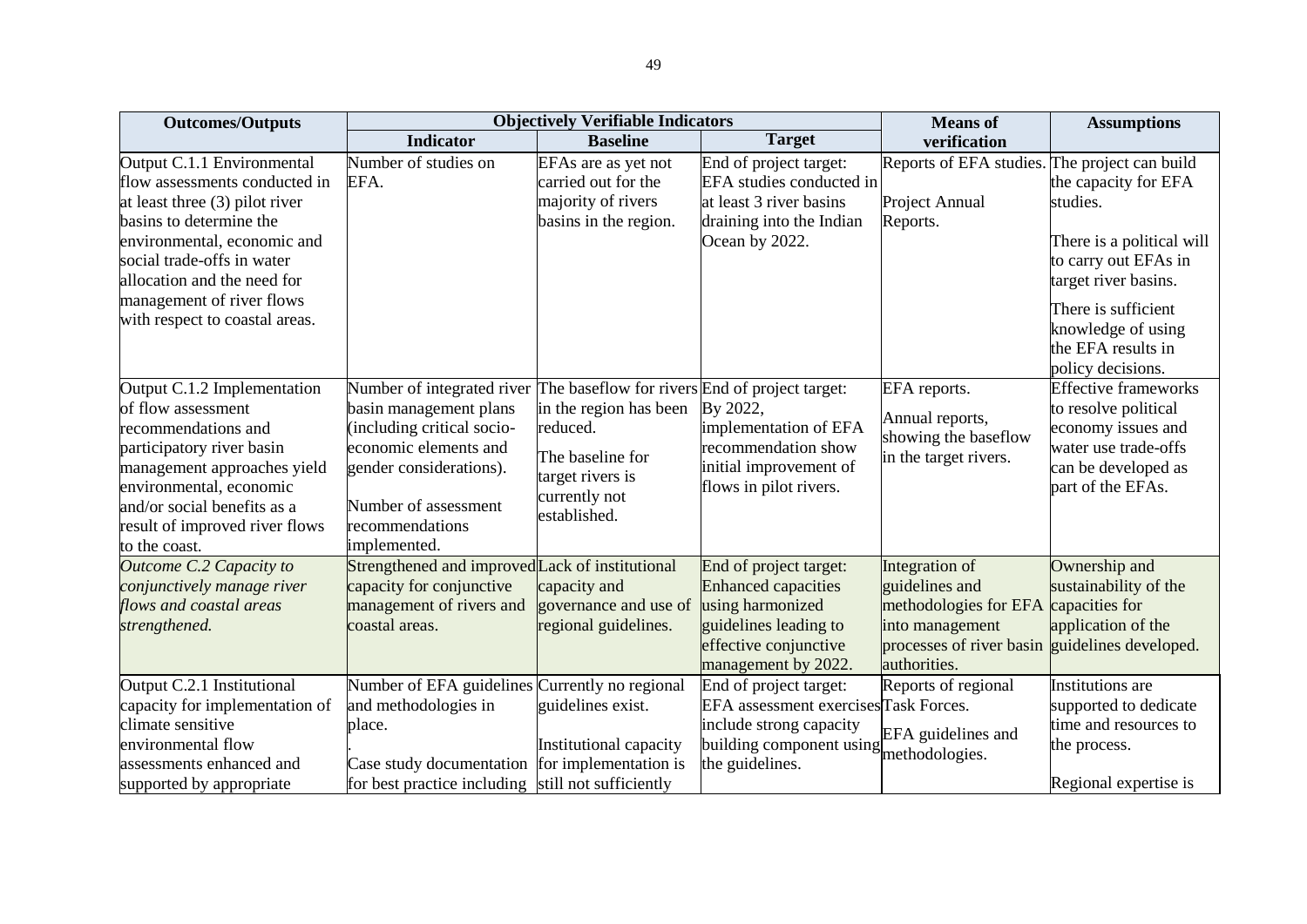| <b>Outcomes/Outputs</b>                                                                                                                                                                                                                                                             |                                                                                                                                                                                                                                                 | <b>Objectively Verifiable Indicators</b>                                                                    |                                                                                                                                                             | <b>Means</b> of                                                                                                                                               | <b>Assumptions</b>                                                                                                                                                                                    |
|-------------------------------------------------------------------------------------------------------------------------------------------------------------------------------------------------------------------------------------------------------------------------------------|-------------------------------------------------------------------------------------------------------------------------------------------------------------------------------------------------------------------------------------------------|-------------------------------------------------------------------------------------------------------------|-------------------------------------------------------------------------------------------------------------------------------------------------------------|---------------------------------------------------------------------------------------------------------------------------------------------------------------|-------------------------------------------------------------------------------------------------------------------------------------------------------------------------------------------------------|
|                                                                                                                                                                                                                                                                                     | <b>Indicator</b>                                                                                                                                                                                                                                | <b>Baseline</b>                                                                                             | <b>Target</b>                                                                                                                                               | verification                                                                                                                                                  |                                                                                                                                                                                                       |
| Output C.1.1 Environmental<br>flow assessments conducted in<br>at least three (3) pilot river<br>basins to determine the<br>environmental, economic and<br>social trade-offs in water<br>allocation and the need for<br>management of river flows<br>with respect to coastal areas. | Number of studies on<br>EFA.                                                                                                                                                                                                                    | EFAs are as yet not<br>carried out for the<br>majority of rivers<br>basins in the region.                   | End of project target:<br>EFA studies conducted in<br>at least 3 river basins<br>draining into the Indian<br>Ocean by 2022.                                 | Reports of EFA studies. The project can build<br>Project Annual<br>Reports.                                                                                   | the capacity for EFA<br>studies.<br>There is a political will<br>to carry out EFAs in<br>target river basins.<br>There is sufficient<br>knowledge of using<br>the EFA results in<br>policy decisions. |
| Output C.1.2 Implementation<br>of flow assessment<br>recommendations and<br>participatory river basin<br>management approaches yield<br>environmental, economic<br>and/or social benefits as a<br>result of improved river flows<br>to the coast.                                   | Number of integrated river The baseflow for rivers End of project target:<br>basin management plans<br>including critical socio-<br>economic elements and<br>gender considerations).<br>Number of assessment<br>recommendations<br>implemented. | in the region has been<br>reduced.<br>The baseline for<br>target rivers is<br>currently not<br>established. | By 2022,<br>implementation of EFA<br>recommendation show<br>initial improvement of<br>flows in pilot rivers.                                                | EFA reports.<br>Annual reports,<br>showing the baseflow<br>in the target rivers.                                                                              | <b>Effective frameworks</b><br>to resolve political<br>economy issues and<br>water use trade-offs<br>can be developed as<br>part of the EFAs.                                                         |
| Outcome C.2 Capacity to<br>conjunctively manage river<br>flows and coastal areas<br>strengthened.                                                                                                                                                                                   | Strengthened and improved Lack of institutional<br>capacity for conjunctive<br>management of rivers and<br>coastal areas.                                                                                                                       | capacity and<br>governance and use of<br>regional guidelines.                                               | End of project target:<br><b>Enhanced capacities</b><br>using harmonized<br>guidelines leading to<br>effective conjunctive<br>management by 2022.           | Integration of<br>guidelines and<br>methodologies for EFA capacities for<br>into management<br>processes of river basin guidelines developed.<br>authorities. | Ownership and<br>sustainability of the<br>application of the                                                                                                                                          |
| Output C.2.1 Institutional<br>capacity for implementation of<br>climate sensitive<br>environmental flow<br>assessments enhanced and<br>supported by appropriate                                                                                                                     | Number of EFA guidelines Currently no regional<br>and methodologies in<br>place.<br>Case study documentation<br>for best practice including still not sufficiently                                                                              | guidelines exist.<br>Institutional capacity<br>for implementation is                                        | End of project target:<br>EFA assessment exercisesTask Forces.<br>include strong capacity<br>building component using EFA guidelines and<br>the guidelines. | Reports of regional                                                                                                                                           | Institutions are<br>supported to dedicate<br>time and resources to<br>the process.<br>Regional expertise is                                                                                           |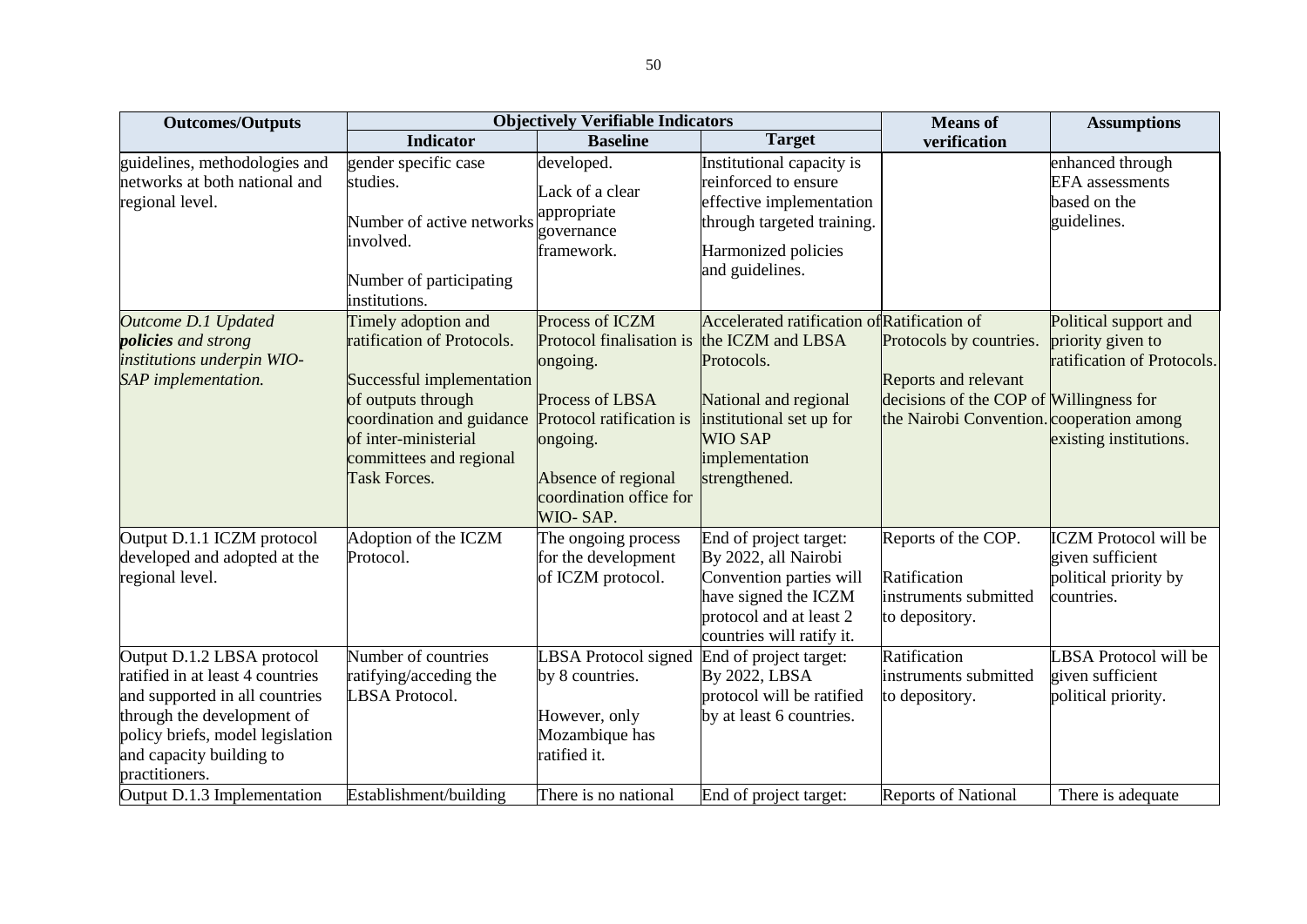| <b>Outcomes/Outputs</b>                                                                                                                                                                                                                         |                                                                                                                                                                                                      | <b>Objectively Verifiable Indicators</b>                                                                                                                                         |                                                                                                                                                                                          | <b>Means</b> of                                                                                                                                | <b>Assumptions</b>                                                                                 |
|-------------------------------------------------------------------------------------------------------------------------------------------------------------------------------------------------------------------------------------------------|------------------------------------------------------------------------------------------------------------------------------------------------------------------------------------------------------|----------------------------------------------------------------------------------------------------------------------------------------------------------------------------------|------------------------------------------------------------------------------------------------------------------------------------------------------------------------------------------|------------------------------------------------------------------------------------------------------------------------------------------------|----------------------------------------------------------------------------------------------------|
|                                                                                                                                                                                                                                                 | <b>Indicator</b>                                                                                                                                                                                     | <b>Baseline</b>                                                                                                                                                                  | <b>Target</b>                                                                                                                                                                            | verification                                                                                                                                   |                                                                                                    |
| guidelines, methodologies and<br>networks at both national and<br>regional level.                                                                                                                                                               | gender specific case<br>studies.<br>Number of active networks<br>involved.<br>Number of participating<br>institutions.                                                                               | developed.<br>Lack of a clear<br>appropriate<br>governance<br>framework.                                                                                                         | Institutional capacity is<br>reinforced to ensure<br>effective implementation<br>through targeted training.<br>Harmonized policies<br>and guidelines.                                    |                                                                                                                                                | enhanced through<br><b>EFA</b> assessments<br>based on the<br>guidelines.                          |
| Outcome D.1 Updated<br><i>policies and strong</i><br>institutions underpin WIO-<br>SAP implementation.                                                                                                                                          | Timely adoption and<br>ratification of Protocols.<br>Successful implementation<br>of outputs through<br>coordination and guidance<br>of inter-ministerial<br>committees and regional<br>Task Forces. | Process of ICZM<br>Protocol finalisation is<br>ongoing.<br>Process of LBSA<br>Protocol ratification is<br>ongoing.<br>Absence of regional<br>coordination office for<br>WIO-SAP. | Accelerated ratification of Ratification of<br>the ICZM and LBSA<br>Protocols.<br>National and regional<br>institutional set up for<br><b>WIO SAP</b><br>implementation<br>strengthened. | Protocols by countries.<br><b>Reports and relevant</b><br>decisions of the COP of Willingness for<br>the Nairobi Convention. cooperation among | Political support and<br>priority given to<br>ratification of Protocols.<br>existing institutions. |
| Output D.1.1 ICZM protocol<br>developed and adopted at the<br>regional level.                                                                                                                                                                   | Adoption of the ICZM<br>Protocol.                                                                                                                                                                    | The ongoing process<br>for the development<br>of ICZM protocol.                                                                                                                  | End of project target:<br>By 2022, all Nairobi<br>Convention parties will<br>have signed the ICZM<br>protocol and at least 2<br>countries will ratify it.                                | Reports of the COP.<br>Ratification<br>instruments submitted<br>to depository.                                                                 | <b>ICZM</b> Protocol will be<br>given sufficient<br>political priority by<br>countries.            |
| Output D.1.2 LBSA protocol<br>ratified in at least 4 countries<br>and supported in all countries<br>through the development of<br>policy briefs, model legislation<br>and capacity building to<br>practitioners.<br>Output D.1.3 Implementation | Number of countries<br>ratifying/acceding the<br>LBSA Protocol.<br>Establishment/building                                                                                                            | <b>LBSA</b> Protocol signed<br>by 8 countries.<br>However, only<br>Mozambique has<br>ratified it.<br>There is no national                                                        | End of project target:<br>By 2022, LBSA<br>protocol will be ratified<br>by at least 6 countries.<br>End of project target:                                                               | Ratification<br>instruments submitted<br>to depository.<br><b>Reports of National</b>                                                          | LBSA Protocol will be<br>given sufficient<br>political priority.<br>There is adequate              |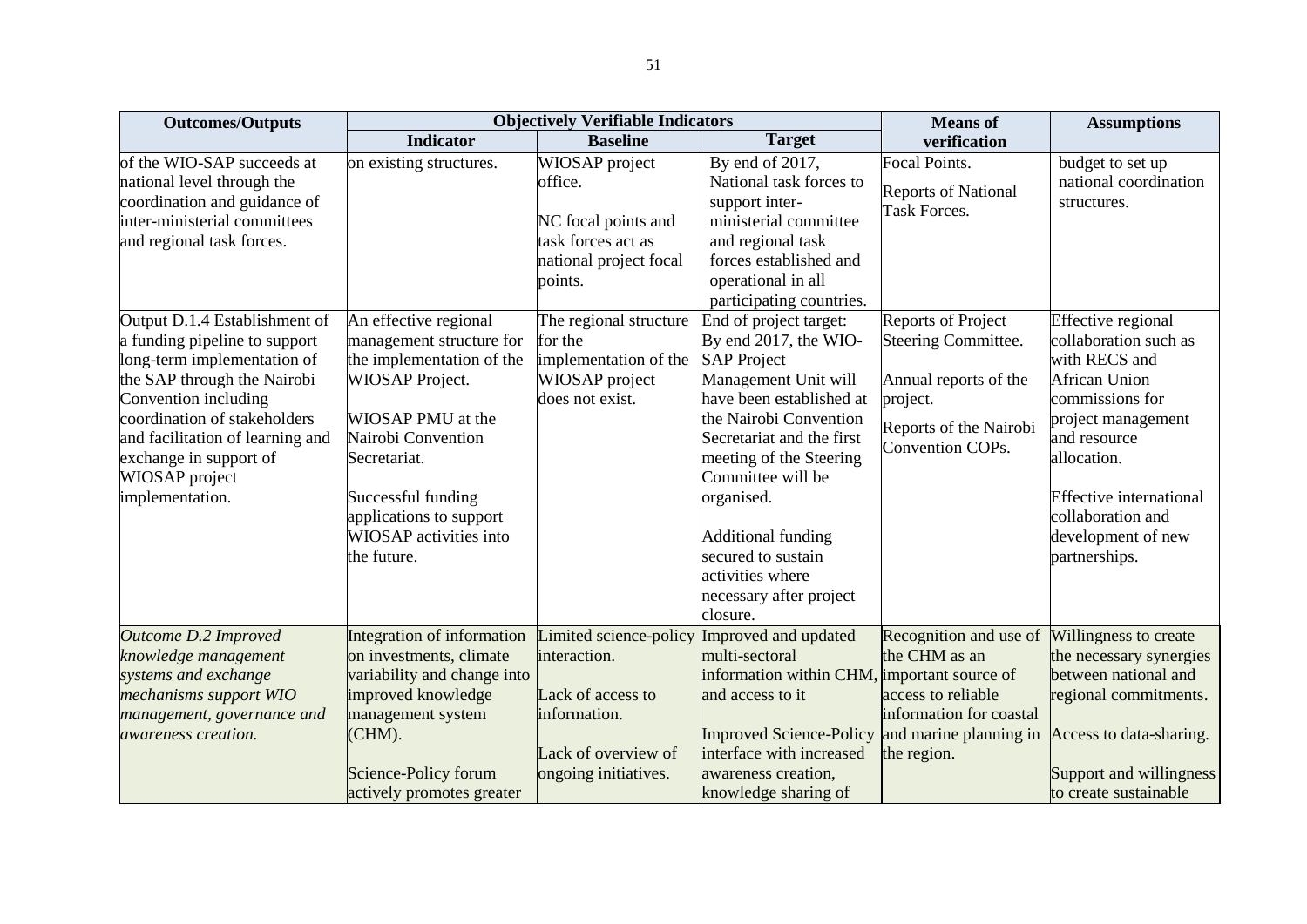| <b>Outcomes/Outputs</b>                                                                                                                                                                                                                                                                 |                                                                                                                                                                                                                                                               | <b>Objectively Verifiable Indicators</b>                                                                                   |                                                                                                                                                                                                                                                                                                                                                              | <b>Means</b> of                                                                                                                     | <b>Assumptions</b>                                                                                                                                                                                                                                         |
|-----------------------------------------------------------------------------------------------------------------------------------------------------------------------------------------------------------------------------------------------------------------------------------------|---------------------------------------------------------------------------------------------------------------------------------------------------------------------------------------------------------------------------------------------------------------|----------------------------------------------------------------------------------------------------------------------------|--------------------------------------------------------------------------------------------------------------------------------------------------------------------------------------------------------------------------------------------------------------------------------------------------------------------------------------------------------------|-------------------------------------------------------------------------------------------------------------------------------------|------------------------------------------------------------------------------------------------------------------------------------------------------------------------------------------------------------------------------------------------------------|
|                                                                                                                                                                                                                                                                                         | <b>Indicator</b>                                                                                                                                                                                                                                              | <b>Baseline</b>                                                                                                            | <b>Target</b>                                                                                                                                                                                                                                                                                                                                                | verification                                                                                                                        |                                                                                                                                                                                                                                                            |
| of the WIO-SAP succeeds at<br>national level through the<br>coordination and guidance of<br>inter-ministerial committees<br>and regional task forces.                                                                                                                                   | on existing structures.                                                                                                                                                                                                                                       | WIOSAP project<br>office.<br>NC focal points and<br>task forces act as<br>national project focal<br>points.                | By end of 2017,<br>National task forces to<br>support inter-<br>ministerial committee<br>and regional task<br>forces established and<br>operational in all<br>participating countries.                                                                                                                                                                       | <b>Focal Points.</b><br><b>Reports of National</b><br><b>Task Forces.</b>                                                           | budget to set up<br>national coordination<br>structures.                                                                                                                                                                                                   |
| Output D.1.4 Establishment of<br>a funding pipeline to support<br>long-term implementation of<br>the SAP through the Nairobi<br>Convention including<br>coordination of stakeholders<br>and facilitation of learning and<br>exchange in support of<br>WIOSAP project<br>implementation. | An effective regional<br>management structure for<br>the implementation of the<br><b>WIOSAP</b> Project.<br>WIOSAP PMU at the<br>Nairobi Convention<br>Secretariat.<br>Successful funding<br>applications to support<br>WIOSAP activities into<br>the future. | The regional structure<br>for the<br>implementation of the<br>WIOSAP project<br>does not exist.                            | End of project target:<br>By end 2017, the WIO-<br><b>SAP Project</b><br>Management Unit will<br>have been established at<br>the Nairobi Convention<br>Secretariat and the first<br>meeting of the Steering<br>Committee will be<br>organised.<br><b>Additional funding</b><br>secured to sustain<br>activities where<br>necessary after project<br>closure. | <b>Reports of Project</b><br>Steering Committee.<br>Annual reports of the<br>project.<br>Reports of the Nairobi<br>Convention COPs. | Effective regional<br>collaboration such as<br>with RECS and<br><b>African Union</b><br>commissions for<br>project management<br>and resource<br>allocation.<br><b>Effective international</b><br>collaboration and<br>development of new<br>partnerships. |
| Outcome D.2 Improved<br>knowledge management<br>systems and exchange<br>mechanisms support WIO<br>management, governance and<br><i>awareness creation.</i>                                                                                                                              | Integration of information<br>on investments, climate<br>variability and change into<br>improved knowledge<br>management system<br>(CHM).<br>Science-Policy forum<br>actively promotes greater                                                                | Limited science-policy<br>interaction.<br>Lack of access to<br>information.<br>Lack of overview of<br>ongoing initiatives. | Improved and updated<br>multi-sectoral<br>information within CHM, important source of<br>and access to it<br><b>Improved Science-Policy</b><br>interface with increased<br>awareness creation,<br>knowledge sharing of                                                                                                                                       | Recognition and use of<br>the CHM as an<br>access to reliable<br>information for coastal<br>and marine planning in<br>the region.   | Willingness to create<br>the necessary synergies<br>between national and<br>regional commitments.<br>Access to data-sharing.<br>Support and willingness<br>to create sustainable                                                                           |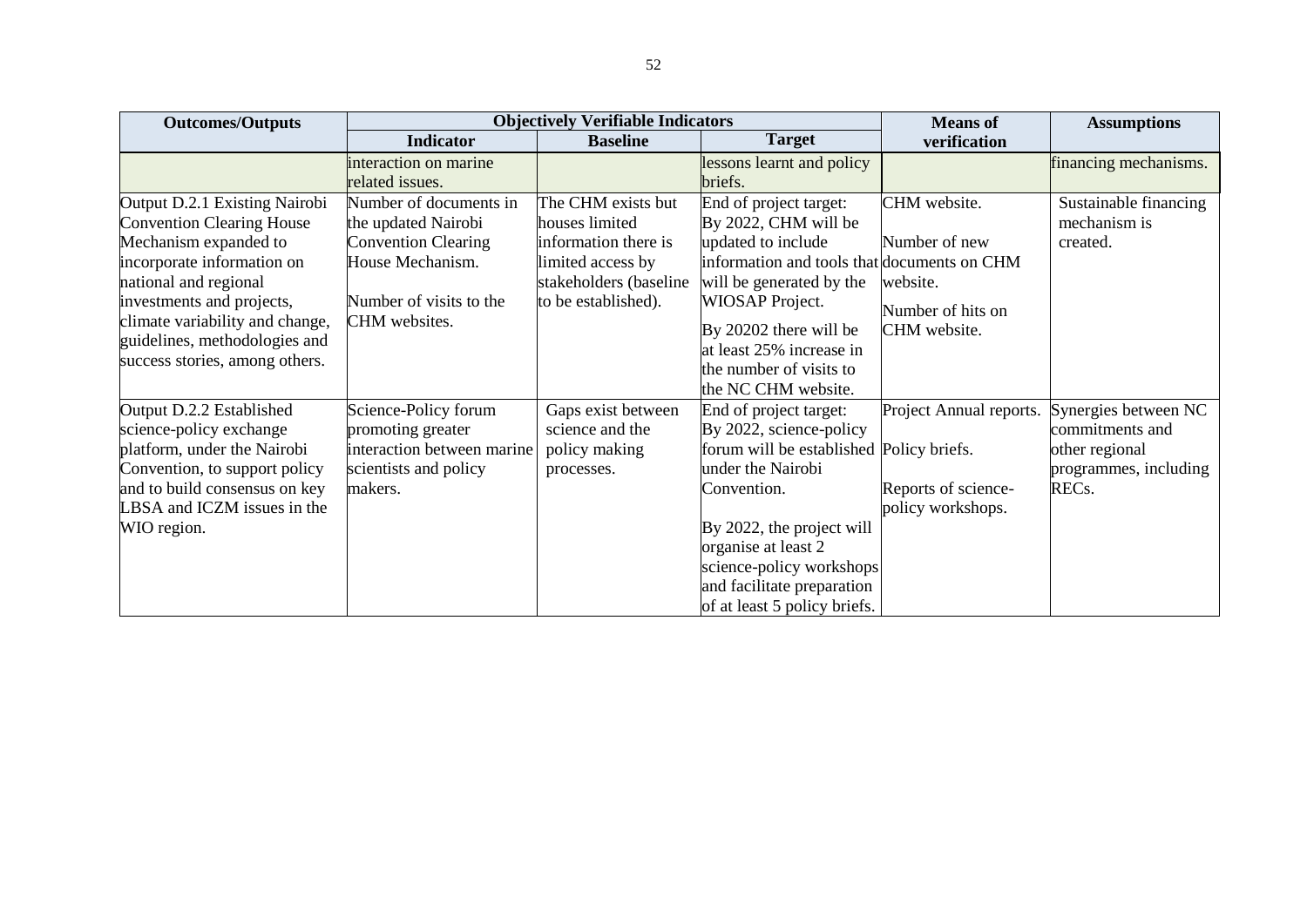| <b>Outcomes/Outputs</b>          |                            | <b>Objectively Verifiable Indicators</b> |                                             | <b>Means</b> of         | <b>Assumptions</b>    |
|----------------------------------|----------------------------|------------------------------------------|---------------------------------------------|-------------------------|-----------------------|
|                                  | <b>Indicator</b>           | <b>Baseline</b>                          | <b>Target</b>                               | verification            |                       |
|                                  | interaction on marine      |                                          | lessons learnt and policy                   |                         | financing mechanisms. |
|                                  | related issues.            |                                          | briefs.                                     |                         |                       |
| Output D.2.1 Existing Nairobi    | Number of documents in     | The CHM exists but                       | End of project target:                      | CHM website.            | Sustainable financing |
| <b>Convention Clearing House</b> | the updated Nairobi        | houses limited                           | By 2022, CHM will be                        |                         | mechanism is          |
| Mechanism expanded to            | <b>Convention Clearing</b> | information there is                     | updated to include                          | Number of new           | created.              |
| incorporate information on       | House Mechanism.           | limited access by                        | information and tools that documents on CHM |                         |                       |
| national and regional            |                            | stakeholders (baseline                   | will be generated by the                    | website.                |                       |
| investments and projects,        | Number of visits to the    | to be established).                      | <b>WIOSAP</b> Project.                      | Number of hits on       |                       |
| climate variability and change,  | CHM websites.              |                                          | By 20202 there will be                      | CHM website.            |                       |
| guidelines, methodologies and    |                            |                                          | at least 25% increase in                    |                         |                       |
| success stories, among others.   |                            |                                          | the number of visits to                     |                         |                       |
|                                  |                            |                                          | the NC CHM website.                         |                         |                       |
| Output D.2.2 Established         | Science-Policy forum       | Gaps exist between                       | End of project target:                      | Project Annual reports. | Synergies between NC  |
| science-policy exchange          | promoting greater          | science and the                          | By 2022, science-policy                     |                         | commitments and       |
| platform, under the Nairobi      | interaction between marine | policy making                            | forum will be established Policy briefs.    |                         | other regional        |
| Convention, to support policy    | scientists and policy      | processes.                               | under the Nairobi                           |                         | programmes, including |
| and to build consensus on key    | makers.                    |                                          | Convention.                                 | Reports of science-     | REC <sub>s</sub> .    |
| LBSA and ICZM issues in the      |                            |                                          |                                             | policy workshops.       |                       |
| WIO region.                      |                            |                                          | By 2022, the project will                   |                         |                       |
|                                  |                            |                                          | organise at least 2                         |                         |                       |
|                                  |                            |                                          | science-policy workshops                    |                         |                       |
|                                  |                            |                                          | and facilitate preparation                  |                         |                       |
|                                  |                            |                                          | of at least 5 policy briefs.                |                         |                       |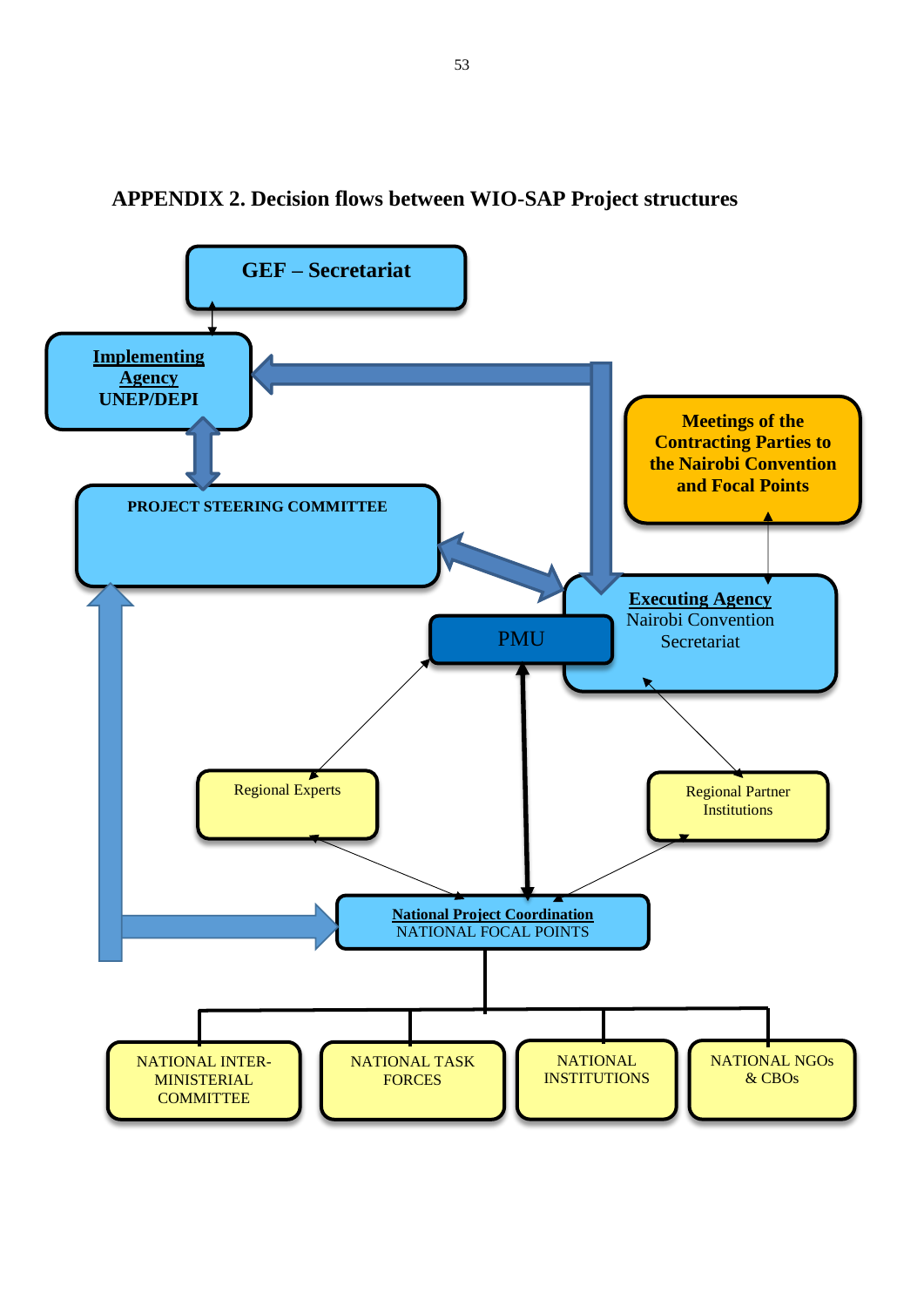

## <span id="page-53-0"></span>**APPENDIX 2. Decision flows between WIO-SAP Project structures**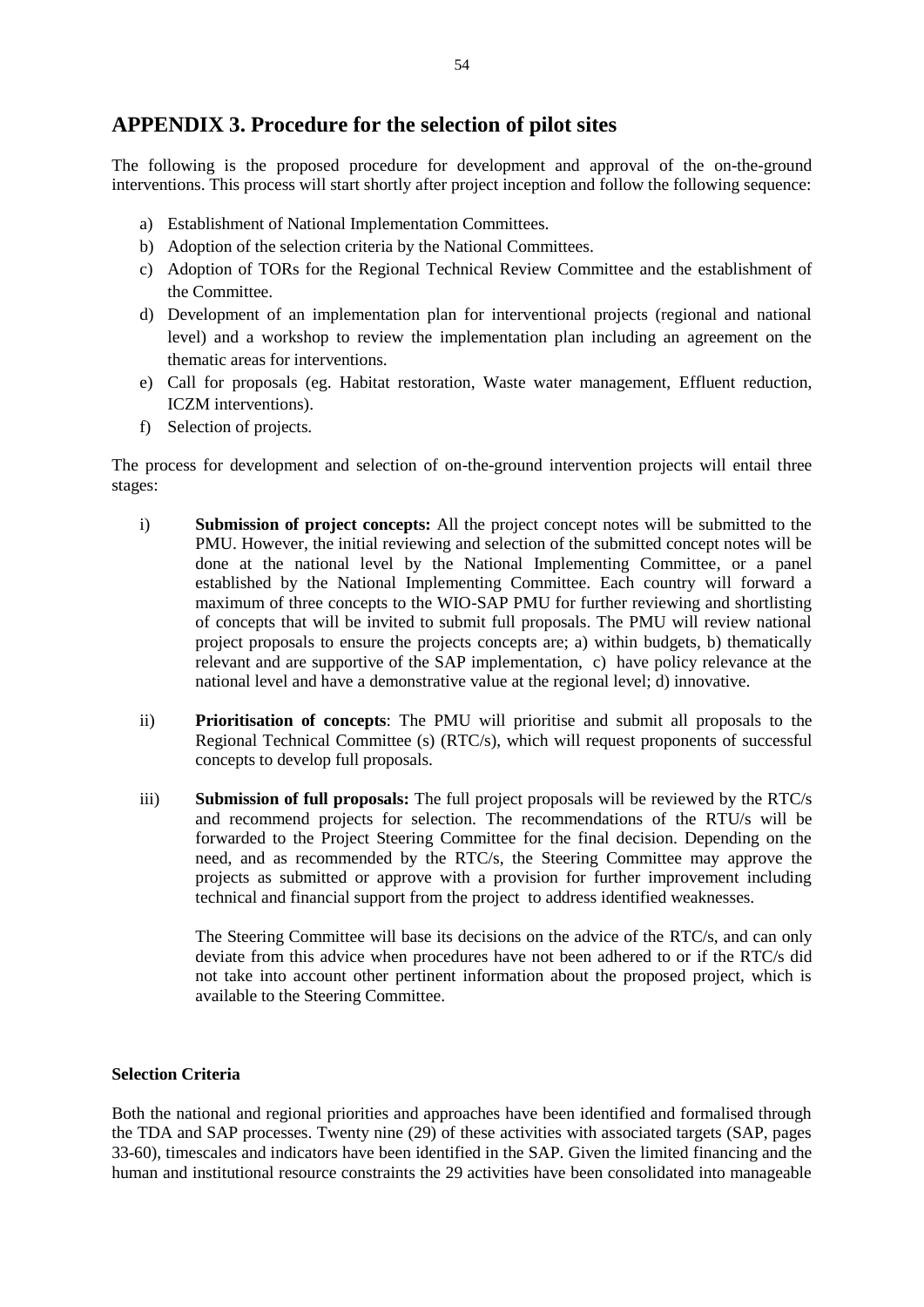#### <span id="page-54-0"></span>**APPENDIX 3. Procedure for the selection of pilot sites**

The following is the proposed procedure for development and approval of the on-the-ground interventions. This process will start shortly after project inception and follow the following sequence:

- a) Establishment of National Implementation Committees.
- b) Adoption of the selection criteria by the National Committees.
- c) Adoption of TORs for the Regional Technical Review Committee and the establishment of the Committee.
- d) Development of an implementation plan for interventional projects (regional and national level) and a workshop to review the implementation plan including an agreement on the thematic areas for interventions.
- e) Call for proposals (eg. Habitat restoration, Waste water management, Effluent reduction, ICZM interventions).
- f) Selection of projects.

The process for development and selection of on-the-ground intervention projects will entail three stages:

- i) **Submission of project concepts:** All the project concept notes will be submitted to the PMU. However, the initial reviewing and selection of the submitted concept notes will be done at the national level by the National Implementing Committee, or a panel established by the National Implementing Committee. Each country will forward a maximum of three concepts to the WIO-SAP PMU for further reviewing and shortlisting of concepts that will be invited to submit full proposals. The PMU will review national project proposals to ensure the projects concepts are; a) within budgets, b) thematically relevant and are supportive of the SAP implementation, c) have policy relevance at the national level and have a demonstrative value at the regional level; d) innovative.
- ii) **Prioritisation of concepts**: The PMU will prioritise and submit all proposals to the Regional Technical Committee (s) (RTC/s), which will request proponents of successful concepts to develop full proposals.
- iii) **Submission of full proposals:** The full project proposals will be reviewed by the RTC/s and recommend projects for selection. The recommendations of the RTU/s will be forwarded to the Project Steering Committee for the final decision. Depending on the need, and as recommended by the RTC/s, the Steering Committee may approve the projects as submitted or approve with a provision for further improvement including technical and financial support from the project to address identified weaknesses.

The Steering Committee will base its decisions on the advice of the RTC/s, and can only deviate from this advice when procedures have not been adhered to or if the RTC/s did not take into account other pertinent information about the proposed project, which is available to the Steering Committee.

#### **Selection Criteria**

Both the national and regional priorities and approaches have been identified and formalised through the TDA and SAP processes. Twenty nine (29) of these activities with associated targets (SAP, pages 33-60), timescales and indicators have been identified in the SAP. Given the limited financing and the human and institutional resource constraints the 29 activities have been consolidated into manageable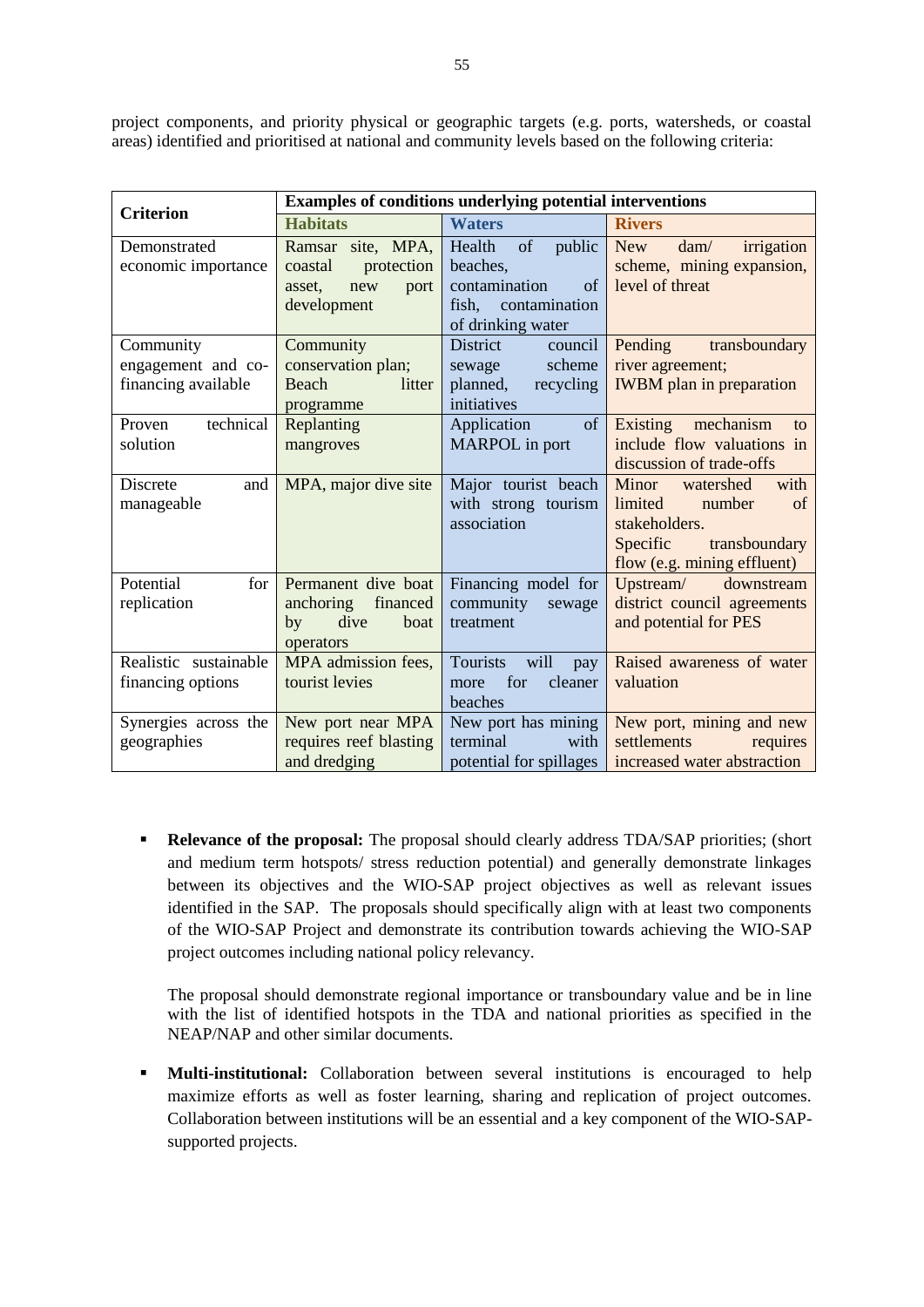project components, and priority physical or geographic targets (e.g. ports, watersheds, or coastal areas) identified and prioritised at national and community levels based on the following criteria:

|                       |                        | <b>Examples of conditions underlying potential interventions</b> |                                          |
|-----------------------|------------------------|------------------------------------------------------------------|------------------------------------------|
| <b>Criterion</b>      | <b>Habitats</b>        | <b>Waters</b>                                                    | <b>Rivers</b>                            |
| Demonstrated          | Ramsar site, MPA,      | of<br>Health<br>public New                                       | $\text{dam}/\text{}$<br>irrigation       |
| economic importance   | protection<br>coastal  | beaches,                                                         | scheme, mining expansion,                |
|                       | new<br>asset,<br>port  | contamination<br>of                                              | level of threat                          |
|                       | development            | fish,<br>contamination                                           |                                          |
|                       |                        | of drinking water                                                |                                          |
| Community             | Community              | District<br>council                                              | Pending<br>transboundary                 |
| engagement and co-    | conservation plan;     | scheme<br>sewage                                                 | river agreement;                         |
| financing available   | Beach<br>litter        | planned,<br>recycling                                            | <b>IWBM</b> plan in preparation          |
|                       | programme              | initiatives                                                      |                                          |
| technical<br>Proven   | Replanting             | Application<br>of                                                | mechanism<br>Existing<br>to              |
| solution              | mangroves              | MARPOL in port                                                   | include flow valuations in               |
|                       |                        |                                                                  | discussion of trade-offs                 |
| Discrete<br>and       | MPA, major dive site   | Major tourist beach                                              | with<br>Minor<br>watershed               |
| manageable            |                        | with strong tourism<br>association                               | limited<br>number<br>of<br>stakeholders. |
|                       |                        |                                                                  | Specific<br>transboundary                |
|                       |                        |                                                                  | flow (e.g. mining effluent)              |
| Potential<br>for      | Permanent dive boat    | Financing model for                                              | Upstream/ downstream                     |
| replication           | anchoring<br>financed  | community<br>sewage                                              | district council agreements              |
|                       | dive<br>by<br>boat     | treatment                                                        | and potential for PES                    |
|                       | operators              |                                                                  |                                          |
| Realistic sustainable | MPA admission fees,    | <b>Tourists</b><br>will<br>pay                                   | Raised awareness of water                |
| financing options     | tourist levies         | for<br>cleaner<br>more                                           | valuation                                |
|                       |                        | beaches                                                          |                                          |
| Synergies across the  | New port near MPA      | New port has mining                                              | New port, mining and new                 |
| geographies           | requires reef blasting | terminal<br>with                                                 | settlements<br>requires                  |
|                       | and dredging           | potential for spillages                                          | increased water abstraction              |

**Relevance of the proposal:** The proposal should clearly address TDA/SAP priorities; (short and medium term hotspots/ stress reduction potential) and generally demonstrate linkages between its objectives and the WIO-SAP project objectives as well as relevant issues identified in the SAP. The proposals should specifically align with at least two components of the WIO-SAP Project and demonstrate its contribution towards achieving the WIO-SAP project outcomes including national policy relevancy.

The proposal should demonstrate regional importance or transboundary value and be in line with the list of identified hotspots in the TDA and national priorities as specified in the NEAP/NAP and other similar documents.

**Multi-institutional:** Collaboration between several institutions is encouraged to help maximize efforts as well as foster learning, sharing and replication of project outcomes. Collaboration between institutions will be an essential and a key component of the WIO-SAPsupported projects.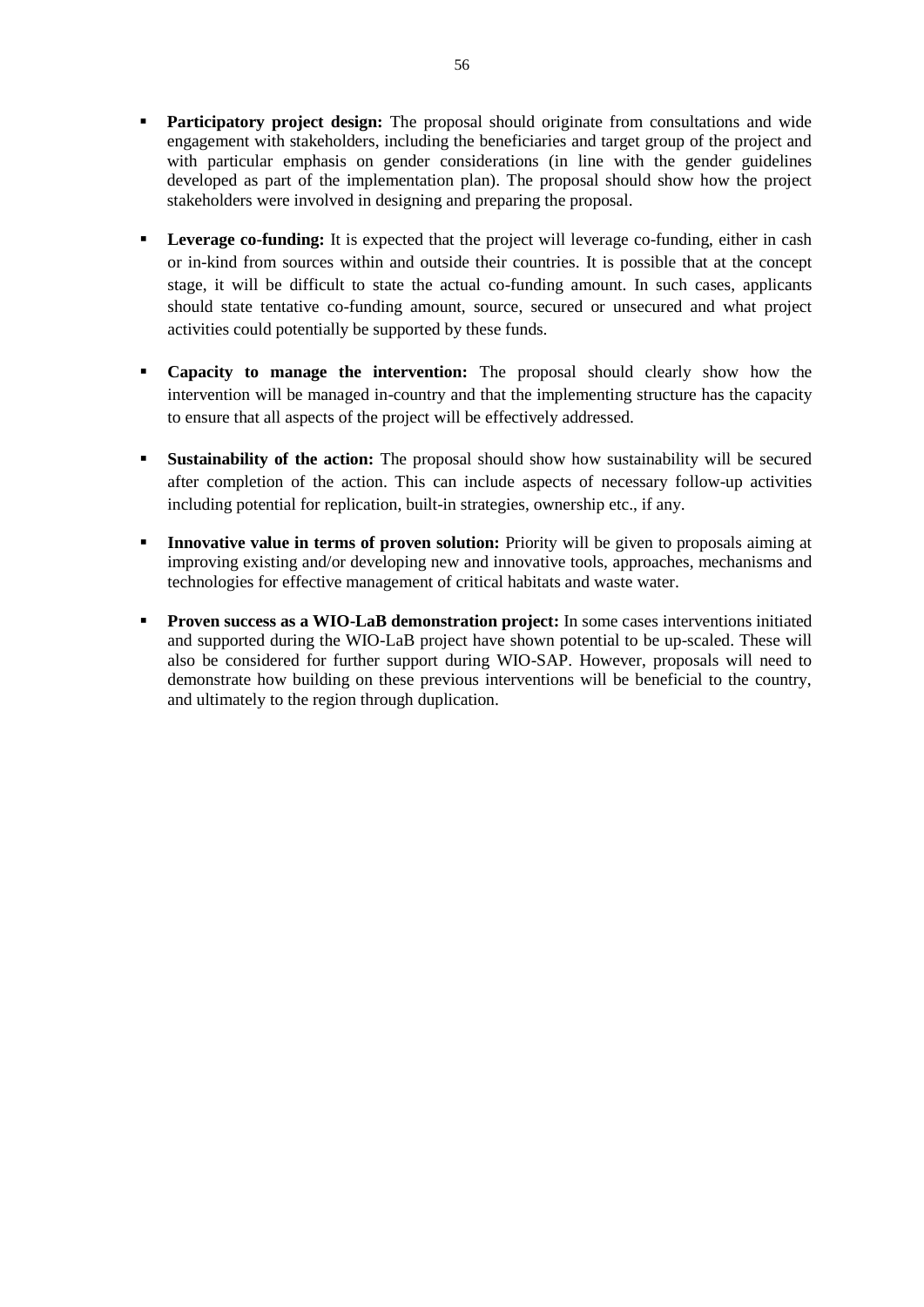- **Participatory project design:** The proposal should originate from consultations and wide engagement with stakeholders, including the beneficiaries and target group of the project and with particular emphasis on gender considerations (in line with the gender guidelines developed as part of the implementation plan). The proposal should show how the project stakeholders were involved in designing and preparing the proposal.
- **Leverage co-funding:** It is expected that the project will leverage co-funding, either in cash or in-kind from sources within and outside their countries. It is possible that at the concept stage, it will be difficult to state the actual co-funding amount. In such cases, applicants should state tentative co-funding amount, source, secured or unsecured and what project activities could potentially be supported by these funds.
- **Capacity to manage the intervention:** The proposal should clearly show how the intervention will be managed in-country and that the implementing structure has the capacity to ensure that all aspects of the project will be effectively addressed.
- **Sustainability of the action:** The proposal should show how sustainability will be secured after completion of the action. This can include aspects of necessary follow-up activities including potential for replication, built-in strategies, ownership etc., if any.
- **Innovative value in terms of proven solution:** Priority will be given to proposals aiming at improving existing and/or developing new and innovative tools, approaches, mechanisms and technologies for effective management of critical habitats and waste water.
- **Proven success as a WIO-LaB demonstration project:** In some cases interventions initiated and supported during the WIO-LaB project have shown potential to be up-scaled. These will also be considered for further support during WIO-SAP. However, proposals will need to demonstrate how building on these previous interventions will be beneficial to the country, and ultimately to the region through duplication.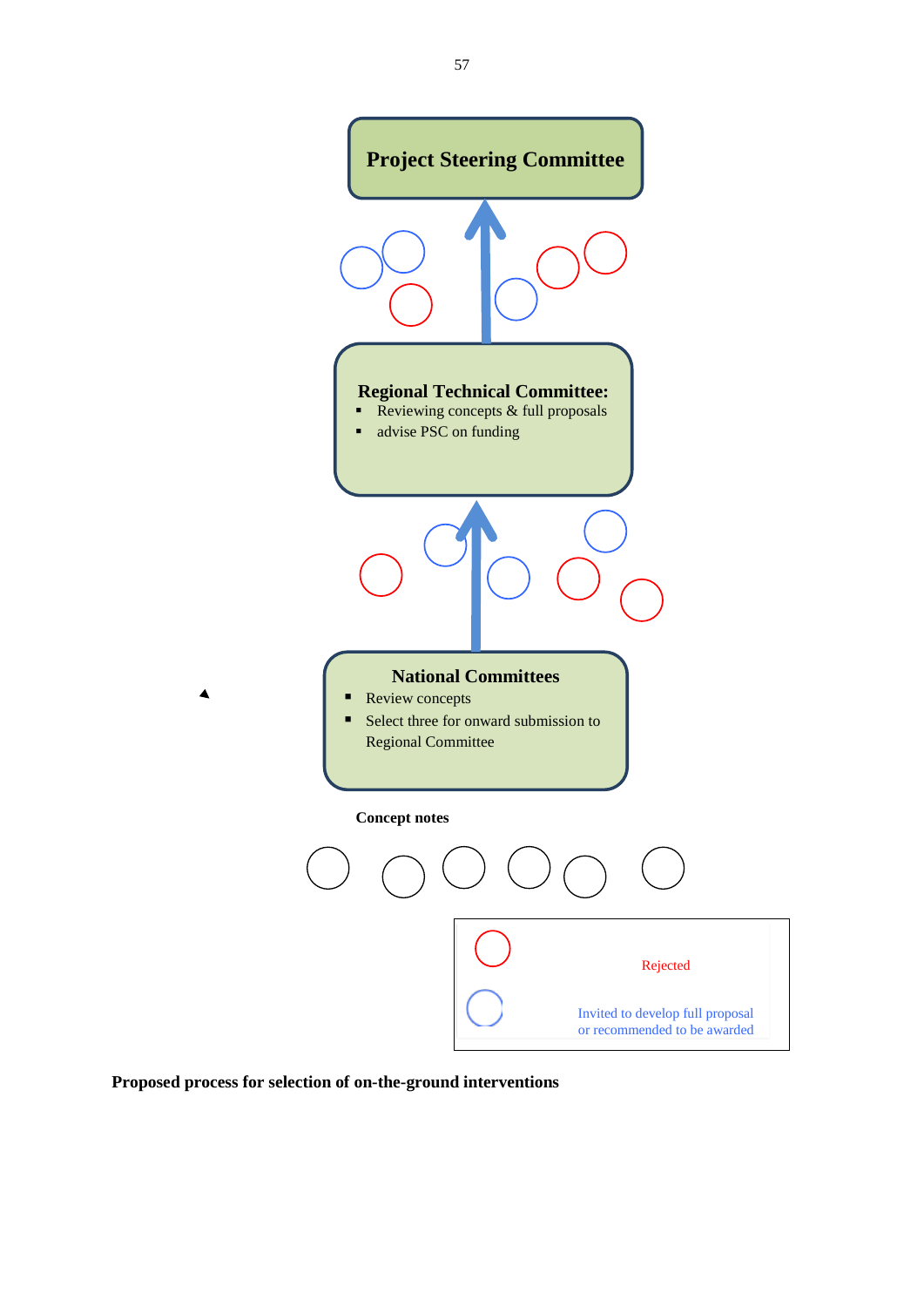

**Proposed process for selection of on-the-ground interventions**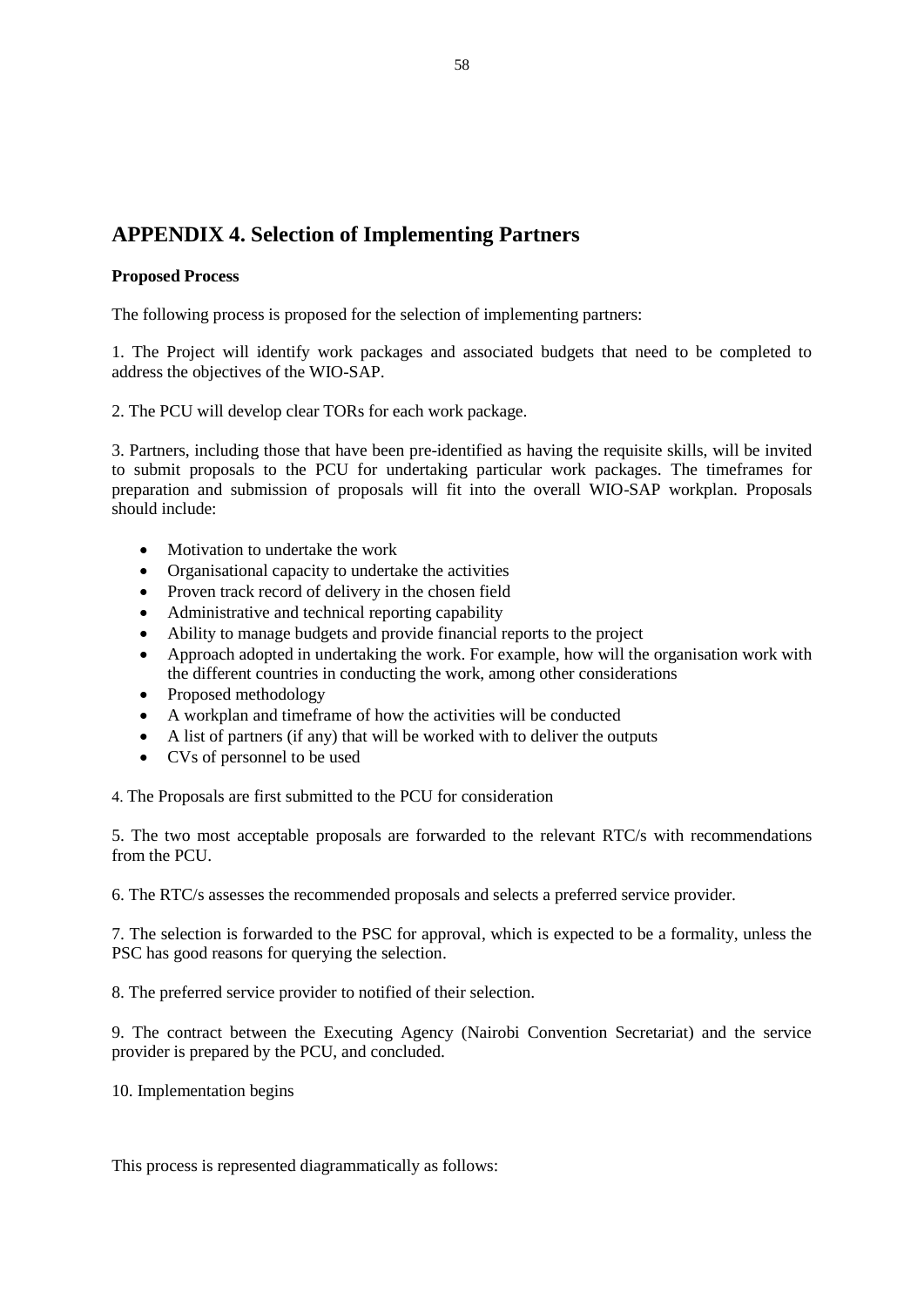## <span id="page-58-0"></span>**APPENDIX 4. Selection of Implementing Partners**

#### **Proposed Process**

The following process is proposed for the selection of implementing partners:

1. The Project will identify work packages and associated budgets that need to be completed to address the objectives of the WIO-SAP.

2. The PCU will develop clear TORs for each work package.

3. Partners, including those that have been pre-identified as having the requisite skills, will be invited to submit proposals to the PCU for undertaking particular work packages. The timeframes for preparation and submission of proposals will fit into the overall WIO-SAP workplan. Proposals should include:

- Motivation to undertake the work
- Organisational capacity to undertake the activities
- Proven track record of delivery in the chosen field
- Administrative and technical reporting capability
- Ability to manage budgets and provide financial reports to the project
- Approach adopted in undertaking the work. For example, how will the organisation work with the different countries in conducting the work, among other considerations
- Proposed methodology
- A workplan and timeframe of how the activities will be conducted
- A list of partners (if any) that will be worked with to deliver the outputs
- CVs of personnel to be used

4. The Proposals are first submitted to the PCU for consideration

5. The two most acceptable proposals are forwarded to the relevant RTC/s with recommendations from the PCU.

6. The RTC/s assesses the recommended proposals and selects a preferred service provider.

7. The selection is forwarded to the PSC for approval, which is expected to be a formality, unless the PSC has good reasons for querying the selection.

8. The preferred service provider to notified of their selection.

9. The contract between the Executing Agency (Nairobi Convention Secretariat) and the service provider is prepared by the PCU, and concluded.

10. Implementation begins

This process is represented diagrammatically as follows: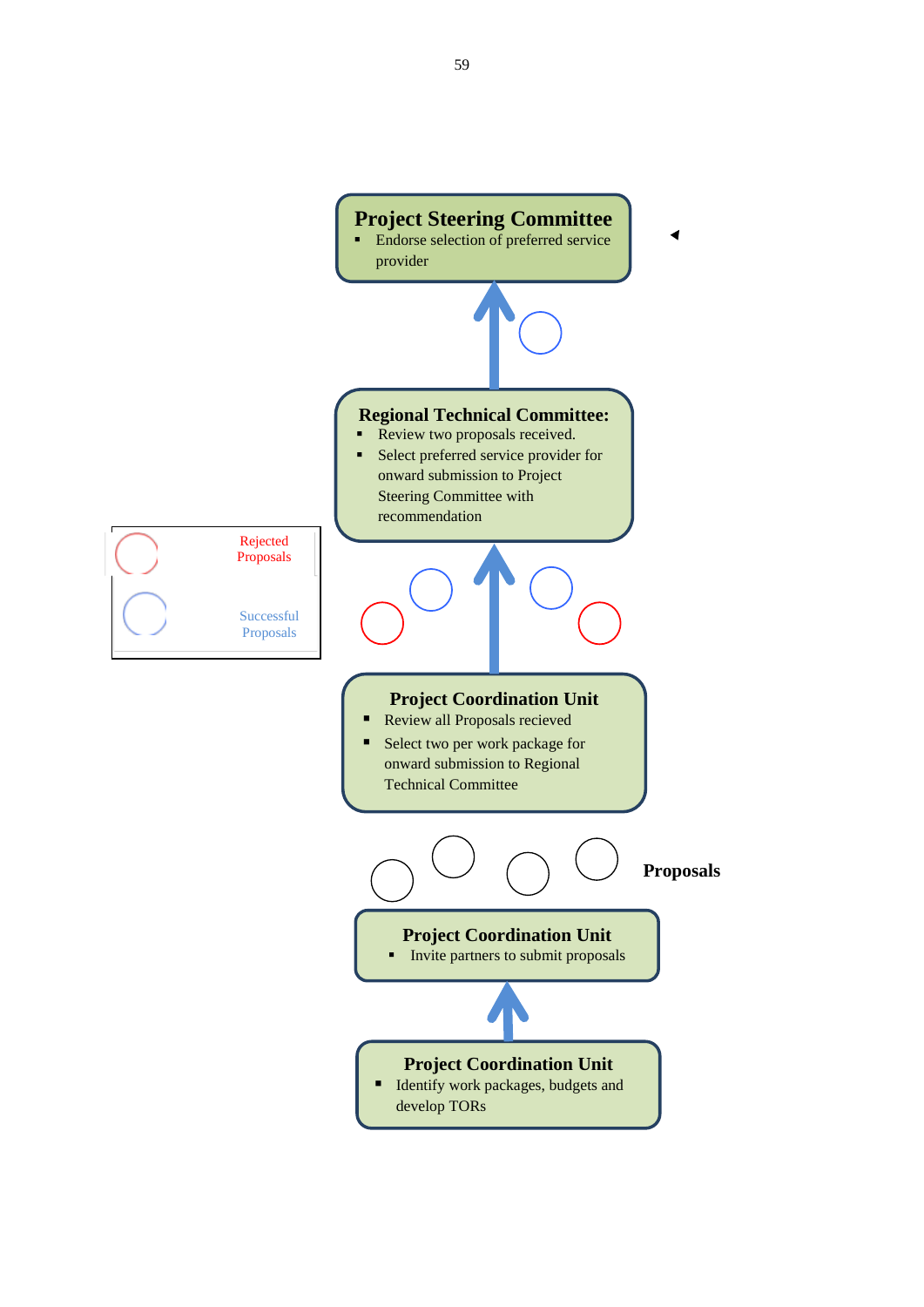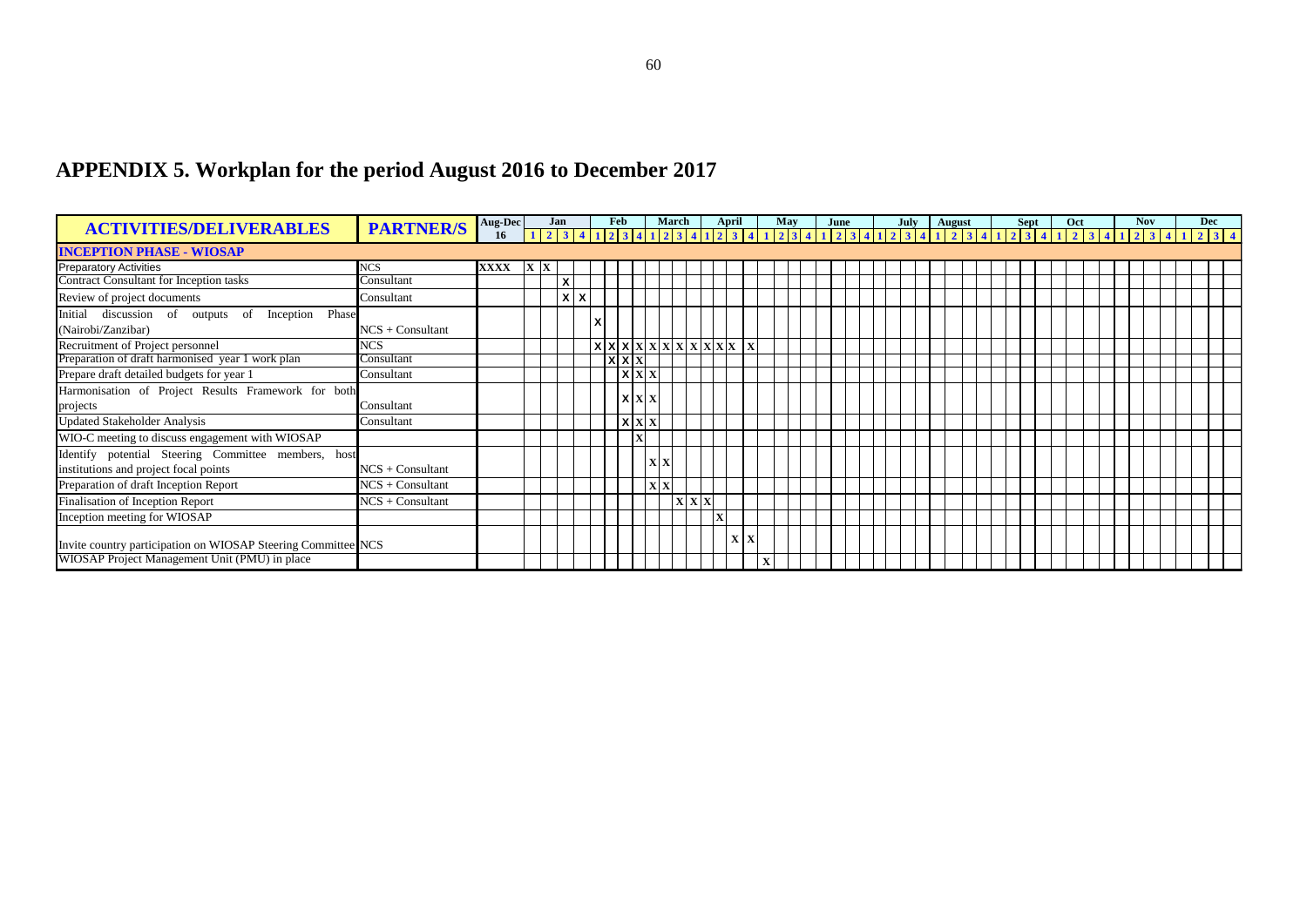# **APPENDIX 5. Workplan for the period August 2016 to December 2017**

<span id="page-60-0"></span>

| <b>ACTIVITIES/DELIVERABLES</b>                                         | <b>PARTNER/S</b>   | Aug-Dec |                                                                                                                                                                                                                                 | Jan          |   |       | Feb     | March |                 | April |  | May | June |  | July | August |  | <b>Sept</b> | Oct |  | <b>Nov</b> |  | <b>Dec</b> |  |
|------------------------------------------------------------------------|--------------------|---------|---------------------------------------------------------------------------------------------------------------------------------------------------------------------------------------------------------------------------------|--------------|---|-------|---------|-------|-----------------|-------|--|-----|------|--|------|--------|--|-------------|-----|--|------------|--|------------|--|
|                                                                        |                    | 16      | 1 2 3 4 1 2 3 4 1 2 3 4 1 2 3 4 1 2 3 4 1 2 3 4 1 2 3 4 1 2 3 4 1 2 3 4 1 2 3 4 1 2 3 4 1 2 3 4 1 2 3 4 1 2 3 4 1 2 3 4 1 2 3 4 1 2 3 4 1 2 3 4 1 2 3 4 1 2 3 4 1 2 3 4 1 2 3 4 1 2 3 4 1 2 3 4 1 2 3 4 1 2 3 4 1 2 3 4 1 2 3 4 |              |   |       |         |       |                 |       |  |     |      |  |      |        |  |             |     |  |            |  |            |  |
| <b>INCEPTION PHASE - WIOSAP</b>                                        |                    |         |                                                                                                                                                                                                                                 |              |   |       |         |       |                 |       |  |     |      |  |      |        |  |             |     |  |            |  |            |  |
| <b>Preparatory Activities</b>                                          | <b>NCS</b>         | XXXX    | <b>XX</b>                                                                                                                                                                                                                       |              |   |       |         |       |                 |       |  |     |      |  |      |        |  |             |     |  |            |  |            |  |
| <b>Contract Consultant for Inception tasks</b>                         | Consultant         |         |                                                                                                                                                                                                                                 | X            |   |       |         |       |                 |       |  |     |      |  |      |        |  |             |     |  |            |  |            |  |
| Review of project documents                                            | Consultant         |         |                                                                                                                                                                                                                                 | $\mathsf{x}$ | X |       |         |       |                 |       |  |     |      |  |      |        |  |             |     |  |            |  |            |  |
| Initial discussion of outputs of Inception Phase<br>(Nairobi/Zanzibar) | $NCS + Consultant$ |         |                                                                                                                                                                                                                                 |              |   |       |         |       |                 |       |  |     |      |  |      |        |  |             |     |  |            |  |            |  |
| Recruitment of Project personnel                                       | <b>NCS</b>         |         |                                                                                                                                                                                                                                 |              |   | X X X |         |       | X X X X X X X X |       |  |     |      |  |      |        |  |             |     |  |            |  |            |  |
| Preparation of draft harmonised year 1 work plan                       | Consultant         |         |                                                                                                                                                                                                                                 |              |   |       | x x x   |       |                 |       |  |     |      |  |      |        |  |             |     |  |            |  |            |  |
| Prepare draft detailed budgets for year 1                              | Consultant         |         |                                                                                                                                                                                                                                 |              |   |       | X X     |       |                 |       |  |     |      |  |      |        |  |             |     |  |            |  |            |  |
| Harmonisation of Project Results Framework for both                    |                    |         |                                                                                                                                                                                                                                 |              |   |       |         |       |                 |       |  |     |      |  |      |        |  |             |     |  |            |  |            |  |
| projects                                                               | Consultant         |         |                                                                                                                                                                                                                                 |              |   |       | l x I x |       |                 |       |  |     |      |  |      |        |  |             |     |  |            |  |            |  |
| <b>Updated Stakeholder Analysis</b>                                    | Consultant         |         |                                                                                                                                                                                                                                 |              |   |       | $X$ $X$ |       |                 |       |  |     |      |  |      |        |  |             |     |  |            |  |            |  |
| WIO-C meeting to discuss engagement with WIOSAP                        |                    |         |                                                                                                                                                                                                                                 |              |   |       |         |       |                 |       |  |     |      |  |      |        |  |             |     |  |            |  |            |  |
| Identify potential Steering Committee members, host                    |                    |         |                                                                                                                                                                                                                                 |              |   |       |         |       |                 |       |  |     |      |  |      |        |  |             |     |  |            |  |            |  |
| institutions and project focal points                                  | $NCS + Consultant$ |         |                                                                                                                                                                                                                                 |              |   |       |         | xlx   |                 |       |  |     |      |  |      |        |  |             |     |  |            |  |            |  |
| Preparation of draft Inception Report                                  | $NCS +$ Consultant |         |                                                                                                                                                                                                                                 |              |   |       |         |       |                 |       |  |     |      |  |      |        |  |             |     |  |            |  |            |  |
| Finalisation of Inception Report                                       | $NCS +$ Consultant |         |                                                                                                                                                                                                                                 |              |   |       |         |       | X X X           |       |  |     |      |  |      |        |  |             |     |  |            |  |            |  |
| Inception meeting for WIOSAP                                           |                    |         |                                                                                                                                                                                                                                 |              |   |       |         |       |                 |       |  |     |      |  |      |        |  |             |     |  |            |  |            |  |
| Invite country participation on WIOSAP Steering Committee NCS          |                    |         |                                                                                                                                                                                                                                 |              |   |       |         |       |                 | X     |  |     |      |  |      |        |  |             |     |  |            |  |            |  |
| WIOSAP Project Management Unit (PMU) in place                          |                    |         |                                                                                                                                                                                                                                 |              |   |       |         |       |                 |       |  |     |      |  |      |        |  |             |     |  |            |  |            |  |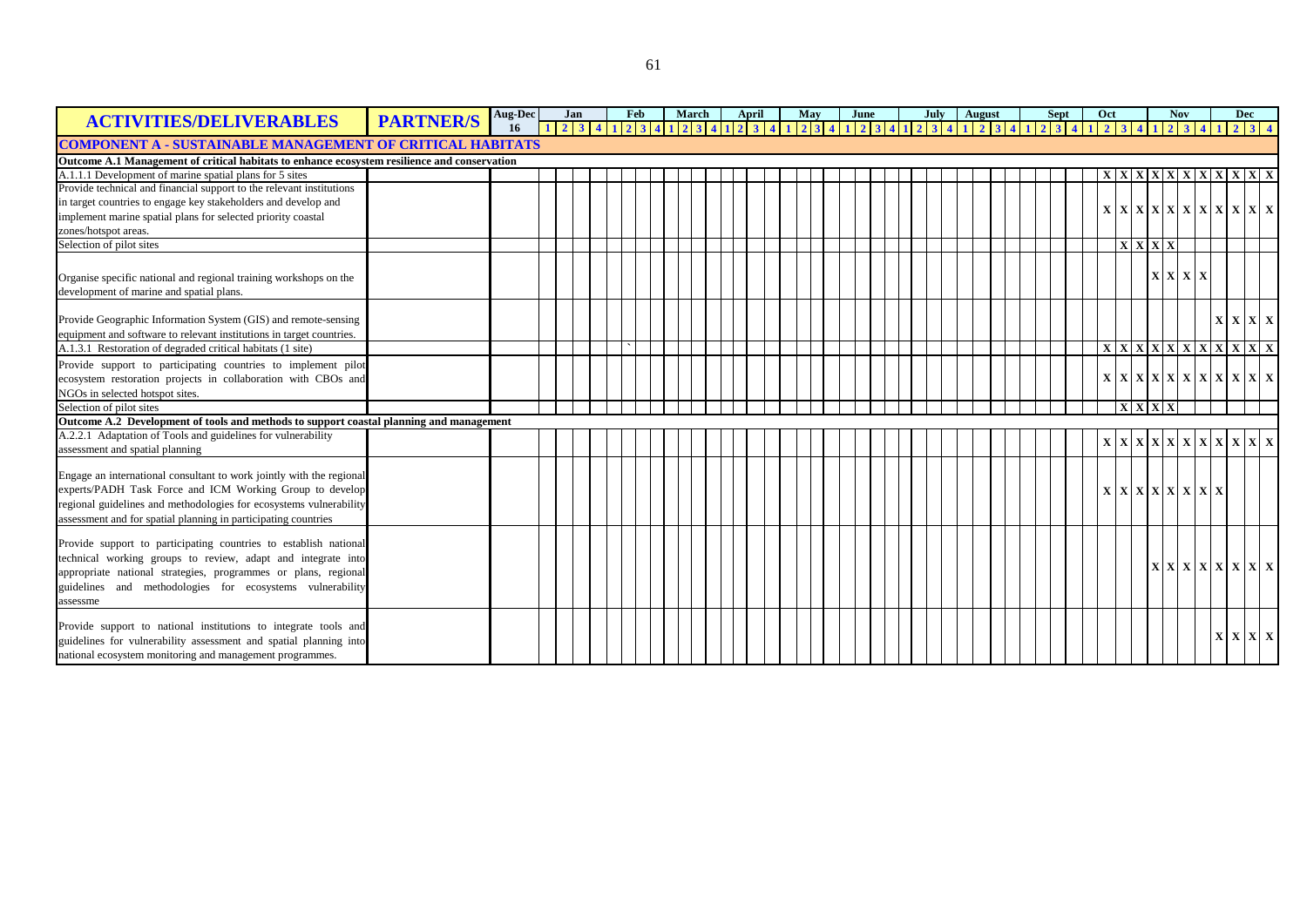| <b>ACTIVITIES/DELIVERABLES</b>                                                               | <b>PARTNER/S</b> | <b>Aug-Dec</b> | Jan                                                                                                                                                                                                                             |  | Feb | March | April |  | May | June |  | July   August |  |  | Sept | Oct                                                                                                                                                                                                                                                                                        |         |  | <b>Nov</b>                    |  | Dec             |  |
|----------------------------------------------------------------------------------------------|------------------|----------------|---------------------------------------------------------------------------------------------------------------------------------------------------------------------------------------------------------------------------------|--|-----|-------|-------|--|-----|------|--|---------------|--|--|------|--------------------------------------------------------------------------------------------------------------------------------------------------------------------------------------------------------------------------------------------------------------------------------------------|---------|--|-------------------------------|--|-----------------|--|
|                                                                                              |                  |                | 1 2 3 4 1 2 3 4 1 2 3 4 1 2 3 4 1 2 3 4 1 2 3 4 1 2 3 4 1 2 3 4 1 2 3 4 1 2 3 4 1 2 3 4 1 2 3 4 7 2 3 4 7 2 3 4 7 2 3 4 7 2 3 4 7 2 3 4 7 2 3 4 7 2 3 4 7 2 3 4 7 2 3 4 7 2 3 4 7 2 3 4 7 2 3 4 7 2 3 4 7 2 3 4 7 2 3 4 7 2 3 4 |  |     |       |       |  |     |      |  |               |  |  |      |                                                                                                                                                                                                                                                                                            |         |  |                               |  |                 |  |
| <b>COMPONENT A - SUSTAINABLE MANAGEMENT OF CRITICAL HABITATS</b>                             |                  |                |                                                                                                                                                                                                                                 |  |     |       |       |  |     |      |  |               |  |  |      |                                                                                                                                                                                                                                                                                            |         |  |                               |  |                 |  |
| Outcome A.1 Management of critical habitats to enhance ecosystem resilience and conservation |                  |                |                                                                                                                                                                                                                                 |  |     |       |       |  |     |      |  |               |  |  |      |                                                                                                                                                                                                                                                                                            |         |  |                               |  |                 |  |
| A.1.1.1 Development of marine spatial plans for 5 sites                                      |                  |                |                                                                                                                                                                                                                                 |  |     |       |       |  |     |      |  |               |  |  |      | X                                                                                                                                                                                                                                                                                          |         |  | X   X   X   X   X   X   X   X |  |                 |  |
| Provide technical and financial support to the relevant institutions                         |                  |                |                                                                                                                                                                                                                                 |  |     |       |       |  |     |      |  |               |  |  |      |                                                                                                                                                                                                                                                                                            |         |  |                               |  |                 |  |
| in target countries to engage key stakeholders and develop and                               |                  |                |                                                                                                                                                                                                                                 |  |     |       |       |  |     |      |  |               |  |  |      |                                                                                                                                                                                                                                                                                            |         |  |                               |  |                 |  |
| implement marine spatial plans for selected priority coastal                                 |                  |                |                                                                                                                                                                                                                                 |  |     |       |       |  |     |      |  |               |  |  |      |                                                                                                                                                                                                                                                                                            |         |  | X X X X X X X X X X X         |  |                 |  |
| zones/hotspot areas.                                                                         |                  |                |                                                                                                                                                                                                                                 |  |     |       |       |  |     |      |  |               |  |  |      |                                                                                                                                                                                                                                                                                            |         |  |                               |  |                 |  |
| Selection of pilot sites                                                                     |                  |                |                                                                                                                                                                                                                                 |  |     |       |       |  |     |      |  |               |  |  |      |                                                                                                                                                                                                                                                                                            | X X X   |  |                               |  |                 |  |
|                                                                                              |                  |                |                                                                                                                                                                                                                                 |  |     |       |       |  |     |      |  |               |  |  |      |                                                                                                                                                                                                                                                                                            |         |  |                               |  |                 |  |
| Organise specific national and regional training workshops on the                            |                  |                |                                                                                                                                                                                                                                 |  |     |       |       |  |     |      |  |               |  |  |      |                                                                                                                                                                                                                                                                                            |         |  | X X X X                       |  |                 |  |
| development of marine and spatial plans.                                                     |                  |                |                                                                                                                                                                                                                                 |  |     |       |       |  |     |      |  |               |  |  |      |                                                                                                                                                                                                                                                                                            |         |  |                               |  |                 |  |
|                                                                                              |                  |                |                                                                                                                                                                                                                                 |  |     |       |       |  |     |      |  |               |  |  |      |                                                                                                                                                                                                                                                                                            |         |  |                               |  |                 |  |
| Provide Geographic Information System (GIS) and remote-sensing                               |                  |                |                                                                                                                                                                                                                                 |  |     |       |       |  |     |      |  |               |  |  |      |                                                                                                                                                                                                                                                                                            |         |  |                               |  | $X$ $X$ $X$ $X$ |  |
| equipment and software to relevant institutions in target countries.                         |                  |                |                                                                                                                                                                                                                                 |  |     |       |       |  |     |      |  |               |  |  |      |                                                                                                                                                                                                                                                                                            |         |  |                               |  |                 |  |
| A.1.3.1 Restoration of degraded critical habitats (1 site)                                   |                  |                |                                                                                                                                                                                                                                 |  |     |       |       |  |     |      |  |               |  |  |      | $\left  \right.$ x $\left  \right.$ x $\left  \right.$ x $\left  \right.$ x $\left  \right.$ x $\left  \right.$ x $\left  \right.$ x $\left  \right.$ x $\left  \right.$ x $\left  \right.$ x $\left  \right.$ x $\left  \right.$ x $\left  \right.$ x $\left  \right.$ x $\left  \right.$ |         |  |                               |  |                 |  |
| Provide support to participating countries to implement pilot                                |                  |                |                                                                                                                                                                                                                                 |  |     |       |       |  |     |      |  |               |  |  |      |                                                                                                                                                                                                                                                                                            |         |  |                               |  |                 |  |
| ecosystem restoration projects in collaboration with CBOs and                                |                  |                |                                                                                                                                                                                                                                 |  |     |       |       |  |     |      |  |               |  |  |      | $\mathbf{X}$                                                                                                                                                                                                                                                                               |         |  | X X X X X X X X X X           |  |                 |  |
| NGOs in selected hotspot sites.                                                              |                  |                |                                                                                                                                                                                                                                 |  |     |       |       |  |     |      |  |               |  |  |      |                                                                                                                                                                                                                                                                                            |         |  |                               |  |                 |  |
| Selection of pilot sites                                                                     |                  |                |                                                                                                                                                                                                                                 |  |     |       |       |  |     |      |  |               |  |  |      |                                                                                                                                                                                                                                                                                            | X X X X |  |                               |  |                 |  |
| Outcome A.2 Development of tools and methods to support coastal planning and management      |                  |                |                                                                                                                                                                                                                                 |  |     |       |       |  |     |      |  |               |  |  |      |                                                                                                                                                                                                                                                                                            |         |  |                               |  |                 |  |
| A.2.2.1 Adaptation of Tools and guidelines for vulnerability                                 |                  |                |                                                                                                                                                                                                                                 |  |     |       |       |  |     |      |  |               |  |  |      |                                                                                                                                                                                                                                                                                            |         |  |                               |  |                 |  |
| assessment and spatial planning                                                              |                  |                |                                                                                                                                                                                                                                 |  |     |       |       |  |     |      |  |               |  |  |      |                                                                                                                                                                                                                                                                                            |         |  | X X X X X X X X X X X         |  |                 |  |
|                                                                                              |                  |                |                                                                                                                                                                                                                                 |  |     |       |       |  |     |      |  |               |  |  |      |                                                                                                                                                                                                                                                                                            |         |  |                               |  |                 |  |
| Engage an international consultant to work jointly with the regional                         |                  |                |                                                                                                                                                                                                                                 |  |     |       |       |  |     |      |  |               |  |  |      |                                                                                                                                                                                                                                                                                            |         |  |                               |  |                 |  |
| experts/PADH Task Force and ICM Working Group to develop                                     |                  |                |                                                                                                                                                                                                                                 |  |     |       |       |  |     |      |  |               |  |  |      |                                                                                                                                                                                                                                                                                            |         |  | X X X X X X X X               |  |                 |  |
| regional guidelines and methodologies for ecosystems vulnerability                           |                  |                |                                                                                                                                                                                                                                 |  |     |       |       |  |     |      |  |               |  |  |      |                                                                                                                                                                                                                                                                                            |         |  |                               |  |                 |  |
| assessment and for spatial planning in participating countries                               |                  |                |                                                                                                                                                                                                                                 |  |     |       |       |  |     |      |  |               |  |  |      |                                                                                                                                                                                                                                                                                            |         |  |                               |  |                 |  |
|                                                                                              |                  |                |                                                                                                                                                                                                                                 |  |     |       |       |  |     |      |  |               |  |  |      |                                                                                                                                                                                                                                                                                            |         |  |                               |  |                 |  |
| Provide support to participating countries to establish national                             |                  |                |                                                                                                                                                                                                                                 |  |     |       |       |  |     |      |  |               |  |  |      |                                                                                                                                                                                                                                                                                            |         |  |                               |  |                 |  |
| technical working groups to review, adapt and integrate into                                 |                  |                |                                                                                                                                                                                                                                 |  |     |       |       |  |     |      |  |               |  |  |      |                                                                                                                                                                                                                                                                                            |         |  |                               |  |                 |  |
| appropriate national strategies, programmes or plans, regional                               |                  |                |                                                                                                                                                                                                                                 |  |     |       |       |  |     |      |  |               |  |  |      |                                                                                                                                                                                                                                                                                            |         |  | X X X X X X X X               |  |                 |  |
| guidelines and methodologies for ecosystems vulnerability                                    |                  |                |                                                                                                                                                                                                                                 |  |     |       |       |  |     |      |  |               |  |  |      |                                                                                                                                                                                                                                                                                            |         |  |                               |  |                 |  |
| assessme                                                                                     |                  |                |                                                                                                                                                                                                                                 |  |     |       |       |  |     |      |  |               |  |  |      |                                                                                                                                                                                                                                                                                            |         |  |                               |  |                 |  |
|                                                                                              |                  |                |                                                                                                                                                                                                                                 |  |     |       |       |  |     |      |  |               |  |  |      |                                                                                                                                                                                                                                                                                            |         |  |                               |  |                 |  |
| Provide support to national institutions to integrate tools and                              |                  |                |                                                                                                                                                                                                                                 |  |     |       |       |  |     |      |  |               |  |  |      |                                                                                                                                                                                                                                                                                            |         |  |                               |  | $X$ $X$ $X$ $X$ |  |
| guidelines for vulnerability assessment and spatial planning into                            |                  |                |                                                                                                                                                                                                                                 |  |     |       |       |  |     |      |  |               |  |  |      |                                                                                                                                                                                                                                                                                            |         |  |                               |  |                 |  |
| national ecosystem monitoring and management programmes.                                     |                  |                |                                                                                                                                                                                                                                 |  |     |       |       |  |     |      |  |               |  |  |      |                                                                                                                                                                                                                                                                                            |         |  |                               |  |                 |  |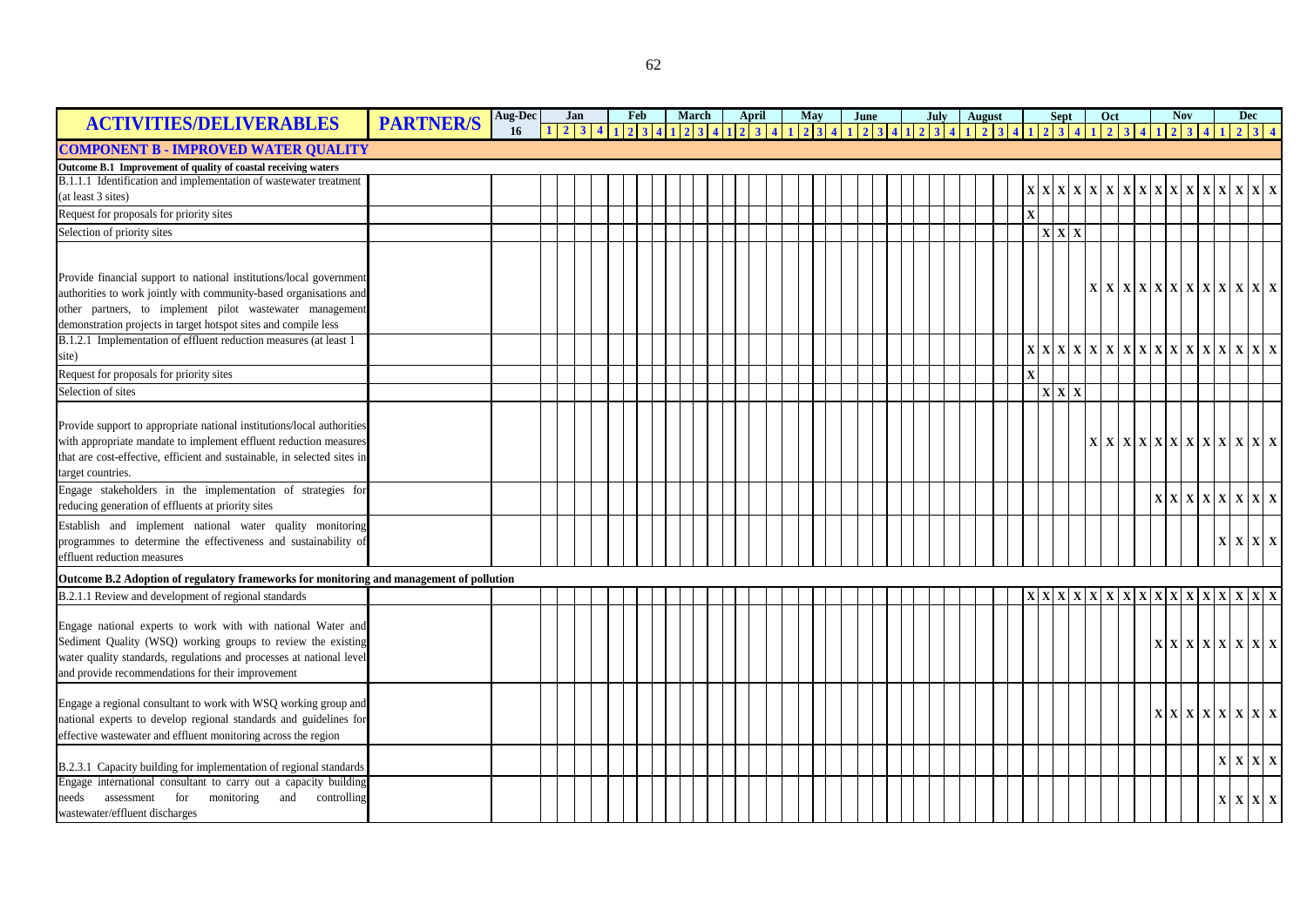| <b>ACTIVITIES/DELIVERABLES</b>                                                           | <b>PARTNER/S</b> | Aug-Dec | Jan |  | Feb |      | March |  | April |            | May |                     | June                    |  | July   August |  |  |              |     | <b>Sept</b>                        |                 | Oct |                                                     |               | <b>Nov</b> |  |                                                                                | Dec        |  |
|------------------------------------------------------------------------------------------|------------------|---------|-----|--|-----|------|-------|--|-------|------------|-----|---------------------|-------------------------|--|---------------|--|--|--------------|-----|------------------------------------|-----------------|-----|-----------------------------------------------------|---------------|------------|--|--------------------------------------------------------------------------------|------------|--|
|                                                                                          |                  | 16      | 2 3 |  |     | 4123 |       |  |       | $3 \mid 4$ |     | $2 \quad 3 \quad 4$ | $1 \ 2 \ 3 \ 4 \ 1 \ 2$ |  | 3 4 1 2 3 4   |  |  |              |     | $2 \overline{3}$                   |                 |     | 2                                                   |               |            |  |                                                                                |            |  |
| <b>COMPONENT B - IMPROVED WATER QUALITY</b>                                              |                  |         |     |  |     |      |       |  |       |            |     |                     |                         |  |               |  |  |              |     |                                    |                 |     |                                                     |               |            |  |                                                                                |            |  |
| Outcome B.1 Improvement of quality of coastal receiving waters                           |                  |         |     |  |     |      |       |  |       |            |     |                     |                         |  |               |  |  |              |     |                                    |                 |     |                                                     |               |            |  |                                                                                |            |  |
| B.1.1.1 Identification and implementation of wastewater treatment                        |                  |         |     |  |     |      |       |  |       |            |     |                     |                         |  |               |  |  |              | X X |                                    | $X$ $X$ $X$ $X$ |     |                                                     | X X X X X X X |            |  |                                                                                | <b>XXX</b> |  |
| (at least 3 sites)                                                                       |                  |         |     |  |     |      |       |  |       |            |     |                     |                         |  |               |  |  |              |     |                                    |                 |     |                                                     |               |            |  |                                                                                |            |  |
| Request for proposals for priority sites                                                 |                  |         |     |  |     |      |       |  |       |            |     |                     |                         |  |               |  |  | $\mathbf X$  |     |                                    |                 |     |                                                     |               |            |  |                                                                                |            |  |
| Selection of priority sites                                                              |                  |         |     |  |     |      |       |  |       |            |     |                     |                         |  |               |  |  |              |     | $\mathbf{X} \mathbf{X} \mathbf{X}$ |                 |     |                                                     |               |            |  |                                                                                |            |  |
|                                                                                          |                  |         |     |  |     |      |       |  |       |            |     |                     |                         |  |               |  |  |              |     |                                    |                 |     |                                                     |               |            |  |                                                                                |            |  |
|                                                                                          |                  |         |     |  |     |      |       |  |       |            |     |                     |                         |  |               |  |  |              |     |                                    |                 |     |                                                     |               |            |  |                                                                                |            |  |
| Provide financial support to national institutions/local government                      |                  |         |     |  |     |      |       |  |       |            |     |                     |                         |  |               |  |  |              |     |                                    |                 |     | $X$ $X$ $X$ $X$ $X$ $X$ $X$ $X$ $X$ $X$ $X$ $X$ $X$ |               |            |  |                                                                                |            |  |
| authorities to work jointly with community-based organisations and                       |                  |         |     |  |     |      |       |  |       |            |     |                     |                         |  |               |  |  |              |     |                                    |                 |     |                                                     |               |            |  |                                                                                |            |  |
| other partners, to implement pilot wastewater management                                 |                  |         |     |  |     |      |       |  |       |            |     |                     |                         |  |               |  |  |              |     |                                    |                 |     |                                                     |               |            |  |                                                                                |            |  |
| demonstration projects in target hotspot sites and compile less                          |                  |         |     |  |     |      |       |  |       |            |     |                     |                         |  |               |  |  |              |     |                                    |                 |     |                                                     |               |            |  |                                                                                |            |  |
| B.1.2.1 Implementation of effluent reduction measures (at least 1                        |                  |         |     |  |     |      |       |  |       |            |     |                     |                         |  |               |  |  |              |     |                                    |                 |     |                                                     |               |            |  |                                                                                |            |  |
| site)                                                                                    |                  |         |     |  |     |      |       |  |       |            |     |                     |                         |  |               |  |  |              |     |                                    |                 |     |                                                     |               |            |  |                                                                                |            |  |
| Request for proposals for priority sites                                                 |                  |         |     |  |     |      |       |  |       |            |     |                     |                         |  |               |  |  | $\mathbf{x}$ |     |                                    |                 |     |                                                     |               |            |  |                                                                                |            |  |
| Selection of sites                                                                       |                  |         |     |  |     |      |       |  |       |            |     |                     |                         |  |               |  |  |              |     | X X X                              |                 |     |                                                     |               |            |  |                                                                                |            |  |
|                                                                                          |                  |         |     |  |     |      |       |  |       |            |     |                     |                         |  |               |  |  |              |     |                                    |                 |     |                                                     |               |            |  |                                                                                |            |  |
| Provide support to appropriate national institutions/local authorities                   |                  |         |     |  |     |      |       |  |       |            |     |                     |                         |  |               |  |  |              |     |                                    |                 |     |                                                     |               |            |  |                                                                                |            |  |
| with appropriate mandate to implement effluent reduction measures                        |                  |         |     |  |     |      |       |  |       |            |     |                     |                         |  |               |  |  |              |     |                                    |                 |     | X X X X X X X X X X X X X                           |               |            |  |                                                                                |            |  |
| that are cost-effective, efficient and sustainable, in selected sites in                 |                  |         |     |  |     |      |       |  |       |            |     |                     |                         |  |               |  |  |              |     |                                    |                 |     |                                                     |               |            |  |                                                                                |            |  |
| target countries.                                                                        |                  |         |     |  |     |      |       |  |       |            |     |                     |                         |  |               |  |  |              |     |                                    |                 |     |                                                     |               |            |  |                                                                                |            |  |
| Engage stakeholders in the implementation of strategies for                              |                  |         |     |  |     |      |       |  |       |            |     |                     |                         |  |               |  |  |              |     |                                    |                 |     |                                                     |               |            |  |                                                                                |            |  |
| reducing generation of effluents at priority sites                                       |                  |         |     |  |     |      |       |  |       |            |     |                     |                         |  |               |  |  |              |     |                                    |                 |     |                                                     |               |            |  | $\mathbf{X} \mathbf{X} \mathbf{X} \mathbf{X} \mathbf{X} \mathbf{X} \mathbf{X}$ |            |  |
|                                                                                          |                  |         |     |  |     |      |       |  |       |            |     |                     |                         |  |               |  |  |              |     |                                    |                 |     |                                                     |               |            |  |                                                                                |            |  |
| Establish and implement national water quality monitoring                                |                  |         |     |  |     |      |       |  |       |            |     |                     |                         |  |               |  |  |              |     |                                    |                 |     |                                                     |               |            |  |                                                                                |            |  |
| programmes to determine the effectiveness and sustainability of                          |                  |         |     |  |     |      |       |  |       |            |     |                     |                         |  |               |  |  |              |     |                                    |                 |     |                                                     |               |            |  | X X X X                                                                        |            |  |
| effluent reduction measures                                                              |                  |         |     |  |     |      |       |  |       |            |     |                     |                         |  |               |  |  |              |     |                                    |                 |     |                                                     |               |            |  |                                                                                |            |  |
| Outcome B.2 Adoption of regulatory frameworks for monitoring and management of pollution |                  |         |     |  |     |      |       |  |       |            |     |                     |                         |  |               |  |  |              |     |                                    |                 |     |                                                     |               |            |  |                                                                                |            |  |
| B.2.1.1 Review and development of regional standards                                     |                  |         |     |  |     |      |       |  |       |            |     |                     |                         |  |               |  |  |              |     |                                    |                 |     |                                                     |               |            |  |                                                                                |            |  |
|                                                                                          |                  |         |     |  |     |      |       |  |       |            |     |                     |                         |  |               |  |  |              |     |                                    |                 |     |                                                     |               |            |  |                                                                                |            |  |
| Engage national experts to work with with national Water and                             |                  |         |     |  |     |      |       |  |       |            |     |                     |                         |  |               |  |  |              |     |                                    |                 |     |                                                     |               |            |  |                                                                                |            |  |
| Sediment Quality (WSQ) working groups to review the existing                             |                  |         |     |  |     |      |       |  |       |            |     |                     |                         |  |               |  |  |              |     |                                    |                 |     |                                                     |               |            |  | XXXXXXXX                                                                       |            |  |
| water quality standards, regulations and processes at national level                     |                  |         |     |  |     |      |       |  |       |            |     |                     |                         |  |               |  |  |              |     |                                    |                 |     |                                                     |               |            |  |                                                                                |            |  |
| and provide recommendations for their improvement                                        |                  |         |     |  |     |      |       |  |       |            |     |                     |                         |  |               |  |  |              |     |                                    |                 |     |                                                     |               |            |  |                                                                                |            |  |
|                                                                                          |                  |         |     |  |     |      |       |  |       |            |     |                     |                         |  |               |  |  |              |     |                                    |                 |     |                                                     |               |            |  |                                                                                |            |  |
| Engage a regional consultant to work with WSQ working group and                          |                  |         |     |  |     |      |       |  |       |            |     |                     |                         |  |               |  |  |              |     |                                    |                 |     |                                                     |               |            |  |                                                                                |            |  |
| national experts to develop regional standards and guidelines for                        |                  |         |     |  |     |      |       |  |       |            |     |                     |                         |  |               |  |  |              |     |                                    |                 |     |                                                     |               |            |  | XXXXXXXX                                                                       |            |  |
| effective wastewater and effluent monitoring across the region                           |                  |         |     |  |     |      |       |  |       |            |     |                     |                         |  |               |  |  |              |     |                                    |                 |     |                                                     |               |            |  |                                                                                |            |  |
|                                                                                          |                  |         |     |  |     |      |       |  |       |            |     |                     |                         |  |               |  |  |              |     |                                    |                 |     |                                                     |               |            |  |                                                                                |            |  |
| B.2.3.1 Capacity building for implementation of regional standards                       |                  |         |     |  |     |      |       |  |       |            |     |                     |                         |  |               |  |  |              |     |                                    |                 |     |                                                     |               |            |  | $X$ $X$ $X$                                                                    |            |  |
| Engage international consultant to carry out a capacity building                         |                  |         |     |  |     |      |       |  |       |            |     |                     |                         |  |               |  |  |              |     |                                    |                 |     |                                                     |               |            |  |                                                                                |            |  |
| assessment for<br>monitoring<br>and<br>needs<br>controlling                              |                  |         |     |  |     |      |       |  |       |            |     |                     |                         |  |               |  |  |              |     |                                    |                 |     |                                                     |               |            |  | X X X X                                                                        |            |  |
| wastewater/effluent discharges                                                           |                  |         |     |  |     |      |       |  |       |            |     |                     |                         |  |               |  |  |              |     |                                    |                 |     |                                                     |               |            |  |                                                                                |            |  |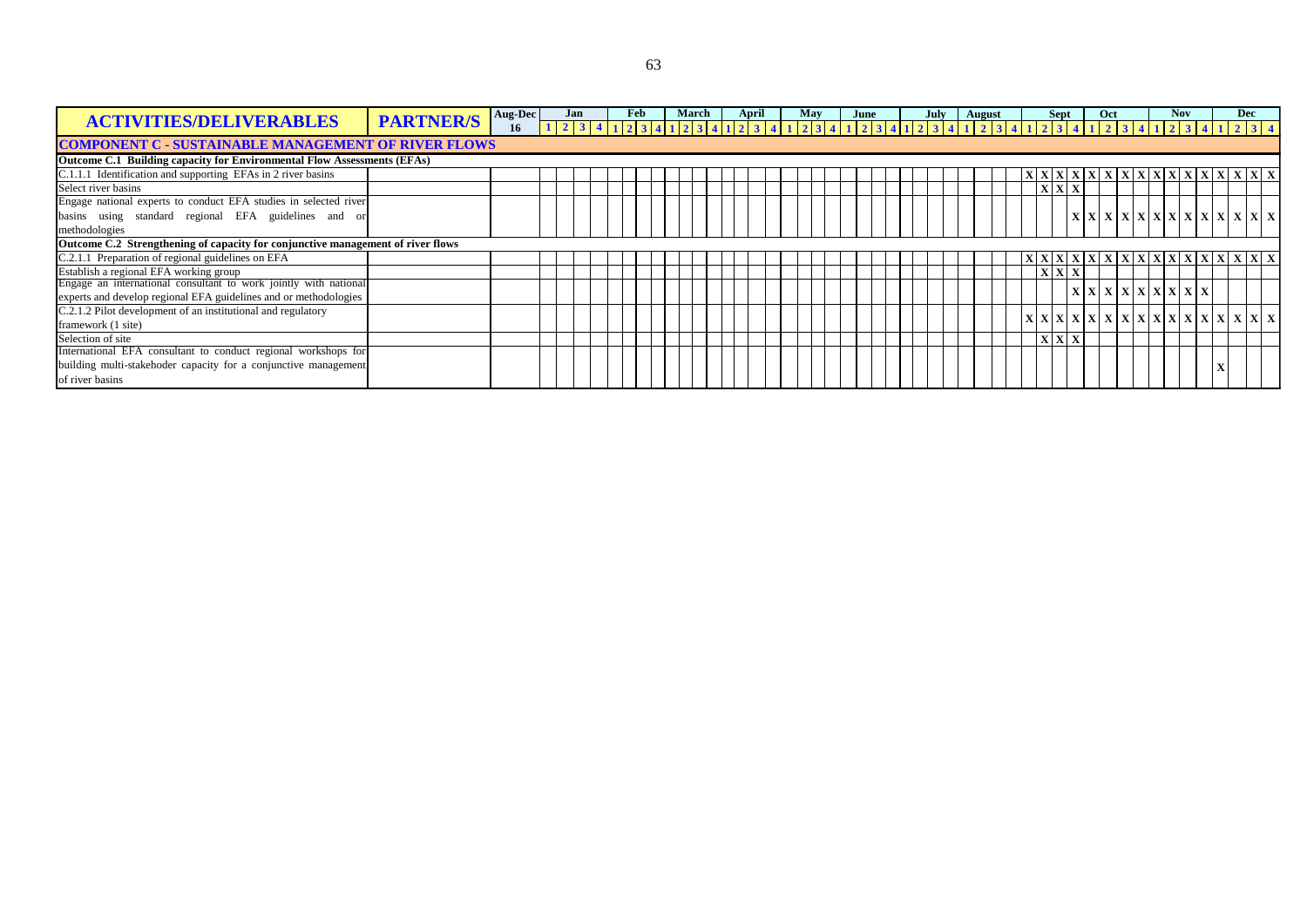|                                                                                 | <b>PARTNER/S</b> | Aug-Dec |                                                                                                                                 | Jan | Feb |  | March |  | April | May |  | June |  | July | <b>August</b> |  | <b>Sept</b> |     | Oct |  |                                                                                                                                                                                             | <b>Nov</b> |  | <b>Dec</b>                                                                                                                                                                                                                                                                                                                                                                                  |  |
|---------------------------------------------------------------------------------|------------------|---------|---------------------------------------------------------------------------------------------------------------------------------|-----|-----|--|-------|--|-------|-----|--|------|--|------|---------------|--|-------------|-----|-----|--|---------------------------------------------------------------------------------------------------------------------------------------------------------------------------------------------|------------|--|---------------------------------------------------------------------------------------------------------------------------------------------------------------------------------------------------------------------------------------------------------------------------------------------------------------------------------------------------------------------------------------------|--|
| <b>ACTIVITIES/DELIVERABLES</b>                                                  |                  | 16      | 1 2 3 4 1 2 3 4 1 2 3 4 1 2 3 4 1 2 3 4 1 2 3 4 1 2 3 4 1 2 3 4 1 2 3 4 1 2 3 4 1 2 3 4 1 2 3 4 1 2 3 4 1 2 3 4 1 2 3 4 1 2 3 4 |     |     |  |       |  |       |     |  |      |  |      |               |  |             |     |     |  |                                                                                                                                                                                             |            |  |                                                                                                                                                                                                                                                                                                                                                                                             |  |
| <b>COMPONENT C - SUSTAINABLE MANAGEMENT OF RIVER FLOWS</b>                      |                  |         |                                                                                                                                 |     |     |  |       |  |       |     |  |      |  |      |               |  |             |     |     |  |                                                                                                                                                                                             |            |  |                                                                                                                                                                                                                                                                                                                                                                                             |  |
| <b>Outcome C.1 Building capacity for Environmental Flow Assessments (EFAs)</b>  |                  |         |                                                                                                                                 |     |     |  |       |  |       |     |  |      |  |      |               |  |             |     |     |  |                                                                                                                                                                                             |            |  |                                                                                                                                                                                                                                                                                                                                                                                             |  |
| C.1.1.1 Identification and supporting EFAs in 2 river basins                    |                  |         |                                                                                                                                 |     |     |  |       |  |       |     |  |      |  |      |               |  |             |     |     |  |                                                                                                                                                                                             |            |  | X X X X X X X X X X X X X X X X X                                                                                                                                                                                                                                                                                                                                                           |  |
| Select river basins                                                             |                  |         |                                                                                                                                 |     |     |  |       |  |       |     |  |      |  |      |               |  |             |     |     |  |                                                                                                                                                                                             |            |  |                                                                                                                                                                                                                                                                                                                                                                                             |  |
| Engage national experts to conduct EFA studies in selected river                |                  |         |                                                                                                                                 |     |     |  |       |  |       |     |  |      |  |      |               |  |             |     |     |  |                                                                                                                                                                                             |            |  |                                                                                                                                                                                                                                                                                                                                                                                             |  |
| basins using standard regional EFA guidelines and or                            |                  |         |                                                                                                                                 |     |     |  |       |  |       |     |  |      |  |      |               |  |             |     |     |  |                                                                                                                                                                                             |            |  | $\left  \right $ x $\left  \right $ x $\left  \right $ x $\left  \right $ x $\left  \right $ x $\left  \right $ x $\left  \right $ x $\left  \right $ x $\left  \right $ x $\left  \right $ x $\left  \right $ x $\left  \right $ x $\left  \right $ x $\left  \right $ x $\left  \right $ x $\left  \right $ x $\left  \right $ x $\left  \right $ x $\left  \right $ x $\left  \right $ x |  |
| methodologies                                                                   |                  |         |                                                                                                                                 |     |     |  |       |  |       |     |  |      |  |      |               |  |             |     |     |  |                                                                                                                                                                                             |            |  |                                                                                                                                                                                                                                                                                                                                                                                             |  |
| Outcome C.2 Strengthening of capacity for conjunctive management of river flows |                  |         |                                                                                                                                 |     |     |  |       |  |       |     |  |      |  |      |               |  |             |     |     |  |                                                                                                                                                                                             |            |  |                                                                                                                                                                                                                                                                                                                                                                                             |  |
| C.2.1.1 Preparation of regional guidelines on EFA                               |                  |         |                                                                                                                                 |     |     |  |       |  |       |     |  |      |  |      |               |  |             |     |     |  |                                                                                                                                                                                             |            |  | X X X X X X X X X X X X X X X X X X                                                                                                                                                                                                                                                                                                                                                         |  |
| Establish a regional EFA working group                                          |                  |         |                                                                                                                                 |     |     |  |       |  |       |     |  |      |  |      |               |  |             |     |     |  |                                                                                                                                                                                             |            |  |                                                                                                                                                                                                                                                                                                                                                                                             |  |
| Engage an international consultant to work jointly with national                |                  |         |                                                                                                                                 |     |     |  |       |  |       |     |  |      |  |      |               |  |             |     |     |  | $\left  \right.$ x $\left  \right.$ x $\left  \right.$ x $\left  \right.$ x $\left  \right.$ x $\left  \right.$ x $\left  \right.$ x $\left  \right.$ x $\left  \right.$ x $\left  \right.$ |            |  |                                                                                                                                                                                                                                                                                                                                                                                             |  |
| experts and develop regional EFA guidelines and or methodologies                |                  |         |                                                                                                                                 |     |     |  |       |  |       |     |  |      |  |      |               |  |             |     |     |  |                                                                                                                                                                                             |            |  |                                                                                                                                                                                                                                                                                                                                                                                             |  |
| C.2.1.2 Pilot development of an institutional and regulatory                    |                  |         |                                                                                                                                 |     |     |  |       |  |       |     |  |      |  |      |               |  |             |     |     |  |                                                                                                                                                                                             |            |  | $ \mathbf{X} \mathbf{X} \mathbf{X} \mathbf{X} \mathbf{X} \mathbf{X} \mathbf{X} \mathbf{X} \mathbf{X} \mathbf{X} \mathbf{X} \mathbf{X} \mathbf{X} \mathbf{X} \mathbf{X}$                                                                                                                                                                                                                     |  |
| framework (1 site)                                                              |                  |         |                                                                                                                                 |     |     |  |       |  |       |     |  |      |  |      |               |  |             |     |     |  |                                                                                                                                                                                             |            |  |                                                                                                                                                                                                                                                                                                                                                                                             |  |
| Selection of site                                                               |                  |         |                                                                                                                                 |     |     |  |       |  |       |     |  |      |  |      |               |  |             | XXX |     |  |                                                                                                                                                                                             |            |  |                                                                                                                                                                                                                                                                                                                                                                                             |  |
| International EFA consultant to conduct regional workshops for                  |                  |         |                                                                                                                                 |     |     |  |       |  |       |     |  |      |  |      |               |  |             |     |     |  |                                                                                                                                                                                             |            |  |                                                                                                                                                                                                                                                                                                                                                                                             |  |
| building multi-stakehoder capacity for a conjunctive management                 |                  |         |                                                                                                                                 |     |     |  |       |  |       |     |  |      |  |      |               |  |             |     |     |  |                                                                                                                                                                                             |            |  |                                                                                                                                                                                                                                                                                                                                                                                             |  |
| of river basins                                                                 |                  |         |                                                                                                                                 |     |     |  |       |  |       |     |  |      |  |      |               |  |             |     |     |  |                                                                                                                                                                                             |            |  |                                                                                                                                                                                                                                                                                                                                                                                             |  |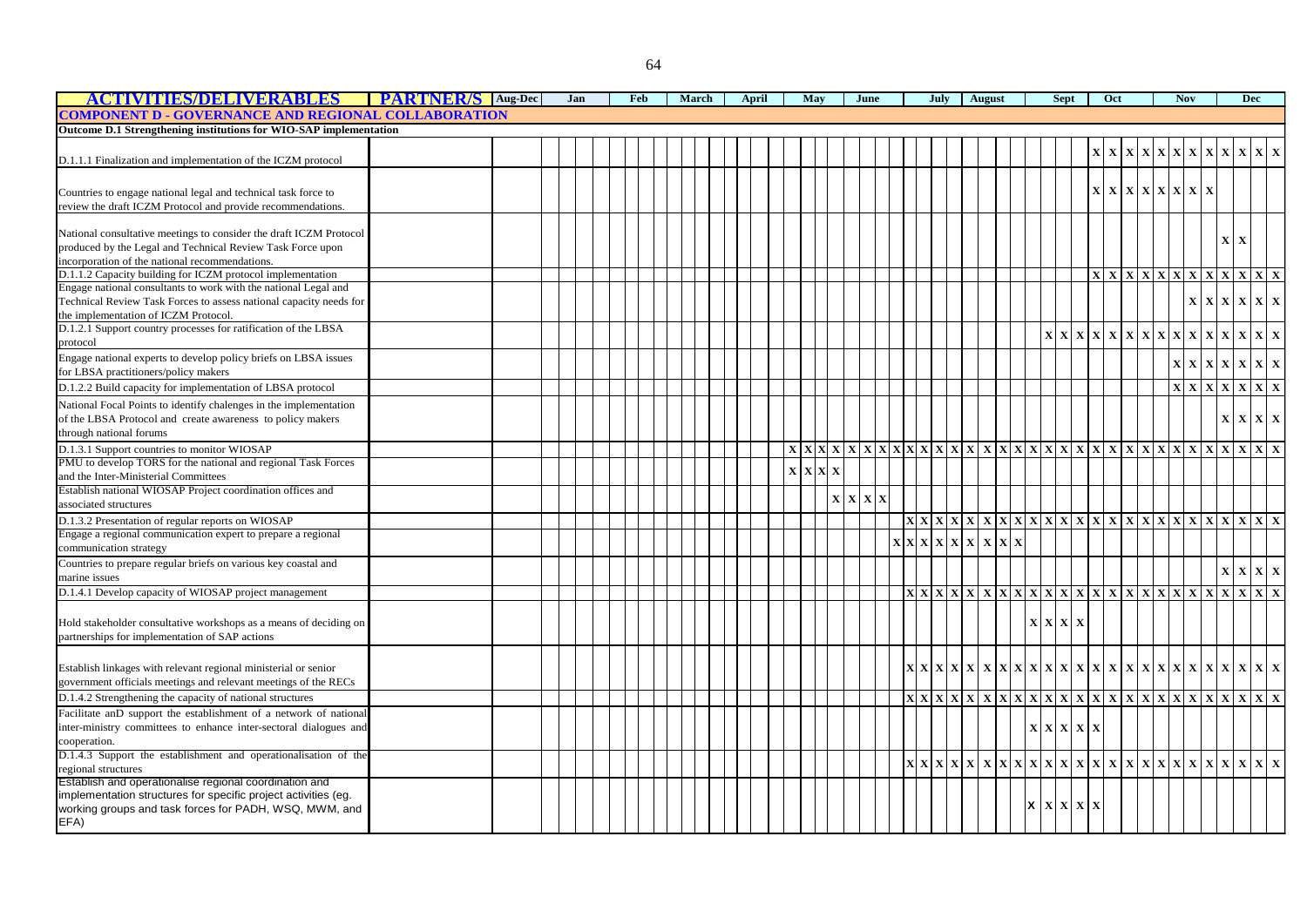| ACTIVITIES DELIVERABLES                                                                                                       | <b>PARTNER/S</b> Aug-Dec | Jan | Feb | March |  | April |             | May                     |              |                                    | June |  | July                                                                                      | August |  |   | <b>Sept</b> |                                                                                                                                                                                                                                                                                                                                                                                                                                                                                   | Oct         |              |                                                                     | <b>Nov</b> |              | <b>Dec</b>                                                                         |  |
|-------------------------------------------------------------------------------------------------------------------------------|--------------------------|-----|-----|-------|--|-------|-------------|-------------------------|--------------|------------------------------------|------|--|-------------------------------------------------------------------------------------------|--------|--|---|-------------|-----------------------------------------------------------------------------------------------------------------------------------------------------------------------------------------------------------------------------------------------------------------------------------------------------------------------------------------------------------------------------------------------------------------------------------------------------------------------------------|-------------|--------------|---------------------------------------------------------------------|------------|--------------|------------------------------------------------------------------------------------|--|
| <b>COMPONENT D - GOVERNANCE AND REGIONAL COLLABORATION</b>                                                                    |                          |     |     |       |  |       |             |                         |              |                                    |      |  |                                                                                           |        |  |   |             |                                                                                                                                                                                                                                                                                                                                                                                                                                                                                   |             |              |                                                                     |            |              |                                                                                    |  |
| Outcome D.1 Strengthening institutions for WIO-SAP implementation                                                             |                          |     |     |       |  |       |             |                         |              |                                    |      |  |                                                                                           |        |  |   |             |                                                                                                                                                                                                                                                                                                                                                                                                                                                                                   |             |              |                                                                     |            |              |                                                                                    |  |
|                                                                                                                               |                          |     |     |       |  |       |             |                         |              |                                    |      |  |                                                                                           |        |  |   |             | $\mathbf{x}$                                                                                                                                                                                                                                                                                                                                                                                                                                                                      | $\mathbf X$ | $\mathbf{X}$ | $\mathbf{X} \mathbf{X} \mathbf{X} \mathbf{X} \mathbf{X} \mathbf{X}$ |            |              | $\mathbf{x} \mathbf{x}$ $\mathbf{x}$                                               |  |
| D.1.1.1 Finalization and implementation of the ICZM protocol                                                                  |                          |     |     |       |  |       |             |                         |              |                                    |      |  |                                                                                           |        |  |   |             |                                                                                                                                                                                                                                                                                                                                                                                                                                                                                   |             |              |                                                                     |            |              |                                                                                    |  |
|                                                                                                                               |                          |     |     |       |  |       |             |                         |              |                                    |      |  |                                                                                           |        |  |   |             |                                                                                                                                                                                                                                                                                                                                                                                                                                                                                   |             |              |                                                                     |            |              |                                                                                    |  |
| Countries to engage national legal and technical task force to                                                                |                          |     |     |       |  |       |             |                         |              |                                    |      |  |                                                                                           |        |  |   |             |                                                                                                                                                                                                                                                                                                                                                                                                                                                                                   |             |              | $\mathbf{x} \mathbf{x} \mathbf{x} \mathbf{x} \mathbf{x} \mathbf{x}$ |            |              |                                                                                    |  |
| review the draft ICZM Protocol and provide recommendations.                                                                   |                          |     |     |       |  |       |             |                         |              |                                    |      |  |                                                                                           |        |  |   |             |                                                                                                                                                                                                                                                                                                                                                                                                                                                                                   |             |              |                                                                     |            |              |                                                                                    |  |
|                                                                                                                               |                          |     |     |       |  |       |             |                         |              |                                    |      |  |                                                                                           |        |  |   |             |                                                                                                                                                                                                                                                                                                                                                                                                                                                                                   |             |              |                                                                     |            |              |                                                                                    |  |
| National consultative meetings to consider the draft ICZM Protocol                                                            |                          |     |     |       |  |       |             |                         |              |                                    |      |  |                                                                                           |        |  |   |             |                                                                                                                                                                                                                                                                                                                                                                                                                                                                                   |             |              |                                                                     |            |              | $\mathbf X$                                                                        |  |
| produced by the Legal and Technical Review Task Force upon                                                                    |                          |     |     |       |  |       |             |                         |              |                                    |      |  |                                                                                           |        |  |   |             |                                                                                                                                                                                                                                                                                                                                                                                                                                                                                   |             |              |                                                                     |            |              |                                                                                    |  |
| incorporation of the national recommendations.                                                                                |                          |     |     |       |  |       |             |                         |              |                                    |      |  |                                                                                           |        |  |   |             |                                                                                                                                                                                                                                                                                                                                                                                                                                                                                   |             |              | X X X X X X X X X X X X X                                           |            |              |                                                                                    |  |
| D.1.1.2 Capacity building for ICZM protocol implementation<br>Engage national consultants to work with the national Legal and |                          |     |     |       |  |       |             |                         |              |                                    |      |  |                                                                                           |        |  |   |             |                                                                                                                                                                                                                                                                                                                                                                                                                                                                                   |             |              |                                                                     |            |              |                                                                                    |  |
| Technical Review Task Forces to assess national capacity needs for                                                            |                          |     |     |       |  |       |             |                         |              |                                    |      |  |                                                                                           |        |  |   |             |                                                                                                                                                                                                                                                                                                                                                                                                                                                                                   |             |              |                                                                     |            |              | X X X X X X                                                                        |  |
| the implementation of ICZM Protocol.                                                                                          |                          |     |     |       |  |       |             |                         |              |                                    |      |  |                                                                                           |        |  |   |             |                                                                                                                                                                                                                                                                                                                                                                                                                                                                                   |             |              |                                                                     |            |              |                                                                                    |  |
| D.1.2.1 Support country processes for ratification of the LBSA                                                                |                          |     |     |       |  |       |             |                         |              |                                    |      |  |                                                                                           |        |  |   |             |                                                                                                                                                                                                                                                                                                                                                                                                                                                                                   |             |              |                                                                     |            |              |                                                                                    |  |
| protocol                                                                                                                      |                          |     |     |       |  |       |             |                         |              |                                    |      |  |                                                                                           |        |  |   |             | x x x x x x x x x x x x x x x x                                                                                                                                                                                                                                                                                                                                                                                                                                                   |             |              |                                                                     |            |              |                                                                                    |  |
| Engage national experts to develop policy briefs on LBSA issues                                                               |                          |     |     |       |  |       |             |                         |              |                                    |      |  |                                                                                           |        |  |   |             |                                                                                                                                                                                                                                                                                                                                                                                                                                                                                   |             |              |                                                                     |            |              | $\mathbf{x} \mathbf{x} \mathbf{x} \mathbf{x}$ $\mathbf{x} \mathbf{x}$ $\mathbf{x}$ |  |
| for LBSA practitioners/policy makers                                                                                          |                          |     |     |       |  |       |             |                         |              |                                    |      |  |                                                                                           |        |  |   |             |                                                                                                                                                                                                                                                                                                                                                                                                                                                                                   |             |              |                                                                     |            |              |                                                                                    |  |
| D.1.2.2 Build capacity for implementation of LBSA protocol                                                                    |                          |     |     |       |  |       |             |                         |              |                                    |      |  |                                                                                           |        |  |   |             |                                                                                                                                                                                                                                                                                                                                                                                                                                                                                   |             |              |                                                                     | x x x      |              | X X X                                                                              |  |
| National Focal Points to identify chalenges in the implementation                                                             |                          |     |     |       |  |       |             |                         |              |                                    |      |  |                                                                                           |        |  |   |             |                                                                                                                                                                                                                                                                                                                                                                                                                                                                                   |             |              |                                                                     |            |              |                                                                                    |  |
| of the LBSA Protocol and create awareness to policy makers                                                                    |                          |     |     |       |  |       |             |                         |              |                                    |      |  |                                                                                           |        |  |   |             |                                                                                                                                                                                                                                                                                                                                                                                                                                                                                   |             |              |                                                                     |            | $\mathbf{X}$ | $\mathbf{X} \mathbf{X} \mathbf{X}$                                                 |  |
| through national forums                                                                                                       |                          |     |     |       |  |       |             |                         |              |                                    |      |  |                                                                                           |        |  |   |             |                                                                                                                                                                                                                                                                                                                                                                                                                                                                                   |             |              |                                                                     |            |              |                                                                                    |  |
| D.1.3.1 Support countries to monitor WIOSAP                                                                                   |                          |     |     |       |  |       |             |                         |              |                                    |      |  |                                                                                           |        |  |   |             | $\frac{X}{X} \times \frac{X}{X} \times \frac{X}{X} \times \frac{X}{X} \times \frac{X}{X} \times \frac{X}{X} \times \frac{X}{X} \times \frac{X}{X} \times \frac{X}{X} \times \frac{X}{X} \times \frac{X}{X} \times \frac{X}{X} \times \frac{X}{X} \times \frac{X}{X} \times \frac{X}{X} \times \frac{X}{X} \times \frac{X}{X} \times \frac{X}{X} \times \frac{X}{X} \times \frac{X}{X} \times \frac{X}{X} \times \frac{X}{X} \times \frac{X}{X} \times \frac{X}{X} \times \frac{X$ |             |              |                                                                     |            |              |                                                                                    |  |
| PMU to develop TORS for the national and regional Task Forces                                                                 |                          |     |     |       |  |       |             |                         |              |                                    |      |  |                                                                                           |        |  |   |             |                                                                                                                                                                                                                                                                                                                                                                                                                                                                                   |             |              |                                                                     |            |              |                                                                                    |  |
| and the Inter-Ministerial Committees                                                                                          |                          |     |     |       |  |       | $\mathbf X$ | $\mathbf{x} \mathbf{x}$ | $\mathbf{X}$ |                                    |      |  |                                                                                           |        |  |   |             |                                                                                                                                                                                                                                                                                                                                                                                                                                                                                   |             |              |                                                                     |            |              |                                                                                    |  |
| Establish national WIOSAP Project coordination offices and                                                                    |                          |     |     |       |  |       |             |                         |              |                                    |      |  |                                                                                           |        |  |   |             |                                                                                                                                                                                                                                                                                                                                                                                                                                                                                   |             |              |                                                                     |            |              |                                                                                    |  |
| associated structures                                                                                                         |                          |     |     |       |  |       |             |                         |              | $\mathbf{X} \mathbf{X} \mathbf{X}$ |      |  |                                                                                           |        |  |   |             |                                                                                                                                                                                                                                                                                                                                                                                                                                                                                   |             |              |                                                                     |            |              |                                                                                    |  |
| D.1.3.2 Presentation of regular reports on WIOSAP                                                                             |                          |     |     |       |  |       |             |                         |              |                                    |      |  |                                                                                           |        |  |   |             |                                                                                                                                                                                                                                                                                                                                                                                                                                                                                   |             |              |                                                                     |            |              |                                                                                    |  |
| Engage a regional communication expert to prepare a regional                                                                  |                          |     |     |       |  |       |             |                         |              |                                    |      |  | $\mathbf{x} \mathbf{x} \mathbf{x} \mathbf{x} \mathbf{x} \mathbf{x} \mathbf{x} \mathbf{x}$ |        |  |   |             |                                                                                                                                                                                                                                                                                                                                                                                                                                                                                   |             |              |                                                                     |            |              |                                                                                    |  |
| communication strategy                                                                                                        |                          |     |     |       |  |       |             |                         |              |                                    |      |  |                                                                                           |        |  |   |             |                                                                                                                                                                                                                                                                                                                                                                                                                                                                                   |             |              |                                                                     |            |              |                                                                                    |  |
| Countries to prepare regular briefs on various key coastal and                                                                |                          |     |     |       |  |       |             |                         |              |                                    |      |  |                                                                                           |        |  |   |             |                                                                                                                                                                                                                                                                                                                                                                                                                                                                                   |             |              |                                                                     |            | $\mathbf X$  | X X X                                                                              |  |
| marine issues                                                                                                                 |                          |     |     |       |  |       |             |                         |              |                                    |      |  |                                                                                           |        |  |   |             |                                                                                                                                                                                                                                                                                                                                                                                                                                                                                   |             |              |                                                                     |            |              |                                                                                    |  |
| D.1.4.1 Develop capacity of WIOSAP project management                                                                         |                          |     |     |       |  |       |             |                         |              |                                    |      |  |                                                                                           |        |  |   |             |                                                                                                                                                                                                                                                                                                                                                                                                                                                                                   |             |              |                                                                     |            |              |                                                                                    |  |
|                                                                                                                               |                          |     |     |       |  |       |             |                         |              |                                    |      |  |                                                                                           |        |  |   |             |                                                                                                                                                                                                                                                                                                                                                                                                                                                                                   |             |              |                                                                     |            |              |                                                                                    |  |
| Hold stakeholder consultative workshops as a means of deciding on                                                             |                          |     |     |       |  |       |             |                         |              |                                    |      |  |                                                                                           |        |  |   | X X X X     |                                                                                                                                                                                                                                                                                                                                                                                                                                                                                   |             |              |                                                                     |            |              |                                                                                    |  |
| partnerships for implementation of SAP actions                                                                                |                          |     |     |       |  |       |             |                         |              |                                    |      |  |                                                                                           |        |  |   |             |                                                                                                                                                                                                                                                                                                                                                                                                                                                                                   |             |              |                                                                     |            |              |                                                                                    |  |
|                                                                                                                               |                          |     |     |       |  |       |             |                         |              |                                    |      |  |                                                                                           |        |  |   |             |                                                                                                                                                                                                                                                                                                                                                                                                                                                                                   |             |              |                                                                     |            |              |                                                                                    |  |
| Establish linkages with relevant regional ministerial or senior                                                               |                          |     |     |       |  |       |             |                         |              |                                    |      |  |                                                                                           |        |  |   |             |                                                                                                                                                                                                                                                                                                                                                                                                                                                                                   |             |              |                                                                     |            |              |                                                                                    |  |
| government officials meetings and relevant meetings of the RECs                                                               |                          |     |     |       |  |       |             |                         |              |                                    |      |  |                                                                                           |        |  |   |             |                                                                                                                                                                                                                                                                                                                                                                                                                                                                                   |             |              |                                                                     |            |              |                                                                                    |  |
| D.1.4.2 Strengthening the capacity of national structures                                                                     |                          |     |     |       |  |       |             |                         |              |                                    |      |  |                                                                                           |        |  |   |             |                                                                                                                                                                                                                                                                                                                                                                                                                                                                                   |             |              |                                                                     |            |              |                                                                                    |  |
| Facilitate anD support the establishment of a network of national                                                             |                          |     |     |       |  |       |             |                         |              |                                    |      |  |                                                                                           |        |  |   |             |                                                                                                                                                                                                                                                                                                                                                                                                                                                                                   |             |              |                                                                     |            |              |                                                                                    |  |
| inter-ministry committees to enhance inter-sectoral dialogues and                                                             |                          |     |     |       |  |       |             |                         |              |                                    |      |  |                                                                                           |        |  |   | X X X X     | $\mathbf X$                                                                                                                                                                                                                                                                                                                                                                                                                                                                       |             |              |                                                                     |            |              |                                                                                    |  |
| cooperation.                                                                                                                  |                          |     |     |       |  |       |             |                         |              |                                    |      |  |                                                                                           |        |  |   |             |                                                                                                                                                                                                                                                                                                                                                                                                                                                                                   |             |              |                                                                     |            |              |                                                                                    |  |
| D.1.4.3 Support the establishment and operationalisation of the                                                               |                          |     |     |       |  |       |             |                         |              |                                    |      |  |                                                                                           |        |  |   |             |                                                                                                                                                                                                                                                                                                                                                                                                                                                                                   |             |              |                                                                     |            |              |                                                                                    |  |
| regional structures<br>Establish and operationalise regional coordination and                                                 |                          |     |     |       |  |       |             |                         |              |                                    |      |  |                                                                                           |        |  |   |             |                                                                                                                                                                                                                                                                                                                                                                                                                                                                                   |             |              |                                                                     |            |              |                                                                                    |  |
| implementation structures for specific project activities (eg.                                                                |                          |     |     |       |  |       |             |                         |              |                                    |      |  |                                                                                           |        |  |   |             |                                                                                                                                                                                                                                                                                                                                                                                                                                                                                   |             |              |                                                                     |            |              |                                                                                    |  |
| working groups and task forces for PADH, WSQ, MWM, and                                                                        |                          |     |     |       |  |       |             |                         |              |                                    |      |  |                                                                                           |        |  | x | $X$ $X$ $X$ |                                                                                                                                                                                                                                                                                                                                                                                                                                                                                   |             |              |                                                                     |            |              |                                                                                    |  |
| EFA)                                                                                                                          |                          |     |     |       |  |       |             |                         |              |                                    |      |  |                                                                                           |        |  |   |             |                                                                                                                                                                                                                                                                                                                                                                                                                                                                                   |             |              |                                                                     |            |              |                                                                                    |  |